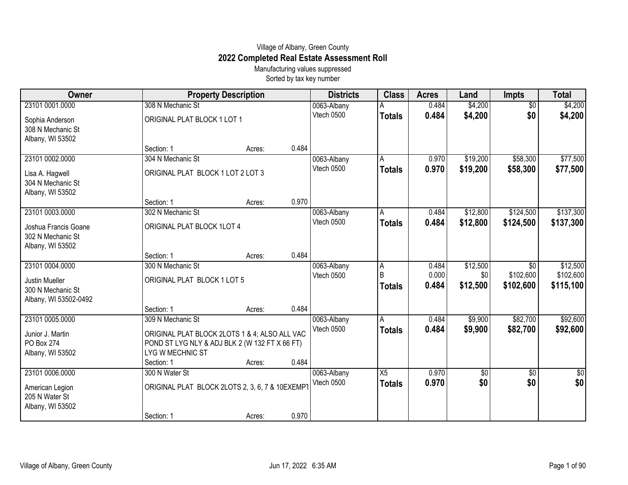## Village of Albany, Green County **2022 Completed Real Estate Assessment Roll**

Manufacturing values suppressed Sorted by tax key number

| Owner                 | <b>Property Description</b>                     |                 | <b>Districts</b> | <b>Class</b>   | <b>Acres</b> | Land            | <b>Impts</b>    | <b>Total</b>    |
|-----------------------|-------------------------------------------------|-----------------|------------------|----------------|--------------|-----------------|-----------------|-----------------|
| 23101 0001.0000       | 308 N Mechanic St                               |                 | 0063-Albany      |                | 0.484        | \$4,200         | $\overline{50}$ | \$4,200         |
| Sophia Anderson       | ORIGINAL PLAT BLOCK 1 LOT 1                     |                 | Vtech 0500       | <b>Totals</b>  | 0.484        | \$4,200         | \$0             | \$4,200         |
| 308 N Mechanic St     |                                                 |                 |                  |                |              |                 |                 |                 |
| Albany, WI 53502      |                                                 |                 |                  |                |              |                 |                 |                 |
|                       | Section: 1                                      | 0.484<br>Acres: |                  |                |              |                 |                 |                 |
| 23101 0002.0000       | 304 N Mechanic St                               |                 | 0063-Albany      | Α              | 0.970        | \$19,200        | \$58,300        | \$77,500        |
| Lisa A. Hagwell       | ORIGINAL PLAT BLOCK 1 LOT 2 LOT 3               |                 | Vtech 0500       | <b>Totals</b>  | 0.970        | \$19,200        | \$58,300        | \$77,500        |
| 304 N Mechanic St     |                                                 |                 |                  |                |              |                 |                 |                 |
| Albany, WI 53502      |                                                 |                 |                  |                |              |                 |                 |                 |
|                       | Section: 1                                      | 0.970<br>Acres: |                  |                |              |                 |                 |                 |
| 23101 0003.0000       | 302 N Mechanic St                               |                 | 0063-Albany      | Α              | 0.484        | \$12,800        | \$124,500       | \$137,300       |
| Joshua Francis Goane  | ORIGINAL PLAT BLOCK 1LOT 4                      |                 | Vtech 0500       | <b>Totals</b>  | 0.484        | \$12,800        | \$124,500       | \$137,300       |
| 302 N Mechanic St     |                                                 |                 |                  |                |              |                 |                 |                 |
| Albany, WI 53502      |                                                 |                 |                  |                |              |                 |                 |                 |
|                       | Section: 1                                      | 0.484<br>Acres: |                  |                |              |                 |                 |                 |
| 23101 0004.0000       | 300 N Mechanic St                               |                 | 0063-Albany      | $\overline{A}$ | 0.484        | \$12,500        | \$0             | \$12,500        |
| Justin Mueller        | ORIGINAL PLAT BLOCK 1 LOT 5                     |                 | Vtech 0500       | B              | 0.000        | \$0             | \$102,600       | \$102,600       |
| 300 N Mechanic St     |                                                 |                 |                  | <b>Totals</b>  | 0.484        | \$12,500        | \$102,600       | \$115,100       |
| Albany, WI 53502-0492 |                                                 |                 |                  |                |              |                 |                 |                 |
|                       | Section: 1                                      | 0.484<br>Acres: |                  |                |              |                 |                 |                 |
| 23101 0005.0000       | 309 N Mechanic St                               |                 | 0063-Albany      | $\overline{A}$ | 0.484        | \$9,900         | \$82,700        | \$92,600        |
| Junior J. Martin      | ORIGINAL PLAT BLOCK 2LOTS 1 & 4; ALSO ALL VAC   |                 | Vtech 0500       | <b>Totals</b>  | 0.484        | \$9,900         | \$82,700        | \$92,600        |
| PO Box 274            | POND ST LYG NLY & ADJ BLK 2 (W 132 FT X 66 FT)  |                 |                  |                |              |                 |                 |                 |
| Albany, WI 53502      | LYG W MECHNIC ST                                |                 |                  |                |              |                 |                 |                 |
|                       | Section: 1                                      | 0.484<br>Acres: |                  |                |              |                 |                 |                 |
| 23101 0006.0000       | 300 N Water St                                  |                 | 0063-Albany      | X5             | 0.970        | $\overline{60}$ | $\overline{50}$ | $\overline{50}$ |
| American Legion       | ORIGINAL PLAT BLOCK 2LOTS 2, 3, 6, 7 & 10EXEMPT |                 | Vtech 0500       | <b>Totals</b>  | 0.970        | \$0             | \$0             | \$0             |
| 205 N Water St        |                                                 |                 |                  |                |              |                 |                 |                 |
| Albany, WI 53502      |                                                 |                 |                  |                |              |                 |                 |                 |
|                       | Section: 1                                      | 0.970<br>Acres: |                  |                |              |                 |                 |                 |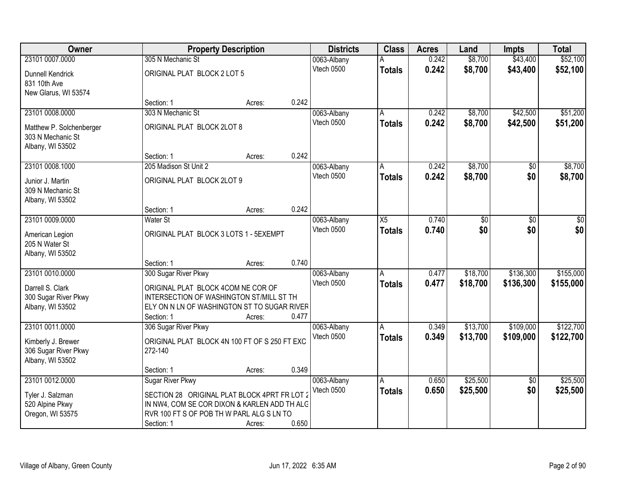| Owner                             |                                               | <b>Property Description</b> |       | <b>Districts</b>          | <b>Class</b>  | <b>Acres</b>   | Land     | <b>Impts</b>           | <b>Total</b> |
|-----------------------------------|-----------------------------------------------|-----------------------------|-------|---------------------------|---------------|----------------|----------|------------------------|--------------|
| 23101 0007.0000                   | 305 N Mechanic St                             |                             |       | 0063-Albany               |               | 0.242          | \$8,700  | \$43,400               | \$52,100     |
| Dunnell Kendrick                  | ORIGINAL PLAT BLOCK 2 LOT 5                   |                             |       | Vtech 0500                | <b>Totals</b> | 0.242          | \$8,700  | \$43,400               | \$52,100     |
| 831 10th Ave                      |                                               |                             |       |                           |               |                |          |                        |              |
| New Glarus, WI 53574              |                                               |                             |       |                           |               |                |          |                        |              |
|                                   | Section: 1                                    | Acres:                      | 0.242 |                           |               |                |          |                        |              |
| 23101 0008.0000                   | 303 N Mechanic St                             |                             |       | 0063-Albany               |               | 0.242          | \$8,700  | \$42,500               | \$51,200     |
| Matthew P. Solchenberger          | ORIGINAL PLAT BLOCK 2LOT 8                    |                             |       | Vtech 0500                | <b>Totals</b> | 0.242          | \$8,700  | \$42,500               | \$51,200     |
| 303 N Mechanic St                 |                                               |                             |       |                           |               |                |          |                        |              |
| Albany, WI 53502                  |                                               |                             |       |                           |               |                |          |                        |              |
|                                   | Section: 1                                    | Acres:                      | 0.242 |                           |               | 0.242          | \$8,700  |                        |              |
| 23101 0008.1000                   | 205 Madison St Unit 2                         |                             |       | 0063-Albany<br>Vtech 0500 | A             | 0.242          | \$8,700  | \$0<br>\$0             | \$8,700      |
| Junior J. Martin                  | ORIGINAL PLAT BLOCK 2LOT 9                    |                             |       |                           | <b>Totals</b> |                |          |                        | \$8,700      |
| 309 N Mechanic St                 |                                               |                             |       |                           |               |                |          |                        |              |
| Albany, WI 53502                  | Section: 1                                    | Acres:                      | 0.242 |                           |               |                |          |                        |              |
| 23101 0009.0000                   | Water St                                      |                             |       | 0063-Albany               | X5            | 0.740          | \$0      | \$0                    | \$0          |
|                                   |                                               |                             |       | Vtech 0500                | <b>Totals</b> | 0.740          | \$0      | \$0                    | \$0          |
| American Legion<br>205 N Water St | ORIGINAL PLAT BLOCK 3 LOTS 1 - 5EXEMPT        |                             |       |                           |               |                |          |                        |              |
| Albany, WI 53502                  |                                               |                             |       |                           |               |                |          |                        |              |
|                                   | Section: 1                                    | Acres:                      | 0.740 |                           |               |                |          |                        |              |
| 23101 0010.0000                   | 300 Sugar River Pkwy                          |                             |       | 0063-Albany               | A             | 0.477          | \$18,700 | \$136,300              | \$155,000    |
| Darrell S. Clark                  | ORIGINAL PLAT BLOCK 4COM NE COR OF            |                             |       | Vtech 0500                | <b>Totals</b> | 0.477          | \$18,700 | \$136,300              | \$155,000    |
| 300 Sugar River Pkwy              | INTERSECTION OF WASHINGTON ST/MILL ST TH      |                             |       |                           |               |                |          |                        |              |
| Albany, WI 53502                  | ELY ON N LN OF WASHINGTON ST TO SUGAR RIVER   |                             |       |                           |               |                |          |                        |              |
|                                   | Section: 1                                    | Acres:                      | 0.477 |                           |               |                |          |                        |              |
| 23101 0011.0000                   | 306 Sugar River Pkwy                          |                             |       | 0063-Albany               | A             | 0.349          | \$13,700 | \$109,000              | \$122,700    |
| Kimberly J. Brewer                | ORIGINAL PLAT BLOCK 4N 100 FT OF S 250 FT EXC |                             |       | Vtech 0500                | <b>Totals</b> | 0.349          | \$13,700 | \$109,000              | \$122,700    |
| 306 Sugar River Pkwy              | 272-140                                       |                             |       |                           |               |                |          |                        |              |
| Albany, WI 53502                  |                                               |                             |       |                           |               |                |          |                        |              |
|                                   | Section: 1                                    | Acres:                      | 0.349 |                           |               |                |          |                        |              |
| 23101 0012.0000                   | <b>Sugar River Pkwy</b>                       |                             |       | 0063-Albany<br>Vtech 0500 | A             | 0.650<br>0.650 | \$25,500 | $\overline{50}$<br>\$0 | \$25,500     |
| Tyler J. Salzman                  | SECTION 28 ORIGINAL PLAT BLOCK 4PRT FR LOT 2  |                             |       |                           | <b>Totals</b> |                | \$25,500 |                        | \$25,500     |
| 520 Alpine Pkwy                   | IN NW4, COM SE COR DIXON & KARLEN ADD TH ALG  |                             |       |                           |               |                |          |                        |              |
| Oregon, WI 53575                  | RVR 100 FT S OF POB TH W PARL ALG S LN TO     |                             |       |                           |               |                |          |                        |              |
|                                   | Section: 1                                    | Acres:                      | 0.650 |                           |               |                |          |                        |              |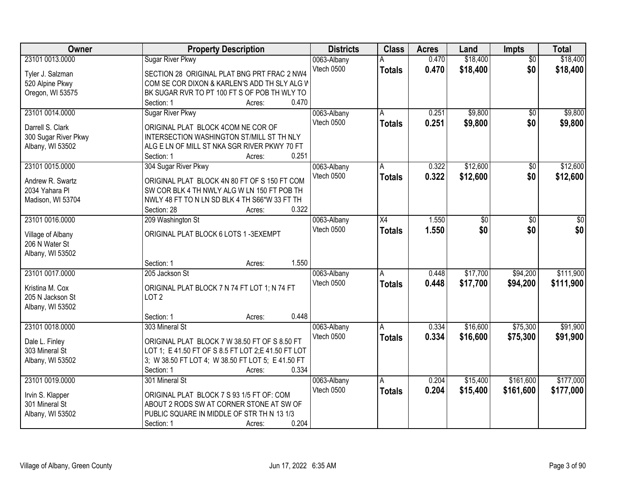| Owner                | <b>Property Description</b>                        | <b>Districts</b>          | <b>Class</b>  | <b>Acres</b> | Land     | <b>Impts</b>    | <b>Total</b> |
|----------------------|----------------------------------------------------|---------------------------|---------------|--------------|----------|-----------------|--------------|
| 23101 0013.0000      | <b>Sugar River Pkwy</b>                            | 0063-Albany               |               | 0.470        | \$18,400 | $\overline{50}$ | \$18,400     |
| Tyler J. Salzman     | SECTION 28 ORIGINAL PLAT BNG PRT FRAC 2 NW4        | Vtech 0500                | <b>Totals</b> | 0.470        | \$18,400 | \$0             | \$18,400     |
| 520 Alpine Pkwy      | COM SE COR DIXON & KARLEN'S ADD TH SLY ALG V       |                           |               |              |          |                 |              |
| Oregon, WI 53575     | BK SUGAR RVR TO PT 100 FT S OF POB TH WLY TO       |                           |               |              |          |                 |              |
|                      | 0.470<br>Section: 1<br>Acres:                      |                           |               |              |          |                 |              |
| 23101 0014.0000      | Sugar River Pkwy                                   | 0063-Albany               | A             | 0.251        | \$9,800  | $\overline{50}$ | \$9,800      |
|                      |                                                    | Vtech 0500                | <b>Totals</b> | 0.251        | \$9,800  | \$0             | \$9,800      |
| Darrell S. Clark     | ORIGINAL PLAT BLOCK 4COM NE COR OF                 |                           |               |              |          |                 |              |
| 300 Sugar River Pkwy | INTERSECTION WASHINGTON ST/MILL ST TH NLY          |                           |               |              |          |                 |              |
| Albany, WI 53502     | ALG E LN OF MILL ST NKA SGR RIVER PKWY 70 FT       |                           |               |              |          |                 |              |
|                      | 0.251<br>Section: 1<br>Acres:                      |                           |               |              |          |                 |              |
| 23101 0015.0000      | 304 Sugar River Pkwy                               | 0063-Albany               | A             | 0.322        | \$12,600 | \$0             | \$12,600     |
| Andrew R. Swartz     | ORIGINAL PLAT BLOCK 4N 80 FT OF S 150 FT COM       | <b>Vtech 0500</b>         | <b>Totals</b> | 0.322        | \$12,600 | \$0             | \$12,600     |
| 2034 Yahara Pl       | SW COR BLK 4 TH NWLY ALG W LN 150 FT POB TH        |                           |               |              |          |                 |              |
| Madison, WI 53704    | NWLY 48 FT TO N LN SD BLK 4 TH S66*W 33 FT TH      |                           |               |              |          |                 |              |
|                      | 0.322<br>Section: 28<br>Acres:                     |                           |               |              |          |                 |              |
| 23101 0016,0000      | 209 Washington St                                  | 0063-Albany               | X4            | 1.550        | \$0      | \$0             | \$0          |
|                      |                                                    | Vtech 0500                | <b>Totals</b> | 1.550        | \$0      | \$0             | \$0          |
| Village of Albany    | ORIGINAL PLAT BLOCK 6 LOTS 1 -3EXEMPT              |                           |               |              |          |                 |              |
| 206 N Water St       |                                                    |                           |               |              |          |                 |              |
| Albany, WI 53502     | 1.550<br>Section: 1                                |                           |               |              |          |                 |              |
| 23101 0017.0000      | Acres:<br>205 Jackson St                           |                           | A             | 0.448        | \$17,700 | \$94,200        | \$111,900    |
|                      |                                                    | 0063-Albany<br>Vtech 0500 |               |              |          |                 |              |
| Kristina M. Cox      | ORIGINAL PLAT BLOCK 7 N 74 FT LOT 1; N 74 FT       |                           | <b>Totals</b> | 0.448        | \$17,700 | \$94,200        | \$111,900    |
| 205 N Jackson St     | LOT <sub>2</sub>                                   |                           |               |              |          |                 |              |
| Albany, WI 53502     |                                                    |                           |               |              |          |                 |              |
|                      | 0.448<br>Section: 1<br>Acres:                      |                           |               |              |          |                 |              |
| 23101 0018.0000      | 303 Mineral St                                     | 0063-Albany               | A             | 0.334        | \$16,600 | \$75,300        | \$91,900     |
| Dale L. Finley       | ORIGINAL PLAT BLOCK 7 W 38.50 FT OF S 8.50 FT      | Vtech 0500                | <b>Totals</b> | 0.334        | \$16,600 | \$75,300        | \$91,900     |
| 303 Mineral St       | LOT 1; E 41.50 FT OF S 8.5 FT LOT 2;E 41.50 FT LOT |                           |               |              |          |                 |              |
| Albany, WI 53502     | 3; W 38.50 FT LOT 4; W 38.50 FT LOT 5; E 41.50 FT  |                           |               |              |          |                 |              |
|                      | 0.334<br>Section: 1<br>Acres:                      |                           |               |              |          |                 |              |
| 23101 0019,0000      | 301 Mineral St                                     | 0063-Albany               | A             | 0.204        | \$15,400 | \$161,600       | \$177,000    |
|                      |                                                    | Vtech 0500                | <b>Totals</b> | 0.204        | \$15,400 | \$161,600       | \$177,000    |
| Irvin S. Klapper     | ORIGINAL PLAT BLOCK 7 S 93 1/5 FT OF: COM          |                           |               |              |          |                 |              |
| 301 Mineral St       | ABOUT 2 RODS SW AT CORNER STONE AT SW OF           |                           |               |              |          |                 |              |
| Albany, WI 53502     | PUBLIC SQUARE IN MIDDLE OF STR TH N 13 1/3         |                           |               |              |          |                 |              |
|                      | 0.204<br>Section: 1<br>Acres:                      |                           |               |              |          |                 |              |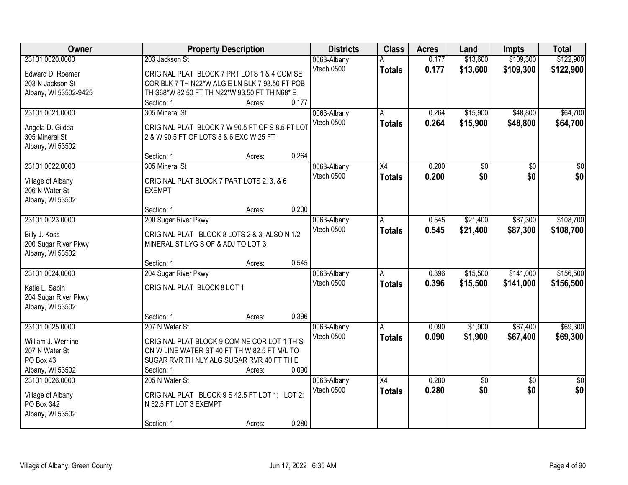| Owner                              | <b>Property Description</b>                     | <b>Districts</b> | <b>Class</b>    | <b>Acres</b> | Land            | <b>Impts</b>    | <b>Total</b>    |
|------------------------------------|-------------------------------------------------|------------------|-----------------|--------------|-----------------|-----------------|-----------------|
| 23101 0020.0000                    | 203 Jackson St                                  | 0063-Albany      |                 | 0.177        | \$13,600        | \$109,300       | \$122,900       |
| Edward D. Roemer                   | ORIGINAL PLAT BLOCK 7 PRT LOTS 1 & 4 COM SE     | Vtech 0500       | <b>Totals</b>   | 0.177        | \$13,600        | \$109,300       | \$122,900       |
| 203 N Jackson St                   | COR BLK 7 TH N22*W ALG E LN BLK 7 93.50 FT POB  |                  |                 |              |                 |                 |                 |
| Albany, WI 53502-9425              | TH S68*W 82.50 FT TH N22*W 93.50 FT TH N68* E   |                  |                 |              |                 |                 |                 |
|                                    | 0.177<br>Section: 1<br>Acres:                   |                  |                 |              |                 |                 |                 |
| 23101 0021.0000                    | 305 Mineral St                                  | 0063-Albany      | A               | 0.264        | \$15,900        | \$48,800        | \$64,700        |
|                                    | ORIGINAL PLAT BLOCK 7 W 90.5 FT OF S 8.5 FT LOT | Vtech 0500       | <b>Totals</b>   | 0.264        | \$15,900        | \$48,800        | \$64,700        |
| Angela D. Gildea<br>305 Mineral St | 2 & W 90.5 FT OF LOTS 3 & 6 EXC W 25 FT         |                  |                 |              |                 |                 |                 |
| Albany, WI 53502                   |                                                 |                  |                 |              |                 |                 |                 |
|                                    | 0.264<br>Section: 1<br>Acres:                   |                  |                 |              |                 |                 |                 |
| 23101 0022.0000                    | 305 Mineral St                                  | 0063-Albany      | X4              | 0.200        | \$0             | $\overline{50}$ | $\overline{50}$ |
|                                    |                                                 | Vtech 0500       | <b>Totals</b>   | 0.200        | \$0             | \$0             | \$0             |
| Village of Albany                  | ORIGINAL PLAT BLOCK 7 PART LOTS 2, 3, & 6       |                  |                 |              |                 |                 |                 |
| 206 N Water St                     | <b>EXEMPT</b>                                   |                  |                 |              |                 |                 |                 |
| Albany, WI 53502                   | 0.200<br>Section: 1                             |                  |                 |              |                 |                 |                 |
| 23101 0023.0000                    | Acres:<br>200 Sugar River Pkwy                  | 0063-Albany      | A               | 0.545        | \$21,400        | \$87,300        | \$108,700       |
|                                    |                                                 | Vtech 0500       |                 | 0.545        |                 |                 |                 |
| Billy J. Koss                      | ORIGINAL PLAT BLOCK 8 LOTS 2 & 3; ALSO N 1/2    |                  | <b>Totals</b>   |              | \$21,400        | \$87,300        | \$108,700       |
| 200 Sugar River Pkwy               | MINERAL ST LYG S OF & ADJ TO LOT 3              |                  |                 |              |                 |                 |                 |
| Albany, WI 53502                   |                                                 |                  |                 |              |                 |                 |                 |
|                                    | 0.545<br>Section: 1<br>Acres:                   |                  |                 |              |                 |                 |                 |
| 23101 0024.0000                    | 204 Sugar River Pkwy                            | 0063-Albany      | A               | 0.396        | \$15,500        | \$141,000       | \$156,500       |
| Katie L. Sabin                     | ORIGINAL PLAT BLOCK 8 LOT 1                     | Vtech 0500       | <b>Totals</b>   | 0.396        | \$15,500        | \$141,000       | \$156,500       |
| 204 Sugar River Pkwy               |                                                 |                  |                 |              |                 |                 |                 |
| Albany, WI 53502                   |                                                 |                  |                 |              |                 |                 |                 |
|                                    | 0.396<br>Section: 1<br>Acres:                   |                  |                 |              |                 |                 |                 |
| 23101 0025.0000                    | 207 N Water St                                  | 0063-Albany      | A               | 0.090        | \$1,900         | \$67,400        | \$69,300        |
| William J. Werrline                | ORIGINAL PLAT BLOCK 9 COM NE COR LOT 1 TH S     | Vtech 0500       | <b>Totals</b>   | 0.090        | \$1,900         | \$67,400        | \$69,300        |
| 207 N Water St                     | ON W LINE WATER ST 40 FT TH W 82.5 FT M/L TO    |                  |                 |              |                 |                 |                 |
| PO Box 43                          | SUGAR RVR TH NLY ALG SUGAR RVR 40 FT TH E       |                  |                 |              |                 |                 |                 |
| Albany, WI 53502                   | 0.090<br>Section: 1<br>Acres:                   |                  |                 |              |                 |                 |                 |
| 23101 0026.0000                    | 205 N Water St                                  | 0063-Albany      | $\overline{X4}$ | 0.280        | $\overline{50}$ | $\overline{50}$ | $\overline{50}$ |
|                                    |                                                 | Vtech 0500       | <b>Totals</b>   | 0.280        | \$0             | \$0             | \$0             |
| Village of Albany                  | ORIGINAL PLAT BLOCK 9 S 42.5 FT LOT 1; LOT 2;   |                  |                 |              |                 |                 |                 |
| PO Box 342                         | N 52.5 FT LOT 3 EXEMPT                          |                  |                 |              |                 |                 |                 |
| Albany, WI 53502                   |                                                 |                  |                 |              |                 |                 |                 |
|                                    | 0.280<br>Section: 1<br>Acres:                   |                  |                 |              |                 |                 |                 |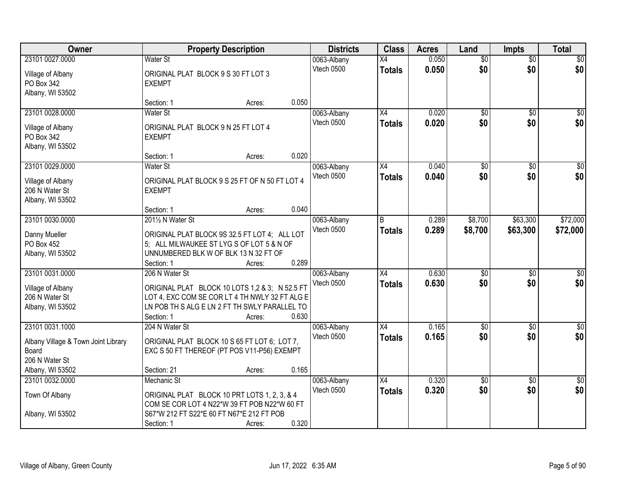| Owner                               | <b>Property Description</b>                    |                 | <b>Districts</b>          | <b>Class</b>    | <b>Acres</b> | Land            | <b>Impts</b>    | <b>Total</b>     |
|-------------------------------------|------------------------------------------------|-----------------|---------------------------|-----------------|--------------|-----------------|-----------------|------------------|
| 23101 0027.0000                     | <b>Water St</b>                                |                 | 0063-Albany               | X4              | 0.050        | $\overline{50}$ | $\overline{50}$ | \$0              |
| Village of Albany                   | ORIGINAL PLAT BLOCK 9 S 30 FT LOT 3            |                 | Vtech 0500                | <b>Totals</b>   | 0.050        | \$0             | \$0             | \$0              |
| PO Box 342                          | <b>EXEMPT</b>                                  |                 |                           |                 |              |                 |                 |                  |
| Albany, WI 53502                    |                                                |                 |                           |                 |              |                 |                 |                  |
|                                     | Section: 1                                     | 0.050<br>Acres: |                           |                 |              |                 |                 |                  |
| 23101 0028.0000                     | Water St                                       |                 | 0063-Albany               | $\overline{X4}$ | 0.020        | \$0             | \$0             | \$0              |
| Village of Albany                   | ORIGINAL PLAT BLOCK 9 N 25 FT LOT 4            |                 | Vtech 0500                | <b>Totals</b>   | 0.020        | \$0             | \$0             | \$0              |
| PO Box 342                          | <b>EXEMPT</b>                                  |                 |                           |                 |              |                 |                 |                  |
| Albany, WI 53502                    |                                                |                 |                           |                 |              |                 |                 |                  |
|                                     | Section: 1                                     | 0.020<br>Acres: |                           |                 |              |                 |                 |                  |
| 23101 0029.0000                     | <b>Water St</b>                                |                 | 0063-Albany               | X4              | 0.040        | \$0             | \$0             | $\overline{50}$  |
| Village of Albany                   | ORIGINAL PLAT BLOCK 9 S 25 FT OF N 50 FT LOT 4 |                 | Vtech 0500                | <b>Totals</b>   | 0.040        | \$0             | \$0             | \$0              |
| 206 N Water St                      | <b>EXEMPT</b>                                  |                 |                           |                 |              |                 |                 |                  |
| Albany, WI 53502                    |                                                |                 |                           |                 |              |                 |                 |                  |
|                                     | Section: 1                                     | 0.040<br>Acres: |                           |                 |              |                 |                 |                  |
| 23101 0030.0000                     | 2011/2 N Water St                              |                 | 0063-Albany               | B               | 0.289        | \$8,700         | \$63,300        | \$72,000         |
| Danny Mueller                       | ORIGINAL PLAT BLOCK 9S 32.5 FT LOT 4; ALL LOT  |                 | Vtech 0500                | <b>Totals</b>   | 0.289        | \$8,700         | \$63,300        | \$72,000         |
| PO Box 452                          | 5; ALL MILWAUKEE ST LYG S OF LOT 5 & N OF      |                 |                           |                 |              |                 |                 |                  |
| Albany, WI 53502                    | UNNUMBERED BLK W OF BLK 13 N 32 FT OF          |                 |                           |                 |              |                 |                 |                  |
|                                     | Section: 1                                     | 0.289<br>Acres: |                           |                 |              |                 |                 |                  |
| 23101 0031.0000                     | 206 N Water St                                 |                 | 0063-Albany               | $\overline{X4}$ | 0.630        | \$0             | \$0             | $\sqrt{50}$      |
| Village of Albany                   | ORIGINAL PLAT BLOCK 10 LOTS 1,2 & 3; N 52.5 FT |                 | Vtech 0500                | <b>Totals</b>   | 0.630        | \$0             | \$0             | \$0              |
| 206 N Water St                      | LOT 4, EXC COM SE COR LT 4 TH NWLY 32 FT ALG E |                 |                           |                 |              |                 |                 |                  |
| Albany, WI 53502                    | LN POB TH S ALG E LN 2 FT TH SWLY PARALLEL TO  |                 |                           |                 |              |                 |                 |                  |
|                                     | Section: 1                                     | 0.630<br>Acres: |                           |                 |              |                 |                 |                  |
| 23101 0031.1000                     | 204 N Water St                                 |                 | 0063-Albany               | $\overline{X4}$ | 0.165        | $\overline{50}$ | \$0             | $\overline{\$0}$ |
|                                     |                                                |                 | Vtech 0500                | <b>Totals</b>   | 0.165        | \$0             | \$0             | \$0              |
| Albany Village & Town Joint Library | ORIGINAL PLAT BLOCK 10 S 65 FT LOT 6; LOT 7,   |                 |                           |                 |              |                 |                 |                  |
| Board                               | EXC S 50 FT THEREOF (PT POS V11-P56) EXEMPT    |                 |                           |                 |              |                 |                 |                  |
| 206 N Water St                      |                                                |                 |                           |                 |              |                 |                 |                  |
| Albany, WI 53502                    | Section: 21<br>Mechanic St                     | 0.165<br>Acres: |                           |                 |              |                 |                 |                  |
| 23101 0032.0000                     |                                                |                 | 0063-Albany<br>Vtech 0500 | X4              | 0.320        | $\overline{50}$ | $\overline{30}$ | $\overline{50}$  |
| Town Of Albany                      | ORIGINAL PLAT BLOCK 10 PRT LOTS 1, 2, 3, & 4   |                 |                           | <b>Totals</b>   | 0.320        | \$0             | \$0             | \$0              |
|                                     | COM SE COR LOT 4 N22*W 39 FT POB N22*W 60 FT   |                 |                           |                 |              |                 |                 |                  |
| Albany, WI 53502                    | S67*W 212 FT S22*E 60 FT N67*E 212 FT POB      |                 |                           |                 |              |                 |                 |                  |
|                                     | Section: 1                                     | 0.320<br>Acres: |                           |                 |              |                 |                 |                  |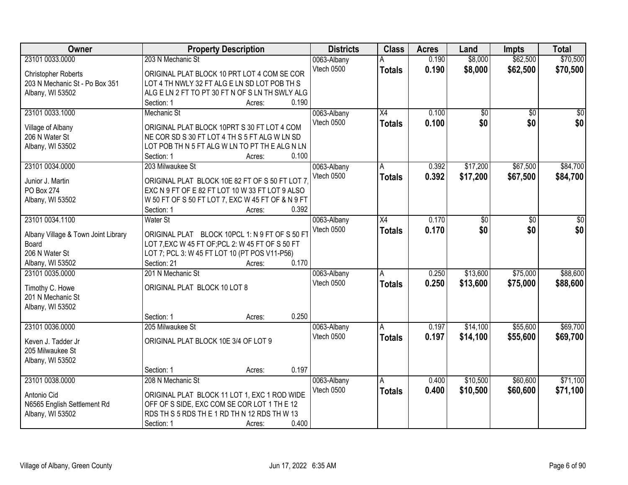| Owner                               | <b>Property Description</b>                       |                 | <b>Districts</b> | <b>Class</b>    | <b>Acres</b> | Land     | <b>Impts</b>    | <b>Total</b> |
|-------------------------------------|---------------------------------------------------|-----------------|------------------|-----------------|--------------|----------|-----------------|--------------|
| 23101 0033.0000                     | 203 N Mechanic St                                 |                 | 0063-Albany      |                 | 0.190        | \$8,000  | \$62,500        | \$70,500     |
| Christopher Roberts                 | ORIGINAL PLAT BLOCK 10 PRT LOT 4 COM SE COR       |                 | Vtech 0500       | <b>Totals</b>   | 0.190        | \$8,000  | \$62,500        | \$70,500     |
| 203 N Mechanic St - Po Box 351      | LOT 4 TH NWLY 32 FT ALG E LN SD LOT POB TH S      |                 |                  |                 |              |          |                 |              |
| Albany, WI 53502                    | ALG E LN 2 FT TO PT 30 FT N OF S LN TH SWLY ALG   |                 |                  |                 |              |          |                 |              |
|                                     | Section: 1                                        | 0.190<br>Acres: |                  |                 |              |          |                 |              |
| 23101 0033.1000                     | Mechanic St                                       |                 | 0063-Albany      | X4              | 0.100        | \$0      | $\overline{50}$ | \$0          |
|                                     |                                                   |                 | Vtech 0500       | <b>Totals</b>   | 0.100        | \$0      | \$0             | \$0          |
| Village of Albany                   | ORIGINAL PLAT BLOCK 10PRT S 30 FT LOT 4 COM       |                 |                  |                 |              |          |                 |              |
| 206 N Water St                      | NE COR SD S 30 FT LOT 4 TH S 5 FT ALG W LN SD     |                 |                  |                 |              |          |                 |              |
| Albany, WI 53502                    | LOT POB TH N 5 FT ALG W LN TO PT TH E ALG N LN    |                 |                  |                 |              |          |                 |              |
|                                     | Section: 1                                        | 0.100<br>Acres: |                  |                 |              |          |                 |              |
| 23101 0034.0000                     | 203 Milwaukee St                                  |                 | 0063-Albany      | A               | 0.392        | \$17,200 | \$67,500        | \$84,700     |
| Junior J. Martin                    | ORIGINAL PLAT BLOCK 10E 82 FT OF S 50 FT LOT 7    |                 | Vtech 0500       | <b>Totals</b>   | 0.392        | \$17,200 | \$67,500        | \$84,700     |
| <b>PO Box 274</b>                   | EXC N 9 FT OF E 82 FT LOT 10 W 33 FT LOT 9 ALSO   |                 |                  |                 |              |          |                 |              |
| Albany, WI 53502                    | W 50 FT OF S 50 FT LOT 7, EXC W 45 FT OF & N 9 FT |                 |                  |                 |              |          |                 |              |
|                                     | Section: 1                                        | 0.392<br>Acres: |                  |                 |              |          |                 |              |
| 23101 0034.1100                     | Water St                                          |                 | 0063-Albany      | $\overline{X4}$ | 0.170        | \$0      | \$0             | \$0          |
|                                     |                                                   |                 | Vtech 0500       | <b>Totals</b>   | 0.170        | \$0      | \$0             | \$0          |
| Albany Village & Town Joint Library | ORIGINAL PLAT BLOCK 10PCL 1: N 9 FT OF S 50 FT    |                 |                  |                 |              |          |                 |              |
| Board                               | LOT 7, EXC W 45 FT OF; PCL 2: W 45 FT OF S 50 FT  |                 |                  |                 |              |          |                 |              |
| 206 N Water St                      | LOT 7; PCL 3: W 45 FT LOT 10 (PT POS V11-P56)     |                 |                  |                 |              |          |                 |              |
| Albany, WI 53502                    | Section: 21                                       | 0.170<br>Acres: |                  |                 |              |          |                 |              |
| 23101 0035.0000                     | 201 N Mechanic St                                 |                 | 0063-Albany      | A               | 0.250        | \$13,600 | \$75,000        | \$88,600     |
| Timothy C. Howe                     | ORIGINAL PLAT BLOCK 10 LOT 8                      |                 | Vtech 0500       | <b>Totals</b>   | 0.250        | \$13,600 | \$75,000        | \$88,600     |
| 201 N Mechanic St                   |                                                   |                 |                  |                 |              |          |                 |              |
| Albany, WI 53502                    |                                                   |                 |                  |                 |              |          |                 |              |
|                                     | Section: 1                                        | 0.250<br>Acres: |                  |                 |              |          |                 |              |
| 23101 0036.0000                     | 205 Milwaukee St                                  |                 | 0063-Albany      | A               | 0.197        | \$14,100 | \$55,600        | \$69,700     |
|                                     |                                                   |                 | Vtech 0500       | <b>Totals</b>   | 0.197        | \$14,100 | \$55,600        | \$69,700     |
| Keven J. Tadder Jr                  | ORIGINAL PLAT BLOCK 10E 3/4 OF LOT 9              |                 |                  |                 |              |          |                 |              |
| 205 Milwaukee St                    |                                                   |                 |                  |                 |              |          |                 |              |
| Albany, WI 53502                    |                                                   |                 |                  |                 |              |          |                 |              |
|                                     | Section: 1                                        | 0.197<br>Acres: |                  |                 |              |          |                 |              |
| 23101 0038.0000                     | 208 N Mechanic St                                 |                 | 0063-Albany      | A               | 0.400        | \$10,500 | \$60,600        | \$71,100     |
| Antonio Cid                         | ORIGINAL PLAT BLOCK 11 LOT 1, EXC 1 ROD WIDE      |                 | Vtech 0500       | <b>Totals</b>   | 0.400        | \$10,500 | \$60,600        | \$71,100     |
| N6565 English Settlement Rd         | OFF OF S SIDE, EXC COM SE COR LOT 1 TH E 12       |                 |                  |                 |              |          |                 |              |
| Albany, WI 53502                    | RDS TH S 5 RDS TH E 1 RD TH N 12 RDS TH W 13      |                 |                  |                 |              |          |                 |              |
|                                     | Section: 1                                        | 0.400<br>Acres: |                  |                 |              |          |                 |              |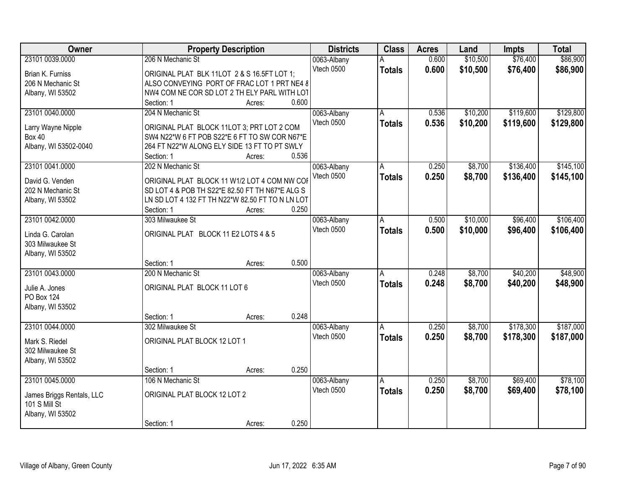| Owner                                | <b>Property Description</b>                                                                     |                 | <b>Districts</b>          | <b>Class</b>  | <b>Acres</b> | Land     | <b>Impts</b> | <b>Total</b> |
|--------------------------------------|-------------------------------------------------------------------------------------------------|-----------------|---------------------------|---------------|--------------|----------|--------------|--------------|
| 23101 0039.0000                      | 206 N Mechanic St                                                                               |                 | 0063-Albany               |               | 0.600        | \$10,500 | \$76,400     | \$86,900     |
| Brian K. Furniss                     | ORIGINAL PLAT BLK 11LOT 2 & S 16.5FT LOT 1;                                                     |                 | Vtech 0500                | <b>Totals</b> | 0.600        | \$10,500 | \$76,400     | \$86,900     |
| 206 N Mechanic St                    | ALSO CONVEYING PORT OF FRAC LOT 1 PRT NE4 8                                                     |                 |                           |               |              |          |              |              |
| Albany, WI 53502                     | NW4 COM NE COR SD LOT 2 TH ELY PARL WITH LOT                                                    |                 |                           |               |              |          |              |              |
|                                      | Section: 1                                                                                      | 0.600<br>Acres: |                           |               |              |          |              |              |
| 23101 0040.0000                      | 204 N Mechanic St                                                                               |                 | 0063-Albany               | A             | 0.536        | \$10,200 | \$119,600    | \$129,800    |
| Larry Wayne Nipple                   | ORIGINAL PLAT BLOCK 11LOT 3; PRT LOT 2 COM                                                      |                 | Vtech 0500                | <b>Totals</b> | 0.536        | \$10,200 | \$119,600    | \$129,800    |
| <b>Box 40</b>                        | SW4 N22*W 6 FT POB S22*E 6 FT TO SW COR N67*E                                                   |                 |                           |               |              |          |              |              |
| Albany, WI 53502-0040                | 264 FT N22*W ALONG ELY SIDE 13 FT TO PT SWLY                                                    |                 |                           |               |              |          |              |              |
|                                      | Section: 1                                                                                      | 0.536<br>Acres: |                           |               |              |          |              |              |
| 23101 0041.0000                      | 202 N Mechanic St                                                                               |                 | 0063-Albany               | A             | 0.250        | \$8,700  | \$136,400    | \$145,100    |
|                                      |                                                                                                 |                 | Vtech 0500                | <b>Totals</b> | 0.250        | \$8,700  | \$136,400    | \$145,100    |
| David G. Venden<br>202 N Mechanic St | ORIGINAL PLAT BLOCK 11 W1/2 LOT 4 COM NW COF<br>SD LOT 4 & POB TH S22*E 82.50 FT TH N67*E ALG S |                 |                           |               |              |          |              |              |
| Albany, WI 53502                     | LN SD LOT 4 132 FT TH N22*W 82.50 FT TO N LN LOT                                                |                 |                           |               |              |          |              |              |
|                                      | Section: 1                                                                                      | 0.250<br>Acres: |                           |               |              |          |              |              |
| 23101 0042.0000                      | 303 Milwaukee St                                                                                |                 | 0063-Albany               | A             | 0.500        | \$10,000 | \$96,400     | \$106,400    |
|                                      |                                                                                                 |                 | Vtech 0500                | <b>Totals</b> | 0.500        | \$10,000 | \$96,400     | \$106,400    |
| Linda G. Carolan                     | ORIGINAL PLAT BLOCK 11 E2 LOTS 4 & 5                                                            |                 |                           |               |              |          |              |              |
| 303 Milwaukee St                     |                                                                                                 |                 |                           |               |              |          |              |              |
| Albany, WI 53502                     | Section: 1                                                                                      | 0.500           |                           |               |              |          |              |              |
| 23101 0043.0000                      | 200 N Mechanic St                                                                               | Acres:          |                           | A             | 0.248        | \$8,700  | \$40,200     | \$48,900     |
|                                      |                                                                                                 |                 | 0063-Albany<br>Vtech 0500 |               |              |          |              |              |
| Julie A. Jones                       | ORIGINAL PLAT BLOCK 11 LOT 6                                                                    |                 |                           | <b>Totals</b> | 0.248        | \$8,700  | \$40,200     | \$48,900     |
| <b>PO Box 124</b>                    |                                                                                                 |                 |                           |               |              |          |              |              |
| Albany, WI 53502                     |                                                                                                 |                 |                           |               |              |          |              |              |
|                                      | Section: 1                                                                                      | 0.248<br>Acres: |                           |               |              |          |              |              |
| 23101 0044.0000                      | 302 Milwaukee St                                                                                |                 | 0063-Albany               | A             | 0.250        | \$8,700  | \$178,300    | \$187,000    |
| Mark S. Riedel                       | ORIGINAL PLAT BLOCK 12 LOT 1                                                                    |                 | Vtech 0500                | <b>Totals</b> | 0.250        | \$8,700  | \$178,300    | \$187,000    |
| 302 Milwaukee St                     |                                                                                                 |                 |                           |               |              |          |              |              |
| Albany, WI 53502                     |                                                                                                 |                 |                           |               |              |          |              |              |
|                                      | Section: 1                                                                                      | 0.250<br>Acres: |                           |               |              |          |              |              |
| 23101 0045.0000                      | 106 N Mechanic St                                                                               |                 | 0063-Albany               | A             | 0.250        | \$8,700  | \$69,400     | \$78,100     |
| James Briggs Rentals, LLC            | ORIGINAL PLAT BLOCK 12 LOT 2                                                                    |                 | Vtech 0500                | <b>Totals</b> | 0.250        | \$8,700  | \$69,400     | \$78,100     |
| 101 S Mill St                        |                                                                                                 |                 |                           |               |              |          |              |              |
| Albany, WI 53502                     |                                                                                                 |                 |                           |               |              |          |              |              |
|                                      | Section: 1                                                                                      | 0.250<br>Acres: |                           |               |              |          |              |              |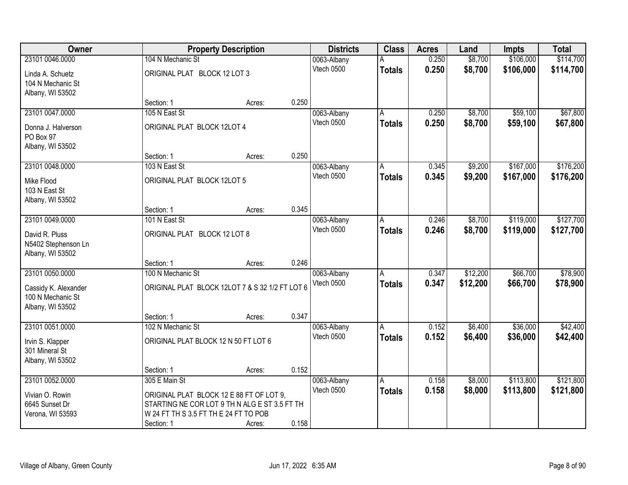| Owner                                 |                                                                                           | <b>Property Description</b> |       | <b>Districts</b>          | <b>Class</b>  | <b>Acres</b>   | Land                 | <b>Impts</b>         | <b>Total</b>         |
|---------------------------------------|-------------------------------------------------------------------------------------------|-----------------------------|-------|---------------------------|---------------|----------------|----------------------|----------------------|----------------------|
| 23101 0046.0000                       | 104 N Mechanic St                                                                         |                             |       | 0063-Albany               |               | 0.250          | \$8,700              | \$106,000            | \$114,700            |
| Linda A. Schuetz<br>104 N Mechanic St | ORIGINAL PLAT BLOCK 12 LOT 3                                                              |                             |       | Vtech 0500                | <b>Totals</b> | 0.250          | \$8,700              | \$106,000            | \$114,700            |
| Albany, WI 53502                      |                                                                                           |                             |       |                           |               |                |                      |                      |                      |
|                                       | Section: 1                                                                                | Acres:                      | 0.250 |                           |               |                |                      |                      |                      |
| 23101 0047.0000                       | 105 N East St                                                                             |                             |       | 0063-Albany               |               | 0.250          | \$8,700              | \$59,100             | \$67,800             |
| Donna J. Halverson                    | ORIGINAL PLAT BLOCK 12LOT 4                                                               |                             |       | Vtech 0500                | <b>Totals</b> | 0.250          | \$8,700              | \$59,100             | \$67,800             |
| PO Box 97                             |                                                                                           |                             |       |                           |               |                |                      |                      |                      |
| Albany, WI 53502                      |                                                                                           |                             |       |                           |               |                |                      |                      |                      |
|                                       | Section: 1                                                                                | Acres:                      | 0.250 |                           |               |                |                      |                      |                      |
| 23101 0048.0000                       | 103 N East St                                                                             |                             |       | 0063-Albany               | A             | 0.345          | \$9,200              | \$167,000            | \$176,200            |
| Mike Flood                            | ORIGINAL PLAT BLOCK 12LOT 5                                                               |                             |       | Vtech 0500                | <b>Totals</b> | 0.345          | \$9,200              | \$167,000            | \$176,200            |
| 103 N East St                         |                                                                                           |                             |       |                           |               |                |                      |                      |                      |
| Albany, WI 53502                      |                                                                                           |                             |       |                           |               |                |                      |                      |                      |
|                                       | Section: 1                                                                                | Acres:                      | 0.345 |                           |               |                |                      |                      |                      |
| 23101 0049.0000                       | 101 N East St                                                                             |                             |       | 0063-Albany               | A             | 0.246          | \$8,700              | \$119,000            | \$127,700            |
| David R. Pluss                        | ORIGINAL PLAT BLOCK 12 LOT 8                                                              |                             |       | Vtech 0500                | <b>Totals</b> | 0.246          | \$8,700              | \$119,000            | \$127,700            |
| N5402 Stephenson Ln                   |                                                                                           |                             |       |                           |               |                |                      |                      |                      |
| Albany, WI 53502                      |                                                                                           |                             |       |                           |               |                |                      |                      |                      |
|                                       | Section: 1<br>100 N Mechanic St                                                           | Acres:                      | 0.246 |                           |               |                |                      |                      |                      |
| 23101 0050.0000                       |                                                                                           |                             |       | 0063-Albany<br>Vtech 0500 | A             | 0.347<br>0.347 | \$12,200<br>\$12,200 | \$66,700<br>\$66,700 | \$78,900<br>\$78,900 |
| Cassidy K. Alexander                  | ORIGINAL PLAT BLOCK 12LOT 7 & S 32 1/2 FT LOT 6                                           |                             |       |                           | <b>Totals</b> |                |                      |                      |                      |
| 100 N Mechanic St                     |                                                                                           |                             |       |                           |               |                |                      |                      |                      |
| Albany, WI 53502                      | Section: 1                                                                                |                             | 0.347 |                           |               |                |                      |                      |                      |
| 23101 0051.0000                       | 102 N Mechanic St                                                                         | Acres:                      |       | 0063-Albany               | A             | 0.152          | \$6,400              | \$36,000             | \$42,400             |
|                                       |                                                                                           |                             |       | Vtech 0500                | <b>Totals</b> | 0.152          | \$6,400              | \$36,000             | \$42,400             |
| Irvin S. Klapper                      | ORIGINAL PLAT BLOCK 12 N 50 FT LOT 6                                                      |                             |       |                           |               |                |                      |                      |                      |
| 301 Mineral St<br>Albany, WI 53502    |                                                                                           |                             |       |                           |               |                |                      |                      |                      |
|                                       | Section: 1                                                                                | Acres:                      | 0.152 |                           |               |                |                      |                      |                      |
| 23101 0052.0000                       | 305 E Main St                                                                             |                             |       | 0063-Albany               | A             | 0.158          | \$8,000              | \$113,800            | \$121,800            |
|                                       |                                                                                           |                             |       | Vtech 0500                | <b>Totals</b> | 0.158          | \$8,000              | \$113,800            | \$121,800            |
| Vivian O. Rowin<br>6645 Sunset Dr     | ORIGINAL PLAT BLOCK 12 E 88 FT OF LOT 9,<br>STARTING NE COR LOT 9 TH N ALG E ST 3.5 FT TH |                             |       |                           |               |                |                      |                      |                      |
| Verona, WI 53593                      | W 24 FT TH S 3.5 FT TH E 24 FT TO POB                                                     |                             |       |                           |               |                |                      |                      |                      |
|                                       | Section: 1                                                                                | Acres:                      | 0.158 |                           |               |                |                      |                      |                      |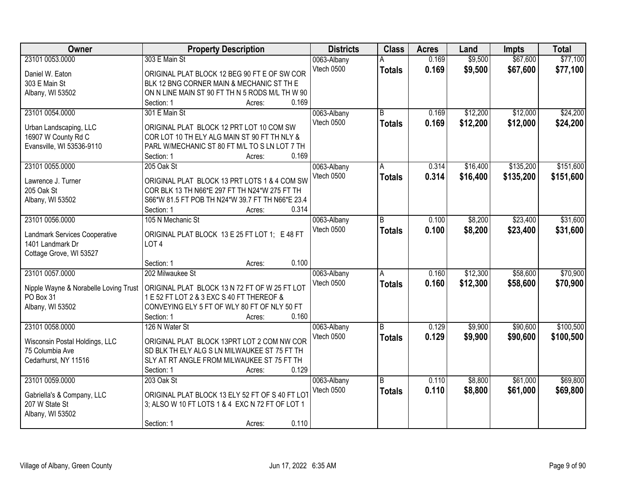| Owner                                             | <b>Property Description</b>                            | <b>Districts</b>          | <b>Class</b>   | <b>Acres</b> | Land     | <b>Impts</b> | <b>Total</b> |
|---------------------------------------------------|--------------------------------------------------------|---------------------------|----------------|--------------|----------|--------------|--------------|
| 23101 0053.0000                                   | 303 E Main St                                          | 0063-Albany               |                | 0.169        | \$9,500  | \$67,600     | \$77,100     |
| Daniel W. Eaton                                   | ORIGINAL PLAT BLOCK 12 BEG 90 FT E OF SW COR           | Vtech 0500                | <b>Totals</b>  | 0.169        | \$9,500  | \$67,600     | \$77,100     |
| 303 E Main St                                     | BLK 12 BNG CORNER MAIN & MECHANIC ST TH E              |                           |                |              |          |              |              |
| Albany, WI 53502                                  | ON N LINE MAIN ST 90 FT TH N 5 RODS M/L TH W 90        |                           |                |              |          |              |              |
|                                                   | 0.169<br>Section: 1<br>Acres:                          |                           |                |              |          |              |              |
| 23101 0054.0000                                   | 301 E Main St                                          | 0063-Albany               | $\overline{B}$ | 0.169        | \$12,200 | \$12,000     | \$24,200     |
|                                                   |                                                        | Vtech 0500                | <b>Totals</b>  | 0.169        | \$12,200 | \$12,000     | \$24,200     |
| Urban Landscaping, LLC                            | ORIGINAL PLAT BLOCK 12 PRT LOT 10 COM SW               |                           |                |              |          |              |              |
| 16907 W County Rd C                               | COR LOT 10 TH ELY ALG MAIN ST 90 FT TH NLY &           |                           |                |              |          |              |              |
| Evansville, WI 53536-9110                         | PARL W/MECHANIC ST 80 FT M/L TO S LN LOT 7 TH<br>0.169 |                           |                |              |          |              |              |
|                                                   | Section: 1<br>Acres:                                   |                           |                |              |          |              |              |
| 23101 0055.0000                                   | 205 Oak St                                             | 0063-Albany               | А              | 0.314        | \$16,400 | \$135,200    | \$151,600    |
| Lawrence J. Turner                                | ORIGINAL PLAT BLOCK 13 PRT LOTS 1 & 4 COM SW           | Vtech 0500                | <b>Totals</b>  | 0.314        | \$16,400 | \$135,200    | \$151,600    |
| 205 Oak St                                        | COR BLK 13 TH N66*E 297 FT TH N24*W 275 FT TH          |                           |                |              |          |              |              |
| Albany, WI 53502                                  | S66*W 81.5 FT POB TH N24*W 39.7 FT TH N66*E 23.4       |                           |                |              |          |              |              |
|                                                   | 0.314<br>Section: 1<br>Acres:                          |                           |                |              |          |              |              |
| 23101 0056.0000                                   | 105 N Mechanic St                                      | 0063-Albany               | B              | 0.100        | \$8,200  | \$23,400     | \$31,600     |
|                                                   |                                                        | Vtech 0500                | <b>Totals</b>  | 0.100        | \$8,200  | \$23,400     | \$31,600     |
| Landmark Services Cooperative                     | ORIGINAL PLAT BLOCK 13 E 25 FT LOT 1; E 48 FT          |                           |                |              |          |              |              |
| 1401 Landmark Dr                                  | LOT <sub>4</sub>                                       |                           |                |              |          |              |              |
| Cottage Grove, WI 53527                           | 0.100                                                  |                           |                |              |          |              |              |
| 23101 0057.0000                                   | Section: 1<br>Acres:<br>202 Milwaukee St               |                           |                | 0.160        | \$12,300 | \$58,600     | \$70,900     |
|                                                   |                                                        | 0063-Albany               | A              |              |          |              |              |
| Nipple Wayne & Norabelle Loving Trust             | ORIGINAL PLAT BLOCK 13 N 72 FT OF W 25 FT LOT          | Vtech 0500                | <b>Totals</b>  | 0.160        | \$12,300 | \$58,600     | \$70,900     |
| PO Box 31                                         | 1 E 52 FT LOT 2 & 3 EXC S 40 FT THEREOF &              |                           |                |              |          |              |              |
| Albany, WI 53502                                  | CONVEYING ELY 5 FT OF WLY 80 FT OF NLY 50 FT           |                           |                |              |          |              |              |
|                                                   | 0.160<br>Section: 1<br>Acres:                          |                           |                |              |          |              |              |
| 23101 0058,0000                                   | 126 N Water St                                         | 0063-Albany               | B              | 0.129        | \$9,900  | \$90,600     | \$100,500    |
|                                                   | ORIGINAL PLAT BLOCK 13PRT LOT 2 COM NW COR             | Vtech 0500                | <b>Totals</b>  | 0.129        | \$9,900  | \$90,600     | \$100,500    |
| Wisconsin Postal Holdings, LLC<br>75 Columbia Ave | SD BLK TH ELY ALG S LN MILWAUKEE ST 75 FT TH           |                           |                |              |          |              |              |
|                                                   | SLY AT RT ANGLE FROM MILWAUKEE ST 75 FT TH             |                           |                |              |          |              |              |
| Cedarhurst, NY 11516                              | 0.129<br>Section: 1                                    |                           |                |              |          |              |              |
| 23101 0059.0000                                   | Acres:                                                 |                           | <sub>R</sub>   | 0.110        | \$8,800  | \$61,000     | \$69,800     |
|                                                   | 203 Oak St                                             | 0063-Albany<br>Vtech 0500 |                |              |          |              |              |
| Gabriella's & Company, LLC                        | ORIGINAL PLAT BLOCK 13 ELY 52 FT OF S 40 FT LOT        |                           | <b>Totals</b>  | 0.110        | \$8,800  | \$61,000     | \$69,800     |
| 207 W State St                                    | 3; ALSO W 10 FT LOTS 1 & 4 EXC N 72 FT OF LOT 1        |                           |                |              |          |              |              |
| Albany, WI 53502                                  |                                                        |                           |                |              |          |              |              |
|                                                   | 0.110<br>Section: 1<br>Acres:                          |                           |                |              |          |              |              |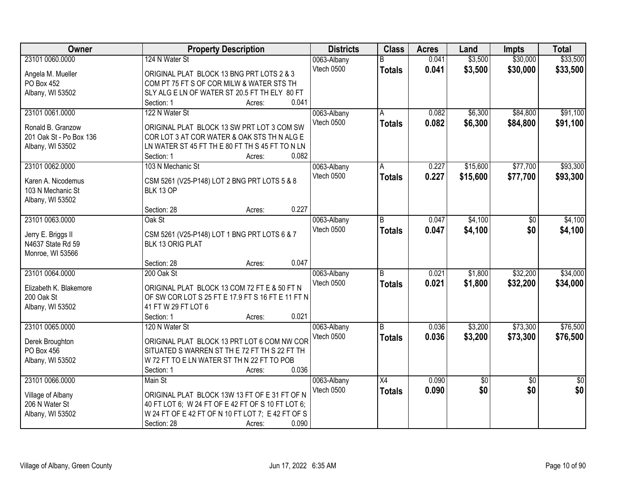| Owner                   | <b>Property Description</b>                                                               | <b>Districts</b> | <b>Class</b>    | <b>Acres</b> | Land     | <b>Impts</b>    | <b>Total</b>    |
|-------------------------|-------------------------------------------------------------------------------------------|------------------|-----------------|--------------|----------|-----------------|-----------------|
| 23101 0060.0000         | 124 N Water St                                                                            | 0063-Albany      | R               | 0.041        | \$3,500  | \$30,000        | \$33,500        |
| Angela M. Mueller       | ORIGINAL PLAT BLOCK 13 BNG PRT LOTS 2 & 3                                                 | Vtech 0500       | <b>Totals</b>   | 0.041        | \$3,500  | \$30,000        | \$33,500        |
| PO Box 452              | COM PT 75 FT S OF COR MILW & WATER STS TH                                                 |                  |                 |              |          |                 |                 |
| Albany, WI 53502        | SLY ALG E LN OF WATER ST 20.5 FT TH ELY 80 FT                                             |                  |                 |              |          |                 |                 |
|                         | 0.041<br>Section: 1<br>Acres:                                                             |                  |                 |              |          |                 |                 |
| 23101 0061.0000         | 122 N Water St                                                                            | 0063-Albany      | A               | 0.082        | \$6,300  | \$84,800        | \$91,100        |
| Ronald B. Granzow       |                                                                                           | Vtech 0500       | <b>Totals</b>   | 0.082        | \$6,300  | \$84,800        | \$91,100        |
| 201 Oak St - Po Box 136 | ORIGINAL PLAT BLOCK 13 SW PRT LOT 3 COM SW<br>COR LOT 3 AT COR WATER & OAK STS TH N ALG E |                  |                 |              |          |                 |                 |
| Albany, WI 53502        | LN WATER ST 45 FT TH E 80 FT TH S 45 FT TO N LN                                           |                  |                 |              |          |                 |                 |
|                         | 0.082<br>Section: 1<br>Acres:                                                             |                  |                 |              |          |                 |                 |
| 23101 0062.0000         | 103 N Mechanic St                                                                         | 0063-Albany      | A               | 0.227        | \$15,600 | \$77,700        | \$93,300        |
|                         |                                                                                           | Vtech 0500       | <b>Totals</b>   | 0.227        | \$15,600 | \$77,700        | \$93,300        |
| Karen A. Nicodemus      | CSM 5261 (V25-P148) LOT 2 BNG PRT LOTS 5 & 8                                              |                  |                 |              |          |                 |                 |
| 103 N Mechanic St       | BLK 13 OP                                                                                 |                  |                 |              |          |                 |                 |
| Albany, WI 53502        |                                                                                           |                  |                 |              |          |                 |                 |
|                         | 0.227<br>Section: 28<br>Acres:                                                            |                  |                 |              |          |                 |                 |
| 23101 0063.0000         | Oak St                                                                                    | 0063-Albany      | B               | 0.047        | \$4,100  | $\sqrt[6]{}$    | \$4,100         |
| Jerry E. Briggs II      | CSM 5261 (V25-P148) LOT 1 BNG PRT LOTS 6 & 7                                              | Vtech 0500       | <b>Totals</b>   | 0.047        | \$4,100  | \$0             | \$4,100         |
| N4637 State Rd 59       | BLK 13 ORIG PLAT                                                                          |                  |                 |              |          |                 |                 |
| Monroe, WI 53566        |                                                                                           |                  |                 |              |          |                 |                 |
|                         | 0.047<br>Section: 28<br>Acres:                                                            |                  |                 |              |          |                 |                 |
| 23101 0064.0000         | 200 Oak St                                                                                | 0063-Albany      | R.              | 0.021        | \$1,800  | \$32,200        | \$34,000        |
| Elizabeth K. Blakemore  | ORIGINAL PLAT BLOCK 13 COM 72 FT E & 50 FT N                                              | Vtech 0500       | <b>Totals</b>   | 0.021        | \$1,800  | \$32,200        | \$34,000        |
| 200 Oak St              | OF SW COR LOT S 25 FT E 17.9 FT S 16 FT E 11 FT N                                         |                  |                 |              |          |                 |                 |
| Albany, WI 53502        | 41 FT W 29 FT LOT 6                                                                       |                  |                 |              |          |                 |                 |
|                         | 0.021<br>Section: 1<br>Acres:                                                             |                  |                 |              |          |                 |                 |
| 23101 0065.0000         | 120 N Water St                                                                            | 0063-Albany      | B               | 0.036        | \$3,200  | \$73,300        | \$76,500        |
|                         |                                                                                           | Vtech 0500       | <b>Totals</b>   | 0.036        | \$3,200  | \$73,300        | \$76,500        |
| Derek Broughton         | ORIGINAL PLAT BLOCK 13 PRT LOT 6 COM NW COR                                               |                  |                 |              |          |                 |                 |
| PO Box 456              | SITUATED S WARREN ST TH E 72 FT TH S 22 FT TH                                             |                  |                 |              |          |                 |                 |
| Albany, WI 53502        | W 72 FT TO E LN WATER ST TH N 22 FT TO POB<br>0.036<br>Section: 1                         |                  |                 |              |          |                 |                 |
| 23101 0066.0000         | Acres:<br>Main St                                                                         | 0063-Albany      | $\overline{X4}$ | 0.090        | \$0      | $\overline{50}$ | $\overline{50}$ |
|                         |                                                                                           | Vtech 0500       |                 | 0.090        | \$0      | \$0             | \$0             |
| Village of Albany       | ORIGINAL PLAT BLOCK 13W 13 FT OF E 31 FT OF N                                             |                  | <b>Totals</b>   |              |          |                 |                 |
| 206 N Water St          | 40 FT LOT 6; W 24 FT OF E 42 FT OF S 10 FT LOT 6;                                         |                  |                 |              |          |                 |                 |
| Albany, WI 53502        | W 24 FT OF E 42 FT OF N 10 FT LOT 7; E 42 FT OF S                                         |                  |                 |              |          |                 |                 |
|                         | 0.090<br>Section: 28<br>Acres:                                                            |                  |                 |              |          |                 |                 |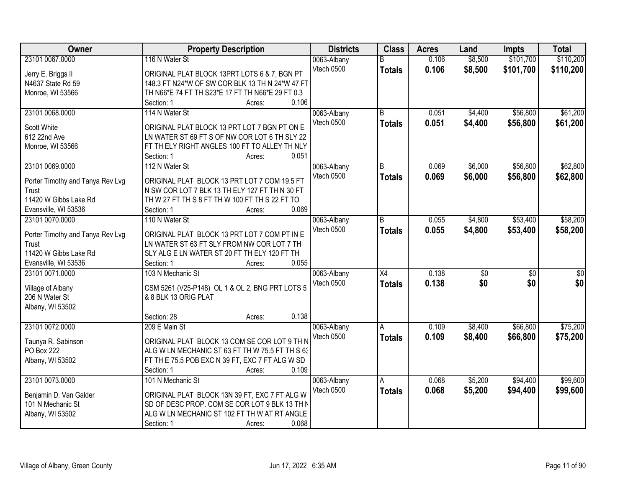| Owner                                     | <b>Property Description</b>                                                                | <b>Districts</b>          | <b>Class</b>    | <b>Acres</b> | Land            | <b>Impts</b>    | <b>Total</b>     |
|-------------------------------------------|--------------------------------------------------------------------------------------------|---------------------------|-----------------|--------------|-----------------|-----------------|------------------|
| 23101 0067.0000                           | 116 N Water St                                                                             | 0063-Albany               |                 | 0.106        | \$8,500         | \$101,700       | \$110,200        |
| Jerry E. Briggs II                        | ORIGINAL PLAT BLOCK 13PRT LOTS 6 & 7, BGN PT                                               | Vtech 0500                | <b>Totals</b>   | 0.106        | \$8,500         | \$101,700       | \$110,200        |
| N4637 State Rd 59                         | 148.3 FT N24*W OF SW COR BLK 13 TH N 24*W 47 FT                                            |                           |                 |              |                 |                 |                  |
| Monroe, WI 53566                          | TH N66*E 74 FT TH S23*E 17 FT TH N66*E 29 FT 0.3                                           |                           |                 |              |                 |                 |                  |
|                                           | 0.106<br>Section: 1<br>Acres:                                                              |                           |                 |              |                 |                 |                  |
| 23101 0068.0000                           | 114 N Water St                                                                             | 0063-Albany               | $\overline{B}$  | 0.051        | \$4,400         | \$56,800        | \$61,200         |
|                                           |                                                                                            | Vtech 0500                | <b>Totals</b>   | 0.051        | \$4,400         | \$56,800        | \$61,200         |
| Scott White                               | ORIGINAL PLAT BLOCK 13 PRT LOT 7 BGN PT ON E                                               |                           |                 |              |                 |                 |                  |
| 612 22nd Ave                              | LN WATER ST 69 FT S OF NW COR LOT 6 TH SLY 22                                              |                           |                 |              |                 |                 |                  |
| Monroe, WI 53566                          | FT TH ELY RIGHT ANGLES 100 FT TO ALLEY TH NLY<br>0.051                                     |                           |                 |              |                 |                 |                  |
| 23101 0069.0000                           | Section: 1<br>Acres:<br>112 N Water St                                                     |                           |                 | 0.069        |                 | \$56,800        |                  |
|                                           |                                                                                            | 0063-Albany               | B               |              | \$6,000         |                 | \$62,800         |
| Porter Timothy and Tanya Rev Lvg          | ORIGINAL PLAT BLOCK 13 PRT LOT 7 COM 19.5 FT                                               | Vtech 0500                | <b>Totals</b>   | 0.069        | \$6,000         | \$56,800        | \$62,800         |
| Trust                                     | N SW COR LOT 7 BLK 13 TH ELY 127 FT TH N 30 FT                                             |                           |                 |              |                 |                 |                  |
| 11420 W Gibbs Lake Rd                     | TH W 27 FT TH S 8 FT TH W 100 FT TH S 22 FT TO                                             |                           |                 |              |                 |                 |                  |
| Evansville, WI 53536                      | 0.069<br>Section: 1<br>Acres:                                                              |                           |                 |              |                 |                 |                  |
| 23101 0070 0000                           | 110 N Water St                                                                             | 0063-Albany               | B               | 0.055        | \$4,800         | \$53,400        | \$58,200         |
|                                           |                                                                                            | Vtech 0500                | <b>Totals</b>   | 0.055        | \$4,800         | \$53,400        | \$58,200         |
| Porter Timothy and Tanya Rev Lvg<br>Trust | ORIGINAL PLAT BLOCK 13 PRT LOT 7 COM PT IN E<br>LN WATER ST 63 FT SLY FROM NW COR LOT 7 TH |                           |                 |              |                 |                 |                  |
| 11420 W Gibbs Lake Rd                     | SLY ALG E LN WATER ST 20 FT TH ELY 120 FT TH                                               |                           |                 |              |                 |                 |                  |
| Evansville, WI 53536                      | 0.055<br>Section: 1<br>Acres:                                                              |                           |                 |              |                 |                 |                  |
| 23101 0071.0000                           | 103 N Mechanic St                                                                          |                           | $\overline{X4}$ | 0.138        | $\overline{30}$ | $\overline{50}$ | $\overline{\$0}$ |
|                                           |                                                                                            | 0063-Albany<br>Vtech 0500 |                 |              | \$0             |                 |                  |
| Village of Albany                         | CSM 5261 (V25-P148) OL 1 & OL 2, BNG PRT LOTS 5                                            |                           | <b>Totals</b>   | 0.138        |                 | \$0             | \$0              |
| 206 N Water St                            | & 8 BLK 13 ORIG PLAT                                                                       |                           |                 |              |                 |                 |                  |
| Albany, WI 53502                          |                                                                                            |                           |                 |              |                 |                 |                  |
|                                           | 0.138<br>Section: 28<br>Acres:                                                             |                           |                 |              |                 |                 |                  |
| 23101 0072.0000                           | 209 E Main St                                                                              | 0063-Albany               | A               | 0.109        | \$8,400         | \$66,800        | \$75,200         |
| Taunya R. Sabinson                        | ORIGINAL PLAT BLOCK 13 COM SE COR LOT 9 TH N                                               | Vtech 0500                | <b>Totals</b>   | 0.109        | \$8,400         | \$66,800        | \$75,200         |
| PO Box 222                                | ALG W LN MECHANIC ST 63 FT TH W 75.5 FT TH S 63                                            |                           |                 |              |                 |                 |                  |
| Albany, WI 53502                          | FT TH E 75.5 POB EXC N 39 FT, EXC 7 FT ALG W SD                                            |                           |                 |              |                 |                 |                  |
|                                           | 0.109<br>Section: 1<br>Acres:                                                              |                           |                 |              |                 |                 |                  |
| 23101 0073.0000                           | 101 N Mechanic St                                                                          | 0063-Albany               | A               | 0.068        | \$5,200         | \$94,400        | \$99,600         |
|                                           |                                                                                            | Vtech 0500                |                 | 0.068        | \$5,200         | \$94,400        |                  |
| Benjamin D. Van Galder                    | ORIGINAL PLAT BLOCK 13N 39 FT, EXC 7 FT ALG W                                              |                           | <b>Totals</b>   |              |                 |                 | \$99,600         |
| 101 N Mechanic St                         | SD OF DESC PROP. COM SE COR LOT 9 BLK 13 TH N                                              |                           |                 |              |                 |                 |                  |
| Albany, WI 53502                          | ALG W LN MECHANIC ST 102 FT TH W AT RT ANGLE                                               |                           |                 |              |                 |                 |                  |
|                                           | 0.068<br>Section: 1<br>Acres:                                                              |                           |                 |              |                 |                 |                  |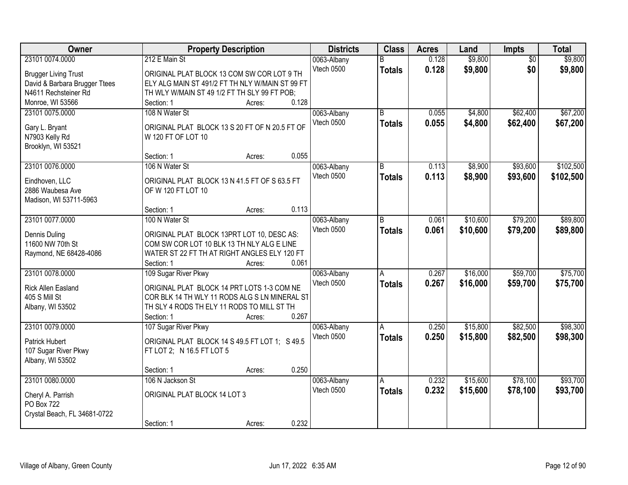| Owner                         |                                                 | <b>Property Description</b> |       | <b>Districts</b> | <b>Class</b>   | <b>Acres</b> | Land     | Impts           | <b>Total</b> |
|-------------------------------|-------------------------------------------------|-----------------------------|-------|------------------|----------------|--------------|----------|-----------------|--------------|
| 23101 0074.0000               | 212 E Main St                                   |                             |       | 0063-Albany      | B              | 0.128        | \$9,800  | $\overline{50}$ | \$9,800      |
| <b>Brugger Living Trust</b>   | ORIGINAL PLAT BLOCK 13 COM SW COR LOT 9 TH      |                             |       | Vtech 0500       | <b>Totals</b>  | 0.128        | \$9,800  | \$0             | \$9,800      |
| David & Barbara Brugger Ttees | ELY ALG MAIN ST 491/2 FT TH NLY W/MAIN ST 99 FT |                             |       |                  |                |              |          |                 |              |
| N4611 Rechsteiner Rd          | TH WLY W/MAIN ST 49 1/2 FT TH SLY 99 FT POB;    |                             |       |                  |                |              |          |                 |              |
| Monroe, WI 53566              | Section: 1                                      | Acres:                      | 0.128 |                  |                |              |          |                 |              |
| 23101 0075.0000               | 108 N Water St                                  |                             |       | 0063-Albany      | $\overline{R}$ | 0.055        | \$4,800  | \$62,400        | \$67,200     |
|                               |                                                 |                             |       | Vtech 0500       | <b>Totals</b>  | 0.055        | \$4,800  | \$62,400        | \$67,200     |
| Gary L. Bryant                | ORIGINAL PLAT BLOCK 13 S 20 FT OF N 20.5 FT OF  |                             |       |                  |                |              |          |                 |              |
| N7903 Kelly Rd                | W 120 FT OF LOT 10                              |                             |       |                  |                |              |          |                 |              |
| Brooklyn, WI 53521            |                                                 |                             |       |                  |                |              |          |                 |              |
|                               | Section: 1                                      | Acres:                      | 0.055 |                  |                |              |          |                 |              |
| 23101 0076.0000               | 106 N Water St                                  |                             |       | 0063-Albany      | B              | 0.113        | \$8,900  | \$93,600        | \$102,500    |
| Eindhoven, LLC                | ORIGINAL PLAT BLOCK 13 N 41.5 FT OF S 63.5 FT   |                             |       | Vtech 0500       | <b>Totals</b>  | 0.113        | \$8,900  | \$93,600        | \$102,500    |
| 2886 Waubesa Ave              | OF W 120 FT LOT 10                              |                             |       |                  |                |              |          |                 |              |
| Madison, WI 53711-5963        |                                                 |                             |       |                  |                |              |          |                 |              |
|                               | Section: 1                                      | Acres:                      | 0.113 |                  |                |              |          |                 |              |
| 23101 0077.0000               | 100 N Water St                                  |                             |       | 0063-Albany      | B              | 0.061        | \$10,600 | \$79,200        | \$89,800     |
|                               |                                                 |                             |       | Vtech 0500       | <b>Totals</b>  | 0.061        | \$10,600 | \$79,200        | \$89,800     |
| <b>Dennis Duling</b>          | ORIGINAL PLAT BLOCK 13PRT LOT 10, DESC AS:      |                             |       |                  |                |              |          |                 |              |
| 11600 NW 70th St              | COM SW COR LOT 10 BLK 13 TH NLY ALG E LINE      |                             |       |                  |                |              |          |                 |              |
| Raymond, NE 68428-4086        | WATER ST 22 FT TH AT RIGHT ANGLES ELY 120 FT    |                             | 0.061 |                  |                |              |          |                 |              |
|                               | Section: 1                                      | Acres:                      |       |                  |                |              |          |                 |              |
| 23101 0078.0000               | 109 Sugar River Pkwy                            |                             |       | 0063-Albany      | A              | 0.267        | \$16,000 | \$59,700        | \$75,700     |
| Rick Allen Easland            | ORIGINAL PLAT BLOCK 14 PRT LOTS 1-3 COM NE      |                             |       | Vtech 0500       | <b>Totals</b>  | 0.267        | \$16,000 | \$59,700        | \$75,700     |
| 405 S Mill St                 | COR BLK 14 TH WLY 11 RODS ALG S LN MINERAL ST   |                             |       |                  |                |              |          |                 |              |
| Albany, WI 53502              | TH SLY 4 RODS TH ELY 11 RODS TO MILL ST TH      |                             |       |                  |                |              |          |                 |              |
|                               | Section: 1                                      | Acres:                      | 0.267 |                  |                |              |          |                 |              |
| 23101 0079.0000               | 107 Sugar River Pkwy                            |                             |       | 0063-Albany      | A              | 0.250        | \$15,800 | \$82,500        | \$98,300     |
| <b>Patrick Hubert</b>         | ORIGINAL PLAT BLOCK 14 S 49.5 FT LOT 1; S 49.5  |                             |       | Vtech 0500       | <b>Totals</b>  | 0.250        | \$15,800 | \$82,500        | \$98,300     |
| 107 Sugar River Pkwy          | FT LOT 2; N 16.5 FT LOT 5                       |                             |       |                  |                |              |          |                 |              |
| Albany, WI 53502              |                                                 |                             |       |                  |                |              |          |                 |              |
|                               | Section: 1                                      | Acres:                      | 0.250 |                  |                |              |          |                 |              |
| 23101 0080.0000               | 106 N Jackson St                                |                             |       | 0063-Albany      | Α              | 0.232        | \$15,600 | \$78,100        | \$93,700     |
|                               |                                                 |                             |       | Vtech 0500       | <b>Totals</b>  | 0.232        | \$15,600 | \$78,100        | \$93,700     |
| Cheryl A. Parrish             | ORIGINAL PLAT BLOCK 14 LOT 3                    |                             |       |                  |                |              |          |                 |              |
| <b>PO Box 722</b>             |                                                 |                             |       |                  |                |              |          |                 |              |
| Crystal Beach, FL 34681-0722  |                                                 |                             |       |                  |                |              |          |                 |              |
|                               | Section: 1                                      | Acres:                      | 0.232 |                  |                |              |          |                 |              |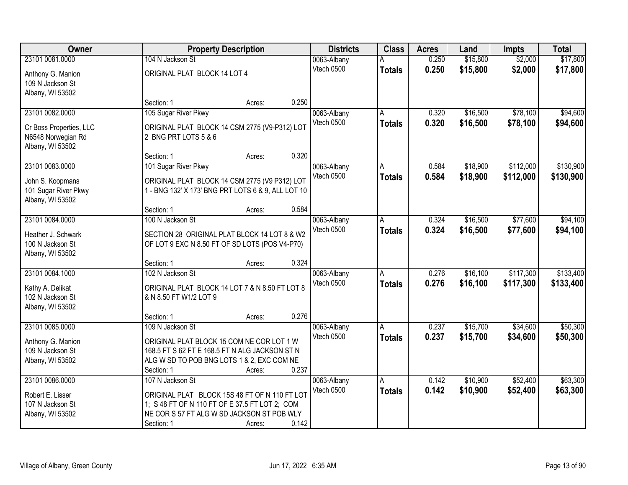| Owner                   |                                                    | <b>Property Description</b> |       |             | <b>Class</b>  | <b>Acres</b> | Land     | <b>Impts</b> | <b>Total</b> |
|-------------------------|----------------------------------------------------|-----------------------------|-------|-------------|---------------|--------------|----------|--------------|--------------|
| 23101 0081.0000         | 104 N Jackson St                                   |                             |       | 0063-Albany |               | 0.250        | \$15,800 | \$2,000      | \$17,800     |
| Anthony G. Manion       | ORIGINAL PLAT BLOCK 14 LOT 4                       |                             |       | Vtech 0500  | <b>Totals</b> | 0.250        | \$15,800 | \$2,000      | \$17,800     |
| 109 N Jackson St        |                                                    |                             |       |             |               |              |          |              |              |
| Albany, WI 53502        |                                                    |                             |       |             |               |              |          |              |              |
|                         | Section: 1                                         | Acres:                      | 0.250 |             |               |              |          |              |              |
| 23101 0082.0000         | 105 Sugar River Pkwy                               |                             |       | 0063-Albany | A             | 0.320        | \$16,500 | \$78,100     | \$94,600     |
| Cr Boss Properties, LLC | ORIGINAL PLAT BLOCK 14 CSM 2775 (V9-P312) LOT      |                             |       | Vtech 0500  | <b>Totals</b> | 0.320        | \$16,500 | \$78,100     | \$94,600     |
| N6548 Norwegian Rd      | 2 BNG PRT LOTS 5 & 6                               |                             |       |             |               |              |          |              |              |
| Albany, WI 53502        |                                                    |                             |       |             |               |              |          |              |              |
|                         | Section: 1                                         | Acres:                      | 0.320 |             |               |              |          |              |              |
| 23101 0083.0000         | 101 Sugar River Pkwy                               |                             |       | 0063-Albany | A             | 0.584        | \$18,900 | \$112,000    | \$130,900    |
| John S. Koopmans        | ORIGINAL PLAT BLOCK 14 CSM 2775 (V9 P312) LOT      |                             |       | Vtech 0500  | <b>Totals</b> | 0.584        | \$18,900 | \$112,000    | \$130,900    |
| 101 Sugar River Pkwy    | 1 - BNG 132' X 173' BNG PRT LOTS 6 & 9, ALL LOT 10 |                             |       |             |               |              |          |              |              |
| Albany, WI 53502        |                                                    |                             |       |             |               |              |          |              |              |
|                         | Section: 1                                         | Acres:                      | 0.584 |             |               |              |          |              |              |
| 23101 0084.0000         | 100 N Jackson St                                   |                             |       | 0063-Albany | A             | 0.324        | \$16,500 | \$77,600     | \$94,100     |
| Heather J. Schwark      | SECTION 28 ORIGINAL PLAT BLOCK 14 LOT 8 & W2       |                             |       | Vtech 0500  | <b>Totals</b> | 0.324        | \$16,500 | \$77,600     | \$94,100     |
| 100 N Jackson St        | OF LOT 9 EXC N 8.50 FT OF SD LOTS (POS V4-P70)     |                             |       |             |               |              |          |              |              |
| Albany, WI 53502        |                                                    |                             |       |             |               |              |          |              |              |
|                         | Section: 1                                         | Acres:                      | 0.324 |             |               |              |          |              |              |
| 23101 0084.1000         | 102 N Jackson St                                   |                             |       | 0063-Albany | Α             | 0.276        | \$16,100 | \$117,300    | \$133,400    |
| Kathy A. Delikat        | ORIGINAL PLAT BLOCK 14 LOT 7 & N 8.50 FT LOT 8     |                             |       | Vtech 0500  | <b>Totals</b> | 0.276        | \$16,100 | \$117,300    | \$133,400    |
| 102 N Jackson St        | & N 8.50 FT W1/2 LOT 9                             |                             |       |             |               |              |          |              |              |
| Albany, WI 53502        |                                                    |                             |       |             |               |              |          |              |              |
|                         | Section: 1                                         | Acres:                      | 0.276 |             |               |              |          |              |              |
| 23101 0085.0000         | 109 N Jackson St                                   |                             |       | 0063-Albany | A             | 0.237        | \$15,700 | \$34,600     | \$50,300     |
| Anthony G. Manion       | ORIGINAL PLAT BLOCK 15 COM NE COR LOT 1 W          |                             |       | Vtech 0500  | <b>Totals</b> | 0.237        | \$15,700 | \$34,600     | \$50,300     |
| 109 N Jackson St        | 168.5 FT S 62 FT E 168.5 FT N ALG JACKSON ST N     |                             |       |             |               |              |          |              |              |
| Albany, WI 53502        | ALG W SD TO POB BNG LOTS 1 & 2, EXC COM NE         |                             |       |             |               |              |          |              |              |
|                         | Section: 1                                         | Acres:                      | 0.237 |             |               |              |          |              |              |
| 23101 0086,0000         | 107 N Jackson St                                   |                             |       | 0063-Albany | A             | 0.142        | \$10,900 | \$52,400     | \$63,300     |
| Robert E. Lisser        | ORIGINAL PLAT BLOCK 15S 48 FT OF N 110 FT LOT      |                             |       | Vtech 0500  | <b>Totals</b> | 0.142        | \$10,900 | \$52,400     | \$63,300     |
| 107 N Jackson St        | 1; S 48 FT OF N 110 FT OF E 37.5 FT LOT 2; COM     |                             |       |             |               |              |          |              |              |
| Albany, WI 53502        | NE COR S 57 FT ALG W SD JACKSON ST POB WLY         |                             |       |             |               |              |          |              |              |
|                         | Section: 1                                         | Acres:                      | 0.142 |             |               |              |          |              |              |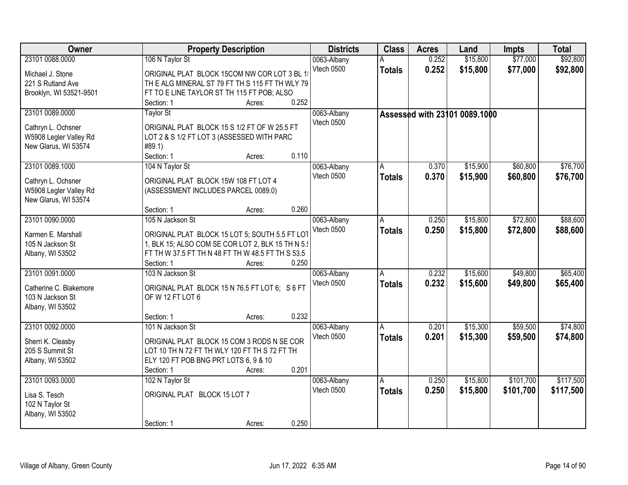| Owner                                        | <b>Property Description</b>                       | <b>Districts</b>  | <b>Class</b>  | <b>Acres</b> | Land                          | <b>Impts</b> | <b>Total</b> |
|----------------------------------------------|---------------------------------------------------|-------------------|---------------|--------------|-------------------------------|--------------|--------------|
| 23101 0088.0000                              | 106 N Taylor St                                   | 0063-Albany       |               | 0.252        | \$15,800                      | \$77,000     | \$92,800     |
| Michael J. Stone                             | ORIGINAL PLAT BLOCK 15COM NW COR LOT 3 BL 1       | Vtech 0500        | <b>Totals</b> | 0.252        | \$15,800                      | \$77,000     | \$92,800     |
| 221 S Rutland Ave                            | TH E ALG MINERAL ST 79 FT TH S 115 FT TH WLY 79   |                   |               |              |                               |              |              |
| Brooklyn, WI 53521-9501                      | FT TO E LINE TAYLOR ST TH 115 FT POB; ALSO        |                   |               |              |                               |              |              |
|                                              | 0.252<br>Section: 1<br>Acres:                     |                   |               |              |                               |              |              |
| 23101 0089.0000                              | <b>Taylor St</b>                                  | 0063-Albany       |               |              | Assessed with 23101 0089.1000 |              |              |
| Cathryn L. Ochsner                           | ORIGINAL PLAT BLOCK 15 S 1/2 FT OF W 25.5 FT      | Vtech 0500        |               |              |                               |              |              |
| W5908 Legler Valley Rd                       | LOT 2 & S 1/2 FT LOT 3 (ASSESSED WITH PARC        |                   |               |              |                               |              |              |
| New Glarus, WI 53574                         | #89.1)                                            |                   |               |              |                               |              |              |
|                                              | Section: 1<br>0.110<br>Acres:                     |                   |               |              |                               |              |              |
| 23101 0089.1000                              | 104 N Taylor St                                   | 0063-Albany       | A.            | 0.370        | \$15,900                      | \$60,800     | \$76,700     |
|                                              | ORIGINAL PLAT BLOCK 15W 108 FT LOT 4              | Vtech 0500        | <b>Totals</b> | 0.370        | \$15,900                      | \$60,800     | \$76,700     |
| Cathryn L. Ochsner<br>W5908 Legler Valley Rd | (ASSESSMENT INCLUDES PARCEL 0089.0)               |                   |               |              |                               |              |              |
| New Glarus, WI 53574                         |                                                   |                   |               |              |                               |              |              |
|                                              | 0.260<br>Section: 1<br>Acres:                     |                   |               |              |                               |              |              |
| 23101 0090.0000                              | 105 N Jackson St                                  | 0063-Albany       | A             | 0.250        | \$15,800                      | \$72,800     | \$88,600     |
|                                              |                                                   | Vtech 0500        | <b>Totals</b> | 0.250        | \$15,800                      | \$72,800     | \$88,600     |
| Karmen E. Marshall                           | ORIGINAL PLAT BLOCK 15 LOT 5; SOUTH 5.5 FT LOT    |                   |               |              |                               |              |              |
| 105 N Jackson St                             | 1, BLK 15; ALSO COM SE COR LOT 2, BLK 15 TH N 5.  |                   |               |              |                               |              |              |
| Albany, WI 53502                             | FT TH W 37.5 FT TH N 48 FT TH W 48.5 FT TH S 53.5 |                   |               |              |                               |              |              |
|                                              | 0.250<br>Section: 1<br>Acres:                     |                   |               |              |                               |              |              |
| 23101 0091.0000                              | 103 N Jackson St                                  | 0063-Albany       | A             | 0.232        | \$15,600                      | \$49,800     | \$65,400     |
| Catherine C. Blakemore                       | ORIGINAL PLAT BLOCK 15 N 76.5 FT LOT 6; S 6 FT    | <b>Vtech 0500</b> | <b>Totals</b> | 0.232        | \$15,600                      | \$49,800     | \$65,400     |
| 103 N Jackson St                             | OF W 12 FT LOT 6                                  |                   |               |              |                               |              |              |
| Albany, WI 53502                             |                                                   |                   |               |              |                               |              |              |
|                                              | 0.232<br>Section: 1<br>Acres:                     |                   |               |              |                               |              |              |
| 23101 0092.0000                              | 101 N Jackson St                                  | 0063-Albany       | A             | 0.201        | \$15,300                      | \$59,500     | \$74,800     |
| Sherri K. Cleasby                            | ORIGINAL PLAT BLOCK 15 COM 3 RODS N SE COR        | Vtech 0500        | <b>Totals</b> | 0.201        | \$15,300                      | \$59,500     | \$74,800     |
| 205 S Summit St                              | LOT 10 TH N 72 FT TH WLY 120 FT TH S 72 FT TH     |                   |               |              |                               |              |              |
| Albany, WI 53502                             | ELY 120 FT POB BNG PRT LOTS 6, 9 & 10             |                   |               |              |                               |              |              |
|                                              | 0.201<br>Section: 1<br>Acres:                     |                   |               |              |                               |              |              |
| 23101 0093.0000                              | 102 N Taylor St                                   | 0063-Albany       | A             | 0.250        | \$15,800                      | \$101,700    | \$117,500    |
|                                              |                                                   | Vtech 0500        | <b>Totals</b> | 0.250        | \$15,800                      | \$101,700    | \$117,500    |
| Lisa S. Tesch                                | ORIGINAL PLAT BLOCK 15 LOT 7                      |                   |               |              |                               |              |              |
| 102 N Taylor St                              |                                                   |                   |               |              |                               |              |              |
| Albany, WI 53502                             |                                                   |                   |               |              |                               |              |              |
|                                              | 0.250<br>Section: 1<br>Acres:                     |                   |               |              |                               |              |              |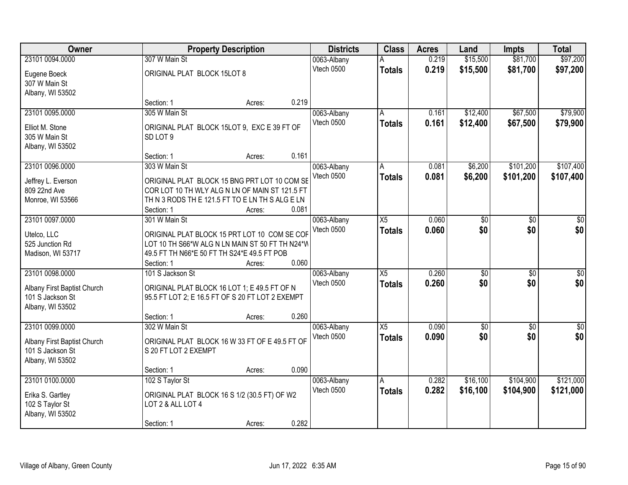| Owner                               |                                                                   | <b>Property Description</b> |       |                           | <b>Class</b>    | <b>Acres</b> | Land                   | <b>Impts</b>    | <b>Total</b> |
|-------------------------------------|-------------------------------------------------------------------|-----------------------------|-------|---------------------------|-----------------|--------------|------------------------|-----------------|--------------|
| 23101 0094.0000                     | 307 W Main St                                                     |                             |       | 0063-Albany               |                 | 0.219        | \$15,500               | \$81,700        | \$97,200     |
| Eugene Boeck                        | ORIGINAL PLAT BLOCK 15LOT 8                                       |                             |       | Vtech 0500                | <b>Totals</b>   | 0.219        | \$15,500               | \$81,700        | \$97,200     |
| 307 W Main St                       |                                                                   |                             |       |                           |                 |              |                        |                 |              |
| Albany, WI 53502                    |                                                                   |                             |       |                           |                 |              |                        |                 |              |
|                                     | Section: 1                                                        | Acres:                      | 0.219 |                           |                 |              |                        |                 |              |
| 23101 0095.0000                     | 305 W Main St                                                     |                             |       | 0063-Albany               | A               | 0.161        | \$12,400               | \$67,500        | \$79,900     |
| Elliot M. Stone                     | ORIGINAL PLAT BLOCK 15LOT 9, EXC E 39 FT OF                       |                             |       | Vtech 0500                | <b>Totals</b>   | 0.161        | \$12,400               | \$67,500        | \$79,900     |
| 305 W Main St                       | SD LOT 9                                                          |                             |       |                           |                 |              |                        |                 |              |
| Albany, WI 53502                    |                                                                   |                             |       |                           |                 |              |                        |                 |              |
|                                     | Section: 1                                                        | Acres:                      | 0.161 |                           |                 |              |                        |                 |              |
| 23101 0096.0000                     | 303 W Main St                                                     |                             |       | 0063-Albany               | A               | 0.081        | \$6,200                | \$101,200       | \$107,400    |
| Jeffrey L. Everson                  | ORIGINAL PLAT BLOCK 15 BNG PRT LOT 10 COM SE                      |                             |       | Vtech 0500                | <b>Totals</b>   | 0.081        | \$6,200                | \$101,200       | \$107,400    |
| 809 22nd Ave                        | COR LOT 10 TH WLY ALG N LN OF MAIN ST 121.5 FT                    |                             |       |                           |                 |              |                        |                 |              |
| Monroe, WI 53566                    | TH N 3 RODS TH E 121.5 FT TO E LN TH S ALG E LN                   |                             |       |                           |                 |              |                        |                 |              |
|                                     | Section: 1                                                        | Acres:                      | 0.081 |                           |                 |              |                        |                 |              |
| 23101 0097.0000                     | 301 W Main St                                                     |                             |       | 0063-Albany<br>Vtech 0500 | $\overline{X5}$ | 0.060        | $\overline{30}$<br>\$0 | \$0<br>\$0      | \$0<br>\$0   |
| Utelco, LLC                         | ORIGINAL PLAT BLOCK 15 PRT LOT 10 COM SE COF                      |                             |       |                           | <b>Totals</b>   | 0.060        |                        |                 |              |
| 525 Junction Rd                     | LOT 10 TH S66*W ALG N LN MAIN ST 50 FT TH N24*W                   |                             |       |                           |                 |              |                        |                 |              |
| Madison, WI 53717                   | 49.5 FT TH N66*E 50 FT TH S24*E 49.5 FT POB                       |                             |       |                           |                 |              |                        |                 |              |
| 23101 0098.0000                     | Section: 1<br>101 S Jackson St                                    | Acres:                      | 0.060 |                           | $\overline{X5}$ | 0.260        | \$0                    | $\overline{50}$ | \$0          |
|                                     |                                                                   |                             |       | 0063-Albany<br>Vtech 0500 | <b>Totals</b>   | 0.260        | \$0                    | \$0             | \$0          |
| Albany First Baptist Church         | ORIGINAL PLAT BLOCK 16 LOT 1; E 49.5 FT OF N                      |                             |       |                           |                 |              |                        |                 |              |
| 101 S Jackson St                    | 95.5 FT LOT 2; E 16.5 FT OF S 20 FT LOT 2 EXEMPT                  |                             |       |                           |                 |              |                        |                 |              |
| Albany, WI 53502                    | Section: 1                                                        |                             | 0.260 |                           |                 |              |                        |                 |              |
| 23101 0099.0000                     | 302 W Main St                                                     | Acres:                      |       | 0063-Albany               | $\overline{X5}$ | 0.090        | $\overline{60}$        | $\overline{50}$ | $\sqrt{50}$  |
|                                     |                                                                   |                             |       | Vtech 0500                | <b>Totals</b>   | 0.090        | \$0                    | \$0             | \$0          |
| Albany First Baptist Church         | ORIGINAL PLAT BLOCK 16 W 33 FT OF E 49.5 FT OF                    |                             |       |                           |                 |              |                        |                 |              |
| 101 S Jackson St                    | S 20 FT LOT 2 EXEMPT                                              |                             |       |                           |                 |              |                        |                 |              |
| Albany, WI 53502                    | Section: 1                                                        | Acres:                      | 0.090 |                           |                 |              |                        |                 |              |
| 23101 0100.0000                     | 102 S Taylor St                                                   |                             |       | 0063-Albany               | A               | 0.282        | \$16,100               | \$104,900       | \$121,000    |
|                                     |                                                                   |                             |       | Vtech 0500                | <b>Totals</b>   | 0.282        | \$16,100               | \$104,900       | \$121,000    |
| Erika S. Gartley<br>102 S Taylor St | ORIGINAL PLAT BLOCK 16 S 1/2 (30.5 FT) OF W2<br>LOT 2 & ALL LOT 4 |                             |       |                           |                 |              |                        |                 |              |
| Albany, WI 53502                    |                                                                   |                             |       |                           |                 |              |                        |                 |              |
|                                     | Section: 1                                                        | Acres:                      | 0.282 |                           |                 |              |                        |                 |              |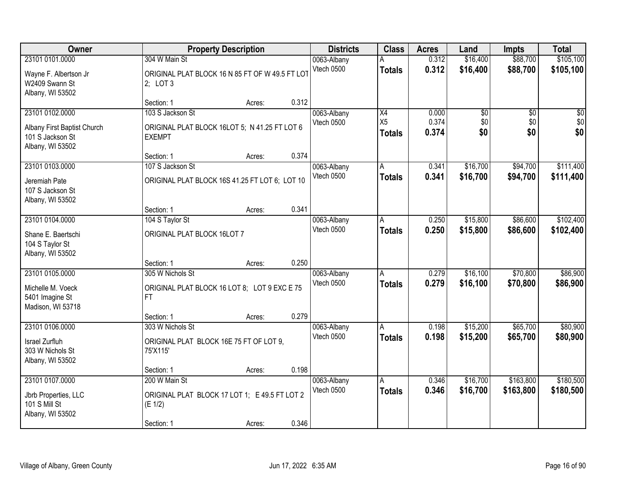| Owner                                                               |                                                                  | <b>Property Description</b> |       | <b>Districts</b>          | <b>Class</b>                    | <b>Acres</b>   | Land                 | <b>Impts</b>         | <b>Total</b>         |
|---------------------------------------------------------------------|------------------------------------------------------------------|-----------------------------|-------|---------------------------|---------------------------------|----------------|----------------------|----------------------|----------------------|
| 23101 0101.0000                                                     | 304 W Main St                                                    |                             |       | 0063-Albany               |                                 | 0.312          | \$16,400             | \$88,700             | \$105,100            |
| Wayne F. Albertson Jr<br>W2409 Swann St<br>Albany, WI 53502         | ORIGINAL PLAT BLOCK 16 N 85 FT OF W 49.5 FT LOT<br>2; LOT 3      |                             |       | Vtech 0500                | <b>Totals</b>                   | 0.312          | \$16,400             | \$88,700             | \$105,100            |
|                                                                     | Section: 1                                                       | Acres:                      | 0.312 |                           |                                 |                |                      |                      |                      |
| 23101 0102.0000                                                     | 103 S Jackson St                                                 |                             |       | 0063-Albany               | $\overline{X4}$                 | 0.000          | \$0                  | \$0                  | \$0                  |
| Albany First Baptist Church<br>101 S Jackson St<br>Albany, WI 53502 | ORIGINAL PLAT BLOCK 16LOT 5; N 41.25 FT LOT 6<br><b>EXEMPT</b>   |                             |       | Vtech 0500                | X <sub>5</sub><br><b>Totals</b> | 0.374<br>0.374 | \$0<br>\$0           | \$0<br>\$0           | \$0<br>\$0           |
|                                                                     | Section: 1                                                       | Acres:                      | 0.374 |                           |                                 |                |                      |                      |                      |
| 23101 0103.0000                                                     | 107 S Jackson St                                                 |                             |       | 0063-Albany               | A                               | 0.341          | \$16,700             | \$94,700             | \$111,400            |
| Jeremiah Pate<br>107 S Jackson St<br>Albany, WI 53502               | ORIGINAL PLAT BLOCK 16S 41.25 FT LOT 6; LOT 10                   |                             |       | Vtech 0500                | <b>Totals</b>                   | 0.341          | \$16,700             | \$94,700             | \$111,400            |
|                                                                     | Section: 1                                                       | Acres:                      | 0.341 |                           |                                 |                |                      |                      |                      |
| 23101 0104.0000                                                     | 104 S Taylor St                                                  |                             |       | 0063-Albany               | A                               | 0.250          | \$15,800             | \$86,600             | \$102,400            |
| Shane E. Baertschi<br>104 S Taylor St<br>Albany, WI 53502           | ORIGINAL PLAT BLOCK 16LOT 7                                      |                             |       | Vtech 0500                | <b>Totals</b>                   | 0.250          | \$15,800             | \$86,600             | \$102,400            |
|                                                                     | Section: 1                                                       | Acres:                      | 0.250 |                           |                                 |                |                      |                      |                      |
| 23101 0105.0000<br>Michelle M. Voeck                                | 305 W Nichols St<br>ORIGINAL PLAT BLOCK 16 LOT 8; LOT 9 EXC E 75 |                             |       | 0063-Albany<br>Vtech 0500 | A<br><b>Totals</b>              | 0.279<br>0.279 | \$16,100<br>\$16,100 | \$70,800<br>\$70,800 | \$86,900<br>\$86,900 |
| 5401 Imagine St<br>Madison, WI 53718                                | FT.                                                              |                             |       |                           |                                 |                |                      |                      |                      |
|                                                                     | Section: 1                                                       | Acres:                      | 0.279 |                           |                                 |                |                      |                      |                      |
| 23101 0106.0000                                                     | 303 W Nichols St                                                 |                             |       | 0063-Albany               | A                               | 0.198          | \$15,200             | \$65,700             | \$80,900             |
| Israel Zurfluh<br>303 W Nichols St<br>Albany, WI 53502              | ORIGINAL PLAT BLOCK 16E 75 FT OF LOT 9,<br>75'X115'              |                             |       | Vtech 0500                | <b>Totals</b>                   | 0.198          | \$15,200             | \$65,700             | \$80,900             |
|                                                                     | Section: 1                                                       | Acres:                      | 0.198 |                           |                                 |                |                      |                      |                      |
| 23101 0107.0000                                                     | 200 W Main St                                                    |                             |       | 0063-Albany               | A                               | 0.346          | \$16,700             | \$163,800            | \$180,500            |
| Jbrb Properties, LLC<br>101 S Mill St<br>Albany, WI 53502           | ORIGINAL PLAT BLOCK 17 LOT 1; E 49.5 FT LOT 2<br>(E 1/2)         |                             |       | Vtech 0500                | <b>Totals</b>                   | 0.346          | \$16,700             | \$163,800            | \$180,500            |
|                                                                     | Section: 1                                                       | Acres:                      | 0.346 |                           |                                 |                |                      |                      |                      |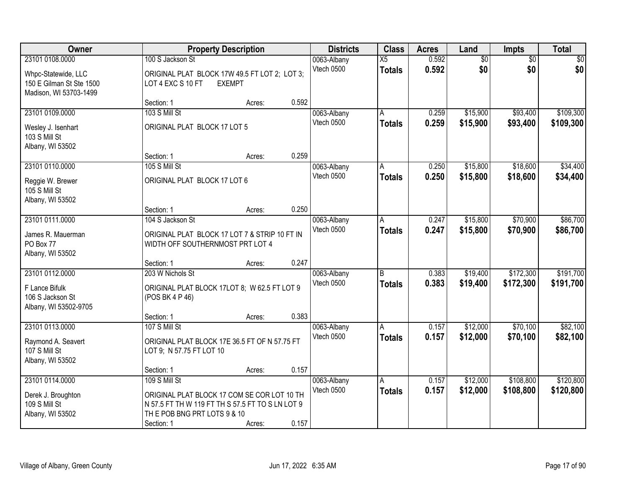| Owner                                                                          |                                                                                     | <b>Property Description</b> |       | <b>Districts</b>          | <b>Class</b>                  | <b>Acres</b>   | Land                 | <b>Impts</b>           | <b>Total</b>           |
|--------------------------------------------------------------------------------|-------------------------------------------------------------------------------------|-----------------------------|-------|---------------------------|-------------------------------|----------------|----------------------|------------------------|------------------------|
| 23101 0108.0000                                                                | 100 S Jackson St                                                                    |                             |       | 0063-Albany               | $\overline{X5}$               | 0.592          | \$0                  | $\overline{50}$        | \$0                    |
| Whpc-Statewide, LLC<br>150 E Gilman St Ste 1500<br>Madison, WI 53703-1499      | ORIGINAL PLAT BLOCK 17W 49.5 FT LOT 2; LOT 3;<br>LOT 4 EXC S 10 FT                  | <b>EXEMPT</b>               |       | Vtech 0500                | <b>Totals</b>                 | 0.592          | \$0                  | \$0                    | \$0                    |
|                                                                                | Section: 1                                                                          | Acres:                      | 0.592 |                           |                               |                |                      |                        |                        |
| 23101 0109.0000                                                                | 103 S Mill St                                                                       |                             |       | 0063-Albany               | A                             | 0.259          | \$15,900             | \$93,400               | \$109,300              |
| Wesley J. Isenhart<br>103 S Mill St<br>Albany, WI 53502                        | ORIGINAL PLAT BLOCK 17 LOT 5                                                        |                             |       | Vtech 0500                | <b>Totals</b>                 | 0.259          | \$15,900             | \$93,400               | \$109,300              |
|                                                                                | Section: 1                                                                          | Acres:                      | 0.259 |                           |                               |                |                      |                        |                        |
| 23101 0110.0000                                                                | 105 S Mill St                                                                       |                             |       | 0063-Albany               | A                             | 0.250          | \$15,800             | \$18,600               | \$34,400               |
| Reggie W. Brewer<br>105 S Mill St<br>Albany, WI 53502                          | ORIGINAL PLAT BLOCK 17 LOT 6                                                        |                             |       | Vtech 0500                | <b>Totals</b>                 | 0.250          | \$15,800             | \$18,600               | \$34,400               |
|                                                                                | Section: 1                                                                          | Acres:                      | 0.250 |                           |                               |                |                      |                        |                        |
| 23101 0111.0000                                                                | 104 S Jackson St                                                                    |                             |       | 0063-Albany               | A                             | 0.247          | \$15,800             | \$70,900               | \$86,700               |
| James R. Mauerman<br>PO Box 77<br>Albany, WI 53502                             | ORIGINAL PLAT BLOCK 17 LOT 7 & STRIP 10 FT IN<br>WIDTH OFF SOUTHERNMOST PRT LOT 4   |                             |       | Vtech 0500                | <b>Totals</b>                 | 0.247          | \$15,800             | \$70,900               | \$86,700               |
|                                                                                | Section: 1                                                                          | Acres:                      | 0.247 |                           |                               |                |                      |                        |                        |
| 23101 0112.0000<br>F Lance Bifulk<br>106 S Jackson St<br>Albany, WI 53502-9705 | 203 W Nichols St<br>ORIGINAL PLAT BLOCK 17LOT 8; W 62.5 FT LOT 9<br>(POS BK 4 P 46) |                             |       | 0063-Albany<br>Vtech 0500 | <sub>R</sub><br><b>Totals</b> | 0.383<br>0.383 | \$19,400<br>\$19,400 | \$172,300<br>\$172,300 | \$191,700<br>\$191,700 |
|                                                                                | Section: 1                                                                          | Acres:                      | 0.383 |                           |                               |                |                      |                        |                        |
| 23101 0113.0000                                                                | 107 S Mill St                                                                       |                             |       | 0063-Albany               | Α                             | 0.157          | \$12,000             | \$70,100               | \$82,100               |
| Raymond A. Seavert<br>107 S Mill St<br>Albany, WI 53502                        | ORIGINAL PLAT BLOCK 17E 36.5 FT OF N 57.75 FT<br>LOT 9; N 57.75 FT LOT 10           |                             |       | Vtech 0500                | <b>Totals</b>                 | 0.157          | \$12,000             | \$70,100               | \$82,100               |
|                                                                                | Section: 1                                                                          | Acres:                      | 0.157 |                           |                               |                |                      |                        |                        |
| 23101 0114.0000<br>Derek J. Broughton                                          | 109 S Mill St<br>ORIGINAL PLAT BLOCK 17 COM SE COR LOT 10 TH                        |                             |       | 0063-Albany<br>Vtech 0500 | A<br><b>Totals</b>            | 0.157<br>0.157 | \$12,000<br>\$12,000 | \$108,800<br>\$108,800 | \$120,800<br>\$120,800 |
| 109 S Mill St<br>Albany, WI 53502                                              | N 57.5 FT TH W 119 FT TH S 57.5 FT TO S LN LOT 9<br>THE POB BNG PRT LOTS 9 & 10     |                             |       |                           |                               |                |                      |                        |                        |
|                                                                                | Section: 1                                                                          | Acres:                      | 0.157 |                           |                               |                |                      |                        |                        |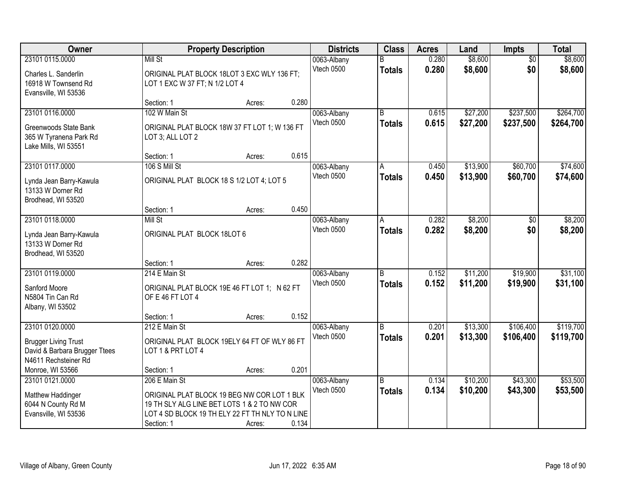| Owner                                                                   |                                                                               | <b>Property Description</b> |       | <b>Districts</b> | <b>Class</b>   | <b>Acres</b> | Land     | <b>Impts</b>    | <b>Total</b> |
|-------------------------------------------------------------------------|-------------------------------------------------------------------------------|-----------------------------|-------|------------------|----------------|--------------|----------|-----------------|--------------|
| 23101 0115,0000                                                         | Mill St                                                                       |                             |       | 0063-Albany      | R              | 0.280        | \$8,600  | $\overline{50}$ | \$8,600      |
| Charles L. Sanderlin<br>16918 W Townsend Rd                             | ORIGINAL PLAT BLOCK 18LOT 3 EXC WLY 136 FT;<br>LOT 1 EXC W 37 FT; N 1/2 LOT 4 |                             |       | Vtech 0500       | <b>Totals</b>  | 0.280        | \$8,600  | \$0             | \$8,600      |
| Evansville, WI 53536                                                    | Section: 1                                                                    | Acres:                      | 0.280 |                  |                |              |          |                 |              |
| 23101 0116.0000                                                         | 102 W Main St                                                                 |                             |       | 0063-Albany      | $\overline{B}$ | 0.615        | \$27,200 | \$237,500       | \$264,700    |
|                                                                         |                                                                               |                             |       | Vtech 0500       | <b>Totals</b>  | 0.615        | \$27,200 | \$237,500       | \$264,700    |
| Greenwoods State Bank<br>365 W Tyranena Park Rd<br>Lake Mills, WI 53551 | ORIGINAL PLAT BLOCK 18W 37 FT LOT 1; W 136 FT<br>LOT 3; ALL LOT 2             |                             |       |                  |                |              |          |                 |              |
|                                                                         | Section: 1                                                                    | Acres:                      | 0.615 |                  |                |              |          |                 |              |
| 23101 0117.0000                                                         | 106 S Mill St                                                                 |                             |       | 0063-Albany      | A              | 0.450        | \$13,900 | \$60,700        | \$74,600     |
| Lynda Jean Barry-Kawula<br>13133 W Dorner Rd<br>Brodhead, WI 53520      | ORIGINAL PLAT BLOCK 18 S 1/2 LOT 4; LOT 5                                     |                             |       | Vtech 0500       | <b>Totals</b>  | 0.450        | \$13,900 | \$60,700        | \$74,600     |
|                                                                         | Section: 1                                                                    | Acres:                      | 0.450 |                  |                |              |          |                 |              |
| 23101 0118.0000                                                         | Mill St                                                                       |                             |       | 0063-Albany      | A              | 0.282        | \$8,200  | $\sqrt{6}$      | \$8,200      |
| Lynda Jean Barry-Kawula<br>13133 W Dorner Rd                            | ORIGINAL PLAT BLOCK 18LOT 6                                                   |                             |       | Vtech 0500       | <b>Totals</b>  | 0.282        | \$8,200  | \$0             | \$8,200      |
| Brodhead, WI 53520                                                      | Section: 1                                                                    | Acres:                      | 0.282 |                  |                |              |          |                 |              |
| 23101 0119.0000                                                         | 214 E Main St                                                                 |                             |       | 0063-Albany      | R              | 0.152        | \$11,200 | \$19,900        | \$31,100     |
|                                                                         |                                                                               |                             |       | Vtech 0500       | <b>Totals</b>  | 0.152        | \$11,200 | \$19,900        | \$31,100     |
| Sanford Moore                                                           | ORIGINAL PLAT BLOCK 19E 46 FT LOT 1; N 62 FT                                  |                             |       |                  |                |              |          |                 |              |
| N5804 Tin Can Rd<br>Albany, WI 53502                                    | OF E 46 FT LOT 4                                                              |                             |       |                  |                |              |          |                 |              |
|                                                                         | Section: 1                                                                    | Acres:                      | 0.152 |                  |                |              |          |                 |              |
| 23101 0120.0000                                                         | 212 E Main St                                                                 |                             |       | 0063-Albany      | B              | 0.201        | \$13,300 | \$106,400       | \$119,700    |
|                                                                         |                                                                               |                             |       | Vtech 0500       | <b>Totals</b>  | 0.201        | \$13,300 | \$106,400       | \$119,700    |
| <b>Brugger Living Trust</b><br>David & Barbara Brugger Ttees            | ORIGINAL PLAT BLOCK 19ELY 64 FT OF WLY 86 FT<br>LOT 1 & PRT LOT 4             |                             |       |                  |                |              |          |                 |              |
| N4611 Rechsteiner Rd                                                    |                                                                               |                             |       |                  |                |              |          |                 |              |
| Monroe, WI 53566                                                        | Section: 1                                                                    | Acres:                      | 0.201 |                  |                |              |          |                 |              |
| 23101 0121.0000                                                         | 206 E Main St                                                                 |                             |       | 0063-Albany      | B              | 0.134        | \$10,200 | \$43,300        | \$53,500     |
| Matthew Haddinger                                                       | ORIGINAL PLAT BLOCK 19 BEG NW COR LOT 1 BLK                                   |                             |       | Vtech 0500       | <b>Totals</b>  | 0.134        | \$10,200 | \$43,300        | \$53,500     |
| 6044 N County Rd M                                                      | 19 TH SLY ALG LINE BET LOTS 1 & 2 TO NW COR                                   |                             |       |                  |                |              |          |                 |              |
| Evansville, WI 53536                                                    | LOT 4 SD BLOCK 19 TH ELY 22 FT TH NLY TO N LINE                               |                             |       |                  |                |              |          |                 |              |
|                                                                         | Section: 1                                                                    | Acres:                      | 0.134 |                  |                |              |          |                 |              |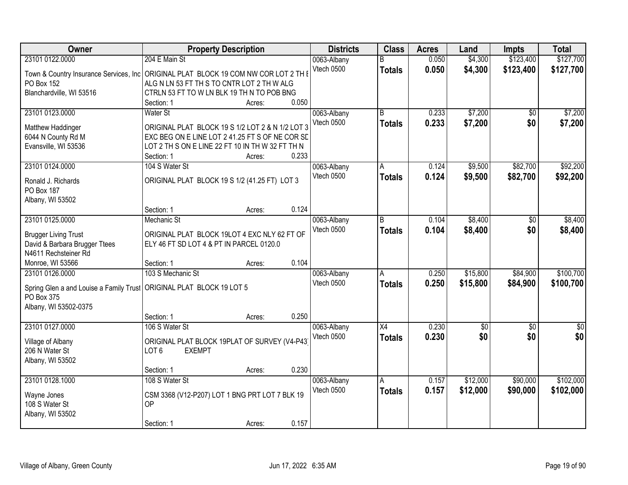| <b>Owner</b>                                                                                                                | <b>Property Description</b>                                                                                                                                                                          | <b>Districts</b>          | <b>Class</b>                     | <b>Acres</b>   | Land                   | <b>Impts</b>           | <b>Total</b>           |
|-----------------------------------------------------------------------------------------------------------------------------|------------------------------------------------------------------------------------------------------------------------------------------------------------------------------------------------------|---------------------------|----------------------------------|----------------|------------------------|------------------------|------------------------|
| 23101 0122.0000<br>Town & Country Insurance Services, Inc                                                                   | 204 E Main St<br>ORIGINAL PLAT BLOCK 19 COM NW COR LOT 2 TH E                                                                                                                                        | 0063-Albany<br>Vtech 0500 | R<br><b>Totals</b>               | 0.050<br>0.050 | \$4,300<br>\$4,300     | \$123,400<br>\$123,400 | \$127,700<br>\$127,700 |
| PO Box 152<br>Blanchardville, WI 53516                                                                                      | ALG N LN 53 FT TH S TO CNTR LOT 2 TH W ALG<br>CTRLN 53 FT TO W LN BLK 19 TH N TO POB BNG<br>0.050<br>Section: 1<br>Acres:                                                                            |                           |                                  |                |                        |                        |                        |
| 23101 0123.0000<br>Matthew Haddinger<br>6044 N County Rd M<br>Evansville, WI 53536                                          | Water St<br>ORIGINAL PLAT BLOCK 19 S 1/2 LOT 2 & N 1/2 LOT 3<br>EXC BEG ON E LINE LOT 2 41.25 FT S OF NE COR SD<br>LOT 2 TH S ON E LINE 22 FT 10 IN TH W 32 FT TH N<br>0.233<br>Section: 1<br>Acres: | 0063-Albany<br>Vtech 0500 | $\overline{B}$<br><b>Totals</b>  | 0.233<br>0.233 | \$7,200<br>\$7,200     | $\overline{50}$<br>\$0 | \$7,200<br>\$7,200     |
| 23101 0124.0000<br>Ronald J. Richards<br>PO Box 187<br>Albany, WI 53502                                                     | 104 S Water St<br>ORIGINAL PLAT BLOCK 19 S 1/2 (41.25 FT) LOT 3<br>0.124<br>Section: 1<br>Acres:                                                                                                     | 0063-Albany<br>Vtech 0500 | A<br><b>Totals</b>               | 0.124<br>0.124 | \$9,500<br>\$9,500     | \$82,700<br>\$82,700   | \$92,200<br>\$92,200   |
| 23101 0125.0000<br><b>Brugger Living Trust</b><br>David & Barbara Brugger Ttees<br>N4611 Rechsteiner Rd<br>Monroe, WI 53566 | Mechanic St<br>ORIGINAL PLAT BLOCK 19LOT 4 EXC NLY 62 FT OF<br>ELY 46 FT SD LOT 4 & PT IN PARCEL 0120.0<br>0.104<br>Section: 1<br>Acres:                                                             | 0063-Albany<br>Vtech 0500 | R.<br><b>Totals</b>              | 0.104<br>0.104 | \$8,400<br>\$8,400     | $\sqrt[6]{}$<br>\$0    | \$8,400<br>\$8,400     |
| 23101 0126.0000<br>Spring Glen a and Louise a Family Trust<br>PO Box 375<br>Albany, WI 53502-0375                           | 103 S Mechanic St<br>ORIGINAL PLAT BLOCK 19 LOT 5<br>0.250<br>Section: 1<br>Acres:                                                                                                                   | 0063-Albany<br>Vtech 0500 | Α<br><b>Totals</b>               | 0.250<br>0.250 | \$15,800<br>\$15,800   | \$84,900<br>\$84,900   | \$100,700<br>\$100,700 |
| 23101 0127.0000<br>Village of Albany<br>206 N Water St<br>Albany, WI 53502                                                  | 106 S Water St<br>ORIGINAL PLAT BLOCK 19PLAT OF SURVEY (V4-P43)<br>LOT <sub>6</sub><br><b>EXEMPT</b>                                                                                                 | 0063-Albany<br>Vtech 0500 | $\overline{X4}$<br><b>Totals</b> | 0.230<br>0.230 | $\overline{50}$<br>\$0 | $\overline{50}$<br>\$0 | $\overline{50}$<br>\$0 |
| 23101 0128.1000<br>Wayne Jones<br>108 S Water St<br>Albany, WI 53502                                                        | 0.230<br>Section: 1<br>Acres:<br>108 S Water St<br>CSM 3368 (V12-P207) LOT 1 BNG PRT LOT 7 BLK 19<br><b>OP</b><br>0.157<br>Section: 1<br>Acres:                                                      | 0063-Albany<br>Vtech 0500 | A<br><b>Totals</b>               | 0.157<br>0.157 | \$12,000<br>\$12,000   | \$90,000<br>\$90,000   | \$102,000<br>\$102,000 |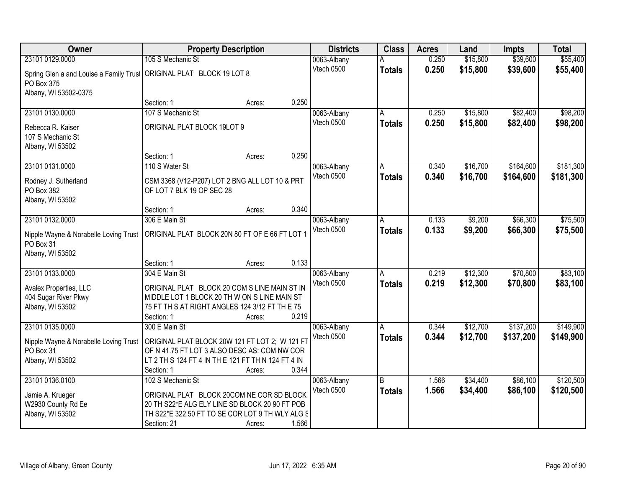| Owner                                              | <b>Property Description</b>                                                                    |                 | <b>Districts</b>          | <b>Class</b>   | <b>Acres</b> | Land     | <b>Impts</b> | <b>Total</b> |
|----------------------------------------------------|------------------------------------------------------------------------------------------------|-----------------|---------------------------|----------------|--------------|----------|--------------|--------------|
| 23101 0129.0000                                    | 105 S Mechanic St                                                                              |                 | 0063-Albany               |                | 0.250        | \$15,800 | \$39,600     | \$55,400     |
| Spring Glen a and Louise a Family Trust            | ORIGINAL PLAT BLOCK 19 LOT 8                                                                   |                 | Vtech 0500                | <b>Totals</b>  | 0.250        | \$15,800 | \$39,600     | \$55,400     |
| PO Box 375                                         |                                                                                                |                 |                           |                |              |          |              |              |
| Albany, WI 53502-0375                              |                                                                                                |                 |                           |                |              |          |              |              |
|                                                    | Section: 1                                                                                     | 0.250<br>Acres: |                           |                |              |          |              |              |
| 23101 0130.0000                                    | 107 S Mechanic St                                                                              |                 | 0063-Albany               |                | 0.250        | \$15,800 | \$82,400     | \$98,200     |
| Rebecca R. Kaiser                                  | ORIGINAL PLAT BLOCK 19LOT 9                                                                    |                 | Vtech 0500                | <b>Totals</b>  | 0.250        | \$15,800 | \$82,400     | \$98,200     |
| 107 S Mechanic St                                  |                                                                                                |                 |                           |                |              |          |              |              |
| Albany, WI 53502                                   |                                                                                                |                 |                           |                |              |          |              |              |
|                                                    | Section: 1                                                                                     | 0.250<br>Acres: |                           |                |              |          |              |              |
| 23101 0131.0000                                    | 110 S Water St                                                                                 |                 | 0063-Albany<br>Vtech 0500 | A              | 0.340        | \$16,700 | \$164,600    | \$181,300    |
| Rodney J. Sutherland                               | CSM 3368 (V12-P207) LOT 2 BNG ALL LOT 10 & PRT                                                 |                 |                           | <b>Totals</b>  | 0.340        | \$16,700 | \$164,600    | \$181,300    |
| PO Box 382                                         | OF LOT 7 BLK 19 OP SEC 28                                                                      |                 |                           |                |              |          |              |              |
| Albany, WI 53502                                   |                                                                                                | 0.340           |                           |                |              |          |              |              |
| 23101 0132.0000                                    | Section: 1<br>306 E Main St                                                                    | Acres:          | 0063-Albany               | A              | 0.133        | \$9,200  | \$66,300     | \$75,500     |
|                                                    |                                                                                                |                 | Vtech 0500                | <b>Totals</b>  | 0.133        | \$9,200  | \$66,300     | \$75,500     |
| Nipple Wayne & Norabelle Loving Trust              | ORIGINAL PLAT BLOCK 20N 80 FT OF E 66 FT LOT 1                                                 |                 |                           |                |              |          |              |              |
| PO Box 31                                          |                                                                                                |                 |                           |                |              |          |              |              |
| Albany, WI 53502                                   | Section: 1                                                                                     | 0.133<br>Acres: |                           |                |              |          |              |              |
| 23101 0133.0000                                    | 304 E Main St                                                                                  |                 | 0063-Albany               | A              | 0.219        | \$12,300 | \$70,800     | \$83,100     |
|                                                    |                                                                                                |                 | Vtech 0500                | <b>Totals</b>  | 0.219        | \$12,300 | \$70,800     | \$83,100     |
| Avalex Properties, LLC                             | ORIGINAL PLAT BLOCK 20 COM S LINE MAIN ST IN                                                   |                 |                           |                |              |          |              |              |
| 404 Sugar River Pkwy<br>Albany, WI 53502           | MIDDLE LOT 1 BLOCK 20 TH W ON S LINE MAIN ST<br>75 FT TH S AT RIGHT ANGLES 124 3/12 FT TH E 75 |                 |                           |                |              |          |              |              |
|                                                    | Section: 1                                                                                     | 0.219<br>Acres: |                           |                |              |          |              |              |
| 23101 0135.0000                                    | 300 E Main St                                                                                  |                 | 0063-Albany               | A              | 0.344        | \$12,700 | \$137,200    | \$149,900    |
|                                                    |                                                                                                |                 | Vtech 0500                | <b>Totals</b>  | 0.344        | \$12,700 | \$137,200    | \$149,900    |
| Nipple Wayne & Norabelle Loving Trust<br>PO Box 31 | ORIGINAL PLAT BLOCK 20W 121 FT LOT 2; W 121 FT<br>OF N 41.75 FT LOT 3 ALSO DESC AS: COM NW COR |                 |                           |                |              |          |              |              |
| Albany, WI 53502                                   | LT 2 TH S 124 FT 4 IN TH E 121 FT TH N 124 FT 4 IN                                             |                 |                           |                |              |          |              |              |
|                                                    | Section: 1                                                                                     | 0.344<br>Acres: |                           |                |              |          |              |              |
| 23101 0136.0100                                    | 102 S Mechanic St                                                                              |                 | 0063-Albany               | $\overline{B}$ | 1.566        | \$34,400 | \$86,100     | \$120,500    |
| Jamie A. Krueger                                   | ORIGINAL PLAT BLOCK 20COM NE COR SD BLOCK                                                      |                 | Vtech 0500                | <b>Totals</b>  | 1.566        | \$34,400 | \$86,100     | \$120,500    |
| W2930 County Rd Ee                                 | 20 TH S22*E ALG ELY LINE SD BLOCK 20 90 FT POB                                                 |                 |                           |                |              |          |              |              |
| Albany, WI 53502                                   | TH S22*E 322.50 FT TO SE COR LOT 9 TH WLY ALG S                                                |                 |                           |                |              |          |              |              |
|                                                    | Section: 21                                                                                    | 1.566<br>Acres: |                           |                |              |          |              |              |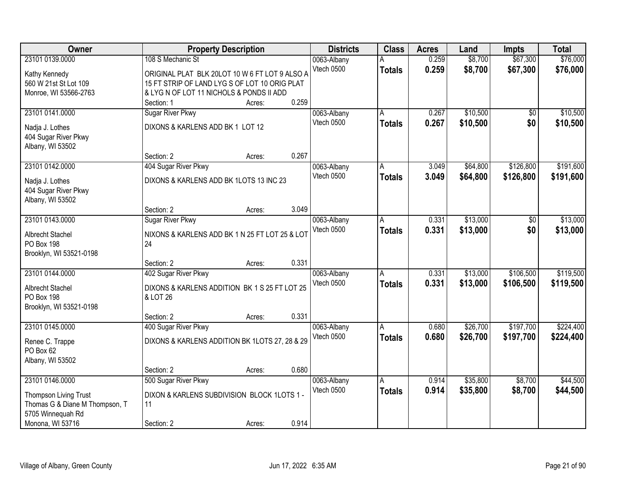| Owner                                    | <b>Property Description</b>                    |        |       | <b>Districts</b> | <b>Class</b>  | <b>Acres</b> | Land     | <b>Impts</b> | <b>Total</b> |
|------------------------------------------|------------------------------------------------|--------|-------|------------------|---------------|--------------|----------|--------------|--------------|
| 23101 0139.0000                          | 108 S Mechanic St                              |        |       | 0063-Albany      |               | 0.259        | \$8,700  | \$67,300     | \$76,000     |
| Kathy Kennedy                            | ORIGINAL PLAT BLK 20LOT 10 W 6 FT LOT 9 ALSO A |        |       | Vtech 0500       | <b>Totals</b> | 0.259        | \$8,700  | \$67,300     | \$76,000     |
| 560 W 21st St Lot 109                    | 15 FT STRIP OF LAND LYG S OF LOT 10 ORIG PLAT  |        |       |                  |               |              |          |              |              |
| Monroe, WI 53566-2763                    | & LYG N OF LOT 11 NICHOLS & PONDS II ADD       |        |       |                  |               |              |          |              |              |
|                                          | Section: 1                                     | Acres: | 0.259 |                  |               |              |          |              |              |
| 23101 0141.0000                          | <b>Sugar River Pkwy</b>                        |        |       | 0063-Albany      | A             | 0.267        | \$10,500 | \$0          | \$10,500     |
|                                          | DIXONS & KARLENS ADD BK 1 LOT 12               |        |       | Vtech 0500       | <b>Totals</b> | 0.267        | \$10,500 | \$0          | \$10,500     |
| Nadja J. Lothes                          |                                                |        |       |                  |               |              |          |              |              |
| 404 Sugar River Pkwy<br>Albany, WI 53502 |                                                |        |       |                  |               |              |          |              |              |
|                                          | Section: 2                                     | Acres: | 0.267 |                  |               |              |          |              |              |
| 23101 0142.0000                          | 404 Sugar River Pkwy                           |        |       | 0063-Albany      |               | 3.049        | \$64,800 | \$126,800    | \$191,600    |
|                                          |                                                |        |       | Vtech 0500       | <b>Totals</b> | 3.049        | \$64,800 | \$126,800    | \$191,600    |
| Nadja J. Lothes                          | DIXONS & KARLENS ADD BK 1LOTS 13 INC 23        |        |       |                  |               |              |          |              |              |
| 404 Sugar River Pkwy                     |                                                |        |       |                  |               |              |          |              |              |
| Albany, WI 53502                         |                                                |        |       |                  |               |              |          |              |              |
|                                          | Section: 2                                     | Acres: | 3.049 |                  |               |              |          |              |              |
| 23101 0143.0000                          | <b>Sugar River Pkwy</b>                        |        |       | 0063-Albany      | A             | 0.331        | \$13,000 | $\sqrt[6]{}$ | \$13,000     |
| Albrecht Stachel                         | NIXONS & KARLENS ADD BK 1 N 25 FT LOT 25 & LOT |        |       | Vtech 0500       | <b>Totals</b> | 0.331        | \$13,000 | \$0          | \$13,000     |
| <b>PO Box 198</b>                        | 24                                             |        |       |                  |               |              |          |              |              |
| Brooklyn, WI 53521-0198                  |                                                |        |       |                  |               |              |          |              |              |
|                                          | Section: 2                                     | Acres: | 0.331 |                  |               |              |          |              |              |
| 23101 0144.0000                          | 402 Sugar River Pkwy                           |        |       | 0063-Albany      | A             | 0.331        | \$13,000 | \$106,500    | \$119,500    |
| Albrecht Stachel                         | DIXONS & KARLENS ADDITION BK 1 S 25 FT LOT 25  |        |       | Vtech 0500       | <b>Totals</b> | 0.331        | \$13,000 | \$106,500    | \$119,500    |
| <b>PO Box 198</b>                        | & LOT 26                                       |        |       |                  |               |              |          |              |              |
| Brooklyn, WI 53521-0198                  |                                                |        |       |                  |               |              |          |              |              |
|                                          | Section: 2                                     | Acres: | 0.331 |                  |               |              |          |              |              |
| 23101 0145.0000                          | 400 Sugar River Pkwy                           |        |       | 0063-Albany      | A             | 0.680        | \$26,700 | \$197,700    | \$224,400    |
|                                          |                                                |        |       | Vtech 0500       | <b>Totals</b> | 0.680        | \$26,700 | \$197,700    | \$224,400    |
| Renee C. Trappe<br>PO Box 62             | DIXONS & KARLENS ADDITION BK 1LOTS 27, 28 & 29 |        |       |                  |               |              |          |              |              |
| Albany, WI 53502                         |                                                |        |       |                  |               |              |          |              |              |
|                                          | Section: 2                                     | Acres: | 0.680 |                  |               |              |          |              |              |
| 23101 0146.0000                          | 500 Sugar River Pkwy                           |        |       | 0063-Albany      | A             | 0.914        | \$35,800 | \$8,700      | \$44,500     |
|                                          |                                                |        |       | Vtech 0500       | <b>Totals</b> | 0.914        | \$35,800 | \$8,700      | \$44,500     |
| Thompson Living Trust                    | DIXON & KARLENS SUBDIVISION BLOCK 1LOTS 1 -    |        |       |                  |               |              |          |              |              |
| Thomas G & Diane M Thompson, T           | 11                                             |        |       |                  |               |              |          |              |              |
| 5705 Winnequah Rd                        |                                                |        |       |                  |               |              |          |              |              |
| Monona, WI 53716                         | Section: 2                                     | Acres: | 0.914 |                  |               |              |          |              |              |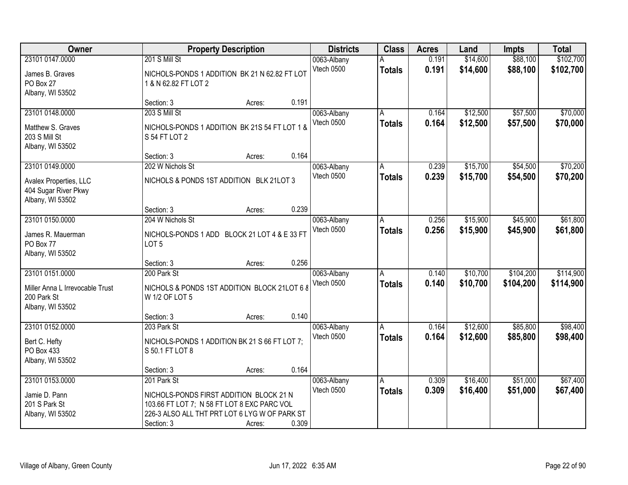| Owner                                                                                 |                                                                                                                                                        | <b>Property Description</b> |       | <b>Districts</b>          | <b>Class</b>       | <b>Acres</b>   | Land                 | <b>Impts</b>           | <b>Total</b>           |
|---------------------------------------------------------------------------------------|--------------------------------------------------------------------------------------------------------------------------------------------------------|-----------------------------|-------|---------------------------|--------------------|----------------|----------------------|------------------------|------------------------|
| 23101 0147.0000                                                                       | 201 S Mill St                                                                                                                                          |                             |       | 0063-Albany               |                    | 0.191          | \$14,600             | \$88,100               | \$102,700              |
| James B. Graves<br>PO Box 27<br>Albany, WI 53502                                      | NICHOLS-PONDS 1 ADDITION BK 21 N 62.82 FT LOT<br>1 & N 62.82 FT LOT 2                                                                                  |                             |       | Vtech 0500                | <b>Totals</b>      | 0.191          | \$14,600             | \$88,100               | \$102,700              |
|                                                                                       | Section: 3                                                                                                                                             | Acres:                      | 0.191 |                           |                    |                |                      |                        |                        |
| 23101 0148.0000<br>Matthew S. Graves<br>203 S Mill St<br>Albany, WI 53502             | <b>203 S Mill St</b><br>NICHOLS-PONDS 1 ADDITION BK 21S 54 FT LOT 1 &<br>S 54 FT LOT 2                                                                 |                             |       | 0063-Albany<br>Vtech 0500 | Α<br><b>Totals</b> | 0.164<br>0.164 | \$12,500<br>\$12,500 | \$57,500<br>\$57,500   | \$70,000<br>\$70,000   |
|                                                                                       | Section: 3                                                                                                                                             | Acres:                      | 0.164 |                           |                    |                |                      |                        |                        |
| 23101 0149.0000                                                                       | 202 W Nichols St                                                                                                                                       |                             |       | 0063-Albany               | A                  | 0.239          | \$15,700             | \$54,500               | \$70,200               |
| Avalex Properties, LLC<br>404 Sugar River Pkwy<br>Albany, WI 53502                    | NICHOLS & PONDS 1ST ADDITION BLK 21LOT 3                                                                                                               |                             |       | Vtech 0500                | <b>Totals</b>      | 0.239          | \$15,700             | \$54,500               | \$70,200               |
|                                                                                       | Section: 3                                                                                                                                             | Acres:                      | 0.239 |                           |                    |                |                      |                        |                        |
| 23101 0150.0000                                                                       | 204 W Nichols St                                                                                                                                       |                             |       | 0063-Albany               | A                  | 0.256          | \$15,900             | \$45,900               | \$61,800               |
| James R. Mauerman<br>PO Box 77<br>Albany, WI 53502                                    | NICHOLS-PONDS 1 ADD BLOCK 21 LOT 4 & E 33 FT<br>LOT <sub>5</sub>                                                                                       |                             |       | Vtech 0500                | <b>Totals</b>      | 0.256          | \$15,900             | \$45,900               | \$61,800               |
|                                                                                       | Section: 3                                                                                                                                             | Acres:                      | 0.256 |                           |                    |                |                      |                        |                        |
| 23101 0151.0000<br>Miller Anna L Irrevocable Trust<br>200 Park St<br>Albany, WI 53502 | 200 Park St<br>NICHOLS & PONDS 1ST ADDITION BLOCK 21LOT 6 8<br>W 1/2 OF LOT 5                                                                          |                             |       | 0063-Albany<br>Vtech 0500 | A<br><b>Totals</b> | 0.140<br>0.140 | \$10,700<br>\$10,700 | \$104,200<br>\$104,200 | \$114,900<br>\$114,900 |
|                                                                                       | Section: 3                                                                                                                                             | Acres:                      | 0.140 |                           |                    |                |                      |                        |                        |
| 23101 0152.0000<br>Bert C. Hefty<br>PO Box 433<br>Albany, WI 53502                    | 203 Park St<br>NICHOLS-PONDS 1 ADDITION BK 21 S 66 FT LOT 7;<br>S 50.1 FT LOT 8                                                                        |                             |       | 0063-Albany<br>Vtech 0500 | A<br><b>Totals</b> | 0.164<br>0.164 | \$12,600<br>\$12,600 | \$85,800<br>\$85,800   | \$98,400<br>\$98,400   |
|                                                                                       | Section: 3                                                                                                                                             | Acres:                      | 0.164 |                           |                    |                |                      |                        |                        |
| 23101 0153.0000<br>Jamie D. Pann<br>201 S Park St<br>Albany, WI 53502                 | 201 Park St<br>NICHOLS-PONDS FIRST ADDITION BLOCK 21 N<br>103.66 FT LOT 7; N 58 FT LOT 8 EXC PARC VOL<br>226-3 ALSO ALL THT PRT LOT 6 LYG W OF PARK ST |                             |       | 0063-Albany<br>Vtech 0500 | A<br><b>Totals</b> | 0.309<br>0.309 | \$16,400<br>\$16,400 | \$51,000<br>\$51,000   | \$67,400<br>\$67,400   |
|                                                                                       | Section: 3                                                                                                                                             | Acres:                      | 0.309 |                           |                    |                |                      |                        |                        |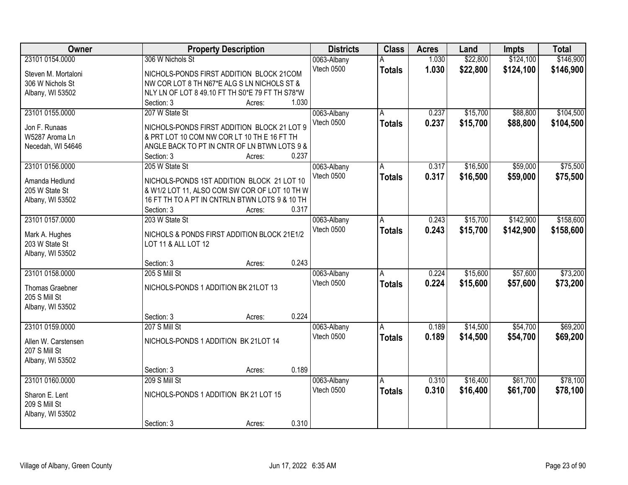| Owner               | <b>Property Description</b>                     | <b>Districts</b> | <b>Class</b>  | <b>Acres</b> | Land     | <b>Impts</b> | <b>Total</b> |
|---------------------|-------------------------------------------------|------------------|---------------|--------------|----------|--------------|--------------|
| 23101 0154.0000     | 306 W Nichols St                                | 0063-Albany      |               | 1.030        | \$22,800 | \$124,100    | \$146,900    |
| Steven M. Mortaloni | NICHOLS-PONDS FIRST ADDITION BLOCK 21COM        | Vtech 0500       | <b>Totals</b> | 1.030        | \$22,800 | \$124,100    | \$146,900    |
| 306 W Nichols St    | NW COR LOT 8 TH N67*E ALG S LN NICHOLS ST &     |                  |               |              |          |              |              |
| Albany, WI 53502    | NLY LN OF LOT 8 49.10 FT TH S0*E 79 FT TH S78*W |                  |               |              |          |              |              |
|                     | 1.030<br>Section: 3<br>Acres:                   |                  |               |              |          |              |              |
| 23101 0155.0000     | 207 W State St                                  | 0063-Albany      | A             | 0.237        | \$15,700 | \$88,800     | \$104,500    |
|                     |                                                 | Vtech 0500       | <b>Totals</b> | 0.237        | \$15,700 | \$88,800     | \$104,500    |
| Jon F. Runaas       | NICHOLS-PONDS FIRST ADDITION BLOCK 21 LOT 9     |                  |               |              |          |              |              |
| W5287 Aroma Ln      | & PRT LOT 10 COM NW COR LT 10 TH E 16 FT TH     |                  |               |              |          |              |              |
| Necedah, WI 54646   | ANGLE BACK TO PT IN CNTR OF LN BTWN LOTS 9 &    |                  |               |              |          |              |              |
|                     | 0.237<br>Section: 3<br>Acres:                   |                  |               |              |          |              |              |
| 23101 0156.0000     | 205 W State St                                  | 0063-Albany      | A             | 0.317        | \$16,500 | \$59,000     | \$75,500     |
| Amanda Hedlund      | NICHOLS-PONDS 1ST ADDITION BLOCK 21 LOT 10      | Vtech 0500       | <b>Totals</b> | 0.317        | \$16,500 | \$59,000     | \$75,500     |
| 205 W State St      | & W1/2 LOT 11, ALSO COM SW COR OF LOT 10 TH W   |                  |               |              |          |              |              |
| Albany, WI 53502    | 16 FT TH TO A PT IN CNTRLN BTWN LOTS 9 & 10 TH  |                  |               |              |          |              |              |
|                     | Section: 3<br>0.317<br>Acres:                   |                  |               |              |          |              |              |
| 23101 0157.0000     | 203 W State St                                  | 0063-Albany      | A             | 0.243        | \$15,700 | \$142,900    | \$158,600    |
|                     |                                                 | Vtech 0500       | <b>Totals</b> | 0.243        | \$15,700 | \$142,900    | \$158,600    |
| Mark A. Hughes      | NICHOLS & PONDS FIRST ADDITION BLOCK 21E1/2     |                  |               |              |          |              |              |
| 203 W State St      | LOT 11 & ALL LOT 12                             |                  |               |              |          |              |              |
| Albany, WI 53502    |                                                 |                  |               |              |          |              |              |
|                     | 0.243<br>Section: 3<br>Acres:                   |                  |               |              |          |              |              |
| 23101 0158.0000     | 205 S Mill St                                   | 0063-Albany      |               | 0.224        | \$15,600 | \$57,600     | \$73,200     |
| Thomas Graebner     | NICHOLS-PONDS 1 ADDITION BK 21LOT 13            | Vtech 0500       | <b>Totals</b> | 0.224        | \$15,600 | \$57,600     | \$73,200     |
| 205 S Mill St       |                                                 |                  |               |              |          |              |              |
| Albany, WI 53502    |                                                 |                  |               |              |          |              |              |
|                     | 0.224<br>Section: 3<br>Acres:                   |                  |               |              |          |              |              |
| 23101 0159.0000     | 207 S Mill St                                   | 0063-Albany      | A             | 0.189        | \$14,500 | \$54,700     | \$69,200     |
|                     |                                                 | Vtech 0500       |               |              |          |              |              |
| Allen W. Carstensen | NICHOLS-PONDS 1 ADDITION BK 21LOT 14            |                  | <b>Totals</b> | 0.189        | \$14,500 | \$54,700     | \$69,200     |
| 207 S Mill St       |                                                 |                  |               |              |          |              |              |
| Albany, WI 53502    |                                                 |                  |               |              |          |              |              |
|                     | 0.189<br>Section: 3<br>Acres:                   |                  |               |              |          |              |              |
| 23101 0160,0000     | 209 S Mill St                                   | 0063-Albany      | A             | 0.310        | \$16,400 | \$61,700     | \$78,100     |
| Sharon E. Lent      | NICHOLS-PONDS 1 ADDITION BK 21 LOT 15           | Vtech 0500       | <b>Totals</b> | 0.310        | \$16,400 | \$61,700     | \$78,100     |
| 209 S Mill St       |                                                 |                  |               |              |          |              |              |
|                     |                                                 |                  |               |              |          |              |              |
| Albany, WI 53502    | 0.310                                           |                  |               |              |          |              |              |
|                     | Section: 3<br>Acres:                            |                  |               |              |          |              |              |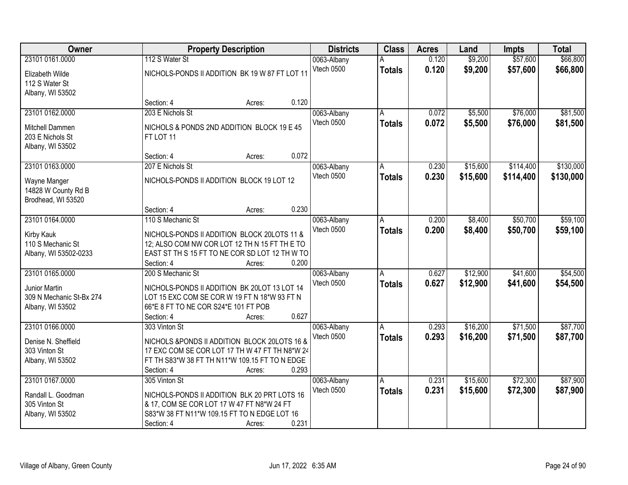| Owner                               |                                                              | <b>Property Description</b> |       |                           | <b>Class</b>  | <b>Acres</b> | Land     | <b>Impts</b> | <b>Total</b> |
|-------------------------------------|--------------------------------------------------------------|-----------------------------|-------|---------------------------|---------------|--------------|----------|--------------|--------------|
| 23101 0161.0000                     | 112 S Water St                                               |                             |       | 0063-Albany               |               | 0.120        | \$9,200  | \$57,600     | \$66,800     |
| Elizabeth Wilde                     | NICHOLS-PONDS II ADDITION BK 19 W 87 FT LOT 11               |                             |       | Vtech 0500                | <b>Totals</b> | 0.120        | \$9,200  | \$57,600     | \$66,800     |
| 112 S Water St                      |                                                              |                             |       |                           |               |              |          |              |              |
| Albany, WI 53502                    |                                                              |                             |       |                           |               |              |          |              |              |
|                                     | Section: 4                                                   | Acres:                      | 0.120 |                           |               |              |          |              |              |
| 23101 0162.0000                     | 203 E Nichols St                                             |                             |       | 0063-Albany               | A             | 0.072        | \$5,500  | \$76,000     | \$81,500     |
| Mitchell Dammen                     | NICHOLS & PONDS 2ND ADDITION BLOCK 19 E 45                   |                             |       | Vtech 0500                | <b>Totals</b> | 0.072        | \$5,500  | \$76,000     | \$81,500     |
| 203 E Nichols St                    | FT LOT 11                                                    |                             |       |                           |               |              |          |              |              |
| Albany, WI 53502                    |                                                              |                             |       |                           |               |              |          |              |              |
|                                     | Section: 4                                                   | Acres:                      | 0.072 |                           |               |              |          |              |              |
| 23101 0163,0000                     | 207 E Nichols St                                             |                             |       | 0063-Albany               | A             | 0.230        | \$15,600 | \$114,400    | \$130,000    |
|                                     | NICHOLS-PONDS II ADDITION BLOCK 19 LOT 12                    |                             |       | Vtech 0500                | <b>Totals</b> | 0.230        | \$15,600 | \$114,400    | \$130,000    |
| Wayne Manger<br>14828 W County Rd B |                                                              |                             |       |                           |               |              |          |              |              |
| Brodhead, WI 53520                  |                                                              |                             |       |                           |               |              |          |              |              |
|                                     | Section: 4                                                   | Acres:                      | 0.230 |                           |               |              |          |              |              |
| 23101 0164.0000                     | 110 S Mechanic St                                            |                             |       | 0063-Albany               | A             | 0.200        | \$8,400  | \$50,700     | \$59,100     |
|                                     |                                                              |                             |       | Vtech 0500                | <b>Totals</b> | 0.200        | \$8,400  | \$50,700     | \$59,100     |
| Kirby Kauk                          | NICHOLS-PONDS II ADDITION BLOCK 20LOTS 11 &                  |                             |       |                           |               |              |          |              |              |
| 110 S Mechanic St                   | 12; ALSO COM NW COR LOT 12 TH N 15 FT THE TO                 |                             |       |                           |               |              |          |              |              |
| Albany, WI 53502-0233               | EAST ST TH S 15 FT TO NE COR SD LOT 12 TH W TO<br>Section: 4 |                             | 0.200 |                           |               |              |          |              |              |
| 23101 0165.0000                     | 200 S Mechanic St                                            | Acres:                      |       |                           | Α             | 0.627        | \$12,900 | \$41,600     | \$54,500     |
|                                     |                                                              |                             |       | 0063-Albany<br>Vtech 0500 |               | 0.627        | \$12,900 |              |              |
| Junior Martin                       | NICHOLS-PONDS II ADDITION BK 20LOT 13 LOT 14                 |                             |       |                           | <b>Totals</b> |              |          | \$41,600     | \$54,500     |
| 309 N Mechanic St-Bx 274            | LOT 15 EXC COM SE COR W 19 FT N 18*W 93 FT N                 |                             |       |                           |               |              |          |              |              |
| Albany, WI 53502                    | 66*E 8 FT TO NE COR S24*E 101 FT POB                         |                             |       |                           |               |              |          |              |              |
|                                     | Section: 4                                                   | Acres:                      | 0.627 |                           |               |              |          |              |              |
| 23101 0166.0000                     | 303 Vinton St                                                |                             |       | 0063-Albany               | A             | 0.293        | \$16,200 | \$71,500     | \$87,700     |
| Denise N. Sheffield                 | NICHOLS & PONDS II ADDITION BLOCK 20LOTS 16 &                |                             |       | Vtech 0500                | <b>Totals</b> | 0.293        | \$16,200 | \$71,500     | \$87,700     |
| 303 Vinton St                       | 17 EXC COM SE COR LOT 17 TH W 47 FT TH N8*W 24               |                             |       |                           |               |              |          |              |              |
| Albany, WI 53502                    | FT TH S83*W 38 FT TH N11*W 109.15 FT TO N EDGE               |                             |       |                           |               |              |          |              |              |
|                                     | Section: 4                                                   | Acres:                      | 0.293 |                           |               |              |          |              |              |
| 23101 0167.0000                     | 305 Vinton St                                                |                             |       | 0063-Albany               | A             | 0.231        | \$15,600 | \$72,300     | \$87,900     |
| Randall L. Goodman                  | NICHOLS-PONDS II ADDITION BLK 20 PRT LOTS 16                 |                             |       | Vtech 0500                | <b>Totals</b> | 0.231        | \$15,600 | \$72,300     | \$87,900     |
| 305 Vinton St                       | & 17, COM SE COR LOT 17 W 47 FT N8*W 24 FT                   |                             |       |                           |               |              |          |              |              |
| Albany, WI 53502                    | S83*W 38 FT N11*W 109.15 FT TO N EDGE LOT 16                 |                             |       |                           |               |              |          |              |              |
|                                     | Section: 4                                                   | Acres:                      | 0.231 |                           |               |              |          |              |              |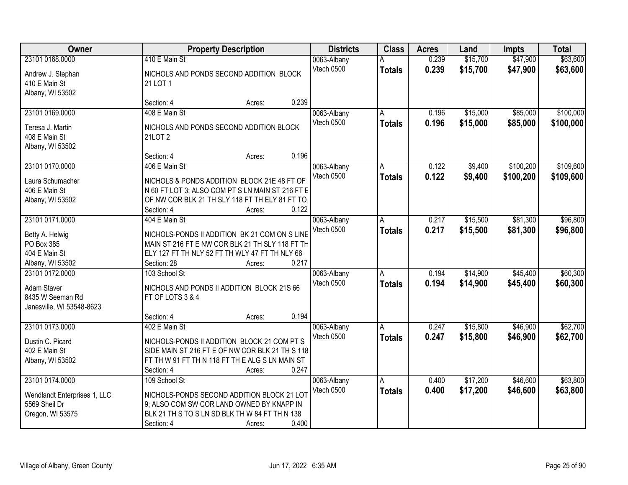| Owner                                                                                | <b>Property Description</b>                                                                                                                                                        |       | <b>Districts</b>                 | <b>Class</b>       | <b>Acres</b>   | Land                 | <b>Impts</b>         | <b>Total</b>           |
|--------------------------------------------------------------------------------------|------------------------------------------------------------------------------------------------------------------------------------------------------------------------------------|-------|----------------------------------|--------------------|----------------|----------------------|----------------------|------------------------|
| 23101 0168,0000                                                                      | 410 E Main St                                                                                                                                                                      |       | 0063-Albany                      | А                  | 0.239          | \$15,700             | \$47,900             | \$63,600               |
| Andrew J. Stephan<br>410 E Main St<br>Albany, WI 53502                               | NICHOLS AND PONDS SECOND ADDITION BLOCK<br>21 LOT 1                                                                                                                                |       | Vtech 0500                       | <b>Totals</b>      | 0.239          | \$15,700             | \$47,900             | \$63,600               |
|                                                                                      | Section: 4<br>Acres:                                                                                                                                                               | 0.239 |                                  |                    |                |                      |                      |                        |
| 23101 0169.0000<br>Teresa J. Martin<br>408 E Main St                                 | 408 E Main St<br>NICHOLS AND PONDS SECOND ADDITION BLOCK<br>21LOT 2                                                                                                                |       | 0063-Albany<br>Vtech 0500        | Α<br><b>Totals</b> | 0.196<br>0.196 | \$15,000<br>\$15,000 | \$85,000<br>\$85,000 | \$100,000<br>\$100,000 |
| Albany, WI 53502                                                                     | Section: 4<br>Acres:                                                                                                                                                               | 0.196 |                                  |                    |                |                      |                      |                        |
| 23101 0170.0000                                                                      | 406 E Main St                                                                                                                                                                      |       | 0063-Albany                      | A                  | 0.122          | \$9,400              | \$100,200            | \$109,600              |
| Laura Schumacher<br>406 E Main St<br>Albany, WI 53502                                | NICHOLS & PONDS ADDITION BLOCK 21E 48 FT OF<br>N 60 FT LOT 3; ALSO COM PT S LN MAIN ST 216 FT E<br>OF NW COR BLK 21 TH SLY 118 FT TH ELY 81 FT TO<br>Section: 4<br>Acres:          | 0.122 | Vtech 0500                       | <b>Totals</b>      | 0.122          | \$9,400              | \$100,200            | \$109,600              |
| 23101 0171.0000                                                                      | 404 E Main St                                                                                                                                                                      |       | 0063-Albany                      | A                  | 0.217          | \$15,500             | \$81,300             | \$96,800               |
| Betty A. Helwig<br>PO Box 385<br>404 E Main St<br>Albany, WI 53502                   | NICHOLS-PONDS II ADDITION BK 21 COM ON S LINE<br>MAIN ST 216 FT E NW COR BLK 21 TH SLY 118 FT TH<br>ELY 127 FT TH NLY 52 FT TH WLY 47 FT TH NLY 66<br>Section: 28<br>Acres:        | 0.217 | Vtech 0500                       | <b>Totals</b>      | 0.217          | \$15,500             | \$81,300             | \$96,800               |
| 23101 0172.0000                                                                      | 103 School St                                                                                                                                                                      |       | 0063-Albany                      | A                  | 0.194          | \$14,900             | \$45,400             | \$60,300               |
| <b>Adam Staver</b><br>8435 W Seeman Rd<br>Janesville, WI 53548-8623                  | NICHOLS AND PONDS II ADDITION BLOCK 21S 66<br>FT OF LOTS 3 & 4                                                                                                                     |       | Vtech 0500                       | <b>Totals</b>      | 0.194          | \$14,900             | \$45,400             | \$60,300               |
|                                                                                      | Section: 4<br>Acres:                                                                                                                                                               | 0.194 |                                  |                    |                |                      |                      |                        |
| 23101 0173.0000<br>Dustin C. Picard<br>402 E Main St<br>Albany, WI 53502             | 402 E Main St<br>NICHOLS-PONDS II ADDITION BLOCK 21 COM PT S<br>SIDE MAIN ST 216 FT E OF NW COR BLK 21 TH S 118<br>FT TH W 91 FT TH N 118 FT TH E ALG S LN MAIN ST                 |       | 0063-Albany<br><b>Vtech 0500</b> | A<br><b>Totals</b> | 0.247<br>0.247 | \$15,800<br>\$15,800 | \$46,900<br>\$46,900 | \$62,700<br>\$62,700   |
|                                                                                      | Section: 4<br>Acres:                                                                                                                                                               | 0.247 |                                  |                    |                |                      |                      |                        |
| 23101 0174.0000<br>Wendlandt Enterprises 1, LLC<br>5569 Sheil Dr<br>Oregon, WI 53575 | 109 School St<br>NICHOLS-PONDS SECOND ADDITION BLOCK 21 LOT<br>9; ALSO COM SW COR LAND OWNED BY KNAPP IN<br>BLK 21 TH S TO S LN SD BLK TH W 84 FT TH N 138<br>Section: 4<br>Acres: | 0.400 | 0063-Albany<br>Vtech 0500        | A<br><b>Totals</b> | 0.400<br>0.400 | \$17,200<br>\$17,200 | \$46,600<br>\$46,600 | \$63,800<br>\$63,800   |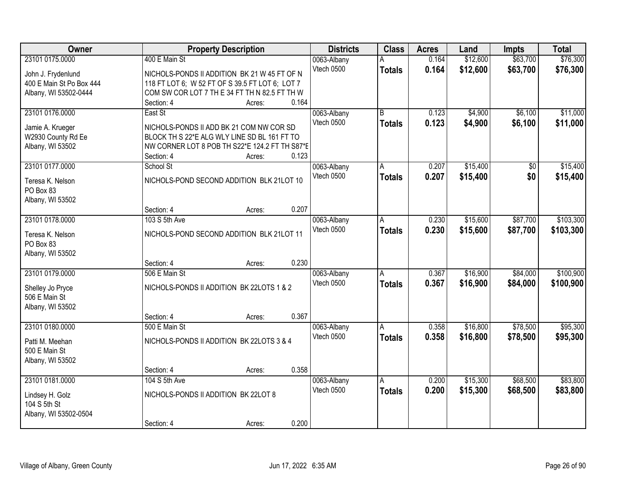| Owner                                  | <b>Property Description</b>                                                                    |       | <b>Districts</b> | <b>Class</b>   | <b>Acres</b> | Land     | <b>Impts</b> | <b>Total</b> |
|----------------------------------------|------------------------------------------------------------------------------------------------|-------|------------------|----------------|--------------|----------|--------------|--------------|
| 23101 0175.0000                        | 400 E Main St                                                                                  |       | 0063-Albany      |                | 0.164        | \$12,600 | \$63,700     | \$76,300     |
| John J. Frydenlund                     | NICHOLS-PONDS II ADDITION BK 21 W 45 FT OF N                                                   |       | Vtech 0500       | <b>Totals</b>  | 0.164        | \$12,600 | \$63,700     | \$76,300     |
| 400 E Main St Po Box 444               | 118 FT LOT 6; W 52 FT OF S 39.5 FT LOT 6; LOT 7                                                |       |                  |                |              |          |              |              |
| Albany, WI 53502-0444                  | COM SW COR LOT 7 TH E 34 FT TH N 82.5 FT TH W                                                  |       |                  |                |              |          |              |              |
|                                        | Section: 4<br>Acres:                                                                           | 0.164 |                  |                |              |          |              |              |
| 23101 0176.0000                        | East St                                                                                        |       | 0063-Albany      | $\overline{B}$ | 0.123        | \$4,900  | \$6,100      | \$11,000     |
|                                        |                                                                                                |       | Vtech 0500       | <b>Totals</b>  | 0.123        | \$4,900  | \$6,100      | \$11,000     |
| Jamie A. Krueger                       | NICHOLS-PONDS II ADD BK 21 COM NW COR SD                                                       |       |                  |                |              |          |              |              |
| W2930 County Rd Ee<br>Albany, WI 53502 | BLOCK TH S 22*E ALG WLY LINE SD BL 161 FT TO<br>NW CORNER LOT 8 POB TH S22*E 124.2 FT TH S87*E |       |                  |                |              |          |              |              |
|                                        | Section: 4<br>Acres:                                                                           | 0.123 |                  |                |              |          |              |              |
| 23101 0177.0000                        | School St                                                                                      |       | 0063-Albany      | A              | 0.207        | \$15,400 | \$0          | \$15,400     |
|                                        |                                                                                                |       | Vtech 0500       | <b>Totals</b>  | 0.207        | \$15,400 | \$0          | \$15,400     |
| Teresa K. Nelson                       | NICHOLS-POND SECOND ADDITION BLK 21LOT 10                                                      |       |                  |                |              |          |              |              |
| PO Box 83                              |                                                                                                |       |                  |                |              |          |              |              |
| Albany, WI 53502                       |                                                                                                |       |                  |                |              |          |              |              |
|                                        | Section: 4<br>Acres:                                                                           | 0.207 |                  |                |              |          |              |              |
| 23101 0178.0000                        | 103 S 5th Ave                                                                                  |       | 0063-Albany      | A              | 0.230        | \$15,600 | \$87,700     | \$103,300    |
| Teresa K. Nelson                       | NICHOLS-POND SECOND ADDITION BLK 21LOT 11                                                      |       | Vtech 0500       | <b>Totals</b>  | 0.230        | \$15,600 | \$87,700     | \$103,300    |
| PO Box 83                              |                                                                                                |       |                  |                |              |          |              |              |
| Albany, WI 53502                       |                                                                                                |       |                  |                |              |          |              |              |
|                                        | Section: 4<br>Acres:                                                                           | 0.230 |                  |                |              |          |              |              |
| 23101 0179.0000                        | 506 E Main St                                                                                  |       | 0063-Albany      | A              | 0.367        | \$16,900 | \$84,000     | \$100,900    |
|                                        |                                                                                                |       | Vtech 0500       | <b>Totals</b>  | 0.367        | \$16,900 | \$84,000     | \$100,900    |
| Shelley Jo Pryce<br>506 E Main St      | NICHOLS-PONDS II ADDITION BK 22LOTS 1 & 2                                                      |       |                  |                |              |          |              |              |
| Albany, WI 53502                       |                                                                                                |       |                  |                |              |          |              |              |
|                                        | Section: 4<br>Acres:                                                                           | 0.367 |                  |                |              |          |              |              |
| 23101 0180.0000                        | 500 E Main St                                                                                  |       | 0063-Albany      | A              | 0.358        | \$16,800 | \$78,500     | \$95,300     |
|                                        |                                                                                                |       | Vtech 0500       | <b>Totals</b>  | 0.358        | \$16,800 | \$78,500     | \$95,300     |
| Patti M. Meehan                        | NICHOLS-PONDS II ADDITION BK 22LOTS 3 & 4                                                      |       |                  |                |              |          |              |              |
| 500 E Main St                          |                                                                                                |       |                  |                |              |          |              |              |
| Albany, WI 53502                       |                                                                                                |       |                  |                |              |          |              |              |
|                                        | Section: 4<br>Acres:                                                                           | 0.358 |                  |                |              |          |              |              |
| 23101 0181.0000                        | 104 S 5th Ave                                                                                  |       | 0063-Albany      | A              | 0.200        | \$15,300 | \$68,500     | \$83,800     |
| Lindsey H. Golz                        | NICHOLS-PONDS II ADDITION BK 22LOT 8                                                           |       | Vtech 0500       | <b>Totals</b>  | 0.200        | \$15,300 | \$68,500     | \$83,800     |
| 104 S 5th St                           |                                                                                                |       |                  |                |              |          |              |              |
| Albany, WI 53502-0504                  |                                                                                                |       |                  |                |              |          |              |              |
|                                        | Section: 4<br>Acres:                                                                           | 0.200 |                  |                |              |          |              |              |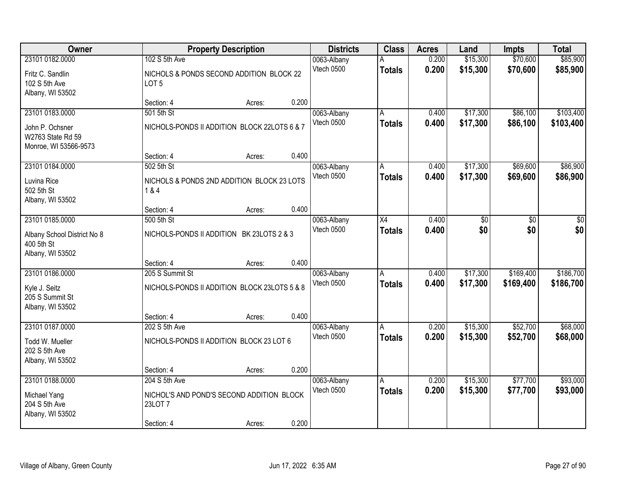| <b>Owner</b>                                                  |                                                              | <b>Property Description</b> |       | <b>Districts</b> | <b>Class</b>    | <b>Acres</b> | Land     | <b>Impts</b> | <b>Total</b> |
|---------------------------------------------------------------|--------------------------------------------------------------|-----------------------------|-------|------------------|-----------------|--------------|----------|--------------|--------------|
| 23101 0182.0000                                               | 102 S 5th Ave                                                |                             |       | 0063-Albany      |                 | 0.200        | \$15,300 | \$70,600     | \$85,900     |
| Fritz C. Sandlin<br>102 S 5th Ave<br>Albany, WI 53502         | NICHOLS & PONDS SECOND ADDITION BLOCK 22<br>LOT <sub>5</sub> |                             |       | Vtech 0500       | <b>Totals</b>   | 0.200        | \$15,300 | \$70,600     | \$85,900     |
|                                                               | Section: 4                                                   | Acres:                      | 0.200 |                  |                 |              |          |              |              |
| 23101 0183.0000                                               | 501 5th St                                                   |                             |       | 0063-Albany      | A               | 0.400        | \$17,300 | \$86,100     | \$103,400    |
| John P. Ochsner<br>W2763 State Rd 59<br>Monroe, WI 53566-9573 | NICHOLS-PONDS II ADDITION BLOCK 22LOTS 6 & 7                 |                             |       | Vtech 0500       | <b>Totals</b>   | 0.400        | \$17,300 | \$86,100     | \$103,400    |
|                                                               | Section: 4                                                   | Acres:                      | 0.400 |                  |                 |              |          |              |              |
| 23101 0184.0000                                               | 502 5th St                                                   |                             |       | 0063-Albany      | A               | 0.400        | \$17,300 | \$69,600     | \$86,900     |
| Luvina Rice<br>502 5th St<br>Albany, WI 53502                 | NICHOLS & PONDS 2ND ADDITION BLOCK 23 LOTS<br>1&4            |                             |       | Vtech 0500       | <b>Totals</b>   | 0.400        | \$17,300 | \$69,600     | \$86,900     |
|                                                               | Section: 4                                                   | Acres:                      | 0.400 |                  |                 |              |          |              |              |
| 23101 0185.0000                                               | 500 5th St                                                   |                             |       | 0063-Albany      | $\overline{X4}$ | 0.400        | \$0      | \$0          | \$0          |
| Albany School District No 8<br>400 5th St<br>Albany, WI 53502 | NICHOLS-PONDS II ADDITION BK 23LOTS 2 & 3                    |                             |       | Vtech 0500       | <b>Totals</b>   | 0.400        | \$0      | \$0          | \$0          |
|                                                               | Section: 4                                                   | Acres:                      | 0.400 |                  |                 |              |          |              |              |
| 23101 0186.0000                                               | 205 S Summit St                                              |                             |       | 0063-Albany      | A               | 0.400        | \$17,300 | \$169,400    | \$186,700    |
| Kyle J. Seitz<br>205 S Summit St<br>Albany, WI 53502          | NICHOLS-PONDS II ADDITION BLOCK 23LOTS 5 & 8                 |                             |       | Vtech 0500       | <b>Totals</b>   | 0.400        | \$17,300 | \$169,400    | \$186,700    |
|                                                               | Section: 4                                                   | Acres:                      | 0.400 |                  |                 |              |          |              |              |
| 23101 0187.0000                                               | 202 S 5th Ave                                                |                             |       | 0063-Albany      | Α               | 0.200        | \$15,300 | \$52,700     | \$68,000     |
| Todd W. Mueller<br>202 S 5th Ave<br>Albany, WI 53502          | NICHOLS-PONDS II ADDITION BLOCK 23 LOT 6                     |                             |       | Vtech 0500       | <b>Totals</b>   | 0.200        | \$15,300 | \$52,700     | \$68,000     |
|                                                               | Section: 4                                                   | Acres:                      | 0.200 |                  |                 |              |          |              |              |
| 23101 0188,0000                                               | 204 S 5th Ave                                                |                             |       | 0063-Albany      | A               | 0.200        | \$15,300 | \$77,700     | \$93,000     |
| Michael Yang<br>204 S 5th Ave<br>Albany, WI 53502             | NICHOL'S AND POND'S SECOND ADDITION BLOCK<br>23LOT 7         |                             |       | Vtech 0500       | <b>Totals</b>   | 0.200        | \$15,300 | \$77,700     | \$93,000     |
|                                                               | Section: 4                                                   | Acres:                      | 0.200 |                  |                 |              |          |              |              |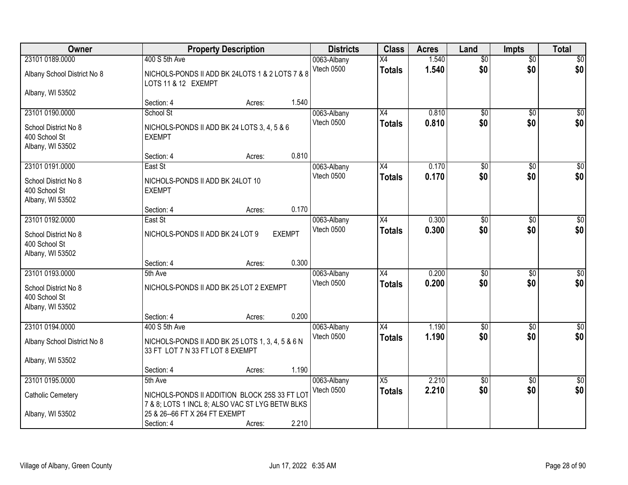| Owner                                                     |                                                   | <b>Property Description</b>                      |               | <b>Districts</b> | <b>Class</b>    | <b>Acres</b> | Land            | <b>Impts</b>    | <b>Total</b>     |
|-----------------------------------------------------------|---------------------------------------------------|--------------------------------------------------|---------------|------------------|-----------------|--------------|-----------------|-----------------|------------------|
| 23101 0189,0000                                           | 400 S 5th Ave                                     |                                                  |               | 0063-Albany      | X4              | 1.540        | $\overline{50}$ | $\overline{50}$ | $\overline{30}$  |
| Albany School District No 8                               | LOTS 11 & 12 EXEMPT                               | NICHOLS-PONDS II ADD BK 24LOTS 1 & 2 LOTS 7 & 8  |               | Vtech 0500       | <b>Totals</b>   | 1.540        | \$0             | \$0             | \$0              |
| Albany, WI 53502                                          |                                                   |                                                  |               |                  |                 |              |                 |                 |                  |
|                                                           | Section: 4                                        | Acres:                                           | 1.540         |                  |                 |              |                 |                 |                  |
| 23101 0190.0000                                           | School St                                         |                                                  |               | 0063-Albany      | $\overline{X4}$ | 0.810        | \$0             | $\overline{50}$ | \$0              |
| School District No 8<br>400 School St<br>Albany, WI 53502 | <b>EXEMPT</b>                                     | NICHOLS-PONDS II ADD BK 24 LOTS 3, 4, 5 & 6      |               | Vtech 0500       | <b>Totals</b>   | 0.810        | \$0             | \$0             | \$0              |
|                                                           | Section: 4                                        | Acres:                                           | 0.810         |                  |                 |              |                 |                 |                  |
| 23101 0191.0000                                           | East St                                           |                                                  |               | 0063-Albany      | X4              | 0.170        | \$0             | \$0             | $\overline{50}$  |
| School District No 8<br>400 School St<br>Albany, WI 53502 | NICHOLS-PONDS II ADD BK 24LOT 10<br><b>EXEMPT</b> |                                                  |               | Vtech 0500       | <b>Totals</b>   | 0.170        | \$0             | \$0             | \$0              |
|                                                           | Section: 4                                        | Acres:                                           | 0.170         |                  |                 |              |                 |                 |                  |
| 23101 0192.0000                                           | East St                                           |                                                  |               | 0063-Albany      | X4              | 0.300        | $\overline{50}$ | \$0             | $\sqrt{50}$      |
| School District No 8<br>400 School St<br>Albany, WI 53502 | NICHOLS-PONDS II ADD BK 24 LOT 9                  |                                                  | <b>EXEMPT</b> | Vtech 0500       | <b>Totals</b>   | 0.300        | \$0             | \$0             | \$0              |
|                                                           | Section: 4                                        | Acres:                                           | 0.300         |                  |                 |              |                 |                 |                  |
| 23101 0193.0000                                           | 5th Ave                                           |                                                  |               | 0063-Albany      | $\overline{X4}$ | 0.200        | $\overline{50}$ | \$0             | $\sqrt{50}$      |
| School District No 8                                      |                                                   | NICHOLS-PONDS II ADD BK 25 LOT 2 EXEMPT          |               | Vtech 0500       | <b>Totals</b>   | 0.200        | \$0             | \$0             | \$0              |
| 400 School St                                             |                                                   |                                                  |               |                  |                 |              |                 |                 |                  |
| Albany, WI 53502                                          |                                                   |                                                  |               |                  |                 |              |                 |                 |                  |
|                                                           | Section: 4                                        | Acres:                                           | 0.200         |                  |                 |              |                 |                 |                  |
| 23101 0194.0000                                           | 400 S 5th Ave                                     |                                                  |               | 0063-Albany      | X4              | 1.190        | $\overline{50}$ | \$0             | $\overline{\$0}$ |
| Albany School District No 8                               | 33 FT LOT 7 N 33 FT LOT 8 EXEMPT                  | NICHOLS-PONDS II ADD BK 25 LOTS 1, 3, 4, 5 & 6 N |               | Vtech 0500       | <b>Totals</b>   | 1.190        | \$0             | \$0             | \$0              |
| Albany, WI 53502                                          |                                                   |                                                  |               |                  |                 |              |                 |                 |                  |
|                                                           | Section: 4                                        | Acres:                                           | 1.190         |                  |                 |              |                 |                 |                  |
| 23101 0195.0000                                           | 5th Ave                                           |                                                  |               | 0063-Albany      | X5              | 2.210        | $\overline{50}$ | $\overline{30}$ | $\sqrt{30}$      |
| <b>Catholic Cemetery</b>                                  |                                                   | NICHOLS-PONDS II ADDITION BLOCK 25S 33 FT LOT    |               | Vtech 0500       | <b>Totals</b>   | 2.210        | \$0             | \$0             | \$0              |
|                                                           |                                                   | 7 & 8; LOTS 1 INCL 8; ALSO VAC ST LYG BETW BLKS  |               |                  |                 |              |                 |                 |                  |
| Albany, WI 53502                                          | 25 & 26--66 FT X 264 FT EXEMPT                    |                                                  |               |                  |                 |              |                 |                 |                  |
|                                                           | Section: 4                                        | Acres:                                           | 2.210         |                  |                 |              |                 |                 |                  |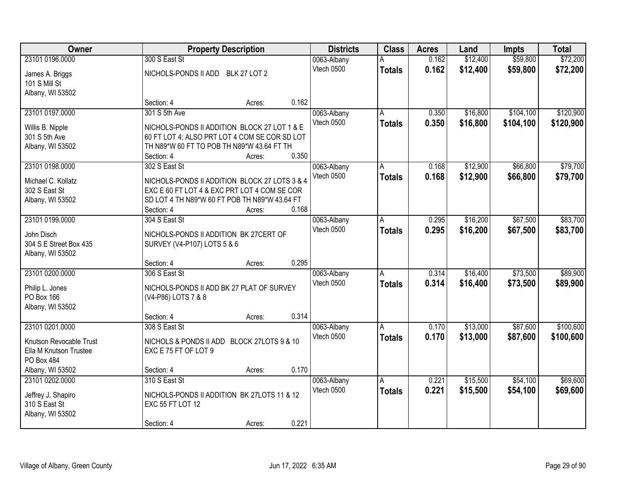| Owner                          |                                                                       | <b>Property Description</b> |       | <b>Districts</b>          | <b>Class</b>  | <b>Acres</b> | Land     | <b>Impts</b> | <b>Total</b> |
|--------------------------------|-----------------------------------------------------------------------|-----------------------------|-------|---------------------------|---------------|--------------|----------|--------------|--------------|
| 23101 0196.0000                | 300 S East St                                                         |                             |       | 0063-Albany               |               | 0.162        | \$12,400 | \$59,800     | \$72,200     |
| James A. Briggs                | NICHOLS-PONDS II ADD                                                  | <b>BLK 27 LOT 2</b>         |       | Vtech 0500                | <b>Totals</b> | 0.162        | \$12,400 | \$59,800     | \$72,200     |
| 101 S Mill St                  |                                                                       |                             |       |                           |               |              |          |              |              |
| Albany, WI 53502               |                                                                       |                             |       |                           |               |              |          |              |              |
|                                | Section: 4                                                            | Acres:                      | 0.162 |                           |               |              |          |              |              |
| 23101 0197.0000                | 301 S 5th Ave                                                         |                             |       | 0063-Albany               | A             | 0.350        | \$16,800 | \$104,100    | \$120,900    |
| Willis B. Nipple               | NICHOLS-PONDS II ADDITION BLOCK 27 LOT 1 & E                          |                             |       | Vtech 0500                | <b>Totals</b> | 0.350        | \$16,800 | \$104,100    | \$120,900    |
| 301 S 5th Ave                  | 60 FT LOT 4; ALSO PRT LOT 4 COM SE COR SD LOT                         |                             |       |                           |               |              |          |              |              |
| Albany, WI 53502               | TH N89*W 60 FT TO POB TH N89*W 43.64 FT TH                            |                             |       |                           |               |              |          |              |              |
|                                | Section: 4                                                            | Acres:                      | 0.350 |                           |               |              |          |              |              |
| 23101 0198.0000                | 302 S East St                                                         |                             |       | 0063-Albany               | A             | 0.168        | \$12,900 | \$66,800     | \$79,700     |
| Michael C. Kollatz             | NICHOLS-PONDS II ADDITION BLOCK 27 LOTS 3 & 4                         |                             |       | Vtech 0500                | <b>Totals</b> | 0.168        | \$12,900 | \$66,800     | \$79,700     |
| 302 S East St                  | EXC E 60 FT LOT 4 & EXC PRT LOT 4 COM SE COR                          |                             |       |                           |               |              |          |              |              |
| Albany, WI 53502               | SD LOT 4 TH N89*W 60 FT POB TH N89*W 43.64 FT                         |                             |       |                           |               |              |          |              |              |
|                                | Section: 4                                                            | Acres:                      | 0.168 |                           |               |              |          |              |              |
| 23101 0199.0000                | 304 S East St                                                         |                             |       | 0063-Albany               | A             | 0.295        | \$16,200 | \$67,500     | \$83,700     |
| John Disch                     |                                                                       |                             |       | Vtech 0500                | <b>Totals</b> | 0.295        | \$16,200 | \$67,500     | \$83,700     |
| 304 S E Street Box 435         | NICHOLS-PONDS II ADDITION BK 27CERT OF<br>SURVEY (V4-P107) LOTS 5 & 6 |                             |       |                           |               |              |          |              |              |
| Albany, WI 53502               |                                                                       |                             |       |                           |               |              |          |              |              |
|                                | Section: 4                                                            | Acres:                      | 0.295 |                           |               |              |          |              |              |
| 23101 0200.0000                | 306 S East St                                                         |                             |       | 0063-Albany               | A             | 0.314        | \$16,400 | \$73,500     | \$89,900     |
|                                |                                                                       |                             |       | Vtech 0500                | <b>Totals</b> | 0.314        | \$16,400 | \$73,500     | \$89,900     |
| Philip L. Jones<br>PO Box 166  | NICHOLS-PONDS II ADD BK 27 PLAT OF SURVEY                             |                             |       |                           |               |              |          |              |              |
| Albany, WI 53502               | (V4-P86) LOTS 7 & 8                                                   |                             |       |                           |               |              |          |              |              |
|                                | Section: 4                                                            | Acres:                      | 0.314 |                           |               |              |          |              |              |
| 23101 0201.0000                | 308 S East St                                                         |                             |       | 0063-Albany               | A             | 0.170        | \$13,000 | \$87,600     | \$100,600    |
|                                |                                                                       |                             |       | Vtech 0500                | <b>Totals</b> | 0.170        | \$13,000 | \$87,600     | \$100,600    |
| Knutson Revocable Trust        | NICHOLS & PONDS II ADD BLOCK 27LOTS 9 & 10                            |                             |       |                           |               |              |          |              |              |
| Ella M Knutson Trustee         | EXC E 75 FT OF LOT 9                                                  |                             |       |                           |               |              |          |              |              |
| PO Box 484<br>Albany, WI 53502 | Section: 4                                                            |                             | 0.170 |                           |               |              |          |              |              |
| 23101 0202.0000                | 310 S East St                                                         | Acres:                      |       |                           | A             | 0.221        | \$15,500 | \$54,100     | \$69,600     |
|                                |                                                                       |                             |       | 0063-Albany<br>Vtech 0500 |               | 0.221        | \$15,500 | \$54,100     | \$69,600     |
| Jeffrey J. Shapiro             | NICHOLS-PONDS II ADDITION BK 27LOTS 11 & 12                           |                             |       |                           | <b>Totals</b> |              |          |              |              |
| 310 S East St                  | <b>EXC 55 FT LOT 12</b>                                               |                             |       |                           |               |              |          |              |              |
| Albany, WI 53502               |                                                                       |                             |       |                           |               |              |          |              |              |
|                                | Section: 4                                                            | Acres:                      | 0.221 |                           |               |              |          |              |              |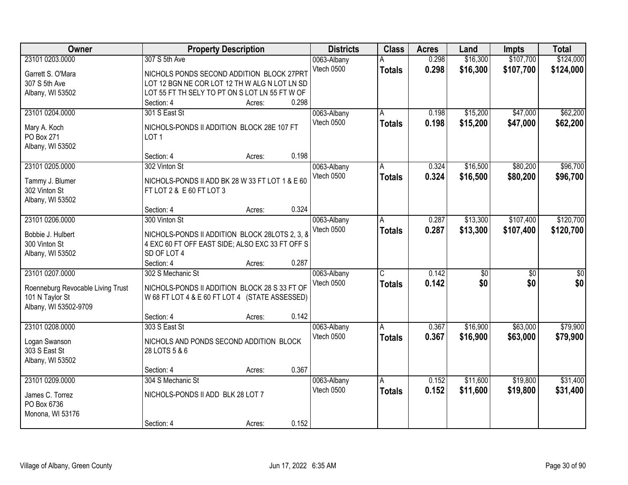| Owner                             | <b>Property Description</b>                     | <b>Districts</b> | <b>Class</b>  | <b>Acres</b> | Land            | <b>Impts</b>    | <b>Total</b> |
|-----------------------------------|-------------------------------------------------|------------------|---------------|--------------|-----------------|-----------------|--------------|
| 23101 0203.0000                   | 307 S 5th Ave                                   | 0063-Albany      |               | 0.298        | \$16,300        | \$107,700       | \$124,000    |
| Garrett S. O'Mara                 | NICHOLS PONDS SECOND ADDITION BLOCK 27PRT       | Vtech 0500       | <b>Totals</b> | 0.298        | \$16,300        | \$107,700       | \$124,000    |
| 307 S 5th Ave                     | LOT 12 BGN NE COR LOT 12 TH W ALG N LOT LN SD   |                  |               |              |                 |                 |              |
| Albany, WI 53502                  | LOT 55 FT TH SELY TO PT ON S LOT LN 55 FT W OF  |                  |               |              |                 |                 |              |
|                                   | 0.298<br>Section: 4<br>Acres:                   |                  |               |              |                 |                 |              |
| 23101 0204.0000                   | 301 S East St                                   | 0063-Albany      | A             | 0.198        | \$15,200        | \$47,000        | \$62,200     |
|                                   |                                                 | Vtech 0500       | <b>Totals</b> | 0.198        | \$15,200        | \$47,000        | \$62,200     |
| Mary A. Koch                      | NICHOLS-PONDS II ADDITION BLOCK 28E 107 FT      |                  |               |              |                 |                 |              |
| PO Box 271                        | LOT <sub>1</sub>                                |                  |               |              |                 |                 |              |
| Albany, WI 53502                  |                                                 |                  |               |              |                 |                 |              |
|                                   | 0.198<br>Section: 4<br>Acres:                   |                  |               |              |                 |                 |              |
| 23101 0205.0000                   | 302 Vinton St                                   | 0063-Albany      | A             | 0.324        | \$16,500        | \$80,200        | \$96,700     |
| Tammy J. Blumer                   | NICHOLS-PONDS II ADD BK 28 W 33 FT LOT 1 & E 60 | Vtech 0500       | <b>Totals</b> | 0.324        | \$16,500        | \$80,200        | \$96,700     |
| 302 Vinton St                     | FT LOT 2 & E 60 FT LOT 3                        |                  |               |              |                 |                 |              |
| Albany, WI 53502                  |                                                 |                  |               |              |                 |                 |              |
|                                   | 0.324<br>Section: 4<br>Acres:                   |                  |               |              |                 |                 |              |
| 23101 0206.0000                   | 300 Vinton St                                   | 0063-Albany      | A             | 0.287        | \$13,300        | \$107,400       | \$120,700    |
|                                   |                                                 | Vtech 0500       | <b>Totals</b> | 0.287        | \$13,300        | \$107,400       | \$120,700    |
| Bobbie J. Hulbert                 | NICHOLS-PONDS II ADDITION BLOCK 28LOTS 2, 3, 8  |                  |               |              |                 |                 |              |
| 300 Vinton St                     | 4 EXC 60 FT OFF EAST SIDE; ALSO EXC 33 FT OFF S |                  |               |              |                 |                 |              |
| Albany, WI 53502                  | SD OF LOT 4<br>0.287                            |                  |               |              |                 |                 |              |
|                                   | Section: 4<br>Acres:                            |                  |               |              |                 |                 |              |
| 23101 0207.0000                   | 302 S Mechanic St                               | 0063-Albany      | C             | 0.142        | $\overline{50}$ | $\overline{50}$ | \$0          |
| Roenneburg Revocable Living Trust | NICHOLS-PONDS II ADDITION BLOCK 28 S 33 FT OF   | Vtech 0500       | <b>Totals</b> | 0.142        | \$0             | \$0             | \$0          |
| 101 N Taylor St                   | W 68 FT LOT 4 & E 60 FT LOT 4 (STATE ASSESSED)  |                  |               |              |                 |                 |              |
| Albany, WI 53502-9709             |                                                 |                  |               |              |                 |                 |              |
|                                   | 0.142<br>Section: 4<br>Acres:                   |                  |               |              |                 |                 |              |
| 23101 0208.0000                   | 303 S East St                                   | 0063-Albany      | A             | 0.367        | \$16,900        | \$63,000        | \$79,900     |
| Logan Swanson                     | NICHOLS AND PONDS SECOND ADDITION BLOCK         | Vtech 0500       | <b>Totals</b> | 0.367        | \$16,900        | \$63,000        | \$79,900     |
| 303 S East St                     |                                                 |                  |               |              |                 |                 |              |
| Albany, WI 53502                  | 28 LOTS 5 & 6                                   |                  |               |              |                 |                 |              |
|                                   | 0.367<br>Section: 4                             |                  |               |              |                 |                 |              |
| 23101 0209.0000                   | Acres:<br>304 S Mechanic St                     | 0063-Albany      | A             | 0.152        | \$11,600        | \$19,800        | \$31,400     |
|                                   |                                                 |                  |               |              |                 |                 |              |
| James C. Torrez                   | NICHOLS-PONDS II ADD BLK 28 LOT 7               | Vtech 0500       | <b>Totals</b> | 0.152        | \$11,600        | \$19,800        | \$31,400     |
| PO Box 6736                       |                                                 |                  |               |              |                 |                 |              |
| Monona, WI 53176                  |                                                 |                  |               |              |                 |                 |              |
|                                   | 0.152<br>Section: 4<br>Acres:                   |                  |               |              |                 |                 |              |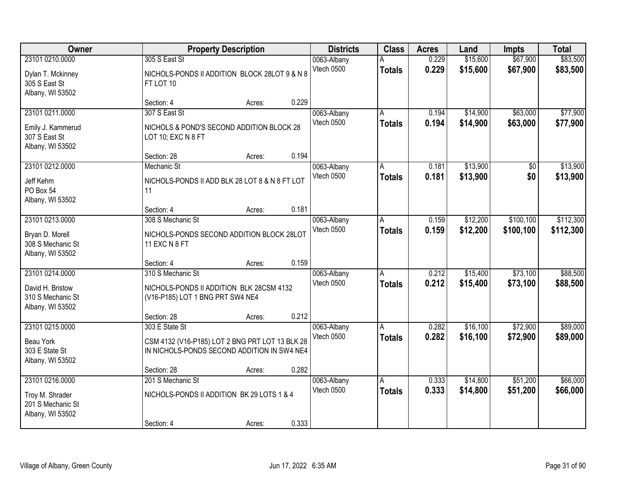| Owner                                                                        | <b>Property Description</b>                                                                                      |        |       | <b>Districts</b>          | <b>Class</b>       | <b>Acres</b>   | Land                 | <b>Impts</b>           | <b>Total</b>           |
|------------------------------------------------------------------------------|------------------------------------------------------------------------------------------------------------------|--------|-------|---------------------------|--------------------|----------------|----------------------|------------------------|------------------------|
| 23101 0210.0000<br>Dylan T. Mckinney<br>305 S East St<br>Albany, WI 53502    | 305 S East St<br>NICHOLS-PONDS II ADDITION BLOCK 28LOT 9 & N 8<br>FT LOT 10                                      |        |       | 0063-Albany<br>Vtech 0500 | <b>Totals</b>      | 0.229<br>0.229 | \$15,600<br>\$15,600 | \$67,900<br>\$67,900   | \$83,500<br>\$83,500   |
|                                                                              | Section: 4                                                                                                       | Acres: | 0.229 |                           |                    |                |                      |                        |                        |
| 23101 0211.0000<br>Emily J. Kammerud<br>307 S East St<br>Albany, WI 53502    | 307 S East St<br>NICHOLS & POND'S SECOND ADDITION BLOCK 28<br>LOT 10; EXC N 8 FT                                 |        |       | 0063-Albany<br>Vtech 0500 | <b>Totals</b>      | 0.194<br>0.194 | \$14,900<br>\$14,900 | \$63,000<br>\$63,000   | \$77,900<br>\$77,900   |
|                                                                              | Section: 28                                                                                                      | Acres: | 0.194 |                           |                    |                |                      |                        |                        |
| 23101 0212.0000<br>Jeff Kehm<br>PO Box 54<br>Albany, WI 53502                | Mechanic St<br>NICHOLS-PONDS II ADD BLK 28 LOT 8 & N 8 FT LOT<br>11                                              |        |       | 0063-Albany<br>Vtech 0500 | A<br><b>Totals</b> | 0.181<br>0.181 | \$13,900<br>\$13,900 | $\overline{50}$<br>\$0 | \$13,900<br>\$13,900   |
|                                                                              | Section: 4                                                                                                       | Acres: | 0.181 |                           |                    |                |                      |                        |                        |
| 23101 0213.0000<br>Bryan D. Morell<br>308 S Mechanic St<br>Albany, WI 53502  | 308 S Mechanic St<br>NICHOLS-PONDS SECOND ADDITION BLOCK 28LOT<br>11 EXC N 8 FT                                  |        |       | 0063-Albany<br>Vtech 0500 | A<br><b>Totals</b> | 0.159<br>0.159 | \$12,200<br>\$12,200 | \$100,100<br>\$100,100 | \$112,300<br>\$112,300 |
|                                                                              | Section: 4                                                                                                       | Acres: | 0.159 |                           |                    |                |                      |                        |                        |
| 23101 0214.0000<br>David H. Bristow<br>310 S Mechanic St<br>Albany, WI 53502 | 310 S Mechanic St<br>NICHOLS-PONDS II ADDITION BLK 28CSM 4132<br>(V16-P185) LOT 1 BNG PRT SW4 NE4                |        |       | 0063-Albany<br>Vtech 0500 | A<br><b>Totals</b> | 0.212<br>0.212 | \$15,400<br>\$15,400 | \$73,100<br>\$73,100   | \$88,500<br>\$88,500   |
|                                                                              | Section: 28                                                                                                      | Acres: | 0.212 |                           |                    |                |                      |                        |                        |
| 23101 0215,0000<br><b>Beau York</b><br>303 E State St<br>Albany, WI 53502    | 303 E State St<br>CSM 4132 (V16-P185) LOT 2 BNG PRT LOT 13 BLK 28<br>IN NICHOLS-PONDS SECOND ADDITION IN SW4 NE4 |        |       | 0063-Albany<br>Vtech 0500 | A<br><b>Totals</b> | 0.282<br>0.282 | \$16,100<br>\$16,100 | \$72,900<br>\$72,900   | \$89,000<br>\$89,000   |
|                                                                              | Section: 28                                                                                                      | Acres: | 0.282 |                           |                    |                |                      |                        |                        |
| 23101 0216.0000<br>Troy M. Shrader<br>201 S Mechanic St<br>Albany, WI 53502  | 201 S Mechanic St<br>NICHOLS-PONDS II ADDITION BK 29 LOTS 1 & 4<br>Section: 4                                    | Acres: | 0.333 | 0063-Albany<br>Vtech 0500 | А<br><b>Totals</b> | 0.333<br>0.333 | \$14,800<br>\$14,800 | \$51,200<br>\$51,200   | \$66,000<br>\$66,000   |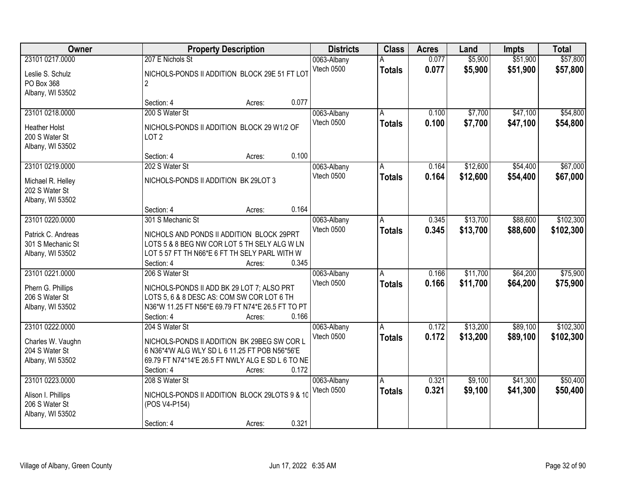| Owner                                  | <b>Property Description</b>                       | <b>Districts</b>          | <b>Class</b>  | <b>Acres</b> | Land     | <b>Impts</b> | <b>Total</b> |
|----------------------------------------|---------------------------------------------------|---------------------------|---------------|--------------|----------|--------------|--------------|
| 23101 0217.0000                        | 207 E Nichols St                                  | 0063-Albany               |               | 0.077        | \$5,900  | \$51,900     | \$57,800     |
| Leslie S. Schulz                       | NICHOLS-PONDS II ADDITION BLOCK 29E 51 FT LOT     | Vtech 0500                | <b>Totals</b> | 0.077        | \$5,900  | \$51,900     | \$57,800     |
| PO Box 368                             | $\overline{2}$                                    |                           |               |              |          |              |              |
| Albany, WI 53502                       |                                                   |                           |               |              |          |              |              |
|                                        | 0.077<br>Section: 4<br>Acres:                     |                           |               |              |          |              |              |
| 23101 0218.0000                        | 200 S Water St                                    | 0063-Albany               |               | 0.100        | \$7,700  | \$47,100     | \$54,800     |
|                                        | NICHOLS-PONDS II ADDITION BLOCK 29 W1/2 OF        | Vtech 0500                | <b>Totals</b> | 0.100        | \$7,700  | \$47,100     | \$54,800     |
| <b>Heather Holst</b><br>200 S Water St | LOT <sub>2</sub>                                  |                           |               |              |          |              |              |
| Albany, WI 53502                       |                                                   |                           |               |              |          |              |              |
|                                        | 0.100<br>Section: 4<br>Acres:                     |                           |               |              |          |              |              |
| 23101 0219.0000                        | 202 S Water St                                    | 0063-Albany               | A             | 0.164        | \$12,600 | \$54,400     | \$67,000     |
|                                        |                                                   | Vtech 0500                | <b>Totals</b> | 0.164        | \$12,600 | \$54,400     | \$67,000     |
| Michael R. Helley<br>202 S Water St    | NICHOLS-PONDS II ADDITION BK 29LOT 3              |                           |               |              |          |              |              |
| Albany, WI 53502                       |                                                   |                           |               |              |          |              |              |
|                                        | 0.164<br>Section: 4<br>Acres:                     |                           |               |              |          |              |              |
| 23101 0220.0000                        | 301 S Mechanic St                                 | 0063-Albany               | A             | 0.345        | \$13,700 | \$88,600     | \$102,300    |
|                                        |                                                   | Vtech 0500                | <b>Totals</b> | 0.345        | \$13,700 | \$88,600     | \$102,300    |
| Patrick C. Andreas                     | NICHOLS AND PONDS II ADDITION BLOCK 29PRT         |                           |               |              |          |              |              |
| 301 S Mechanic St                      | LOTS 5 & 8 BEG NW COR LOT 5 TH SELY ALG W LN      |                           |               |              |          |              |              |
| Albany, WI 53502                       | LOT 5 57 FT TH N66*E 6 FT TH SELY PARL WITH W     |                           |               |              |          |              |              |
|                                        | 0.345<br>Section: 4<br>Acres:<br>206 S Water St   |                           |               | 0.166        |          |              |              |
| 23101 0221.0000                        |                                                   | 0063-Albany<br>Vtech 0500 | A             |              | \$11,700 | \$64,200     | \$75,900     |
| Phern G. Phillips                      | NICHOLS-PONDS II ADD BK 29 LOT 7; ALSO PRT        |                           | <b>Totals</b> | 0.166        | \$11,700 | \$64,200     | \$75,900     |
| 206 S Water St                         | LOTS 5, 6 & 8 DESC AS: COM SW COR LOT 6 TH        |                           |               |              |          |              |              |
| Albany, WI 53502                       | N36*W 11.25 FT N56*E 69.79 FT N74*E 26.5 FT TO PT |                           |               |              |          |              |              |
|                                        | 0.166<br>Section: 4<br>Acres:                     |                           |               |              |          |              |              |
| 23101 0222.0000                        | 204 S Water St                                    | 0063-Albany               | A             | 0.172        | \$13,200 | \$89,100     | \$102,300    |
| Charles W. Vaughn                      | NICHOLS-PONDS II ADDITION BK 29BEG SW COR L       | Vtech 0500                | <b>Totals</b> | 0.172        | \$13,200 | \$89,100     | \$102,300    |
| 204 S Water St                         | 6 N36*4'W ALG WLY SD L 6 11.25 FT POB N56*56'E    |                           |               |              |          |              |              |
| Albany, WI 53502                       | 69.79 FT N74*14'E 26.5 FT NWLY ALG E SD L 6 TO NE |                           |               |              |          |              |              |
|                                        | 0.172<br>Section: 4<br>Acres:                     |                           |               |              |          |              |              |
| 23101 0223,0000                        | 208 S Water St                                    | 0063-Albany               | A             | 0.321        | \$9,100  | \$41,300     | \$50,400     |
| Alison I. Phillips                     | NICHOLS-PONDS II ADDITION BLOCK 29LOTS 9 & 10     | Vtech 0500                | <b>Totals</b> | 0.321        | \$9,100  | \$41,300     | \$50,400     |
| 206 S Water St                         | (POS V4-P154)                                     |                           |               |              |          |              |              |
| Albany, WI 53502                       |                                                   |                           |               |              |          |              |              |
|                                        | 0.321<br>Section: 4<br>Acres:                     |                           |               |              |          |              |              |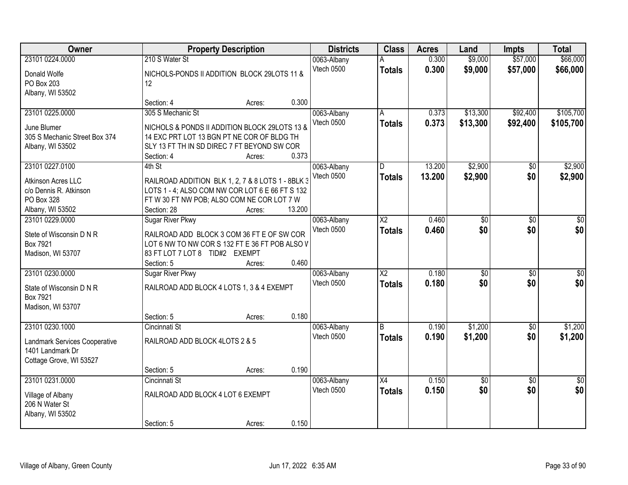| Owner                         |                                                   | <b>Property Description</b>                    |        | <b>Districts</b>          | <b>Class</b>             | <b>Acres</b> | Land            | Impts           | <b>Total</b>    |
|-------------------------------|---------------------------------------------------|------------------------------------------------|--------|---------------------------|--------------------------|--------------|-----------------|-----------------|-----------------|
| 23101 0224.0000               | 210 S Water St                                    |                                                |        | 0063-Albany               |                          | 0.300        | \$9,000         | \$57,000        | \$66,000        |
| Donald Wolfe                  | NICHOLS-PONDS II ADDITION BLOCK 29LOTS 11 &       |                                                |        | Vtech 0500                | <b>Totals</b>            | 0.300        | \$9,000         | \$57,000        | \$66,000        |
| PO Box 203                    | 12                                                |                                                |        |                           |                          |              |                 |                 |                 |
| Albany, WI 53502              |                                                   |                                                |        |                           |                          |              |                 |                 |                 |
|                               | Section: 4                                        | Acres:                                         | 0.300  |                           |                          |              |                 |                 |                 |
| 23101 0225.0000               | 305 S Mechanic St                                 |                                                |        | 0063-Albany               |                          | 0.373        | \$13,300        | \$92,400        | \$105,700       |
| June Blumer                   | NICHOLS & PONDS II ADDITION BLOCK 29LOTS 13 &     |                                                |        | Vtech 0500                | <b>Totals</b>            | 0.373        | \$13,300        | \$92,400        | \$105,700       |
| 305 S Mechanic Street Box 374 |                                                   | 14 EXC PRT LOT 13 BGN PT NE COR OF BLDG TH     |        |                           |                          |              |                 |                 |                 |
| Albany, WI 53502              | SLY 13 FT TH IN SD DIREC 7 FT BEYOND SW COR       |                                                |        |                           |                          |              |                 |                 |                 |
|                               | Section: 4                                        | Acres:                                         | 0.373  |                           |                          |              |                 |                 |                 |
| 23101 0227.0100               | 4th St                                            |                                                |        | 0063-Albany               | D                        | 13.200       | \$2,900         | \$0             | \$2,900         |
| Atkinson Acres LLC            | RAILROAD ADDITION BLK 1, 2, 7 & 8 LOTS 1 - 8BLK 3 |                                                |        | Vtech 0500                | <b>Totals</b>            | 13.200       | \$2,900         | \$0             | \$2,900         |
| c/o Dennis R. Atkinson        | LOTS 1 - 4; ALSO COM NW COR LOT 6 E 66 FT S 132   |                                                |        |                           |                          |              |                 |                 |                 |
| PO Box 328                    | FT W 30 FT NW POB; ALSO COM NE COR LOT 7 W        |                                                |        |                           |                          |              |                 |                 |                 |
| Albany, WI 53502              | Section: 28                                       | Acres:                                         | 13.200 |                           |                          |              |                 |                 |                 |
| 23101 0229.0000               | <b>Sugar River Pkwy</b>                           |                                                |        | 0063-Albany               | $\overline{\text{X2}}$   | 0.460        | $\overline{50}$ | $\overline{30}$ | $\overline{50}$ |
|                               |                                                   |                                                |        | Vtech 0500                | <b>Totals</b>            | 0.460        | \$0             | \$0             | \$0             |
| Stete of Wisconsin D N R      |                                                   | RAILROAD ADD BLOCK 3 COM 36 FT E OF SW COR     |        |                           |                          |              |                 |                 |                 |
| Box 7921<br>Madison, WI 53707 | 83 FT LOT 7 LOT 8 TID#2 EXEMPT                    | LOT 6 NW TO NW COR S 132 FT E 36 FT POB ALSO V |        |                           |                          |              |                 |                 |                 |
|                               | Section: 5                                        | Acres:                                         | 0.460  |                           |                          |              |                 |                 |                 |
| 23101 0230.0000               | <b>Sugar River Pkwy</b>                           |                                                |        | 0063-Albany               | $\overline{\mathsf{X2}}$ | 0.180        | \$0             | $\overline{50}$ | \$0             |
|                               |                                                   |                                                |        | Vtech 0500                | <b>Totals</b>            | 0.180        | \$0             | \$0             | \$0             |
| State of Wisconsin D N R      | RAILROAD ADD BLOCK 4 LOTS 1, 3 & 4 EXEMPT         |                                                |        |                           |                          |              |                 |                 |                 |
| Box 7921                      |                                                   |                                                |        |                           |                          |              |                 |                 |                 |
| Madison, WI 53707             |                                                   |                                                |        |                           |                          |              |                 |                 |                 |
|                               | Section: 5                                        | Acres:                                         | 0.180  |                           |                          |              |                 |                 |                 |
| 23101 0230.1000               | Cincinnati St                                     |                                                |        | 0063-Albany<br>Vtech 0500 | B                        | 0.190        | \$1,200         | $\sqrt{6}$      | \$1,200         |
| Landmark Services Cooperative | RAILROAD ADD BLOCK 4LOTS 2 & 5                    |                                                |        |                           | <b>Totals</b>            | 0.190        | \$1,200         | \$0             | \$1,200         |
| 1401 Landmark Dr              |                                                   |                                                |        |                           |                          |              |                 |                 |                 |
| Cottage Grove, WI 53527       |                                                   |                                                |        |                           |                          |              |                 |                 |                 |
|                               | Section: 5                                        | Acres:                                         | 0.190  |                           |                          |              |                 |                 |                 |
| 23101 0231.0000               | Cincinnati St                                     |                                                |        | 0063-Albany               | $\overline{X4}$          | 0.150        | $\sqrt{$0}$     | $\overline{50}$ | $\overline{30}$ |
| Village of Albany             | RAILROAD ADD BLOCK 4 LOT 6 EXEMPT                 |                                                |        | Vtech 0500                | <b>Totals</b>            | 0.150        | \$0             | \$0             | \$0             |
| 206 N Water St                |                                                   |                                                |        |                           |                          |              |                 |                 |                 |
| Albany, WI 53502              |                                                   |                                                |        |                           |                          |              |                 |                 |                 |
|                               | Section: 5                                        | Acres:                                         | 0.150  |                           |                          |              |                 |                 |                 |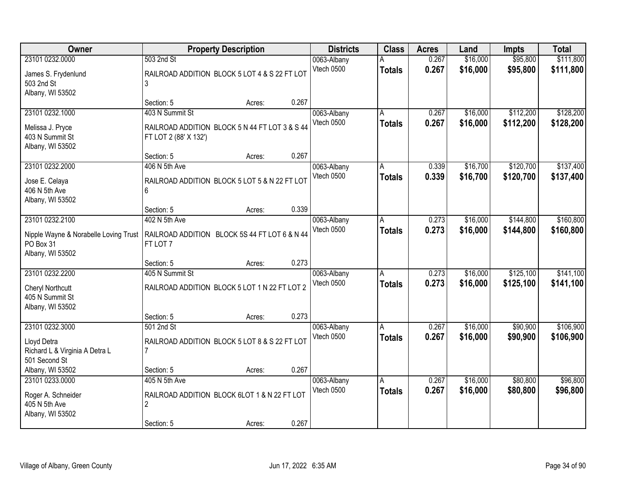| Owner                                 |                                                | <b>Property Description</b> |       | <b>Districts</b>          | <b>Class</b>  | <b>Acres</b> | Land     | <b>Impts</b> | <b>Total</b> |
|---------------------------------------|------------------------------------------------|-----------------------------|-------|---------------------------|---------------|--------------|----------|--------------|--------------|
| 23101 0232.0000                       | 503 2nd St                                     |                             |       | 0063-Albany               |               | 0.267        | \$16,000 | \$95,800     | \$111,800    |
| James S. Frydenlund                   | RAILROAD ADDITION BLOCK 5 LOT 4 & S 22 FT LOT  |                             |       | Vtech 0500                | <b>Totals</b> | 0.267        | \$16,000 | \$95,800     | \$111,800    |
| 503 2nd St                            | 3                                              |                             |       |                           |               |              |          |              |              |
| Albany, WI 53502                      |                                                |                             |       |                           |               |              |          |              |              |
|                                       | Section: 5                                     | Acres:                      | 0.267 |                           |               |              |          |              |              |
| 23101 0232.1000                       | 403 N Summit St                                |                             |       | 0063-Albany               | A             | 0.267        | \$16,000 | \$112,200    | \$128,200    |
| Melissa J. Pryce                      | RAILROAD ADDITION BLOCK 5 N 44 FT LOT 3 & S 44 |                             |       | Vtech 0500                | <b>Totals</b> | 0.267        | \$16,000 | \$112,200    | \$128,200    |
| 403 N Summit St                       | FT LOT 2 (88' X 132')                          |                             |       |                           |               |              |          |              |              |
| Albany, WI 53502                      |                                                |                             |       |                           |               |              |          |              |              |
|                                       | Section: 5                                     | Acres:                      | 0.267 |                           |               |              |          |              |              |
| 23101 0232.2000                       | 406 N 5th Ave                                  |                             |       | 0063-Albany               | l A           | 0.339        | \$16,700 | \$120,700    | \$137,400    |
| Jose E. Celaya                        | RAILROAD ADDITION BLOCK 5 LOT 5 & N 22 FT LOT  |                             |       | Vtech 0500                | <b>Totals</b> | 0.339        | \$16,700 | \$120,700    | \$137,400    |
| 406 N 5th Ave                         | 6.                                             |                             |       |                           |               |              |          |              |              |
| Albany, WI 53502                      |                                                |                             |       |                           |               |              |          |              |              |
|                                       | Section: 5                                     | Acres:                      | 0.339 |                           |               |              |          |              |              |
| 23101 0232.2100                       | 402 N 5th Ave                                  |                             |       | 0063-Albany               | A             | 0.273        | \$16,000 | \$144,800    | \$160,800    |
| Nipple Wayne & Norabelle Loving Trust | RAILROAD ADDITION BLOCK 5S 44 FT LOT 6 & N 44  |                             |       | Vtech 0500                | <b>Totals</b> | 0.273        | \$16,000 | \$144,800    | \$160,800    |
| PO Box 31                             | FT LOT 7                                       |                             |       |                           |               |              |          |              |              |
| Albany, WI 53502                      |                                                |                             |       |                           |               |              |          |              |              |
|                                       | Section: 5                                     | Acres:                      | 0.273 |                           |               |              |          |              |              |
| 23101 0232.2200                       | 405 N Summit St                                |                             |       | 0063-Albany<br>Vtech 0500 | A             | 0.273        | \$16,000 | \$125,100    | \$141,100    |
| <b>Cheryl Northcutt</b>               | RAILROAD ADDITION BLOCK 5 LOT 1 N 22 FT LOT 2  |                             |       |                           | <b>Totals</b> | 0.273        | \$16,000 | \$125,100    | \$141,100    |
| 405 N Summit St                       |                                                |                             |       |                           |               |              |          |              |              |
| Albany, WI 53502                      |                                                |                             |       |                           |               |              |          |              |              |
|                                       | Section: 5                                     | Acres:                      | 0.273 |                           |               |              |          |              |              |
| 23101 0232.3000                       | 501 2nd St                                     |                             |       | 0063-Albany<br>Vtech 0500 | A             | 0.267        | \$16,000 | \$90,900     | \$106,900    |
| Lloyd Detra                           | RAILROAD ADDITION BLOCK 5 LOT 8 & S 22 FT LOT  |                             |       |                           | <b>Totals</b> | 0.267        | \$16,000 | \$90,900     | \$106,900    |
| Richard L & Virginia A Detra L        | 7                                              |                             |       |                           |               |              |          |              |              |
| 501 Second St                         |                                                |                             |       |                           |               |              |          |              |              |
| Albany, WI 53502                      | Section: 5                                     | Acres:                      | 0.267 |                           |               | 0.267        | \$16,000 | \$80,800     | \$96,800     |
| 23101 0233.0000                       | 405 N 5th Ave                                  |                             |       | 0063-Albany<br>Vtech 0500 | A             | 0.267        | \$16,000 | \$80,800     |              |
| Roger A. Schneider                    | RAILROAD ADDITION BLOCK 6LOT 1 & N 22 FT LOT   |                             |       |                           | <b>Totals</b> |              |          |              | \$96,800     |
| 405 N 5th Ave                         | $\overline{2}$                                 |                             |       |                           |               |              |          |              |              |
| Albany, WI 53502                      |                                                |                             |       |                           |               |              |          |              |              |
|                                       | Section: 5                                     | Acres:                      | 0.267 |                           |               |              |          |              |              |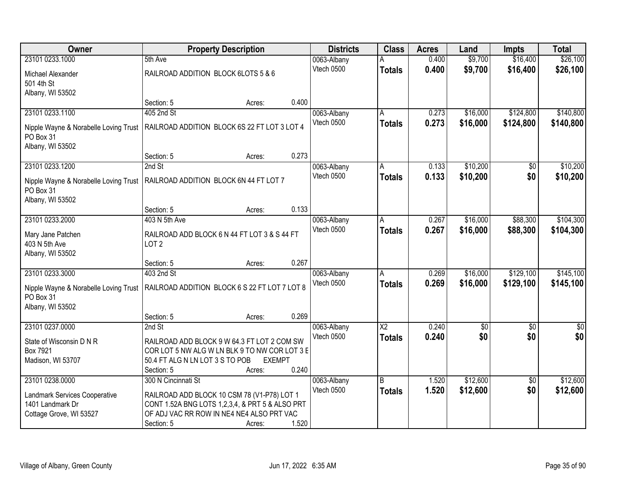| Owner                                 | <b>Property Description</b>                     |               |       | <b>Districts</b> | <b>Class</b>           | <b>Acres</b> | Land       | <b>Impts</b>    | <b>Total</b>  |
|---------------------------------------|-------------------------------------------------|---------------|-------|------------------|------------------------|--------------|------------|-----------------|---------------|
| 23101 0233.1000                       | 5th Ave                                         |               |       | 0063-Albany      |                        | 0.400        | \$9,700    | \$16,400        | \$26,100      |
| Michael Alexander                     | RAILROAD ADDITION BLOCK 6LOTS 5 & 6             |               |       | Vtech 0500       | <b>Totals</b>          | 0.400        | \$9,700    | \$16,400        | \$26,100      |
| 501 4th St                            |                                                 |               |       |                  |                        |              |            |                 |               |
| Albany, WI 53502                      |                                                 |               |       |                  |                        |              |            |                 |               |
|                                       | Section: 5                                      | Acres:        | 0.400 |                  |                        |              |            |                 |               |
| 23101 0233.1100                       | 405 2nd St                                      |               |       | 0063-Albany      | A                      | 0.273        | \$16,000   | \$124,800       | \$140,800     |
| Nipple Wayne & Norabelle Loving Trust | RAILROAD ADDITION BLOCK 6S 22 FT LOT 3 LOT 4    |               |       | Vtech 0500       | <b>Totals</b>          | 0.273        | \$16,000   | \$124,800       | \$140,800     |
| PO Box 31                             |                                                 |               |       |                  |                        |              |            |                 |               |
| Albany, WI 53502                      |                                                 |               |       |                  |                        |              |            |                 |               |
|                                       | Section: 5                                      | Acres:        | 0.273 |                  |                        |              |            |                 |               |
| 23101 0233.1200                       | 2nd St                                          |               |       | 0063-Albany      | A                      | 0.133        | \$10,200   | $\overline{50}$ | \$10,200      |
| Nipple Wayne & Norabelle Loving Trust | RAILROAD ADDITION BLOCK 6N 44 FT LOT 7          |               |       | Vtech 0500       | <b>Totals</b>          | 0.133        | \$10,200   | \$0             | \$10,200      |
| PO Box 31                             |                                                 |               |       |                  |                        |              |            |                 |               |
| Albany, WI 53502                      |                                                 |               |       |                  |                        |              |            |                 |               |
|                                       | Section: 5                                      | Acres:        | 0.133 |                  |                        |              |            |                 |               |
| 23101 0233.2000                       | 403 N 5th Ave                                   |               |       | 0063-Albany      | A                      | 0.267        | \$16,000   | \$88,300        | \$104,300     |
| Mary Jane Patchen                     | RAILROAD ADD BLOCK 6 N 44 FT LOT 3 & S 44 FT    |               |       | Vtech 0500       | <b>Totals</b>          | 0.267        | \$16,000   | \$88,300        | \$104,300     |
| 403 N 5th Ave                         | LOT <sub>2</sub>                                |               |       |                  |                        |              |            |                 |               |
| Albany, WI 53502                      |                                                 |               |       |                  |                        |              |            |                 |               |
|                                       | Section: 5                                      | Acres:        | 0.267 |                  |                        |              |            |                 |               |
| 23101 0233.3000                       | 403 2nd St                                      |               |       | 0063-Albany      | A                      | 0.269        | \$16,000   | \$129,100       | \$145,100     |
| Nipple Wayne & Norabelle Loving Trust | RAILROAD ADDITION BLOCK 6 S 22 FT LOT 7 LOT 8   |               |       | Vtech 0500       | <b>Totals</b>          | 0.269        | \$16,000   | \$129,100       | \$145,100     |
| PO Box 31                             |                                                 |               |       |                  |                        |              |            |                 |               |
| Albany, WI 53502                      |                                                 |               |       |                  |                        |              |            |                 |               |
|                                       | Section: 5                                      | Acres:        | 0.269 |                  |                        |              |            |                 |               |
| 23101 0237.0000                       | 2nd St                                          |               |       | 0063-Albany      | $\overline{\text{X2}}$ | 0.240        | $\sqrt{6}$ | $\sqrt{6}$      | $\frac{6}{3}$ |
| State of Wisconsin D N R              | RAILROAD ADD BLOCK 9 W 64.3 FT LOT 2 COM SW     |               |       | Vtech 0500       | <b>Totals</b>          | 0.240        | \$0        | \$0             | \$0           |
| Box 7921                              | COR LOT 5 NW ALG W LN BLK 9 TO NW COR LOT 3 E   |               |       |                  |                        |              |            |                 |               |
| Madison, WI 53707                     | 50.4 FT ALG N LN LOT 3 S TO POB                 | <b>EXEMPT</b> |       |                  |                        |              |            |                 |               |
|                                       | Section: 5                                      | Acres:        | 0.240 |                  |                        |              |            |                 |               |
| 23101 0238.0000                       | 300 N Cincinnati St                             |               |       | 0063-Albany      | B                      | 1.520        | \$12,600   | $\overline{30}$ | \$12,600      |
| Landmark Services Cooperative         | RAILROAD ADD BLOCK 10 CSM 78 (V1-P78) LOT 1     |               |       | Vtech 0500       | <b>Totals</b>          | 1.520        | \$12,600   | \$0             | \$12,600      |
| 1401 Landmark Dr                      | CONT 1.52A BNG LOTS 1,2,3,4, & PRT 5 & ALSO PRT |               |       |                  |                        |              |            |                 |               |
| Cottage Grove, WI 53527               | OF ADJ VAC RR ROW IN NE4 NE4 ALSO PRT VAC       |               |       |                  |                        |              |            |                 |               |
|                                       | Section: 5                                      | Acres:        | 1.520 |                  |                        |              |            |                 |               |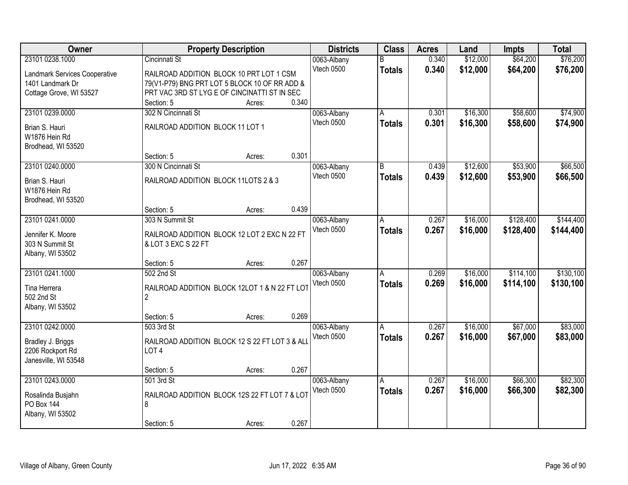| Owner                         |                                                | <b>Property Description</b> |       | <b>Districts</b> | <b>Class</b>  | <b>Acres</b> | Land     | <b>Impts</b> | <b>Total</b> |
|-------------------------------|------------------------------------------------|-----------------------------|-------|------------------|---------------|--------------|----------|--------------|--------------|
| 23101 0238.1000               | Cincinnati St                                  |                             |       | 0063-Albany      | R             | 0.340        | \$12,000 | \$64,200     | \$76,200     |
| Landmark Services Cooperative | RAILROAD ADDITION BLOCK 10 PRT LOT 1 CSM       |                             |       | Vtech 0500       | <b>Totals</b> | 0.340        | \$12,000 | \$64,200     | \$76,200     |
| 1401 Landmark Dr              | 79(V1-P79) BNG PRT LOT 5 BLOCK 10 OF RR ADD &  |                             |       |                  |               |              |          |              |              |
| Cottage Grove, WI 53527       | PRT VAC 3RD ST LYG E OF CINCINATTI ST IN SEC   |                             |       |                  |               |              |          |              |              |
|                               | Section: 5                                     | Acres:                      | 0.340 |                  |               |              |          |              |              |
| 23101 0239.0000               | 302 N Cincinnati St                            |                             |       | 0063-Albany      | А             | 0.301        | \$16,300 | \$58,600     | \$74,900     |
| Brian S. Hauri                | RAILROAD ADDITION BLOCK 11 LOT 1               |                             |       | Vtech 0500       | <b>Totals</b> | 0.301        | \$16,300 | \$58,600     | \$74,900     |
| W1876 Hein Rd                 |                                                |                             |       |                  |               |              |          |              |              |
| Brodhead, WI 53520            |                                                |                             |       |                  |               |              |          |              |              |
|                               | Section: 5                                     | Acres:                      | 0.301 |                  |               |              |          |              |              |
| 23101 0240.0000               | 300 N Cincinnati St                            |                             |       | 0063-Albany      | B             | 0.439        | \$12,600 | \$53,900     | \$66,500     |
| Brian S. Hauri                | RAILROAD ADDITION BLOCK 11LOTS 2 & 3           |                             |       | Vtech 0500       | <b>Totals</b> | 0.439        | \$12,600 | \$53,900     | \$66,500     |
| W1876 Hein Rd                 |                                                |                             |       |                  |               |              |          |              |              |
| Brodhead, WI 53520            |                                                |                             |       |                  |               |              |          |              |              |
|                               | Section: 5                                     | Acres:                      | 0.439 |                  |               |              |          |              |              |
| 23101 0241.0000               | 303 N Summit St                                |                             |       | 0063-Albany      | Α             | 0.267        | \$16,000 | \$128,400    | \$144,400    |
| Jennifer K. Moore             | RAILROAD ADDITION BLOCK 12 LOT 2 EXC N 22 FT   |                             |       | Vtech 0500       | <b>Totals</b> | 0.267        | \$16,000 | \$128,400    | \$144,400    |
| 303 N Summit St               | & LOT 3 EXC S 22 FT                            |                             |       |                  |               |              |          |              |              |
| Albany, WI 53502              |                                                |                             |       |                  |               |              |          |              |              |
|                               | Section: 5                                     | Acres:                      | 0.267 |                  |               |              |          |              |              |
| 23101 0241.1000               | 502 2nd St                                     |                             |       | 0063-Albany      | A             | 0.269        | \$16,000 | \$114,100    | \$130,100    |
| Tina Herrera                  | RAILROAD ADDITION BLOCK 12LOT 1 & N 22 FT LOT  |                             |       | Vtech 0500       | <b>Totals</b> | 0.269        | \$16,000 | \$114,100    | \$130,100    |
| 502 2nd St                    | $\overline{2}$                                 |                             |       |                  |               |              |          |              |              |
| Albany, WI 53502              |                                                |                             |       |                  |               |              |          |              |              |
|                               | Section: 5                                     | Acres:                      | 0.269 |                  |               |              |          |              |              |
| 23101 0242.0000               | 503 3rd St                                     |                             |       | 0063-Albany      | A             | 0.267        | \$16,000 | \$67,000     | \$83,000     |
| Bradley J. Briggs             | RAILROAD ADDITION BLOCK 12 S 22 FT LOT 3 & ALL |                             |       | Vtech 0500       | <b>Totals</b> | 0.267        | \$16,000 | \$67,000     | \$83,000     |
| 2206 Rockport Rd              | LOT <sub>4</sub>                               |                             |       |                  |               |              |          |              |              |
| Janesville, WI 53548          |                                                |                             |       |                  |               |              |          |              |              |
|                               | Section: 5                                     | Acres:                      | 0.267 |                  |               |              |          |              |              |
| 23101 0243.0000               | 501 3rd St                                     |                             |       | 0063-Albany      | A             | 0.267        | \$16,000 | \$66,300     | \$82,300     |
| Rosalinda Busjahn             | RAILROAD ADDITION BLOCK 12S 22 FT LOT 7 & LOT  |                             |       | Vtech 0500       | <b>Totals</b> | 0.267        | \$16,000 | \$66,300     | \$82,300     |
| <b>PO Box 144</b>             | 8                                              |                             |       |                  |               |              |          |              |              |
| Albany, WI 53502              |                                                |                             |       |                  |               |              |          |              |              |
|                               | Section: 5                                     | Acres:                      | 0.267 |                  |               |              |          |              |              |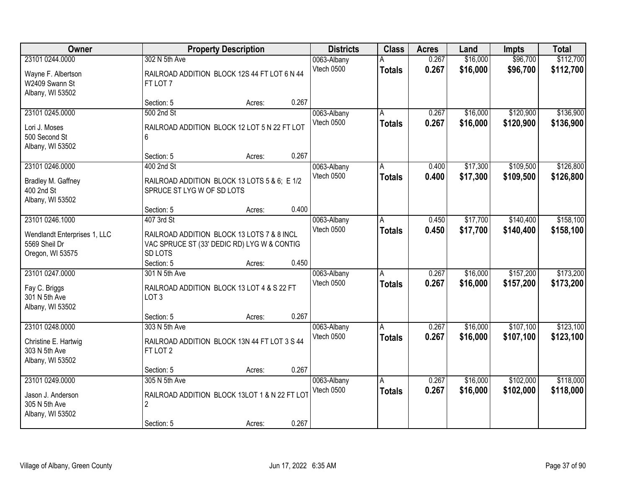| <b>Owner</b>                                                      | <b>Property Description</b> |                                                                                           | <b>Districts</b> | <b>Class</b>              | <b>Acres</b>       | Land           | Impts                | <b>Total</b>           |                        |
|-------------------------------------------------------------------|-----------------------------|-------------------------------------------------------------------------------------------|------------------|---------------------------|--------------------|----------------|----------------------|------------------------|------------------------|
| 23101 0244.0000                                                   | 302 N 5th Ave               |                                                                                           |                  | 0063-Albany               |                    | 0.267          | \$16,000             | \$96,700               | \$112,700              |
| Wayne F. Albertson<br>W2409 Swann St<br>Albany, WI 53502          | FT LOT 7                    | RAILROAD ADDITION BLOCK 12S 44 FT LOT 6 N 44                                              |                  | Vtech 0500                | <b>Totals</b>      | 0.267          | \$16,000             | \$96,700               | \$112,700              |
|                                                                   | Section: 5                  | Acres:                                                                                    | 0.267            |                           |                    |                |                      |                        |                        |
| 23101 0245.0000<br>Lori J. Moses                                  | 500 2nd St                  | RAILROAD ADDITION BLOCK 12 LOT 5 N 22 FT LOT                                              |                  | 0063-Albany<br>Vtech 0500 | A<br><b>Totals</b> | 0.267<br>0.267 | \$16,000<br>\$16,000 | \$120,900<br>\$120,900 | \$136,900<br>\$136,900 |
| 500 Second St<br>Albany, WI 53502                                 | 6                           |                                                                                           |                  |                           |                    |                |                      |                        |                        |
|                                                                   | Section: 5                  | Acres:                                                                                    | 0.267            |                           |                    |                |                      |                        |                        |
| 23101 0246.0000                                                   | 400 2nd St                  |                                                                                           |                  | 0063-Albany               | A                  | 0.400          | \$17,300             | \$109,500              | \$126,800              |
| Bradley M. Gaffney<br>400 2nd St<br>Albany, WI 53502              | SPRUCE ST LYG W OF SD LOTS  | RAILROAD ADDITION BLOCK 13 LOTS 5 & 6; E 1/2                                              |                  | Vtech 0500                | <b>Totals</b>      | 0.400          | \$17,300             | \$109,500              | \$126,800              |
|                                                                   | Section: 5                  | Acres:                                                                                    | 0.400            |                           |                    |                |                      |                        |                        |
| 23101 0246.1000                                                   | 407 3rd St                  |                                                                                           |                  | 0063-Albany               | A                  | 0.450          | \$17,700             | \$140,400              | \$158,100              |
| Wendlandt Enterprises 1, LLC<br>5569 Sheil Dr<br>Oregon, WI 53575 | SD LOTS                     | RAILROAD ADDITION BLOCK 13 LOTS 7 & 8 INCL<br>VAC SPRUCE ST (33' DEDIC RD) LYG W & CONTIG |                  | Vtech 0500                | <b>Totals</b>      | 0.450          | \$17,700             | \$140,400              | \$158,100              |
|                                                                   | Section: 5                  | Acres:                                                                                    | 0.450            |                           |                    |                |                      |                        |                        |
| 23101 0247.0000<br>Fay C. Briggs                                  | 301 N 5th Ave               | RAILROAD ADDITION BLOCK 13 LOT 4 & S 22 FT                                                |                  | 0063-Albany<br>Vtech 0500 | A<br><b>Totals</b> | 0.267<br>0.267 | \$16,000<br>\$16,000 | \$157,200<br>\$157,200 | \$173,200<br>\$173,200 |
| 301 N 5th Ave                                                     | LOT <sub>3</sub>            |                                                                                           |                  |                           |                    |                |                      |                        |                        |
| Albany, WI 53502                                                  | Section: 5                  | Acres:                                                                                    | 0.267            |                           |                    |                |                      |                        |                        |
| 23101 0248.0000                                                   | 303 N 5th Ave               |                                                                                           |                  | 0063-Albany               |                    | 0.267          | \$16,000             | \$107,100              | \$123,100              |
| Christine E. Hartwig<br>303 N 5th Ave<br>Albany, WI 53502         | FT LOT 2                    | RAILROAD ADDITION BLOCK 13N 44 FT LOT 3 S 44                                              |                  | Vtech 0500                | <b>Totals</b>      | 0.267          | \$16,000             | \$107,100              | \$123,100              |
|                                                                   | Section: 5                  | Acres:                                                                                    | 0.267            |                           |                    |                |                      |                        |                        |
| 23101 0249.0000                                                   | 305 N 5th Ave               |                                                                                           |                  | 0063-Albany               | A                  | 0.267          | \$16,000             | \$102,000              | \$118,000              |
| Jason J. Anderson<br>305 N 5th Ave<br>Albany, WI 53502            | $\overline{2}$              | RAILROAD ADDITION BLOCK 13LOT 1 & N 22 FT LOT                                             |                  | Vtech 0500                | <b>Totals</b>      | 0.267          | \$16,000             | \$102,000              | \$118,000              |
|                                                                   | Section: 5                  | Acres:                                                                                    | 0.267            |                           |                    |                |                      |                        |                        |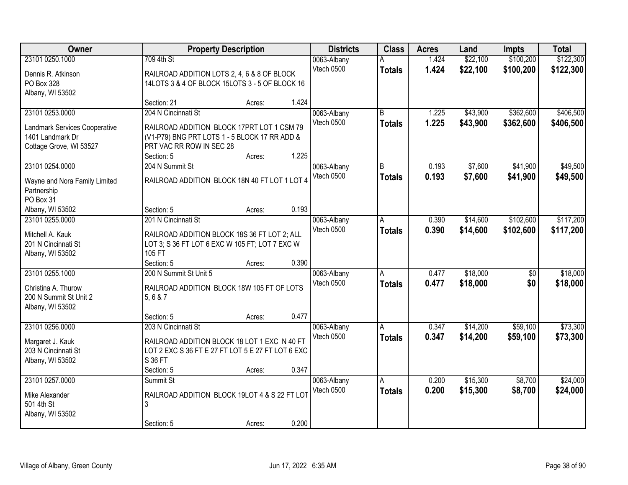| Owner                                         |                                                              | <b>Property Description</b> |       | <b>Districts</b> | <b>Class</b>  | <b>Acres</b> | Land     | <b>Impts</b>    | <b>Total</b> |
|-----------------------------------------------|--------------------------------------------------------------|-----------------------------|-------|------------------|---------------|--------------|----------|-----------------|--------------|
| 23101 0250.1000                               | 709 4th St                                                   |                             |       | 0063-Albany      |               | 1.424        | \$22,100 | \$100,200       | \$122,300    |
| Dennis R. Atkinson                            | RAILROAD ADDITION LOTS 2, 4, 6 & 8 OF BLOCK                  |                             |       | Vtech 0500       | <b>Totals</b> | 1.424        | \$22,100 | \$100,200       | \$122,300    |
| PO Box 328                                    | 14LOTS 3 & 4 OF BLOCK 15LOTS 3 - 5 OF BLOCK 16               |                             |       |                  |               |              |          |                 |              |
| Albany, WI 53502                              |                                                              |                             |       |                  |               |              |          |                 |              |
|                                               | Section: 21                                                  | Acres:                      | 1.424 |                  |               |              |          |                 |              |
| 23101 0253.0000                               | 204 N Cincinnati St                                          |                             |       | 0063-Albany      | B.            | 1.225        | \$43,900 | \$362,600       | \$406,500    |
| Landmark Services Cooperative                 | RAILROAD ADDITION BLOCK 17PRT LOT 1 CSM 79                   |                             |       | Vtech 0500       | <b>Totals</b> | 1.225        | \$43,900 | \$362,600       | \$406,500    |
| 1401 Landmark Dr                              | (V1-P79) BNG PRT LOTS 1 - 5 BLOCK 17 RR ADD &                |                             |       |                  |               |              |          |                 |              |
| Cottage Grove, WI 53527                       | PRT VAC RR ROW IN SEC 28                                     |                             |       |                  |               |              |          |                 |              |
|                                               | Section: 5                                                   | Acres:                      | 1.225 |                  |               |              |          |                 |              |
| 23101 0254.0000                               | 204 N Summit St                                              |                             |       | 0063-Albany      | B             | 0.193        | \$7,600  | \$41,900        | \$49,500     |
| Wayne and Nora Family Limited                 | RAILROAD ADDITION BLOCK 18N 40 FT LOT 1 LOT 4                |                             |       | Vtech 0500       | <b>Totals</b> | 0.193        | \$7,600  | \$41,900        | \$49,500     |
| Partnership                                   |                                                              |                             |       |                  |               |              |          |                 |              |
| PO Box 31                                     |                                                              |                             |       |                  |               |              |          |                 |              |
| Albany, WI 53502                              | Section: 5                                                   | Acres:                      | 0.193 |                  |               |              |          |                 |              |
| 23101 0255.0000                               | 201 N Cincinnati St                                          |                             |       | 0063-Albany      | Α             | 0.390        | \$14,600 | \$102,600       | \$117,200    |
| Mitchell A. Kauk                              | RAILROAD ADDITION BLOCK 18S 36 FT LOT 2; ALL                 |                             |       | Vtech 0500       | <b>Totals</b> | 0.390        | \$14,600 | \$102,600       | \$117,200    |
| 201 N Cincinnati St                           | LOT 3; S 36 FT LOT 6 EXC W 105 FT; LOT 7 EXC W               |                             |       |                  |               |              |          |                 |              |
| Albany, WI 53502                              | 105 FT                                                       |                             |       |                  |               |              |          |                 |              |
|                                               | Section: 5                                                   | Acres:                      | 0.390 |                  |               |              |          |                 |              |
| 23101 0255.1000                               | 200 N Summit St Unit 5                                       |                             |       | 0063-Albany      | A             | 0.477        | \$18,000 | $\overline{50}$ | \$18,000     |
|                                               |                                                              |                             |       | Vtech 0500       | <b>Totals</b> | 0.477        | \$18,000 | \$0             | \$18,000     |
| Christina A. Thurow<br>200 N Summit St Unit 2 | RAILROAD ADDITION BLOCK 18W 105 FT OF LOTS<br>5,6 & 7        |                             |       |                  |               |              |          |                 |              |
| Albany, WI 53502                              |                                                              |                             |       |                  |               |              |          |                 |              |
|                                               | Section: 5                                                   | Acres:                      | 0.477 |                  |               |              |          |                 |              |
| 23101 0256.0000                               | 203 N Cincinnati St                                          |                             |       | 0063-Albany      | A             | 0.347        | \$14,200 | \$59,100        | \$73,300     |
|                                               |                                                              |                             |       | Vtech 0500       | <b>Totals</b> | 0.347        | \$14,200 | \$59,100        | \$73,300     |
| Margaret J. Kauk                              | RAILROAD ADDITION BLOCK 18 LOT 1 EXC N 40 FT                 |                             |       |                  |               |              |          |                 |              |
| 203 N Cincinnati St<br>Albany, WI 53502       | LOT 2 EXC S 36 FT E 27 FT LOT 5 E 27 FT LOT 6 EXC<br>S 36 FT |                             |       |                  |               |              |          |                 |              |
|                                               | Section: 5                                                   | Acres:                      | 0.347 |                  |               |              |          |                 |              |
| 23101 0257.0000                               | Summit St                                                    |                             |       | 0063-Albany      | A             | 0.200        | \$15,300 | \$8,700         | \$24,000     |
|                                               |                                                              |                             |       | Vtech 0500       | <b>Totals</b> | 0.200        | \$15,300 | \$8,700         | \$24,000     |
| Mike Alexander                                | RAILROAD ADDITION BLOCK 19LOT 4 & S 22 FT LOT                |                             |       |                  |               |              |          |                 |              |
| 501 4th St                                    | 3                                                            |                             |       |                  |               |              |          |                 |              |
| Albany, WI 53502                              | Section: 5                                                   |                             | 0.200 |                  |               |              |          |                 |              |
|                                               |                                                              | Acres:                      |       |                  |               |              |          |                 |              |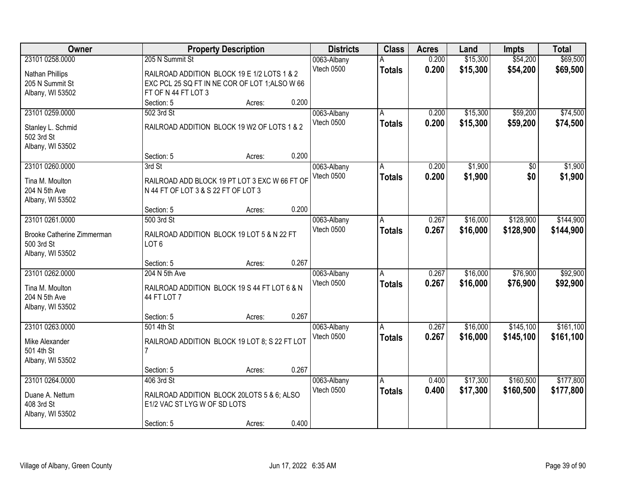| Owner<br><b>Property Description</b> | <b>Districts</b>                              | <b>Class</b> | <b>Acres</b> | Land                      | <b>Impts</b>  | <b>Total</b>   |                      |                      |                      |
|--------------------------------------|-----------------------------------------------|--------------|--------------|---------------------------|---------------|----------------|----------------------|----------------------|----------------------|
| 23101 0258.0000                      | 205 N Summit St                               |              |              | 0063-Albany<br>Vtech 0500 | <b>Totals</b> | 0.200<br>0.200 | \$15,300<br>\$15,300 | \$54,200<br>\$54,200 | \$69,500<br>\$69,500 |
| Nathan Phillips                      | RAILROAD ADDITION BLOCK 19 E 1/2 LOTS 1 & 2   |              |              |                           |               |                |                      |                      |                      |
| 205 N Summit St                      | EXC PCL 25 SQ FT IN NE COR OF LOT 1;ALSO W 66 |              |              |                           |               |                |                      |                      |                      |
| Albany, WI 53502                     | FT OF N 44 FT LOT 3                           |              |              |                           |               |                |                      |                      |                      |
|                                      | Section: 5                                    | Acres:       | 0.200        |                           |               |                |                      |                      |                      |
| 23101 0259.0000                      | 502 3rd St                                    |              |              | 0063-Albany               | A             | 0.200          | \$15,300             | \$59,200             | \$74,500             |
| Stanley L. Schmid                    | RAILROAD ADDITION BLOCK 19 W2 OF LOTS 1 & 2   |              |              | Vtech 0500                | <b>Totals</b> | 0.200          | \$15,300             | \$59,200             | \$74,500             |
| 502 3rd St                           |                                               |              |              |                           |               |                |                      |                      |                      |
| Albany, WI 53502                     |                                               |              |              |                           |               |                |                      |                      |                      |
|                                      | Section: 5                                    | Acres:       | 0.200        |                           |               |                |                      |                      |                      |
| 23101 0260.0000                      | 3rd St                                        |              |              | 0063-Albany               | A             | 0.200          | \$1,900              | \$0                  | \$1,900              |
| Tina M. Moulton                      | RAILROAD ADD BLOCK 19 PT LOT 3 EXC W 66 FT OF |              |              | Vtech 0500                | <b>Totals</b> | 0.200          | \$1,900              | \$0                  | \$1,900              |
| 204 N 5th Ave                        | N 44 FT OF LOT 3 & S 22 FT OF LOT 3           |              |              |                           |               |                |                      |                      |                      |
|                                      |                                               |              |              |                           |               |                |                      |                      |                      |
| Albany, WI 53502                     | Section: 5                                    | Acres:       | 0.200        |                           |               |                |                      |                      |                      |
| 23101 0261.0000                      | 500 3rd St                                    |              |              | 0063-Albany               | A             | 0.267          | \$16,000             | \$128,900            | \$144,900            |
|                                      |                                               |              |              | Vtech 0500                | <b>Totals</b> | 0.267          | \$16,000             | \$128,900            | \$144,900            |
| Brooke Catherine Zimmerman           | RAILROAD ADDITION BLOCK 19 LOT 5 & N 22 FT    |              |              |                           |               |                |                      |                      |                      |
| 500 3rd St                           | LOT <sub>6</sub>                              |              |              |                           |               |                |                      |                      |                      |
| Albany, WI 53502                     |                                               |              |              |                           |               |                |                      |                      |                      |
|                                      | Section: 5                                    | Acres:       | 0.267        |                           |               |                |                      |                      |                      |
| 23101 0262.0000                      | 204 N 5th Ave                                 |              |              | 0063-Albany               | A             | 0.267          | \$16,000             | \$76,900             | \$92,900             |
| Tina M. Moulton                      | RAILROAD ADDITION BLOCK 19 S 44 FT LOT 6 & N  |              |              | Vtech 0500                | <b>Totals</b> | 0.267          | \$16,000             | \$76,900             | \$92,900             |
| 204 N 5th Ave                        | 44 FT LOT 7                                   |              |              |                           |               |                |                      |                      |                      |
| Albany, WI 53502                     |                                               |              |              |                           |               |                |                      |                      |                      |
|                                      | Section: 5                                    | Acres:       | 0.267        |                           |               |                |                      |                      |                      |
| 23101 0263.0000                      | 501 4th St                                    |              |              | 0063-Albany               | A             | 0.267          | \$16,000             | \$145,100            | \$161,100            |
|                                      |                                               |              |              | Vtech 0500                | <b>Totals</b> | 0.267          | \$16,000             | \$145,100            | \$161,100            |
| Mike Alexander                       | RAILROAD ADDITION BLOCK 19 LOT 8; S 22 FT LOT |              |              |                           |               |                |                      |                      |                      |
| 501 4th St                           |                                               |              |              |                           |               |                |                      |                      |                      |
| Albany, WI 53502                     |                                               |              |              |                           |               |                |                      |                      |                      |
|                                      | Section: 5                                    | Acres:       | 0.267        |                           |               |                |                      |                      |                      |
| 23101 0264.0000                      | 406 3rd St                                    |              |              | 0063-Albany               | A             | 0.400          | \$17,300             | \$160,500            | \$177,800            |
| Duane A. Nettum                      | RAILROAD ADDITION BLOCK 20LOTS 5 & 6; ALSO    |              |              | Vtech 0500                | <b>Totals</b> | 0.400          | \$17,300             | \$160,500            | \$177,800            |
| 408 3rd St                           | E1/2 VAC ST LYG W OF SD LOTS                  |              |              |                           |               |                |                      |                      |                      |
| Albany, WI 53502                     |                                               |              |              |                           |               |                |                      |                      |                      |
|                                      | Section: 5                                    | Acres:       | 0.400        |                           |               |                |                      |                      |                      |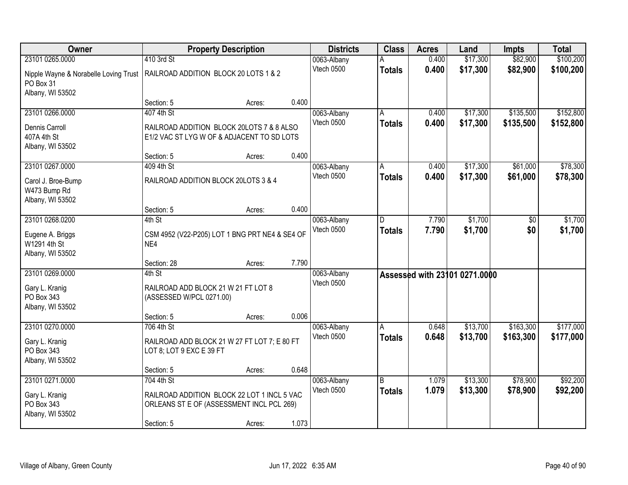| Owner                                 |                                                                          | <b>Property Description</b> |       | <b>Districts</b> | <b>Class</b>   | <b>Acres</b> | Land                          | Impts        | <b>Total</b> |
|---------------------------------------|--------------------------------------------------------------------------|-----------------------------|-------|------------------|----------------|--------------|-------------------------------|--------------|--------------|
| 23101 0265.0000                       | 410 3rd St                                                               |                             |       | 0063-Albany      |                | 0.400        | \$17,300                      | \$82,900     | \$100,200    |
| Nipple Wayne & Norabelle Loving Trust | RAILROAD ADDITION BLOCK 20 LOTS 1 & 2                                    |                             |       | Vtech 0500       | <b>Totals</b>  | 0.400        | \$17,300                      | \$82,900     | \$100,200    |
| PO Box 31                             |                                                                          |                             |       |                  |                |              |                               |              |              |
| Albany, WI 53502                      |                                                                          |                             |       |                  |                |              |                               |              |              |
|                                       | Section: 5                                                               | Acres:                      | 0.400 |                  |                |              |                               |              |              |
| 23101 0266.0000                       | 407 4th St                                                               |                             |       | 0063-Albany      |                | 0.400        | \$17,300                      | \$135,500    | \$152,800    |
| Dennis Carroll                        | RAILROAD ADDITION BLOCK 20LOTS 7 & 8 ALSO                                |                             |       | Vtech 0500       | Totals         | 0.400        | \$17,300                      | \$135,500    | \$152,800    |
| 407A 4th St                           | E1/2 VAC ST LYG W OF & ADJACENT TO SD LOTS                               |                             |       |                  |                |              |                               |              |              |
| Albany, WI 53502                      |                                                                          |                             |       |                  |                |              |                               |              |              |
|                                       | Section: 5                                                               | Acres:                      | 0.400 |                  |                |              |                               |              |              |
| 23101 0267.0000                       | 409 4th St                                                               |                             |       | 0063-Albany      | A              | 0.400        | \$17,300                      | \$61,000     | \$78,300     |
| Carol J. Broe-Bump                    | RAILROAD ADDITION BLOCK 20LOTS 3 & 4                                     |                             |       | Vtech 0500       | <b>Totals</b>  | 0.400        | \$17,300                      | \$61,000     | \$78,300     |
| W473 Bump Rd                          |                                                                          |                             |       |                  |                |              |                               |              |              |
| Albany, WI 53502                      |                                                                          |                             |       |                  |                |              |                               |              |              |
|                                       | Section: 5                                                               | Acres:                      | 0.400 |                  |                |              |                               |              |              |
| 23101 0268.0200                       | 4th St                                                                   |                             |       | 0063-Albany      | D.             | 7.790        | \$1,700                       | $\sqrt[6]{}$ | \$1,700      |
| Eugene A. Briggs                      | CSM 4952 (V22-P205) LOT 1 BNG PRT NE4 & SE4 OF                           |                             |       | Vtech 0500       | <b>Totals</b>  | 7.790        | \$1,700                       | \$0          | \$1,700      |
| W1291 4th St                          | NE4                                                                      |                             |       |                  |                |              |                               |              |              |
| Albany, WI 53502                      |                                                                          |                             |       |                  |                |              |                               |              |              |
|                                       | Section: 28                                                              | Acres:                      | 7.790 |                  |                |              |                               |              |              |
| 23101 0269.0000                       | 4th St                                                                   |                             |       | 0063-Albany      |                |              | Assessed with 23101 0271.0000 |              |              |
| Gary L. Kranig                        | RAILROAD ADD BLOCK 21 W 21 FT LOT 8                                      |                             |       | Vtech 0500       |                |              |                               |              |              |
| PO Box 343                            | (ASSESSED W/PCL 0271.00)                                                 |                             |       |                  |                |              |                               |              |              |
| Albany, WI 53502                      |                                                                          |                             |       |                  |                |              |                               |              |              |
|                                       | Section: 5                                                               | Acres:                      | 0.006 |                  |                |              |                               |              |              |
| 23101 0270.0000                       | 706 4th St                                                               |                             |       | 0063-Albany      | A              | 0.648        | \$13,700                      | \$163,300    | \$177,000    |
|                                       |                                                                          |                             |       | Vtech 0500       | <b>Totals</b>  | 0.648        | \$13,700                      | \$163,300    | \$177,000    |
| Gary L. Kranig<br>PO Box 343          | RAILROAD ADD BLOCK 21 W 27 FT LOT 7; E 80 FT<br>LOT 8; LOT 9 EXC E 39 FT |                             |       |                  |                |              |                               |              |              |
| Albany, WI 53502                      |                                                                          |                             |       |                  |                |              |                               |              |              |
|                                       | Section: 5                                                               | Acres:                      | 0.648 |                  |                |              |                               |              |              |
| 23101 0271.0000                       | 704 4th St                                                               |                             |       | 0063-Albany      | $\overline{B}$ | 1.079        | \$13,300                      | \$78,900     | \$92,200     |
|                                       |                                                                          |                             |       | Vtech 0500       | <b>Totals</b>  | 1.079        | \$13,300                      | \$78,900     | \$92,200     |
| Gary L. Kranig                        | RAILROAD ADDITION BLOCK 22 LOT 1 INCL 5 VAC                              |                             |       |                  |                |              |                               |              |              |
| PO Box 343<br>Albany, WI 53502        | ORLEANS ST E OF (ASSESSMENT INCL PCL 269)                                |                             |       |                  |                |              |                               |              |              |
|                                       | Section: 5                                                               | Acres:                      | 1.073 |                  |                |              |                               |              |              |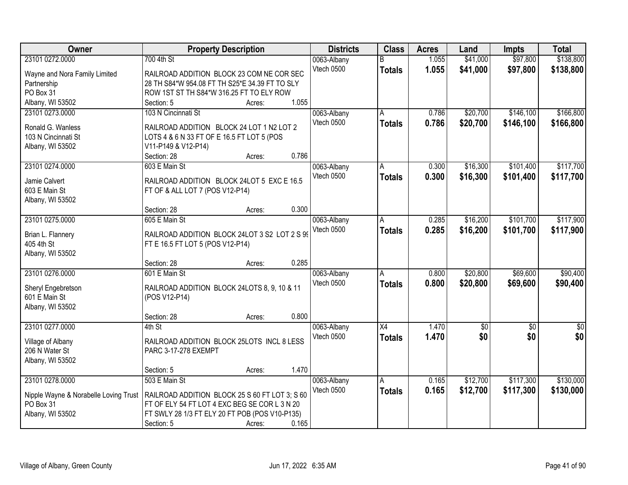| Owner                                 | <b>Property Description</b>                    |        |       | <b>Districts</b> | <b>Class</b>    | <b>Acres</b> | Land       | <b>Impts</b> | <b>Total</b>  |
|---------------------------------------|------------------------------------------------|--------|-------|------------------|-----------------|--------------|------------|--------------|---------------|
| 23101 0272.0000                       | 700 4th St                                     |        |       | 0063-Albany      | B               | 1.055        | \$41,000   | \$97,800     | \$138,800     |
| Wayne and Nora Family Limited         | RAILROAD ADDITION BLOCK 23 COM NE COR SEC      |        |       | Vtech 0500       | <b>Totals</b>   | 1.055        | \$41,000   | \$97,800     | \$138,800     |
| Partnership                           | 28 TH S84*W 954.08 FT TH S25*E 34.39 FT TO SLY |        |       |                  |                 |              |            |              |               |
| PO Box 31                             | ROW 1ST ST TH S84*W 316.25 FT TO ELY ROW       |        |       |                  |                 |              |            |              |               |
| Albany, WI 53502                      | Section: 5                                     | Acres: | 1.055 |                  |                 |              |            |              |               |
| 23101 0273.0000                       | 103 N Cincinnati St                            |        |       | 0063-Albany      | A               | 0.786        | \$20,700   | \$146,100    | \$166,800     |
|                                       |                                                |        |       | Vtech 0500       | <b>Totals</b>   | 0.786        | \$20,700   | \$146,100    | \$166,800     |
| Ronald G. Wanless                     | RAILROAD ADDITION BLOCK 24 LOT 1 N2 LOT 2      |        |       |                  |                 |              |            |              |               |
| 103 N Cincinnati St                   | LOTS 4 & 6 N 33 FT OF E 16.5 FT LOT 5 (POS     |        |       |                  |                 |              |            |              |               |
| Albany, WI 53502                      | V11-P149 & V12-P14)                            |        | 0.786 |                  |                 |              |            |              |               |
|                                       | Section: 28                                    | Acres: |       |                  |                 |              |            |              |               |
| 23101 0274.0000                       | 603 E Main St                                  |        |       | 0063-Albany      | A               | 0.300        | \$16,300   | \$101,400    | \$117,700     |
| Jamie Calvert                         | RAILROAD ADDITION BLOCK 24LOT 5 EXC E 16.5     |        |       | Vtech 0500       | <b>Totals</b>   | 0.300        | \$16,300   | \$101,400    | \$117,700     |
| 603 E Main St                         | FT OF & ALL LOT 7 (POS V12-P14)                |        |       |                  |                 |              |            |              |               |
| Albany, WI 53502                      |                                                |        |       |                  |                 |              |            |              |               |
|                                       | Section: 28                                    | Acres: | 0.300 |                  |                 |              |            |              |               |
| 23101 0275.0000                       | 605 E Main St                                  |        |       | 0063-Albany      | A               | 0.285        | \$16,200   | \$101,700    | \$117,900     |
| Brian L. Flannery                     | RAILROAD ADDITION BLOCK 24LOT 3 S2 LOT 2 S 99  |        |       | Vtech 0500       | <b>Totals</b>   | 0.285        | \$16,200   | \$101,700    | \$117,900     |
| 405 4th St                            | FT E 16.5 FT LOT 5 (POS V12-P14)               |        |       |                  |                 |              |            |              |               |
| Albany, WI 53502                      |                                                |        |       |                  |                 |              |            |              |               |
|                                       | Section: 28                                    | Acres: | 0.285 |                  |                 |              |            |              |               |
| 23101 0276.0000                       | 601 E Main St                                  |        |       | 0063-Albany      | A               | 0.800        | \$20,800   | \$69,600     | \$90,400      |
|                                       |                                                |        |       | Vtech 0500       | <b>Totals</b>   | 0.800        | \$20,800   | \$69,600     | \$90,400      |
| Sheryl Engebretson                    | RAILROAD ADDITION BLOCK 24LOTS 8, 9, 10 & 11   |        |       |                  |                 |              |            |              |               |
| 601 E Main St                         | (POS V12-P14)                                  |        |       |                  |                 |              |            |              |               |
| Albany, WI 53502                      |                                                |        |       |                  |                 |              |            |              |               |
|                                       | Section: 28                                    | Acres: | 0.800 |                  |                 |              |            |              |               |
| 23101 0277.0000                       | 4th St                                         |        |       | 0063-Albany      | $\overline{X4}$ | 1.470        | $\sqrt{6}$ | $\sqrt{6}$   | $\frac{6}{3}$ |
| Village of Albany                     | RAILROAD ADDITION BLOCK 25LOTS INCL 8 LESS     |        |       | Vtech 0500       | <b>Totals</b>   | 1.470        | \$0        | \$0          | \$0           |
| 206 N Water St                        | PARC 3-17-278 EXEMPT                           |        |       |                  |                 |              |            |              |               |
| Albany, WI 53502                      |                                                |        |       |                  |                 |              |            |              |               |
|                                       | Section: 5                                     | Acres: | 1.470 |                  |                 |              |            |              |               |
| 23101 0278.0000                       | 503 E Main St                                  |        |       | 0063-Albany      | A               | 0.165        | \$12,700   | \$117,300    | \$130,000     |
|                                       |                                                |        |       | Vtech 0500       | <b>Totals</b>   | 0.165        | \$12,700   | \$117,300    | \$130,000     |
| Nipple Wayne & Norabelle Loving Trust | RAILROAD ADDITION BLOCK 25 S 60 FT LOT 3; S 60 |        |       |                  |                 |              |            |              |               |
| PO Box 31                             | FT OF ELY 54 FT LOT 4 EXC BEG SE COR L 3 N 20  |        |       |                  |                 |              |            |              |               |
| Albany, WI 53502                      | FT SWLY 28 1/3 FT ELY 20 FT POB (POS V10-P135) |        |       |                  |                 |              |            |              |               |
|                                       | Section: 5                                     | Acres: | 0.165 |                  |                 |              |            |              |               |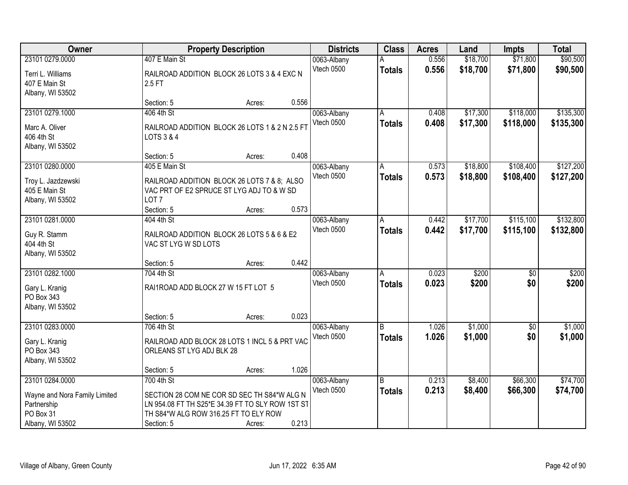| Owner                                | <b>Property Description</b> | <b>Districts</b>                                                                          | <b>Class</b><br><b>Acres</b> |                           | Land          | <b>Impts</b>   | <b>Total</b>         |                      |                      |
|--------------------------------------|-----------------------------|-------------------------------------------------------------------------------------------|------------------------------|---------------------------|---------------|----------------|----------------------|----------------------|----------------------|
| 23101 0279.0000<br>Terri L. Williams | 407 E Main St               | RAILROAD ADDITION BLOCK 26 LOTS 3 & 4 EXC N                                               |                              | 0063-Albany<br>Vtech 0500 | <b>Totals</b> | 0.556<br>0.556 | \$18,700<br>\$18,700 | \$71,800<br>\$71,800 | \$90,500<br>\$90,500 |
| 407 E Main St<br>Albany, WI 53502    | 2.5 FT                      |                                                                                           | 0.556                        |                           |               |                |                      |                      |                      |
| 23101 0279.1000                      | Section: 5<br>406 4th St    | Acres:                                                                                    |                              | 0063-Albany               | A             | 0.408          | \$17,300             | \$118,000            | \$135,300            |
|                                      |                             |                                                                                           |                              | Vtech 0500                | <b>Totals</b> | 0.408          | \$17,300             | \$118,000            | \$135,300            |
| Marc A. Oliver                       |                             | RAILROAD ADDITION BLOCK 26 LOTS 1 & 2 N 2.5 FT                                            |                              |                           |               |                |                      |                      |                      |
| 406 4th St                           | LOTS 3 & 4                  |                                                                                           |                              |                           |               |                |                      |                      |                      |
| Albany, WI 53502                     |                             |                                                                                           |                              |                           |               |                |                      |                      |                      |
|                                      | Section: 5                  | Acres:                                                                                    | 0.408                        |                           |               |                |                      |                      |                      |
| 23101 0280.0000                      | 405 E Main St               |                                                                                           |                              | 0063-Albany               | A             | 0.573          | \$18,800             | \$108,400            | \$127,200            |
| Troy L. Jazdzewski                   |                             | RAILROAD ADDITION BLOCK 26 LOTS 7 & 8; ALSO                                               |                              | Vtech 0500                | <b>Totals</b> | 0.573          | \$18,800             | \$108,400            | \$127,200            |
| 405 E Main St                        |                             | VAC PRT OF E2 SPRUCE ST LYG ADJ TO & W SD                                                 |                              |                           |               |                |                      |                      |                      |
| Albany, WI 53502                     | LOT <sub>7</sub>            |                                                                                           |                              |                           |               |                |                      |                      |                      |
|                                      | Section: 5                  | Acres:                                                                                    | 0.573                        |                           |               |                |                      |                      |                      |
| 23101 0281.0000                      | 404 4th St                  |                                                                                           |                              | 0063-Albany               | A             | 0.442          | \$17,700             | \$115,100            | \$132,800            |
| Guy R. Stamm                         |                             | RAILROAD ADDITION BLOCK 26 LOTS 5 & 6 & E2                                                |                              | Vtech 0500                | <b>Totals</b> | 0.442          | \$17,700             | \$115,100            | \$132,800            |
| 404 4th St                           | VAC ST LYG W SD LOTS        |                                                                                           |                              |                           |               |                |                      |                      |                      |
| Albany, WI 53502                     |                             |                                                                                           |                              |                           |               |                |                      |                      |                      |
|                                      | Section: 5                  | Acres:                                                                                    | 0.442                        |                           |               |                |                      |                      |                      |
| 23101 0282.1000                      | 704 4th St                  |                                                                                           |                              | 0063-Albany               | A             | 0.023          | \$200                | $\overline{50}$      | \$200                |
| Gary L. Kranig                       |                             | RAI1ROAD ADD BLOCK 27 W 15 FT LOT 5                                                       |                              | Vtech 0500                | Totals        | 0.023          | \$200                | \$0                  | \$200                |
| PO Box 343                           |                             |                                                                                           |                              |                           |               |                |                      |                      |                      |
| Albany, WI 53502                     |                             |                                                                                           |                              |                           |               |                |                      |                      |                      |
|                                      | Section: 5                  | Acres:                                                                                    | 0.023                        |                           |               |                |                      |                      |                      |
| 23101 0283.0000                      | 706 4th St                  |                                                                                           |                              | 0063-Albany               | B             | 1.026          | \$1,000              | \$0                  | \$1,000              |
| Gary L. Kranig                       |                             | RAILROAD ADD BLOCK 28 LOTS 1 INCL 5 & PRT VAC                                             |                              | Vtech 0500                | <b>Totals</b> | 1.026          | \$1,000              | \$0                  | \$1,000              |
| PO Box 343                           | ORLEANS ST LYG ADJ BLK 28   |                                                                                           |                              |                           |               |                |                      |                      |                      |
| Albany, WI 53502                     |                             |                                                                                           |                              |                           |               |                |                      |                      |                      |
|                                      | Section: 5                  | Acres:                                                                                    | 1.026                        |                           |               |                |                      |                      |                      |
| 23101 0284.0000                      | 700 4th St                  |                                                                                           |                              | 0063-Albany               | B             | 0.213          | \$8,400              | \$66,300             | \$74,700             |
|                                      |                             |                                                                                           |                              | Vtech 0500                | <b>Totals</b> | 0.213          | \$8,400              | \$66,300             | \$74,700             |
| Wayne and Nora Family Limited        |                             | SECTION 28 COM NE COR SD SEC TH S84*W ALG N                                               |                              |                           |               |                |                      |                      |                      |
| Partnership<br>PO Box 31             |                             | LN 954.08 FT TH S25*E 34.39 FT TO SLY ROW 1ST ST<br>TH S84*W ALG ROW 316.25 FT TO ELY ROW |                              |                           |               |                |                      |                      |                      |
| Albany, WI 53502                     | Section: 5                  | Acres:                                                                                    | 0.213                        |                           |               |                |                      |                      |                      |
|                                      |                             |                                                                                           |                              |                           |               |                |                      |                      |                      |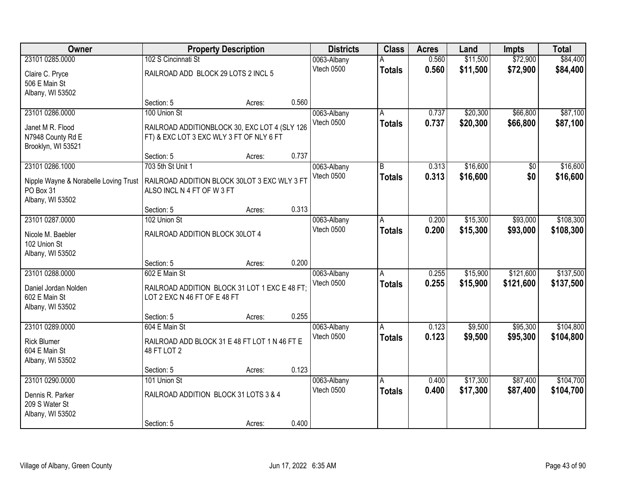| Owner                                 |                                                                               | <b>Property Description</b> |       | <b>Districts</b>          | <b>Class</b>   | <b>Acres</b> | Land     | Impts           | <b>Total</b> |
|---------------------------------------|-------------------------------------------------------------------------------|-----------------------------|-------|---------------------------|----------------|--------------|----------|-----------------|--------------|
| 23101 0285.0000                       | 102 S Cincinnati St                                                           |                             |       | 0063-Albany               |                | 0.560        | \$11,500 | \$72,900        | \$84,400     |
| Claire C. Pryce                       | RAILROAD ADD BLOCK 29 LOTS 2 INCL 5                                           |                             |       | Vtech 0500                | <b>Totals</b>  | 0.560        | \$11,500 | \$72,900        | \$84,400     |
| 506 E Main St                         |                                                                               |                             |       |                           |                |              |          |                 |              |
| Albany, WI 53502                      |                                                                               |                             |       |                           |                |              |          |                 |              |
|                                       | Section: 5                                                                    | Acres:                      | 0.560 |                           |                |              |          |                 |              |
| 23101 0286.0000                       | 100 Union St                                                                  |                             |       | 0063-Albany               |                | 0.737        | \$20,300 | \$66,800        | \$87,100     |
| Janet M R. Flood                      | RAILROAD ADDITIONBLOCK 30, EXC LOT 4 (SLY 126                                 |                             |       | Vtech 0500                | <b>Totals</b>  | 0.737        | \$20,300 | \$66,800        | \$87,100     |
| N7948 County Rd E                     | FT) & EXC LOT 3 EXC WLY 3 FT OF NLY 6 FT                                      |                             |       |                           |                |              |          |                 |              |
| Brooklyn, WI 53521                    |                                                                               |                             |       |                           |                |              |          |                 |              |
|                                       | Section: 5                                                                    | Acres:                      | 0.737 |                           |                |              |          |                 |              |
| 23101 0286.1000                       | 703 5th St Unit 1                                                             |                             |       | 0063-Albany<br>Vtech 0500 | $\overline{B}$ | 0.313        | \$16,600 | $\overline{50}$ | \$16,600     |
| Nipple Wayne & Norabelle Loving Trust | RAILROAD ADDITION BLOCK 30LOT 3 EXC WLY 3 FT                                  |                             |       |                           | <b>Totals</b>  | 0.313        | \$16,600 | \$0             | \$16,600     |
| PO Box 31                             | ALSO INCL N 4 FT OF W 3 FT                                                    |                             |       |                           |                |              |          |                 |              |
| Albany, WI 53502                      |                                                                               |                             | 0.313 |                           |                |              |          |                 |              |
| 23101 0287.0000                       | Section: 5<br>102 Union St                                                    | Acres:                      |       | 0063-Albany               | A              | 0.200        | \$15,300 | \$93,000        | \$108,300    |
|                                       |                                                                               |                             |       | Vtech 0500                | <b>Totals</b>  | 0.200        | \$15,300 | \$93,000        | \$108,300    |
| Nicole M. Baebler                     | RAILROAD ADDITION BLOCK 30LOT 4                                               |                             |       |                           |                |              |          |                 |              |
| 102 Union St<br>Albany, WI 53502      |                                                                               |                             |       |                           |                |              |          |                 |              |
|                                       | Section: 5                                                                    | Acres:                      | 0.200 |                           |                |              |          |                 |              |
| 23101 0288.0000                       | 602 E Main St                                                                 |                             |       | 0063-Albany               | A              | 0.255        | \$15,900 | \$121,600       | \$137,500    |
|                                       |                                                                               |                             |       | Vtech 0500                | <b>Totals</b>  | 0.255        | \$15,900 | \$121,600       | \$137,500    |
| Daniel Jordan Nolden<br>602 E Main St | RAILROAD ADDITION BLOCK 31 LOT 1 EXC E 48 FT;<br>LOT 2 EXC N 46 FT OF E 48 FT |                             |       |                           |                |              |          |                 |              |
| Albany, WI 53502                      |                                                                               |                             |       |                           |                |              |          |                 |              |
|                                       | Section: 5                                                                    | Acres:                      | 0.255 |                           |                |              |          |                 |              |
| 23101 0289.0000                       | 604 E Main St                                                                 |                             |       | 0063-Albany               |                | 0.123        | \$9,500  | \$95,300        | \$104,800    |
| <b>Rick Blumer</b>                    | RAILROAD ADD BLOCK 31 E 48 FT LOT 1 N 46 FT E                                 |                             |       | Vtech 0500                | <b>Totals</b>  | 0.123        | \$9,500  | \$95,300        | \$104,800    |
| 604 E Main St                         | 48 FT LOT 2                                                                   |                             |       |                           |                |              |          |                 |              |
| Albany, WI 53502                      |                                                                               |                             |       |                           |                |              |          |                 |              |
|                                       | Section: 5                                                                    | Acres:                      | 0.123 |                           |                |              |          |                 |              |
| 23101 0290.0000                       | 101 Union St                                                                  |                             |       | 0063-Albany               | A              | 0.400        | \$17,300 | \$87,400        | \$104,700    |
| Dennis R. Parker                      | RAILROAD ADDITION BLOCK 31 LOTS 3 & 4                                         |                             |       | Vtech 0500                | <b>Totals</b>  | 0.400        | \$17,300 | \$87,400        | \$104,700    |
| 209 S Water St                        |                                                                               |                             |       |                           |                |              |          |                 |              |
| Albany, WI 53502                      |                                                                               |                             |       |                           |                |              |          |                 |              |
|                                       | Section: 5                                                                    | Acres:                      | 0.400 |                           |                |              |          |                 |              |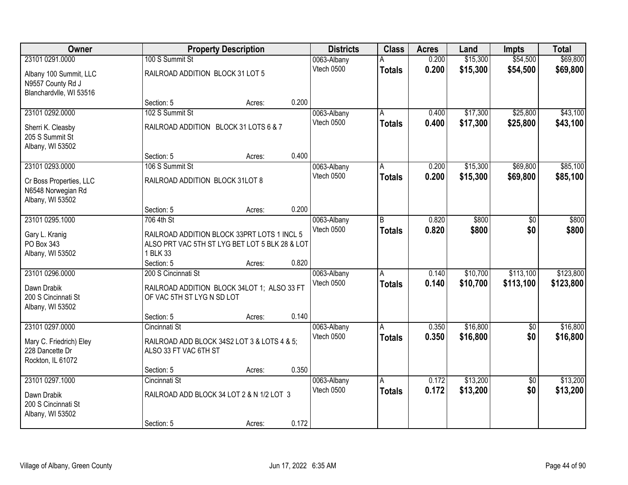| Owner                                                                     |                                                                                                           | <b>Property Description</b> |       | <b>Districts</b>          | <b>Class</b>       | <b>Acres</b>   | Land                 | <b>Impts</b>           | <b>Total</b>           |
|---------------------------------------------------------------------------|-----------------------------------------------------------------------------------------------------------|-----------------------------|-------|---------------------------|--------------------|----------------|----------------------|------------------------|------------------------|
| 23101 0291.0000                                                           | 100 S Summit St                                                                                           |                             |       | 0063-Albany               |                    | 0.200          | \$15,300             | \$54,500               | \$69,800               |
| Albany 100 Summit, LLC<br>N9557 County Rd J<br>Blanchardvlle, WI 53516    | RAILROAD ADDITION BLOCK 31 LOT 5                                                                          |                             |       | Vtech 0500                | <b>Totals</b>      | 0.200          | \$15,300             | \$54,500               | \$69,800               |
|                                                                           | Section: 5                                                                                                | Acres:                      | 0.200 |                           |                    |                |                      |                        |                        |
| 23101 0292.0000                                                           | 102 S Summit St                                                                                           |                             |       | 0063-Albany               |                    | 0.400          | \$17,300             | \$25,800               | \$43,100               |
| Sherri K. Cleasby<br>205 S Summit St<br>Albany, WI 53502                  | RAILROAD ADDITION BLOCK 31 LOTS 6 & 7                                                                     |                             |       | Vtech 0500                | <b>Totals</b>      | 0.400          | \$17,300             | \$25,800               | \$43,100               |
|                                                                           | Section: 5                                                                                                | Acres:                      | 0.400 |                           |                    |                |                      |                        |                        |
| 23101 0293.0000                                                           | 106 S Summit St                                                                                           |                             |       | 0063-Albany               | A                  | 0.200          | \$15,300             | \$69,800               | \$85,100               |
| Cr Boss Properties, LLC<br>N6548 Norwegian Rd<br>Albany, WI 53502         | RAILROAD ADDITION BLOCK 31LOT 8                                                                           |                             |       | Vtech 0500                | <b>Totals</b>      | 0.200          | \$15,300             | \$69,800               | \$85,100               |
|                                                                           | Section: 5                                                                                                | Acres:                      | 0.200 |                           |                    |                |                      |                        |                        |
| 23101 0295.1000                                                           | 706 4th St                                                                                                |                             |       | 0063-Albany               | $\overline{B}$     | 0.820          | \$800                | $\overline{30}$        | \$800                  |
| Gary L. Kranig<br>PO Box 343<br>Albany, WI 53502                          | RAILROAD ADDITION BLOCK 33PRT LOTS 1 INCL 5<br>ALSO PRT VAC 5TH ST LYG BET LOT 5 BLK 28 & LOT<br>1 BLK 33 |                             |       | Vtech 0500                | <b>Totals</b>      | 0.820          | \$800                | \$0                    | \$800                  |
|                                                                           | Section: 5                                                                                                | Acres:                      | 0.820 |                           |                    |                |                      |                        |                        |
| 23101 0296.0000<br>Dawn Drabik<br>200 S Cincinnati St<br>Albany, WI 53502 | 200 S Cincinnati St<br>RAILROAD ADDITION BLOCK 34LOT 1; ALSO 33 FT<br>OF VAC 5TH ST LYG N SD LOT          |                             |       | 0063-Albany<br>Vtech 0500 | A<br><b>Totals</b> | 0.140<br>0.140 | \$10,700<br>\$10,700 | \$113,100<br>\$113,100 | \$123,800<br>\$123,800 |
|                                                                           | Section: 5                                                                                                | Acres:                      | 0.140 |                           |                    |                |                      |                        |                        |
| 23101 0297.0000                                                           | Cincinnati St                                                                                             |                             |       | 0063-Albany               | A                  | 0.350          | \$16,800             | $\overline{50}$        | \$16,800               |
| Mary C. Friedrich) Eley<br>228 Dancette Dr<br>Rockton, IL 61072           | RAILROAD ADD BLOCK 34S2 LOT 3 & LOTS 4 & 5;<br>ALSO 33 FT VAC 6TH ST                                      |                             |       | Vtech 0500                | <b>Totals</b>      | 0.350          | \$16,800             | \$0                    | \$16,800               |
|                                                                           | Section: 5                                                                                                | Acres:                      | 0.350 |                           |                    |                |                      |                        |                        |
| 23101 0297.1000                                                           | Cincinnati St                                                                                             |                             |       | 0063-Albany               | Α                  | 0.172          | \$13,200             | $\overline{50}$        | \$13,200               |
| Dawn Drabik<br>200 S Cincinnati St<br>Albany, WI 53502                    | RAILROAD ADD BLOCK 34 LOT 2 & N 1/2 LOT 3                                                                 |                             |       | Vtech 0500                | <b>Totals</b>      | 0.172          | \$13,200             | \$0                    | \$13,200               |
|                                                                           | Section: 5                                                                                                | Acres:                      | 0.172 |                           |                    |                |                      |                        |                        |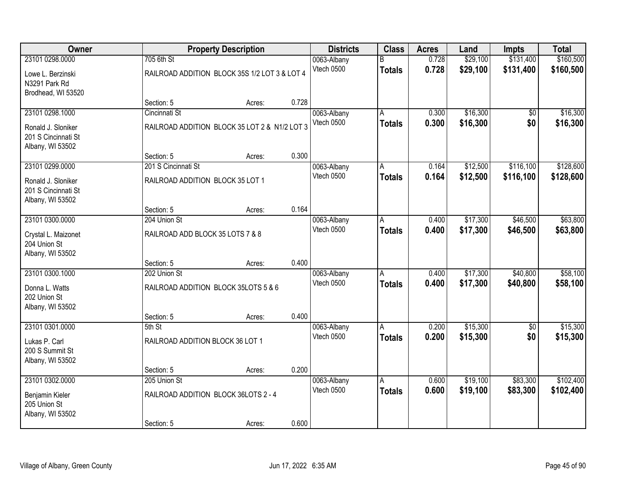| <b>Owner</b>                                                  |                                               | <b>Property Description</b> |       | <b>Districts</b> | <b>Class</b>  | <b>Acres</b> | Land     | Impts      | <b>Total</b> |
|---------------------------------------------------------------|-----------------------------------------------|-----------------------------|-------|------------------|---------------|--------------|----------|------------|--------------|
| 23101 0298.0000                                               | 705 6th St                                    |                             |       | 0063-Albany      | R             | 0.728        | \$29,100 | \$131,400  | \$160,500    |
| Lowe L. Berzinski<br>N3291 Park Rd<br>Brodhead, WI 53520      | RAILROAD ADDITION BLOCK 35S 1/2 LOT 3 & LOT 4 |                             |       | Vtech 0500       | <b>Totals</b> | 0.728        | \$29,100 | \$131,400  | \$160,500    |
|                                                               | Section: 5                                    | Acres:                      | 0.728 |                  |               |              |          |            |              |
| 23101 0298.1000                                               | Cincinnati St                                 |                             |       | 0063-Albany      | A             | 0.300        | \$16,300 | \$0        | \$16,300     |
| Ronald J. Sloniker<br>201 S Cincinnati St<br>Albany, WI 53502 | RAILROAD ADDITION BLOCK 35 LOT 2 & N1/2 LOT 3 |                             |       | Vtech 0500       | <b>Totals</b> | 0.300        | \$16,300 | \$0        | \$16,300     |
|                                                               | Section: 5                                    | Acres:                      | 0.300 |                  |               |              |          |            |              |
| 23101 0299.0000                                               | 201 S Cincinnati St                           |                             |       | 0063-Albany      | A             | 0.164        | \$12,500 | \$116,100  | \$128,600    |
| Ronald J. Sloniker<br>201 S Cincinnati St<br>Albany, WI 53502 | RAILROAD ADDITION BLOCK 35 LOT 1              |                             |       | Vtech 0500       | <b>Totals</b> | 0.164        | \$12,500 | \$116,100  | \$128,600    |
|                                                               | Section: 5                                    | Acres:                      | 0.164 |                  |               |              |          |            |              |
| 23101 0300.0000                                               | 204 Union St                                  |                             |       | 0063-Albany      | A             | 0.400        | \$17,300 | \$46,500   | \$63,800     |
| Crystal L. Maizonet<br>204 Union St<br>Albany, WI 53502       | RAILROAD ADD BLOCK 35 LOTS 7 & 8              |                             |       | Vtech 0500       | <b>Totals</b> | 0.400        | \$17,300 | \$46,500   | \$63,800     |
|                                                               | Section: 5                                    | Acres:                      | 0.400 |                  |               |              |          |            |              |
| 23101 0300.1000                                               | 202 Union St                                  |                             |       | 0063-Albany      | A             | 0.400        | \$17,300 | \$40,800   | \$58,100     |
| Donna L. Watts<br>202 Union St<br>Albany, WI 53502            | RAILROAD ADDITION BLOCK 35LOTS 5 & 6          |                             |       | Vtech 0500       | <b>Totals</b> | 0.400        | \$17,300 | \$40,800   | \$58,100     |
|                                                               | Section: 5                                    | Acres:                      | 0.400 |                  |               |              |          |            |              |
| 23101 0301.0000                                               | $5th$ St                                      |                             |       | 0063-Albany      | A             | 0.200        | \$15,300 | $\sqrt{6}$ | \$15,300     |
| Lukas P. Carl<br>200 S Summit St<br>Albany, WI 53502          | RAILROAD ADDITION BLOCK 36 LOT 1              |                             |       | Vtech 0500       | <b>Totals</b> | 0.200        | \$15,300 | \$0        | \$15,300     |
|                                                               | Section: 5                                    | Acres:                      | 0.200 |                  |               |              |          |            |              |
| 23101 0302.0000                                               | 205 Union St                                  |                             |       | 0063-Albany      | А             | 0.600        | \$19,100 | \$83,300   | \$102,400    |
| Benjamin Kieler<br>205 Union St<br>Albany, WI 53502           | RAILROAD ADDITION BLOCK 36LOTS 2 - 4          |                             |       | Vtech 0500       | <b>Totals</b> | 0.600        | \$19,100 | \$83,300   | \$102,400    |
|                                                               | Section: 5                                    | Acres:                      | 0.600 |                  |               |              |          |            |              |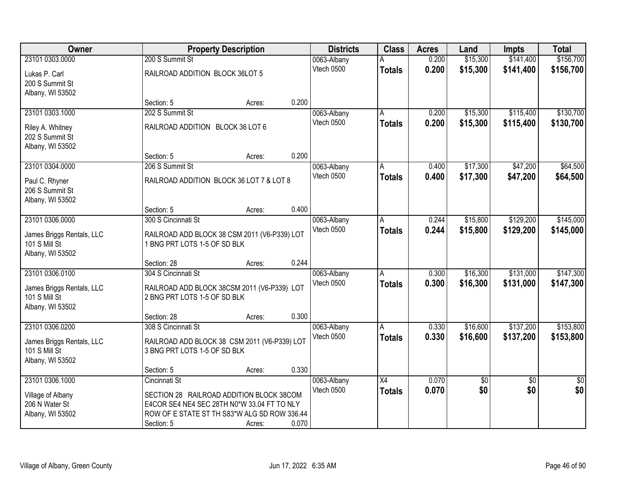| Owner                     |                                              | <b>Property Description</b> |       | <b>Districts</b> | <b>Class</b>    | <b>Acres</b> | Land     | <b>Impts</b>    | <b>Total</b>    |
|---------------------------|----------------------------------------------|-----------------------------|-------|------------------|-----------------|--------------|----------|-----------------|-----------------|
| 23101 0303.0000           | 200 S Summit St                              |                             |       | 0063-Albany      |                 | 0.200        | \$15,300 | \$141,400       | \$156,700       |
| Lukas P. Carl             | RAILROAD ADDITION BLOCK 36LOT 5              |                             |       | Vtech 0500       | <b>Totals</b>   | 0.200        | \$15,300 | \$141,400       | \$156,700       |
| 200 S Summit St           |                                              |                             |       |                  |                 |              |          |                 |                 |
| Albany, WI 53502          |                                              |                             |       |                  |                 |              |          |                 |                 |
|                           | Section: 5                                   | Acres:                      | 0.200 |                  |                 |              |          |                 |                 |
| 23101 0303.1000           | 202 S Summit St                              |                             |       | 0063-Albany      | А               | 0.200        | \$15,300 | \$115,400       | \$130,700       |
| Riley A. Whitney          | RAILROAD ADDITION BLOCK 36 LOT 6             |                             |       | Vtech 0500       | <b>Totals</b>   | 0.200        | \$15,300 | \$115,400       | \$130,700       |
| 202 S Summit St           |                                              |                             |       |                  |                 |              |          |                 |                 |
| Albany, WI 53502          |                                              |                             |       |                  |                 |              |          |                 |                 |
|                           | Section: 5                                   | Acres:                      | 0.200 |                  |                 |              |          |                 |                 |
| 23101 0304.0000           | 206 S Summit St                              |                             |       | 0063-Albany      | A               | 0.400        | \$17,300 | \$47,200        | \$64,500        |
| Paul C. Rhyner            | RAILROAD ADDITION BLOCK 36 LOT 7 & LOT 8     |                             |       | Vtech 0500       | <b>Totals</b>   | 0.400        | \$17,300 | \$47,200        | \$64,500        |
| 206 S Summit St           |                                              |                             |       |                  |                 |              |          |                 |                 |
| Albany, WI 53502          |                                              |                             |       |                  |                 |              |          |                 |                 |
|                           | Section: 5                                   | Acres:                      | 0.400 |                  |                 |              |          |                 |                 |
| 23101 0306.0000           | 300 S Cincinnati St                          |                             |       | 0063-Albany      | A               | 0.244        | \$15,800 | \$129,200       | \$145,000       |
| James Briggs Rentals, LLC | RAILROAD ADD BLOCK 38 CSM 2011 (V6-P339) LOT |                             |       | Vtech 0500       | <b>Totals</b>   | 0.244        | \$15,800 | \$129,200       | \$145,000       |
| 101 S Mill St             | 1 BNG PRT LOTS 1-5 OF SD BLK                 |                             |       |                  |                 |              |          |                 |                 |
| Albany, WI 53502          |                                              |                             |       |                  |                 |              |          |                 |                 |
|                           | Section: 28                                  | Acres:                      | 0.244 |                  |                 |              |          |                 |                 |
| 23101 0306.0100           | 304 S Cincinnati St                          |                             |       | 0063-Albany      | A               | 0.300        | \$16,300 | \$131,000       | \$147,300       |
| James Briggs Rentals, LLC | RAILROAD ADD BLOCK 38CSM 2011 (V6-P339) LOT  |                             |       | Vtech 0500       | <b>Totals</b>   | 0.300        | \$16,300 | \$131,000       | \$147,300       |
| 101 S Mill St             | 2 BNG PRT LOTS 1-5 OF SD BLK                 |                             |       |                  |                 |              |          |                 |                 |
| Albany, WI 53502          |                                              |                             |       |                  |                 |              |          |                 |                 |
|                           | Section: 28                                  | Acres:                      | 0.300 |                  |                 |              |          |                 |                 |
| 23101 0306.0200           | 308 S Cincinnati St                          |                             |       | 0063-Albany      | A               | 0.330        | \$16,600 | \$137,200       | \$153,800       |
| James Briggs Rentals, LLC | RAILROAD ADD BLOCK 38 CSM 2011 (V6-P339) LOT |                             |       | Vtech 0500       | <b>Totals</b>   | 0.330        | \$16,600 | \$137,200       | \$153,800       |
| 101 S Mill St             | 3 BNG PRT LOTS 1-5 OF SD BLK                 |                             |       |                  |                 |              |          |                 |                 |
| Albany, WI 53502          |                                              |                             |       |                  |                 |              |          |                 |                 |
|                           | Section: 5                                   | Acres:                      | 0.330 |                  |                 |              |          |                 |                 |
| 23101 0306.1000           | Cincinnati St                                |                             |       | 0063-Albany      | $\overline{X4}$ | 0.070        | \$0      | $\overline{30}$ | $\overline{50}$ |
| Village of Albany         | SECTION 28 RAILROAD ADDITION BLOCK 38COM     |                             |       | Vtech 0500       | <b>Totals</b>   | 0.070        | \$0      | \$0             | \$0             |
| 206 N Water St            | E4COR SE4 NE4 SEC 28TH N0*W 33.04 FT TO NLY  |                             |       |                  |                 |              |          |                 |                 |
| Albany, WI 53502          | ROW OF E STATE ST TH S83*W ALG SD ROW 336.44 |                             |       |                  |                 |              |          |                 |                 |
|                           | Section: 5                                   | Acres:                      | 0.070 |                  |                 |              |          |                 |                 |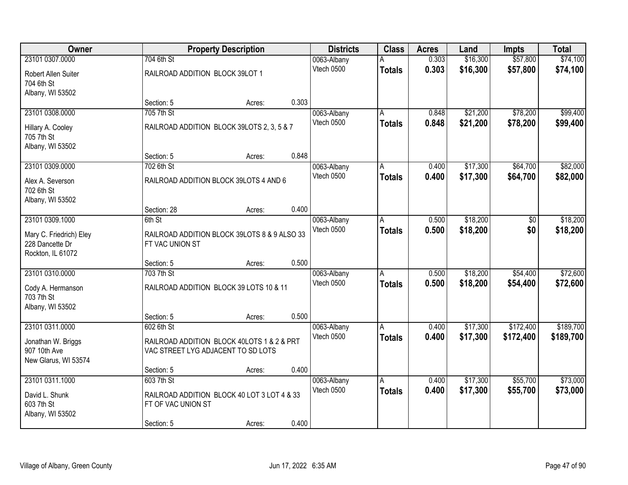| Owner<br><b>Property Description</b> | <b>Districts</b>                             | <b>Class</b> | <b>Acres</b> | Land                      | <b>Impts</b>  | <b>Total</b>   |          |            |           |
|--------------------------------------|----------------------------------------------|--------------|--------------|---------------------------|---------------|----------------|----------|------------|-----------|
| 23101 0307.0000                      | 704 6th St                                   |              |              | 0063-Albany               |               | 0.303          | \$16,300 | \$57,800   | \$74,100  |
| Robert Allen Suiter                  | RAILROAD ADDITION BLOCK 39LOT 1              |              |              | Vtech 0500                | <b>Totals</b> | 0.303          | \$16,300 | \$57,800   | \$74,100  |
| 704 6th St                           |                                              |              |              |                           |               |                |          |            |           |
| Albany, WI 53502                     |                                              |              |              |                           |               |                |          |            |           |
|                                      | Section: 5                                   | Acres:       | 0.303        |                           |               |                |          |            |           |
| 23101 0308.0000                      | 705 7th St                                   |              |              | 0063-Albany               | A             | 0.848          | \$21,200 | \$78,200   | \$99,400  |
| Hillary A. Cooley                    | RAILROAD ADDITION BLOCK 39LOTS 2, 3, 5 & 7   |              |              | Vtech 0500                | <b>Totals</b> | 0.848          | \$21,200 | \$78,200   | \$99,400  |
| 705 7th St                           |                                              |              |              |                           |               |                |          |            |           |
| Albany, WI 53502                     |                                              |              |              |                           |               |                |          |            |           |
|                                      | Section: 5                                   | Acres:       | 0.848        |                           |               |                |          |            |           |
| 23101 0309.0000                      | 702 6th St                                   |              |              | 0063-Albany               | A             | 0.400          | \$17,300 | \$64,700   | \$82,000  |
| Alex A. Severson                     | RAILROAD ADDITION BLOCK 39LOTS 4 AND 6       |              |              | Vtech 0500                | <b>Totals</b> | 0.400          | \$17,300 | \$64,700   | \$82,000  |
| 702 6th St                           |                                              |              |              |                           |               |                |          |            |           |
| Albany, WI 53502                     |                                              |              |              |                           |               |                |          |            |           |
| 23101 0309.1000                      | Section: 28<br>6th St                        | Acres:       | 0.400        |                           |               |                | \$18,200 |            | \$18,200  |
|                                      |                                              |              |              | 0063-Albany<br>Vtech 0500 | A             | 0.500<br>0.500 | \$18,200 | \$0<br>\$0 | \$18,200  |
| Mary C. Friedrich) Eley              | RAILROAD ADDITION BLOCK 39LOTS 8 & 9 ALSO 33 |              |              |                           | <b>Totals</b> |                |          |            |           |
| 228 Dancette Dr                      | FT VAC UNION ST                              |              |              |                           |               |                |          |            |           |
| Rockton, IL 61072                    |                                              |              | 0.500        |                           |               |                |          |            |           |
| 23101 0310.0000                      | Section: 5<br>703 7th St                     | Acres:       |              | 0063-Albany               | Α             | 0.500          | \$18,200 | \$54,400   | \$72,600  |
|                                      |                                              |              |              | Vtech 0500                | <b>Totals</b> | 0.500          | \$18,200 | \$54,400   | \$72,600  |
| Cody A. Hermanson                    | RAILROAD ADDITION BLOCK 39 LOTS 10 & 11      |              |              |                           |               |                |          |            |           |
| 703 7th St                           |                                              |              |              |                           |               |                |          |            |           |
| Albany, WI 53502                     | Section: 5                                   | Acres:       | 0.500        |                           |               |                |          |            |           |
| 23101 0311.0000                      | 602 6th St                                   |              |              | 0063-Albany               | A             | 0.400          | \$17,300 | \$172,400  | \$189,700 |
|                                      |                                              |              |              | Vtech 0500                | <b>Totals</b> | 0.400          | \$17,300 | \$172,400  | \$189,700 |
| Jonathan W. Briggs                   | RAILROAD ADDITION BLOCK 40LOTS 1 & 2 & PRT   |              |              |                           |               |                |          |            |           |
| 907 10th Ave<br>New Glarus, WI 53574 | VAC STREET LYG ADJACENT TO SD LOTS           |              |              |                           |               |                |          |            |           |
|                                      | Section: 5                                   | Acres:       | 0.400        |                           |               |                |          |            |           |
| 23101 0311.1000                      | 603 7th St                                   |              |              | 0063-Albany               | A             | 0.400          | \$17,300 | \$55,700   | \$73,000  |
|                                      |                                              |              |              | Vtech 0500                | <b>Totals</b> | 0.400          | \$17,300 | \$55,700   | \$73,000  |
| David L. Shunk<br>603 7th St         | RAILROAD ADDITION BLOCK 40 LOT 3 LOT 4 & 33  |              |              |                           |               |                |          |            |           |
| Albany, WI 53502                     | FT OF VAC UNION ST                           |              |              |                           |               |                |          |            |           |
|                                      | Section: 5                                   | Acres:       | 0.400        |                           |               |                |          |            |           |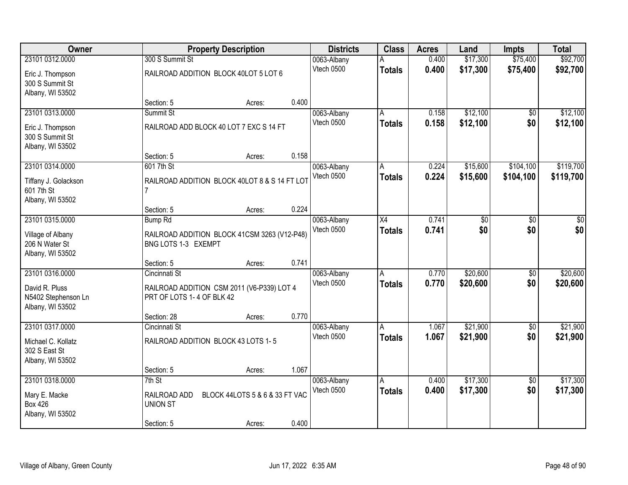| Owner                |                                     | <b>Property Description</b>                   |       | <b>Districts</b>          | <b>Class</b>    | <b>Acres</b>   | Land     | <b>Impts</b>           | <b>Total</b> |
|----------------------|-------------------------------------|-----------------------------------------------|-------|---------------------------|-----------------|----------------|----------|------------------------|--------------|
| 23101 0312.0000      | 300 S Summit St                     |                                               |       | 0063-Albany               |                 | 0.400          | \$17,300 | \$75,400               | \$92,700     |
| Eric J. Thompson     |                                     | RAILROAD ADDITION BLOCK 40LOT 5 LOT 6         |       | Vtech 0500                | <b>Totals</b>   | 0.400          | \$17,300 | \$75,400               | \$92,700     |
| 300 S Summit St      |                                     |                                               |       |                           |                 |                |          |                        |              |
| Albany, WI 53502     |                                     |                                               |       |                           |                 |                |          |                        |              |
|                      | Section: 5                          | Acres:                                        | 0.400 |                           |                 |                |          |                        |              |
| 23101 0313.0000      | Summit St                           |                                               |       | 0063-Albany               | A               | 0.158          | \$12,100 | \$0                    | \$12,100     |
| Eric J. Thompson     |                                     | RAILROAD ADD BLOCK 40 LOT 7 EXC S 14 FT       |       | Vtech 0500                | <b>Totals</b>   | 0.158          | \$12,100 | \$0                    | \$12,100     |
| 300 S Summit St      |                                     |                                               |       |                           |                 |                |          |                        |              |
| Albany, WI 53502     |                                     |                                               |       |                           |                 |                |          |                        |              |
|                      | Section: 5                          | Acres:                                        | 0.158 |                           |                 |                |          |                        |              |
| 23101 0314.0000      | 601 7th St                          |                                               |       | 0063-Albany               | A               | 0.224          | \$15,600 | \$104,100              | \$119,700    |
| Tiffany J. Golackson |                                     | RAILROAD ADDITION BLOCK 40LOT 8 & S 14 FT LOT |       | Vtech 0500                | <b>Totals</b>   | 0.224          | \$15,600 | \$104,100              | \$119,700    |
| 601 7th St           |                                     |                                               |       |                           |                 |                |          |                        |              |
| Albany, WI 53502     |                                     |                                               |       |                           |                 |                |          |                        |              |
|                      | Section: 5                          | Acres:                                        | 0.224 |                           |                 |                |          |                        |              |
| 23101 0315.0000      | <b>Bump Rd</b>                      |                                               |       | 0063-Albany<br>Vtech 0500 | $\overline{X4}$ | 0.741          | \$0      | \$0                    | \$0          |
| Village of Albany    |                                     | RAILROAD ADDITION BLOCK 41CSM 3263 (V12-P48)  |       |                           | <b>Totals</b>   | 0.741          | \$0      | \$0                    | \$0          |
| 206 N Water St       | BNG LOTS 1-3 EXEMPT                 |                                               |       |                           |                 |                |          |                        |              |
| Albany, WI 53502     |                                     |                                               |       |                           |                 |                |          |                        |              |
|                      | Section: 5                          | Acres:                                        | 0.741 |                           |                 |                |          |                        |              |
| 23101 0316,0000      | Cincinnati St                       |                                               |       | 0063-Albany<br>Vtech 0500 | A               | 0.770          | \$20,600 | \$0                    | \$20,600     |
| David R. Pluss       |                                     | RAILROAD ADDITION CSM 2011 (V6-P339) LOT 4    |       |                           | <b>Totals</b>   | 0.770          | \$20,600 | \$0                    | \$20,600     |
| N5402 Stephenson Ln  | PRT OF LOTS 1-4 OF BLK 42           |                                               |       |                           |                 |                |          |                        |              |
| Albany, WI 53502     |                                     |                                               |       |                           |                 |                |          |                        |              |
|                      | Section: 28                         | Acres:                                        | 0.770 |                           |                 |                |          |                        |              |
| 23101 0317.0000      | Cincinnati St                       |                                               |       | 0063-Albany<br>Vtech 0500 | A               | 1.067          | \$21,900 | $\overline{50}$        | \$21,900     |
| Michael C. Kollatz   | RAILROAD ADDITION BLOCK 43 LOTS 1-5 |                                               |       |                           | <b>Totals</b>   | 1.067          | \$21,900 | \$0                    | \$21,900     |
| 302 S East St        |                                     |                                               |       |                           |                 |                |          |                        |              |
| Albany, WI 53502     |                                     |                                               |       |                           |                 |                |          |                        |              |
|                      | Section: 5                          | Acres:                                        | 1.067 |                           |                 |                |          |                        |              |
| 23101 0318.0000      | 7th St                              |                                               |       | 0063-Albany<br>Vtech 0500 | A               | 0.400<br>0.400 | \$17,300 | $\overline{50}$<br>\$0 | \$17,300     |
| Mary E. Macke        | RAILROAD ADD                        | BLOCK 44LOTS 5 & 6 & 33 FT VAC                |       |                           | <b>Totals</b>   |                | \$17,300 |                        | \$17,300     |
| <b>Box 426</b>       | <b>UNION ST</b>                     |                                               |       |                           |                 |                |          |                        |              |
| Albany, WI 53502     |                                     |                                               |       |                           |                 |                |          |                        |              |
|                      | Section: 5                          | Acres:                                        | 0.400 |                           |                 |                |          |                        |              |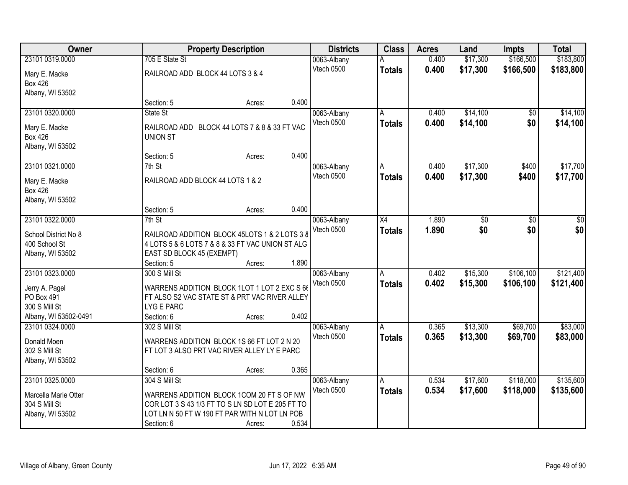| Owner                                 |                                  | <b>Property Description</b>                      |       | <b>Districts</b> | <b>Class</b>   | <b>Acres</b> | Land     | Impts           | <b>Total</b> |
|---------------------------------------|----------------------------------|--------------------------------------------------|-------|------------------|----------------|--------------|----------|-----------------|--------------|
| 23101 0319.0000                       | 705 E State St                   |                                                  |       | 0063-Albany      | А              | 0.400        | \$17,300 | \$166,500       | \$183,800    |
| Mary E. Macke                         | RAILROAD ADD BLOCK 44 LOTS 3 & 4 |                                                  |       | Vtech 0500       | <b>Totals</b>  | 0.400        | \$17,300 | \$166,500       | \$183,800    |
| <b>Box 426</b>                        |                                  |                                                  |       |                  |                |              |          |                 |              |
| Albany, WI 53502                      |                                  |                                                  |       |                  |                |              |          |                 |              |
|                                       | Section: 5                       | Acres:                                           | 0.400 |                  |                |              |          |                 |              |
| 23101 0320.0000                       | State St                         |                                                  |       | 0063-Albany      | A              | 0.400        | \$14,100 | $\overline{50}$ | \$14,100     |
| Mary E. Macke                         | RAILROAD ADD                     | BLOCK 44 LOTS 7 & 8 & 33 FT VAC                  |       | Vtech 0500       | <b>Totals</b>  | 0.400        | \$14,100 | \$0             | \$14,100     |
| <b>Box 426</b>                        | <b>UNION ST</b>                  |                                                  |       |                  |                |              |          |                 |              |
| Albany, WI 53502                      |                                  |                                                  |       |                  |                |              |          |                 |              |
|                                       | Section: 5                       | Acres:                                           | 0.400 |                  |                |              |          |                 |              |
| 23101 0321.0000                       | 7th St                           |                                                  |       | 0063-Albany      | A              | 0.400        | \$17,300 | \$400           | \$17,700     |
| Mary E. Macke                         | RAILROAD ADD BLOCK 44 LOTS 1 & 2 |                                                  |       | Vtech 0500       | <b>Totals</b>  | 0.400        | \$17,300 | \$400           | \$17,700     |
| <b>Box 426</b>                        |                                  |                                                  |       |                  |                |              |          |                 |              |
| Albany, WI 53502                      |                                  |                                                  |       |                  |                |              |          |                 |              |
|                                       | Section: 5                       | Acres:                                           | 0.400 |                  |                |              |          |                 |              |
| 23101 0322.0000                       | 7th St                           |                                                  |       | 0063-Albany      | X4             | 1.890        | \$0      | $\sqrt[6]{}$    | \$0          |
|                                       |                                  | RAILROAD ADDITION BLOCK 45LOTS 1 & 2 LOTS 3 8    |       | Vtech 0500       | <b>Totals</b>  | 1.890        | \$0      | \$0             | \$0          |
| School District No 8<br>400 School St |                                  | 4 LOTS 5 & 6 LOTS 7 & 8 & 33 FT VAC UNION ST ALG |       |                  |                |              |          |                 |              |
| Albany, WI 53502                      | EAST SD BLOCK 45 (EXEMPT)        |                                                  |       |                  |                |              |          |                 |              |
|                                       | Section: 5                       | Acres:                                           | 1.890 |                  |                |              |          |                 |              |
| 23101 0323.0000                       | 300 S Mill St                    |                                                  |       | 0063-Albany      | $\overline{A}$ | 0.402        | \$15,300 | \$106,100       | \$121,400    |
|                                       |                                  |                                                  |       | Vtech 0500       | <b>Totals</b>  | 0.402        | \$15,300 | \$106,100       | \$121,400    |
| Jerry A. Pagel<br>PO Box 491          |                                  | WARRENS ADDITION BLOCK 1LOT 1 LOT 2 EXC S 66     |       |                  |                |              |          |                 |              |
| 300 S Mill St                         | LYG E PARC                       | FT ALSO S2 VAC STATE ST & PRT VAC RIVER ALLEY    |       |                  |                |              |          |                 |              |
| Albany, WI 53502-0491                 | Section: 6                       | Acres:                                           | 0.402 |                  |                |              |          |                 |              |
| 23101 0324.0000                       | 302 S Mill St                    |                                                  |       | 0063-Albany      | A              | 0.365        | \$13,300 | \$69,700        | \$83,000     |
|                                       |                                  |                                                  |       | Vtech 0500       | <b>Totals</b>  | 0.365        | \$13,300 | \$69,700        | \$83,000     |
| Donald Moen                           |                                  | WARRENS ADDITION BLOCK 1S 66 FT LOT 2 N 20       |       |                  |                |              |          |                 |              |
| 302 S Mill St                         |                                  | FT LOT 3 ALSO PRT VAC RIVER ALLEY LY E PARC      |       |                  |                |              |          |                 |              |
| Albany, WI 53502                      | Section: 6                       | Acres:                                           | 0.365 |                  |                |              |          |                 |              |
| 23101 0325.0000                       | <b>304 S Mill St</b>             |                                                  |       | 0063-Albany      | A              | 0.534        | \$17,600 | \$118,000       | \$135,600    |
|                                       |                                  |                                                  |       | Vtech 0500       | <b>Totals</b>  | 0.534        | \$17,600 | \$118,000       | \$135,600    |
| Marcella Marie Otter                  |                                  | WARRENS ADDITION BLOCK 1COM 20 FT S OF NW        |       |                  |                |              |          |                 |              |
| 304 S Mill St                         |                                  | COR LOT 3 S 43 1/3 FT TO S LN SD LOT E 205 FT TO |       |                  |                |              |          |                 |              |
| Albany, WI 53502                      |                                  | LOT LN N 50 FT W 190 FT PAR WITH N LOT LN POB    | 0.534 |                  |                |              |          |                 |              |
|                                       | Section: 6                       | Acres:                                           |       |                  |                |              |          |                 |              |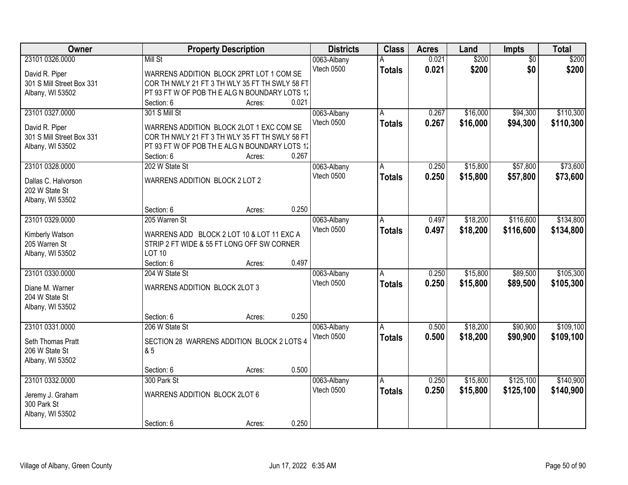| Owner                     | <b>Property Description</b>                           | <b>Districts</b> | <b>Class</b>  | <b>Acres</b> | Land     | Impts           | <b>Total</b> |
|---------------------------|-------------------------------------------------------|------------------|---------------|--------------|----------|-----------------|--------------|
| 23101 0326.0000           | Mill St                                               | 0063-Albany      |               | 0.021        | \$200    | $\overline{50}$ | \$200        |
| David R. Piper            | WARRENS ADDITION BLOCK 2PRT LOT 1 COM SE              | Vtech 0500       | <b>Totals</b> | 0.021        | \$200    | \$0             | \$200        |
| 301 S Mill Street Box 331 | COR TH NWLY 21 FT 3 TH WLY 35 FT TH SWLY 58 FT        |                  |               |              |          |                 |              |
| Albany, WI 53502          | PT 93 FT W OF POB TH E ALG N BOUNDARY LOTS 12         |                  |               |              |          |                 |              |
|                           | 0.021<br>Section: 6<br>Acres:                         |                  |               |              |          |                 |              |
| 23101 0327.0000           | <b>301 S Mill St</b>                                  | 0063-Albany      | A             | 0.267        | \$16,000 | \$94,300        | \$110,300    |
|                           |                                                       | Vtech 0500       | <b>Totals</b> | 0.267        | \$16,000 | \$94,300        | \$110,300    |
| David R. Piper            | WARRENS ADDITION BLOCK 2LOT 1 EXC COM SE              |                  |               |              |          |                 |              |
| 301 S Mill Street Box 331 | COR TH NWLY 21 FT 3 TH WLY 35 FT TH SWLY 58 FT        |                  |               |              |          |                 |              |
| Albany, WI 53502          | PT 93 FT W OF POB THE ALG N BOUNDARY LOTS 12<br>0.267 |                  |               |              |          |                 |              |
|                           | Section: 6<br>Acres:                                  |                  |               |              |          |                 | \$73,600     |
| 23101 0328.0000           | 202 W State St                                        | 0063-Albany      | A             | 0.250        | \$15,800 | \$57,800        |              |
| Dallas C. Halvorson       | WARRENS ADDITION BLOCK 2 LOT 2                        | Vtech 0500       | <b>Totals</b> | 0.250        | \$15,800 | \$57,800        | \$73,600     |
| 202 W State St            |                                                       |                  |               |              |          |                 |              |
| Albany, WI 53502          |                                                       |                  |               |              |          |                 |              |
|                           | 0.250<br>Section: 6<br>Acres:                         |                  |               |              |          |                 |              |
| 23101 0329.0000           | 205 Warren St                                         | 0063-Albany      | A             | 0.497        | \$18,200 | \$116,600       | \$134,800    |
| Kimberly Watson           | WARRENS ADD BLOCK 2 LOT 10 & LOT 11 EXC A             | Vtech 0500       | <b>Totals</b> | 0.497        | \$18,200 | \$116,600       | \$134,800    |
| 205 Warren St             | STRIP 2 FT WIDE & 55 FT LONG OFF SW CORNER            |                  |               |              |          |                 |              |
| Albany, WI 53502          | <b>LOT 10</b>                                         |                  |               |              |          |                 |              |
|                           | 0.497<br>Section: 6<br>Acres:                         |                  |               |              |          |                 |              |
| 23101 0330.0000           | 204 W State St                                        | 0063-Albany      | Α             | 0.250        | \$15,800 | \$89,500        | \$105,300    |
|                           |                                                       | Vtech 0500       |               | 0.250        |          | \$89,500        |              |
| Diane M. Warner           | WARRENS ADDITION BLOCK 2LOT 3                         |                  | <b>Totals</b> |              | \$15,800 |                 | \$105,300    |
| 204 W State St            |                                                       |                  |               |              |          |                 |              |
| Albany, WI 53502          |                                                       |                  |               |              |          |                 |              |
|                           | 0.250<br>Section: 6<br>Acres:                         |                  |               |              |          |                 |              |
| 23101 0331.0000           | 206 W State St                                        | 0063-Albany      | A             | 0.500        | \$18,200 | \$90,900        | \$109,100    |
| Seth Thomas Pratt         | SECTION 28 WARRENS ADDITION BLOCK 2 LOTS 4            | Vtech 0500       | <b>Totals</b> | 0.500        | \$18,200 | \$90,900        | \$109,100    |
| 206 W State St            | & 5                                                   |                  |               |              |          |                 |              |
| Albany, WI 53502          |                                                       |                  |               |              |          |                 |              |
|                           | 0.500<br>Section: 6<br>Acres:                         |                  |               |              |          |                 |              |
| 23101 0332.0000           | 300 Park St                                           | 0063-Albany      | A             | 0.250        | \$15,800 | \$125,100       | \$140,900    |
|                           |                                                       | Vtech 0500       | <b>Totals</b> | 0.250        | \$15,800 | \$125,100       | \$140,900    |
| Jeremy J. Graham          | WARRENS ADDITION BLOCK 2LOT 6                         |                  |               |              |          |                 |              |
| 300 Park St               |                                                       |                  |               |              |          |                 |              |
| Albany, WI 53502          |                                                       |                  |               |              |          |                 |              |
|                           | 0.250<br>Section: 6<br>Acres:                         |                  |               |              |          |                 |              |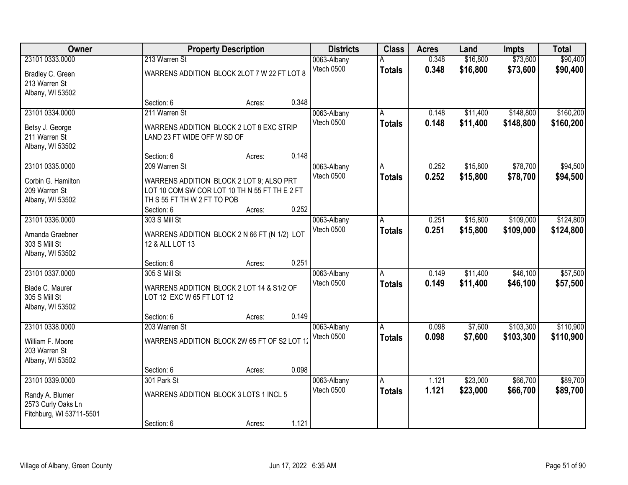| Owner                                                |                                                                         | <b>Property Description</b> |       | <b>Districts</b>          | <b>Class</b>  | <b>Acres</b> | Land     | Impts     | <b>Total</b> |
|------------------------------------------------------|-------------------------------------------------------------------------|-----------------------------|-------|---------------------------|---------------|--------------|----------|-----------|--------------|
| 23101 0333.0000                                      | 213 Warren St                                                           |                             |       | 0063-Albany               |               | 0.348        | \$16,800 | \$73,600  | \$90,400     |
| Bradley C. Green<br>213 Warren St                    | WARRENS ADDITION BLOCK 2LOT 7 W 22 FT LOT 8                             |                             |       | Vtech 0500                | <b>Totals</b> | 0.348        | \$16,800 | \$73,600  | \$90,400     |
| Albany, WI 53502                                     |                                                                         |                             |       |                           |               |              |          |           |              |
|                                                      | Section: 6                                                              | Acres:                      | 0.348 |                           |               |              |          |           |              |
| 23101 0334.0000                                      | 211 Warren St                                                           |                             |       | 0063-Albany               |               | 0.148        | \$11,400 | \$148,800 | \$160,200    |
| Betsy J. George<br>211 Warren St<br>Albany, WI 53502 | WARRENS ADDITION BLOCK 2 LOT 8 EXC STRIP<br>LAND 23 FT WIDE OFF W SD OF |                             |       | Vtech 0500                | <b>Totals</b> | 0.148        | \$11,400 | \$148,800 | \$160,200    |
|                                                      | Section: 6                                                              | Acres:                      | 0.148 |                           |               |              |          |           |              |
| 23101 0335.0000                                      | 209 Warren St                                                           |                             |       | 0063-Albany               | A             | 0.252        | \$15,800 | \$78,700  | \$94,500     |
| Corbin G. Hamilton                                   | WARRENS ADDITION BLOCK 2 LOT 9; ALSO PRT                                |                             |       | Vtech 0500                | <b>Totals</b> | 0.252        | \$15,800 | \$78,700  | \$94,500     |
| 209 Warren St                                        | LOT 10 COM SW COR LOT 10 TH N 55 FT TH E 2 FT                           |                             |       |                           |               |              |          |           |              |
| Albany, WI 53502                                     | TH S 55 FT TH W 2 FT TO POB                                             |                             |       |                           |               |              |          |           |              |
|                                                      | Section: 6                                                              | Acres:                      | 0.252 |                           |               |              |          |           |              |
| 23101 0336.0000                                      | 303 S Mill St                                                           |                             |       | 0063-Albany               | A             | 0.251        | \$15,800 | \$109,000 | \$124,800    |
| Amanda Graebner                                      | WARRENS ADDITION BLOCK 2 N 66 FT (N 1/2) LOT                            |                             |       | Vtech 0500                | <b>Totals</b> | 0.251        | \$15,800 | \$109,000 | \$124,800    |
| 303 S Mill St                                        | 12 & ALL LOT 13                                                         |                             |       |                           |               |              |          |           |              |
| Albany, WI 53502                                     |                                                                         |                             |       |                           |               |              |          |           |              |
| 23101 0337.0000                                      | Section: 6<br><b>305 S Mill St</b>                                      | Acres:                      | 0.251 |                           | A             | 0.149        | \$11,400 | \$46,100  | \$57,500     |
|                                                      |                                                                         |                             |       | 0063-Albany<br>Vtech 0500 | <b>Totals</b> | 0.149        | \$11,400 | \$46,100  | \$57,500     |
| Blade C. Maurer                                      | WARRENS ADDITION BLOCK 2 LOT 14 & S1/2 OF                               |                             |       |                           |               |              |          |           |              |
| 305 S Mill St                                        | LOT 12 EXC W 65 FT LOT 12                                               |                             |       |                           |               |              |          |           |              |
| Albany, WI 53502                                     | Section: 6                                                              | Acres:                      | 0.149 |                           |               |              |          |           |              |
| 23101 0338.0000                                      | 203 Warren St                                                           |                             |       | 0063-Albany               | A             | 0.098        | \$7,600  | \$103,300 | \$110,900    |
|                                                      |                                                                         |                             |       | Vtech 0500                | <b>Totals</b> | 0.098        | \$7,600  | \$103,300 | \$110,900    |
| William F. Moore                                     | WARRENS ADDITION BLOCK 2W 65 FT OF S2 LOT 12                            |                             |       |                           |               |              |          |           |              |
| 203 Warren St                                        |                                                                         |                             |       |                           |               |              |          |           |              |
| Albany, WI 53502                                     | Section: 6                                                              | Acres:                      | 0.098 |                           |               |              |          |           |              |
| 23101 0339.0000                                      | 301 Park St                                                             |                             |       | 0063-Albany               | A             | 1.121        | \$23,000 | \$66,700  | \$89,700     |
|                                                      |                                                                         |                             |       | Vtech 0500                | <b>Totals</b> | 1.121        | \$23,000 | \$66,700  | \$89,700     |
| Randy A. Blumer                                      | WARRENS ADDITION BLOCK 3 LOTS 1 INCL 5                                  |                             |       |                           |               |              |          |           |              |
| 2573 Curly Oaks Ln<br>Fitchburg, WI 53711-5501       |                                                                         |                             |       |                           |               |              |          |           |              |
|                                                      | Section: 6                                                              | Acres:                      | 1.121 |                           |               |              |          |           |              |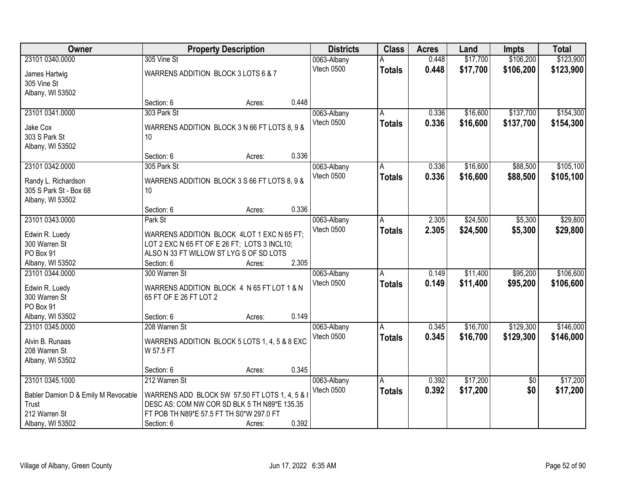| Owner                               | <b>Property Description</b>                                |        | <b>Districts</b> | <b>Class</b>  | <b>Acres</b> | Land     | <b>Impts</b>    | <b>Total</b> |
|-------------------------------------|------------------------------------------------------------|--------|------------------|---------------|--------------|----------|-----------------|--------------|
| 23101 0340.0000                     | 305 Vine St                                                |        | 0063-Albany      |               | 0.448        | \$17,700 | \$106,200       | \$123,900    |
| James Hartwig                       | WARRENS ADDITION BLOCK 3 LOTS 6 & 7                        |        | Vtech 0500       | <b>Totals</b> | 0.448        | \$17,700 | \$106,200       | \$123,900    |
| 305 Vine St                         |                                                            |        |                  |               |              |          |                 |              |
| Albany, WI 53502                    |                                                            |        |                  |               |              |          |                 |              |
|                                     | Section: 6                                                 | Acres: | 0.448            |               |              |          |                 |              |
| 23101 0341.0000                     | 303 Park St                                                |        | 0063-Albany      | Α             | 0.336        | \$16,600 | \$137,700       | \$154,300    |
|                                     |                                                            |        | Vtech 0500       | <b>Totals</b> | 0.336        | \$16,600 | \$137,700       | \$154,300    |
| Jake Cox<br>303 S Park St           | WARRENS ADDITION BLOCK 3 N 66 FT LOTS 8, 9 &               |        |                  |               |              |          |                 |              |
|                                     | 10 <sup>°</sup>                                            |        |                  |               |              |          |                 |              |
| Albany, WI 53502                    | Section: 6                                                 | Acres: | 0.336            |               |              |          |                 |              |
| 23101 0342.0000                     | 305 Park St                                                |        | 0063-Albany      | A             | 0.336        | \$16,600 | \$88,500        | \$105,100    |
|                                     |                                                            |        | Vtech 0500       | <b>Totals</b> | 0.336        | \$16,600 | \$88,500        | \$105,100    |
| Randy L. Richardson                 | WARRENS ADDITION BLOCK 3 S 66 FT LOTS 8, 9 &               |        |                  |               |              |          |                 |              |
| 305 S Park St - Box 68              | 10 <sup>°</sup>                                            |        |                  |               |              |          |                 |              |
| Albany, WI 53502                    |                                                            |        |                  |               |              |          |                 |              |
|                                     | Section: 6                                                 | Acres: | 0.336            |               |              |          |                 |              |
| 23101 0343.0000                     | Park St                                                    |        | 0063-Albany      | A             | 2.305        | \$24,500 | \$5,300         | \$29,800     |
| Edwin R. Luedy                      | WARRENS ADDITION BLOCK 4LOT 1 EXC N 65 FT;                 |        | Vtech 0500       | <b>Totals</b> | 2.305        | \$24,500 | \$5,300         | \$29,800     |
| 300 Warren St                       | LOT 2 EXC N 65 FT OF E 26 FT; LOTS 3 INCL10;               |        |                  |               |              |          |                 |              |
| PO Box 91                           | ALSO N 33 FT WILLOW ST LYG S OF SD LOTS                    |        |                  |               |              |          |                 |              |
| Albany, WI 53502                    | Section: 6                                                 | Acres: | 2.305            |               |              |          |                 |              |
| 23101 0344.0000                     | 300 Warren St                                              |        | 0063-Albany      | A             | 0.149        | \$11,400 | \$95,200        | \$106,600    |
| Edwin R. Luedy                      | WARRENS ADDITION BLOCK 4 N 65 FT LOT 1 & N                 |        | Vtech 0500       | <b>Totals</b> | 0.149        | \$11,400 | \$95,200        | \$106,600    |
| 300 Warren St                       | 65 FT OF E 26 FT LOT 2                                     |        |                  |               |              |          |                 |              |
| PO Box 91                           |                                                            |        |                  |               |              |          |                 |              |
| Albany, WI 53502                    | Section: 6                                                 | Acres: | 0.149            |               |              |          |                 |              |
| 23101 0345.0000                     | 208 Warren St                                              |        | 0063-Albany      | A             | 0.345        | \$16,700 | \$129,300       | \$146,000    |
|                                     |                                                            |        | Vtech 0500       | <b>Totals</b> | 0.345        | \$16,700 | \$129,300       | \$146,000    |
| Alvin B. Runaas<br>208 Warren St    | WARRENS ADDITION BLOCK 5 LOTS 1, 4, 5 & 8 EXC<br>W 57.5 FT |        |                  |               |              |          |                 |              |
| Albany, WI 53502                    |                                                            |        |                  |               |              |          |                 |              |
|                                     | Section: 6                                                 | Acres: | 0.345            |               |              |          |                 |              |
| 23101 0345.1000                     | 212 Warren St                                              |        | 0063-Albany      | A             | 0.392        | \$17,200 | $\overline{50}$ | \$17,200     |
|                                     |                                                            |        | Vtech 0500       | <b>Totals</b> | 0.392        | \$17,200 | \$0             | \$17,200     |
| Babler Damion D & Emily M Revocable | WARRENS ADD BLOCK 5W 57.50 FT LOTS 1, 4, 5 & 8             |        |                  |               |              |          |                 |              |
| Trust                               | DESC AS: COM NW COR SD BLK 5 TH N89*E 135.35               |        |                  |               |              |          |                 |              |
| 212 Warren St                       | FT POB TH N89*E 57.5 FT TH S0*W 297.0 FT                   |        |                  |               |              |          |                 |              |
| Albany, WI 53502                    | Section: 6                                                 | Acres: | 0.392            |               |              |          |                 |              |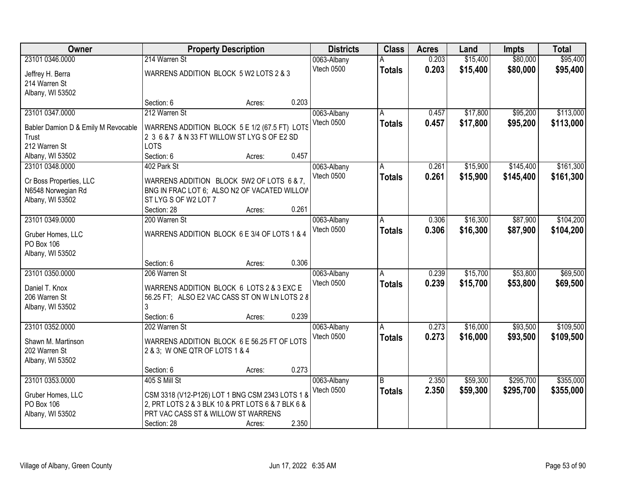| Owner                               | <b>Property Description</b>                       |        |       | <b>Districts</b> | <b>Class</b>  | <b>Acres</b> | Land     | <b>Impts</b> | <b>Total</b> |
|-------------------------------------|---------------------------------------------------|--------|-------|------------------|---------------|--------------|----------|--------------|--------------|
| 23101 0346.0000                     | 214 Warren St                                     |        |       | 0063-Albany      |               | 0.203        | \$15,400 | \$80,000     | \$95,400     |
| Jeffrey H. Berra                    | WARRENS ADDITION BLOCK 5 W2 LOTS 2 & 3            |        |       | Vtech 0500       | <b>Totals</b> | 0.203        | \$15,400 | \$80,000     | \$95,400     |
| 214 Warren St                       |                                                   |        |       |                  |               |              |          |              |              |
| Albany, WI 53502                    |                                                   |        |       |                  |               |              |          |              |              |
|                                     | Section: 6                                        | Acres: | 0.203 |                  |               |              |          |              |              |
| 23101 0347.0000                     | 212 Warren St                                     |        |       | 0063-Albany      | A             | 0.457        | \$17,800 | \$95,200     | \$113,000    |
| Babler Damion D & Emily M Revocable | WARRENS ADDITION BLOCK 5 E 1/2 (67.5 FT) LOTS     |        |       | Vtech 0500       | <b>Totals</b> | 0.457        | \$17,800 | \$95,200     | \$113,000    |
| Trust                               | 2 3 6 & 7 & N 33 FT WILLOW ST LYG S OF E2 SD      |        |       |                  |               |              |          |              |              |
| 212 Warren St                       | <b>LOTS</b>                                       |        |       |                  |               |              |          |              |              |
| Albany, WI 53502                    | Section: 6                                        | Acres: | 0.457 |                  |               |              |          |              |              |
| 23101 0348.0000                     | 402 Park St                                       |        |       | 0063-Albany      | A             | 0.261        | \$15,900 | \$145,400    | \$161,300    |
|                                     |                                                   |        |       | Vtech 0500       | <b>Totals</b> | 0.261        | \$15,900 | \$145,400    | \$161,300    |
| Cr Boss Properties, LLC             | WARRENS ADDITION BLOCK 5W2 OF LOTS 6 & 7.         |        |       |                  |               |              |          |              |              |
| N6548 Norwegian Rd                  | BNG IN FRAC LOT 6; ALSO N2 OF VACATED WILLOW      |        |       |                  |               |              |          |              |              |
| Albany, WI 53502                    | ST LYGS OF W2 LOT 7<br>Section: 28                |        | 0.261 |                  |               |              |          |              |              |
| 23101 0349.0000                     | 200 Warren St                                     | Acres: |       | 0063-Albany      | A             | 0.306        | \$16,300 | \$87,900     | \$104,200    |
|                                     |                                                   |        |       | Vtech 0500       |               | 0.306        | \$16,300 | \$87,900     |              |
| Gruber Homes, LLC                   | WARRENS ADDITION BLOCK 6 E 3/4 OF LOTS 1 & 4      |        |       |                  | <b>Totals</b> |              |          |              | \$104,200    |
| PO Box 106                          |                                                   |        |       |                  |               |              |          |              |              |
| Albany, WI 53502                    |                                                   |        |       |                  |               |              |          |              |              |
|                                     | Section: 6                                        | Acres: | 0.306 |                  |               |              |          |              |              |
| 23101 0350.0000                     | 206 Warren St                                     |        |       | 0063-Albany      | A             | 0.239        | \$15,700 | \$53,800     | \$69,500     |
| Daniel T. Knox                      | WARRENS ADDITION BLOCK 6 LOTS 2 & 3 EXC E         |        |       | Vtech 0500       | <b>Totals</b> | 0.239        | \$15,700 | \$53,800     | \$69,500     |
| 206 Warren St                       | 56.25 FT; ALSO E2 VAC CASS ST ON W LN LOTS 2 8    |        |       |                  |               |              |          |              |              |
| Albany, WI 53502                    |                                                   |        |       |                  |               |              |          |              |              |
|                                     | Section: 6                                        | Acres: | 0.239 |                  |               |              |          |              |              |
| 23101 0352.0000                     | 202 Warren St                                     |        |       | 0063-Albany      | A             | 0.273        | \$16,000 | \$93,500     | \$109,500    |
| Shawn M. Martinson                  | WARRENS ADDITION BLOCK 6 E 56.25 FT OF LOTS       |        |       | Vtech 0500       | <b>Totals</b> | 0.273        | \$16,000 | \$93,500     | \$109,500    |
| 202 Warren St                       | 2 & 3; W ONE QTR OF LOTS 1 & 4                    |        |       |                  |               |              |          |              |              |
| Albany, WI 53502                    |                                                   |        |       |                  |               |              |          |              |              |
|                                     | Section: 6                                        | Acres: | 0.273 |                  |               |              |          |              |              |
| 23101 0353.0000                     | 405 S Mill St                                     |        |       | 0063-Albany      | B             | 2.350        | \$59,300 | \$295,700    | \$355,000    |
|                                     |                                                   |        |       | Vtech 0500       | <b>Totals</b> | 2.350        | \$59,300 | \$295,700    | \$355,000    |
| Gruber Homes, LLC                   | CSM 3318 (V12-P126) LOT 1 BNG CSM 2343 LOTS 1 &   |        |       |                  |               |              |          |              |              |
| PO Box 106                          | 2, PRT LOTS 2 & 3 BLK 10 & PRT LOTS 6 & 7 BLK 6 & |        |       |                  |               |              |          |              |              |
| Albany, WI 53502                    | PRT VAC CASS ST & WILLOW ST WARRENS               |        |       |                  |               |              |          |              |              |
|                                     | Section: 28                                       | Acres: | 2.350 |                  |               |              |          |              |              |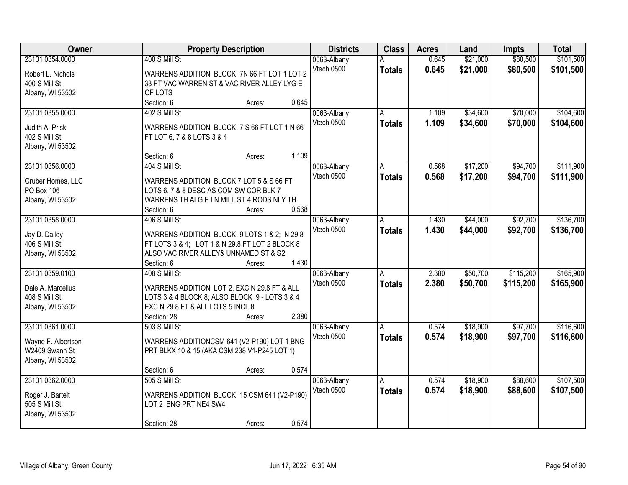| Owner              | <b>Property Description</b>                    | <b>Districts</b> | <b>Class</b>  | <b>Acres</b> | Land     | <b>Impts</b> | <b>Total</b> |
|--------------------|------------------------------------------------|------------------|---------------|--------------|----------|--------------|--------------|
| 23101 0354.0000    | 400 S Mill St                                  | 0063-Albany      |               | 0.645        | \$21,000 | \$80,500     | \$101,500    |
| Robert L. Nichols  | WARRENS ADDITION BLOCK 7N 66 FT LOT 1 LOT 2    | Vtech 0500       | <b>Totals</b> | 0.645        | \$21,000 | \$80,500     | \$101,500    |
| 400 S Mill St      | 33 FT VAC WARREN ST & VAC RIVER ALLEY LYG E    |                  |               |              |          |              |              |
| Albany, WI 53502   | OF LOTS                                        |                  |               |              |          |              |              |
|                    | Section: 6<br>0.645<br>Acres:                  |                  |               |              |          |              |              |
| 23101 0355.0000    | 402 S Mill St                                  | 0063-Albany      | A             | 1.109        | \$34,600 | \$70,000     | \$104,600    |
|                    |                                                | Vtech 0500       | <b>Totals</b> | 1.109        | \$34,600 | \$70,000     | \$104,600    |
| Judith A. Prisk    | WARRENS ADDITION BLOCK 7 S 66 FT LOT 1 N 66    |                  |               |              |          |              |              |
| 402 S Mill St      | FT LOT 6, 7 & 8 LOTS 3 & 4                     |                  |               |              |          |              |              |
| Albany, WI 53502   |                                                |                  |               |              |          |              |              |
|                    | 1.109<br>Section: 6<br>Acres:                  |                  |               |              |          |              |              |
| 23101 0356.0000    | 404 S Mill St                                  | 0063-Albany      | A             | 0.568        | \$17,200 | \$94,700     | \$111,900    |
| Gruber Homes, LLC  | WARRENS ADDITION BLOCK 7 LOT 5 & S 66 FT       | Vtech 0500       | <b>Totals</b> | 0.568        | \$17,200 | \$94,700     | \$111,900    |
| PO Box 106         | LOTS 6, 7 & 8 DESC AS COM SW COR BLK 7         |                  |               |              |          |              |              |
| Albany, WI 53502   | WARRENS TH ALG E LN MILL ST 4 RODS NLY TH      |                  |               |              |          |              |              |
|                    | 0.568<br>Section: 6<br>Acres:                  |                  |               |              |          |              |              |
| 23101 0358.0000    | 406 S Mill St                                  | 0063-Albany      | A             | 1.430        | \$44,000 | \$92,700     | \$136,700    |
|                    |                                                | Vtech 0500       | <b>Totals</b> | 1.430        | \$44,000 | \$92,700     | \$136,700    |
| Jay D. Dailey      | WARRENS ADDITION BLOCK 9 LOTS 1 & 2; N 29.8    |                  |               |              |          |              |              |
| 406 S Mill St      | FT LOTS 3 & 4; LOT 1 & N 29.8 FT LOT 2 BLOCK 8 |                  |               |              |          |              |              |
| Albany, WI 53502   | ALSO VAC RIVER ALLEY& UNNAMED ST & S2          |                  |               |              |          |              |              |
|                    | 1.430<br>Section: 6<br>Acres:                  |                  |               |              |          |              |              |
| 23101 0359.0100    | 408 S Mill St                                  | 0063-Albany      | A             | 2.380        | \$50,700 | \$115,200    | \$165,900    |
| Dale A. Marcellus  | WARRENS ADDITION LOT 2, EXC N 29.8 FT & ALL    | Vtech 0500       | <b>Totals</b> | 2.380        | \$50,700 | \$115,200    | \$165,900    |
| 408 S Mill St      | LOTS 3 & 4 BLOCK 8; ALSO BLOCK 9 - LOTS 3 & 4  |                  |               |              |          |              |              |
| Albany, WI 53502   | EXC N 29.8 FT & ALL LOTS 5 INCL 8              |                  |               |              |          |              |              |
|                    | 2.380<br>Section: 28<br>Acres:                 |                  |               |              |          |              |              |
| 23101 0361.0000    | <b>503 S Mill St</b>                           | 0063-Albany      | A             | 0.574        | \$18,900 | \$97,700     | \$116,600    |
|                    |                                                | Vtech 0500       |               | 0.574        | \$18,900 |              |              |
| Wayne F. Albertson | WARRENS ADDITIONCSM 641 (V2-P190) LOT 1 BNG    |                  | <b>Totals</b> |              |          | \$97,700     | \$116,600    |
| W2409 Swann St     | PRT BLKX 10 & 15 (AKA CSM 238 V1-P245 LOT 1)   |                  |               |              |          |              |              |
| Albany, WI 53502   |                                                |                  |               |              |          |              |              |
|                    | 0.574<br>Section: 6<br>Acres:                  |                  |               |              |          |              |              |
| 23101 0362.0000    | 505 S Mill St                                  | 0063-Albany      | A             | 0.574        | \$18,900 | \$88,600     | \$107,500    |
| Roger J. Bartelt   | WARRENS ADDITION BLOCK 15 CSM 641 (V2-P190)    | Vtech 0500       | <b>Totals</b> | 0.574        | \$18,900 | \$88,600     | \$107,500    |
| 505 S Mill St      | LOT 2 BNG PRT NE4 SW4                          |                  |               |              |          |              |              |
| Albany, WI 53502   |                                                |                  |               |              |          |              |              |
|                    | 0.574                                          |                  |               |              |          |              |              |
|                    | Section: 28<br>Acres:                          |                  |               |              |          |              |              |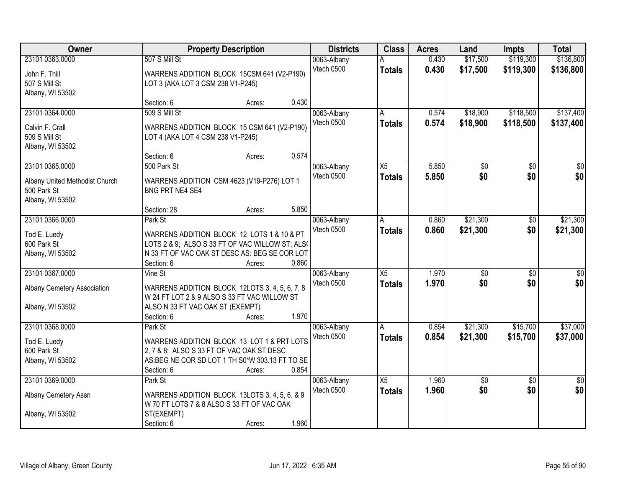| Owner                          | <b>Property Description</b>                     |        | <b>Districts</b> | <b>Class</b>    | <b>Acres</b> | Land            | <b>Impts</b>    | <b>Total</b>     |
|--------------------------------|-------------------------------------------------|--------|------------------|-----------------|--------------|-----------------|-----------------|------------------|
| 23101 0363.0000                | <b>507 S Mill St</b>                            |        | 0063-Albany      |                 | 0.430        | \$17,500        | \$119,300       | \$136,800        |
| John F. Thill                  | WARRENS ADDITION BLOCK 15CSM 641 (V2-P190)      |        | Vtech 0500       | <b>Totals</b>   | 0.430        | \$17,500        | \$119,300       | \$136,800        |
| 507 S Mill St                  | LOT 3 (AKA LOT 3 CSM 238 V1-P245)               |        |                  |                 |              |                 |                 |                  |
| Albany, WI 53502               |                                                 |        |                  |                 |              |                 |                 |                  |
|                                | Section: 6                                      | Acres: | 0.430            |                 |              |                 |                 |                  |
| 23101 0364.0000                | <b>509 S Mill St</b>                            |        | 0063-Albany      | A               | 0.574        | \$18,900        | \$118,500       | \$137,400        |
| Calvin F. Crall                | WARRENS ADDITION BLOCK 15 CSM 641 (V2-P190)     |        | Vtech 0500       | <b>Totals</b>   | 0.574        | \$18,900        | \$118,500       | \$137,400        |
| 509 S Mill St                  | LOT 4 (AKA LOT 4 CSM 238 V1-P245)               |        |                  |                 |              |                 |                 |                  |
| Albany, WI 53502               |                                                 |        |                  |                 |              |                 |                 |                  |
|                                | Section: 6                                      | Acres: | 0.574            |                 |              |                 |                 |                  |
| 23101 0365.0000                | 500 Park St                                     |        | 0063-Albany      | $\overline{X5}$ | 5.850        | \$0             | \$0             | \$0              |
| Albany United Methodist Church | WARRENS ADDITION CSM 4623 (V19-P276) LOT 1      |        | Vtech 0500       | <b>Totals</b>   | 5.850        | \$0             | \$0             | \$0              |
| 500 Park St                    | BNG PRT NE4 SE4                                 |        |                  |                 |              |                 |                 |                  |
| Albany, WI 53502               |                                                 |        |                  |                 |              |                 |                 |                  |
|                                | Section: 28                                     | Acres: | 5.850            |                 |              |                 |                 |                  |
| 23101 0366.0000                | Park St                                         |        | 0063-Albany      | A               | 0.860        | \$21,300        | \$0             | \$21,300         |
| Tod E. Luedy                   | WARRENS ADDITION BLOCK 12 LOTS 1 & 10 & PT      |        | Vtech 0500       | <b>Totals</b>   | 0.860        | \$21,300        | \$0             | \$21,300         |
| 600 Park St                    | LOTS 2 & 9; ALSO S 33 FT OF VAC WILLOW ST; ALS( |        |                  |                 |              |                 |                 |                  |
| Albany, WI 53502               | N 33 FT OF VAC OAK ST DESC AS: BEG SE COR LOT   |        |                  |                 |              |                 |                 |                  |
|                                | Section: 6                                      | Acres: | 0.860            |                 |              |                 |                 |                  |
| 23101 0367.0000                | Vine St                                         |        | 0063-Albany      | $\overline{X5}$ | 1.970        | $\overline{50}$ | $\overline{30}$ | $\overline{\$0}$ |
| Albany Cemetery Association    | WARRENS ADDITION BLOCK 12LOTS 3, 4, 5, 6, 7, 8  |        | Vtech 0500       | <b>Totals</b>   | 1.970        | \$0             | \$0             | \$0              |
|                                | W 24 FT LOT 2 & 9 ALSO S 33 FT VAC WILLOW ST    |        |                  |                 |              |                 |                 |                  |
| Albany, WI 53502               | ALSO N 33 FT VAC OAK ST (EXEMPT)                |        |                  |                 |              |                 |                 |                  |
|                                | Section: 6                                      | Acres: | 1.970            |                 |              |                 |                 |                  |
| 23101 0368.0000                | Park St                                         |        | 0063-Albany      |                 | 0.854        | \$21,300        | \$15,700        | \$37,000         |
| Tod E. Luedy                   | WARRENS ADDITION BLOCK 13 LOT 1 & PRT LOTS      |        | Vtech 0500       | <b>Totals</b>   | 0.854        | \$21,300        | \$15,700        | \$37,000         |
| 600 Park St                    | 2, 7 & 8; ALSO S 33 FT OF VAC OAK ST DESC       |        |                  |                 |              |                 |                 |                  |
| Albany, WI 53502               | AS:BEG NE COR SD LOT 1 TH S0*W 303.13 FT TO SE  |        |                  |                 |              |                 |                 |                  |
|                                | Section: 6                                      | Acres: | 0.854            |                 |              |                 |                 |                  |
| 23101 0369.0000                | Park St                                         |        | 0063-Albany      | $\overline{X5}$ | 1.960        | $\overline{50}$ | $\overline{30}$ | $\overline{50}$  |
| Albany Cemetery Assn           | WARRENS ADDITION BLOCK 13LOTS 3, 4, 5, 6, & 9   |        | Vtech 0500       | <b>Totals</b>   | 1.960        | \$0             | \$0             | \$0              |
|                                | W 70 FT LOTS 7 & 8 ALSO S 33 FT OF VAC OAK      |        |                  |                 |              |                 |                 |                  |
| Albany, WI 53502               | ST(EXEMPT)                                      |        |                  |                 |              |                 |                 |                  |
|                                | Section: 6                                      | Acres: | 1.960            |                 |              |                 |                 |                  |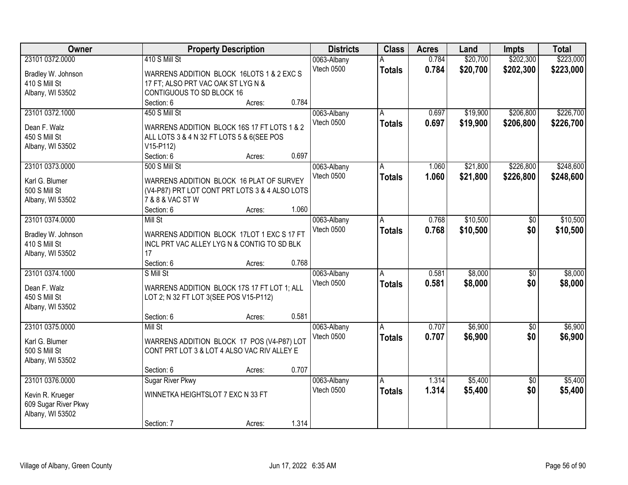| Owner                                    | <b>Property Description</b>                    |                 | <b>Districts</b>  | <b>Class</b>   | <b>Acres</b> | Land     | <b>Impts</b>    | <b>Total</b> |
|------------------------------------------|------------------------------------------------|-----------------|-------------------|----------------|--------------|----------|-----------------|--------------|
| 23101 0372.0000                          | 410 S Mill St                                  |                 | 0063-Albany       |                | 0.784        | \$20,700 | \$202,300       | \$223,000    |
| Bradley W. Johnson                       | WARRENS ADDITION BLOCK 16LOTS 1 & 2 EXC S      |                 | Vtech 0500        | <b>Totals</b>  | 0.784        | \$20,700 | \$202,300       | \$223,000    |
| 410 S Mill St                            | 17 FT; ALSO PRT VAC OAK ST LYG N &             |                 |                   |                |              |          |                 |              |
| Albany, WI 53502                         | CONTIGUOUS TO SD BLOCK 16                      |                 |                   |                |              |          |                 |              |
|                                          | Section: 6                                     | 0.784<br>Acres: |                   |                |              |          |                 |              |
| 23101 0372.1000                          | 450 S Mill St                                  |                 | 0063-Albany       | A              | 0.697        | \$19,900 | \$206,800       | \$226,700    |
|                                          |                                                |                 | Vtech 0500        | <b>Totals</b>  | 0.697        | \$19,900 | \$206,800       | \$226,700    |
| Dean F. Walz                             | WARRENS ADDITION BLOCK 16S 17 FT LOTS 1 & 2    |                 |                   |                |              |          |                 |              |
| 450 S Mill St                            | ALL LOTS 3 & 4 N 32 FT LOTS 5 & 6(SEE POS      |                 |                   |                |              |          |                 |              |
| Albany, WI 53502                         | $V15 - P112$<br>Section: 6                     | 0.697           |                   |                |              |          |                 |              |
| 23101 0373.0000                          | 500 S Mill St                                  | Acres:          | 0063-Albany       | A              | 1.060        | \$21,800 | \$226,800       | \$248,600    |
|                                          |                                                |                 | Vtech 0500        |                |              |          |                 |              |
| Karl G. Blumer                           | WARRENS ADDITION BLOCK 16 PLAT OF SURVEY       |                 |                   | <b>Totals</b>  | 1.060        | \$21,800 | \$226,800       | \$248,600    |
| <b>500 S Mill St</b>                     | (V4-P87) PRT LOT CONT PRT LOTS 3 & 4 ALSO LOTS |                 |                   |                |              |          |                 |              |
| Albany, WI 53502                         | 7 & 8 & VAC ST W                               |                 |                   |                |              |          |                 |              |
|                                          | Section: 6                                     | 1.060<br>Acres: |                   |                |              |          |                 |              |
| 23101 0374.0000                          | Mill St                                        |                 | 0063-Albany       | A              | 0.768        | \$10,500 | \$0             | \$10,500     |
| Bradley W. Johnson                       | WARRENS ADDITION BLOCK 17LOT 1 EXC S 17 FT     |                 | <b>Vtech 0500</b> | <b>Totals</b>  | 0.768        | \$10,500 | \$0             | \$10,500     |
| 410 S Mill St                            | INCL PRT VAC ALLEY LYG N & CONTIG TO SD BLK    |                 |                   |                |              |          |                 |              |
| Albany, WI 53502                         | 17                                             |                 |                   |                |              |          |                 |              |
|                                          | Section: 6                                     | 0.768<br>Acres: |                   |                |              |          |                 |              |
| 23101 0374.1000                          | S Mill St                                      |                 | 0063-Albany       | $\overline{A}$ | 0.581        | \$8,000  | $\overline{50}$ | \$8,000      |
|                                          |                                                |                 | Vtech 0500        | <b>Totals</b>  | 0.581        | \$8,000  | \$0             | \$8,000      |
| Dean F. Walz                             | WARRENS ADDITION BLOCK 17S 17 FT LOT 1; ALL    |                 |                   |                |              |          |                 |              |
| 450 S Mill St                            | LOT 2; N 32 FT LOT 3(SEE POS V15-P112)         |                 |                   |                |              |          |                 |              |
| Albany, WI 53502                         |                                                |                 |                   |                |              |          |                 |              |
|                                          | Section: 6                                     | 0.581<br>Acres: |                   |                |              |          |                 |              |
| 23101 0375.0000                          | Mill St                                        |                 | 0063-Albany       |                | 0.707        | \$6,900  | $\sqrt{6}$      | \$6,900      |
| Karl G. Blumer                           | WARRENS ADDITION BLOCK 17 POS (V4-P87) LOT     |                 | Vtech 0500        | <b>Totals</b>  | 0.707        | \$6,900  | \$0             | \$6,900      |
| 500 S Mill St                            | CONT PRT LOT 3 & LOT 4 ALSO VAC RIV ALLEY E    |                 |                   |                |              |          |                 |              |
| Albany, WI 53502                         |                                                |                 |                   |                |              |          |                 |              |
|                                          | Section: 6                                     | 0.707<br>Acres: |                   |                |              |          |                 |              |
| 23101 0376.0000                          | <b>Sugar River Pkwy</b>                        |                 | 0063-Albany       | A              | 1.314        | \$5,400  | $\overline{50}$ | \$5,400      |
|                                          | WINNETKA HEIGHTSLOT 7 EXC N 33 FT              |                 | Vtech 0500        | <b>Totals</b>  | 1.314        | \$5,400  | \$0             | \$5,400      |
| Kevin R. Krueger<br>609 Sugar River Pkwy |                                                |                 |                   |                |              |          |                 |              |
| Albany, WI 53502                         |                                                |                 |                   |                |              |          |                 |              |
|                                          | Section: 7                                     | 1.314<br>Acres: |                   |                |              |          |                 |              |
|                                          |                                                |                 |                   |                |              |          |                 |              |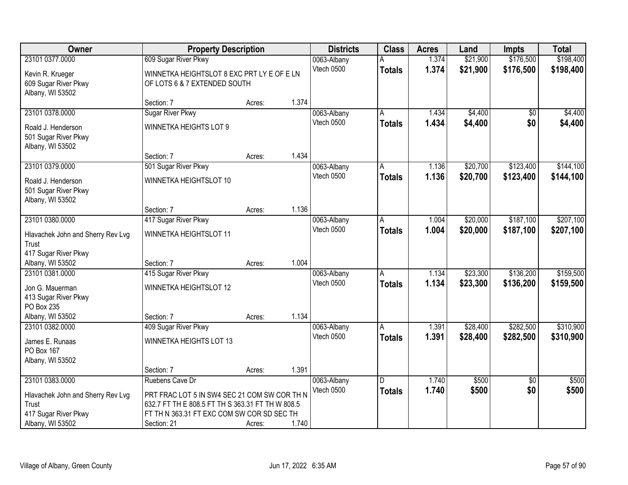| Owner                             | <b>Property Description</b>                      |        |       | <b>Districts</b> | <b>Class</b>  | <b>Acres</b> | Land     | <b>Impts</b>    | <b>Total</b> |
|-----------------------------------|--------------------------------------------------|--------|-------|------------------|---------------|--------------|----------|-----------------|--------------|
| 23101 0377.0000                   | 609 Sugar River Pkwy                             |        |       | 0063-Albany      |               | 1.374        | \$21,900 | \$176,500       | \$198,400    |
| Kevin R. Krueger                  | WINNETKA HEIGHTSLOT 8 EXC PRT LY E OF E LN       |        |       | Vtech 0500       | <b>Totals</b> | 1.374        | \$21,900 | \$176,500       | \$198,400    |
| 609 Sugar River Pkwy              | OF LOTS 6 & 7 EXTENDED SOUTH                     |        |       |                  |               |              |          |                 |              |
| Albany, WI 53502                  |                                                  |        |       |                  |               |              |          |                 |              |
|                                   | Section: 7                                       | Acres: | 1.374 |                  |               |              |          |                 |              |
| 23101 0378.0000                   | <b>Sugar River Pkwy</b>                          |        |       | 0063-Albany      | Α             | 1.434        | \$4,400  | \$0             | \$4,400      |
| Roald J. Henderson                | WINNETKA HEIGHTS LOT 9                           |        |       | Vtech 0500       | <b>Totals</b> | 1.434        | \$4,400  | \$0             | \$4,400      |
| 501 Sugar River Pkwy              |                                                  |        |       |                  |               |              |          |                 |              |
| Albany, WI 53502                  |                                                  |        |       |                  |               |              |          |                 |              |
|                                   | Section: 7                                       | Acres: | 1.434 |                  |               |              |          |                 |              |
| 23101 0379.0000                   | 501 Sugar River Pkwy                             |        |       | 0063-Albany      | A             | 1.136        | \$20,700 | \$123,400       | \$144,100    |
| Roald J. Henderson                | WINNETKA HEIGHTSLOT 10                           |        |       | Vtech 0500       | <b>Totals</b> | 1.136        | \$20,700 | \$123,400       | \$144,100    |
| 501 Sugar River Pkwy              |                                                  |        |       |                  |               |              |          |                 |              |
| Albany, WI 53502                  |                                                  |        |       |                  |               |              |          |                 |              |
|                                   | Section: 7                                       | Acres: | 1.136 |                  |               |              |          |                 |              |
| 23101 0380.0000                   | 417 Sugar River Pkwy                             |        |       | 0063-Albany      | A             | 1.004        | \$20,000 | \$187,100       | \$207,100    |
| Hlavachek John and Sherry Rev Lvg | WINNETKA HEIGHTSLOT 11                           |        |       | Vtech 0500       | <b>Totals</b> | 1.004        | \$20,000 | \$187,100       | \$207,100    |
| Trust                             |                                                  |        |       |                  |               |              |          |                 |              |
| 417 Sugar River Pkwy              |                                                  |        |       |                  |               |              |          |                 |              |
| Albany, WI 53502                  | Section: 7                                       | Acres: | 1.004 |                  |               |              |          |                 |              |
| 23101 0381.0000                   | 415 Sugar River Pkwy                             |        |       | 0063-Albany      | A             | 1.134        | \$23,300 | \$136,200       | \$159,500    |
| Jon G. Mauerman                   | WINNETKA HEIGHTSLOT 12                           |        |       | Vtech 0500       | <b>Totals</b> | 1.134        | \$23,300 | \$136,200       | \$159,500    |
| 413 Sugar River Pkwy              |                                                  |        |       |                  |               |              |          |                 |              |
| PO Box 235                        |                                                  |        |       |                  |               |              |          |                 |              |
| Albany, WI 53502                  | Section: 7                                       | Acres: | 1.134 |                  |               |              |          |                 |              |
| 23101 0382.0000                   | 409 Sugar River Pkwy                             |        |       | 0063-Albany      | A             | 1.391        | \$28,400 | \$282,500       | \$310,900    |
| James E. Runaas                   | WINNETKA HEIGHTS LOT 13                          |        |       | Vtech 0500       | <b>Totals</b> | 1.391        | \$28,400 | \$282,500       | \$310,900    |
| PO Box 167                        |                                                  |        |       |                  |               |              |          |                 |              |
| Albany, WI 53502                  |                                                  |        |       |                  |               |              |          |                 |              |
|                                   | Section: 7                                       | Acres: | 1.391 |                  |               |              |          |                 |              |
| 23101 0383.0000                   | Ruebens Cave Dr                                  |        |       | 0063-Albany      | D.            | 1.740        | \$500    | $\overline{50}$ | \$500        |
| Hlavachek John and Sherry Rev Lvg | PRT FRAC LOT 5 IN SW4 SEC 21 COM SW COR TH N     |        |       | Vtech 0500       | <b>Totals</b> | 1.740        | \$500    | \$0             | \$500        |
| Trust                             | 632.7 FT TH E 808.5 FT TH S 363.31 FT TH W 808.5 |        |       |                  |               |              |          |                 |              |
| 417 Sugar River Pkwy              | FT TH N 363.31 FT EXC COM SW COR SD SEC TH       |        |       |                  |               |              |          |                 |              |
| Albany, WI 53502                  | Section: 21                                      | Acres: | 1.740 |                  |               |              |          |                 |              |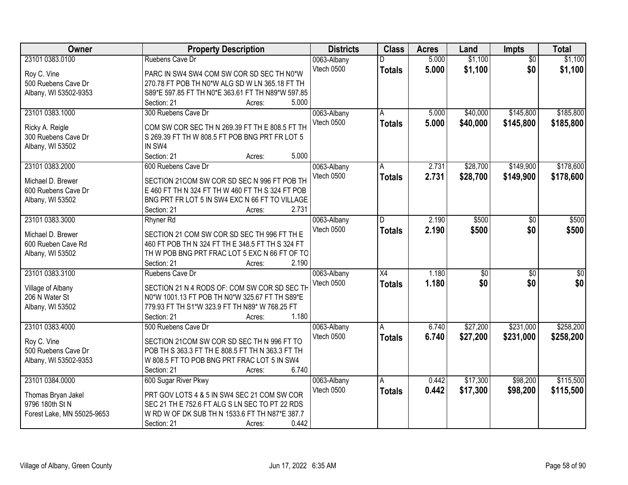| Owner                               | <b>Property Description</b>                       | <b>Districts</b> | <b>Class</b>    | <b>Acres</b> | Land            | Impts           | <b>Total</b> |
|-------------------------------------|---------------------------------------------------|------------------|-----------------|--------------|-----------------|-----------------|--------------|
| 23101 0383.0100                     | Ruebens Cave Dr                                   | 0063-Albany      |                 | 5.000        | \$1,100         | $\overline{50}$ | \$1,100      |
| Roy C. Vine                         | PARC IN SW4 SW4 COM SW COR SD SEC TH N0*W         | Vtech 0500       | <b>Totals</b>   | 5.000        | \$1,100         | \$0             | \$1,100      |
| 500 Ruebens Cave Dr                 | 270.78 FT POB TH N0*W ALG SD W LN 365.18 FT TH    |                  |                 |              |                 |                 |              |
| Albany, WI 53502-9353               | S89*E 597.85 FT TH N0*E 363.61 FT TH N89*W 597.85 |                  |                 |              |                 |                 |              |
|                                     | 5.000<br>Section: 21<br>Acres:                    |                  |                 |              |                 |                 |              |
| 23101 0383.1000                     | 300 Ruebens Cave Dr                               | 0063-Albany      | A               | 5.000        | \$40,000        | \$145,800       | \$185,800    |
|                                     |                                                   | Vtech 0500       | <b>Totals</b>   | 5.000        | \$40,000        | \$145,800       | \$185,800    |
| Ricky A. Reigle                     | COM SW COR SEC TH N 269.39 FT TH E 808.5 FT TH    |                  |                 |              |                 |                 |              |
| 300 Ruebens Cave Dr                 | S 269.39 FT TH W 808.5 FT POB BNG PRT FR LOT 5    |                  |                 |              |                 |                 |              |
| Albany, WI 53502                    | IN SW4                                            |                  |                 |              |                 |                 |              |
|                                     | 5.000<br>Section: 21<br>Acres:                    |                  |                 |              |                 |                 |              |
| 23101 0383.2000                     | 600 Ruebens Cave Dr                               | 0063-Albany      | A               | 2.731        | \$28,700        | \$149,900       | \$178,600    |
| Michael D. Brewer                   | SECTION 21COM SW COR SD SEC N 996 FT POB TH       | Vtech 0500       | <b>Totals</b>   | 2.731        | \$28,700        | \$149,900       | \$178,600    |
| 600 Ruebens Cave Dr                 | E 460 FT TH N 324 FT TH W 460 FT TH S 324 FT POB  |                  |                 |              |                 |                 |              |
| Albany, WI 53502                    | BNG PRT FR LOT 5 IN SW4 EXC N 66 FT TO VILLAGE    |                  |                 |              |                 |                 |              |
|                                     | 2.731<br>Section: 21<br>Acres:                    |                  |                 |              |                 |                 |              |
| 23101 0383.3000                     | <b>Rhyner Rd</b>                                  | 0063-Albany      | D               | 2.190        | \$500           | \$0             | \$500        |
|                                     |                                                   | Vtech 0500       |                 | 2.190        | \$500           | \$0             | \$500        |
| Michael D. Brewer                   | SECTION 21 COM SW COR SD SEC TH 996 FT TH E       |                  | <b>Totals</b>   |              |                 |                 |              |
| 600 Rueben Cave Rd                  | 460 FT POB TH N 324 FT TH E 348.5 FT TH S 324 FT  |                  |                 |              |                 |                 |              |
| Albany, WI 53502                    | TH W POB BNG PRT FRAC LOT 5 EXC N 66 FT OF TO     |                  |                 |              |                 |                 |              |
|                                     | 2.190<br>Section: 21<br>Acres:                    |                  |                 |              |                 |                 |              |
| 23101 0383.3100                     | Ruebens Cave Dr                                   | 0063-Albany      | $\overline{X4}$ | 1.180        | $\overline{50}$ | $\overline{50}$ | \$0          |
|                                     | SECTION 21 N 4 RODS OF: COM SW COR SD SEC TH      | Vtech 0500       | <b>Totals</b>   | 1.180        | \$0             | \$0             | \$0          |
| Village of Albany<br>206 N Water St | N0*W 1001.13 FT POB TH N0*W 325.67 FT TH S89*E    |                  |                 |              |                 |                 |              |
| Albany, WI 53502                    | 779.93 FT TH S1*W 323.9 FT TH N89* W 768.25 FT    |                  |                 |              |                 |                 |              |
|                                     | 1.180<br>Section: 21<br>Acres:                    |                  |                 |              |                 |                 |              |
| 23101 0383.4000                     | 500 Ruebens Cave Dr                               |                  |                 | 6.740        |                 |                 | \$258,200    |
|                                     |                                                   | 0063-Albany      | A               |              | \$27,200        | \$231,000       |              |
| Roy C. Vine                         | SECTION 21COM SW COR SD SEC TH N 996 FT TO        | Vtech 0500       | <b>Totals</b>   | 6.740        | \$27,200        | \$231,000       | \$258,200    |
| 500 Ruebens Cave Dr                 | POB TH S 363.3 FT TH E 808.5 FT TH N 363.3 FT TH  |                  |                 |              |                 |                 |              |
| Albany, WI 53502-9353               | W 808.5 FT TO POB BNG PRT FRAC LOT 5 IN SW4       |                  |                 |              |                 |                 |              |
|                                     | 6.740<br>Section: 21<br>Acres:                    |                  |                 |              |                 |                 |              |
| 23101 0384.0000                     | 600 Sugar River Pkwy                              | 0063-Albany      | A               | 0.442        | \$17,300        | \$98,200        | \$115,500    |
|                                     |                                                   | Vtech 0500       | <b>Totals</b>   | 0.442        | \$17,300        | \$98,200        | \$115,500    |
| Thomas Bryan Jakel                  | PRT GOV LOTS 4 & 5 IN SW4 SEC 21 COM SW COR       |                  |                 |              |                 |                 |              |
| 9796 180th St N                     | SEC 21 TH E 752.6 FT ALG S LN SEC TO PT 22 RDS    |                  |                 |              |                 |                 |              |
| Forest Lake, MN 55025-9653          | W RD W OF DK SUB TH N 1533.6 FT TH N87*E 387.7    |                  |                 |              |                 |                 |              |
|                                     | 0.442<br>Section: 21<br>Acres:                    |                  |                 |              |                 |                 |              |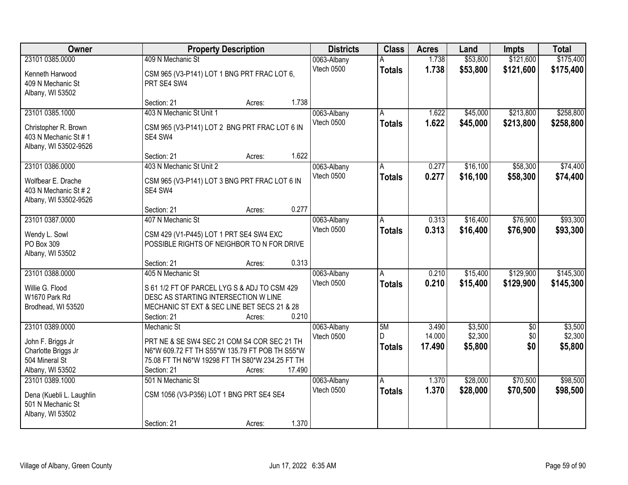| Owner                                                                                             |                                                                                                                                                                                | <b>Property Description</b> |        | <b>Districts</b>          | <b>Class</b>              | <b>Acres</b>              | Land                          | <b>Impts</b>              | <b>Total</b>                  |
|---------------------------------------------------------------------------------------------------|--------------------------------------------------------------------------------------------------------------------------------------------------------------------------------|-----------------------------|--------|---------------------------|---------------------------|---------------------------|-------------------------------|---------------------------|-------------------------------|
| 23101 0385.0000                                                                                   | 409 N Mechanic St                                                                                                                                                              |                             |        | 0063-Albany               |                           | 1.738                     | \$53,800                      | \$121,600                 | \$175,400                     |
| Kenneth Harwood<br>409 N Mechanic St<br>Albany, WI 53502                                          | CSM 965 (V3-P141) LOT 1 BNG PRT FRAC LOT 6,<br>PRT SE4 SW4                                                                                                                     |                             |        | Vtech 0500                | <b>Totals</b>             | 1.738                     | \$53,800                      | \$121,600                 | \$175,400                     |
|                                                                                                   | Section: 21                                                                                                                                                                    | Acres:                      | 1.738  |                           |                           |                           |                               |                           |                               |
| 23101 0385.1000<br>Christopher R. Brown<br>403 N Mechanic St #1<br>Albany, WI 53502-9526          | 403 N Mechanic St Unit 1<br>CSM 965 (V3-P141) LOT 2 BNG PRT FRAC LOT 6 IN<br>SE4 SW4                                                                                           |                             |        | 0063-Albany<br>Vtech 0500 | Α<br><b>Totals</b>        | 1.622<br>1.622            | \$45,000<br>\$45,000          | \$213,800<br>\$213,800    | \$258,800<br>\$258,800        |
|                                                                                                   | Section: 21                                                                                                                                                                    | Acres:                      | 1.622  |                           |                           |                           |                               |                           |                               |
| 23101 0386.0000<br>Wolfbear E. Drache<br>403 N Mechanic St # 2<br>Albany, WI 53502-9526           | 403 N Mechanic St Unit 2<br>CSM 965 (V3-P141) LOT 3 BNG PRT FRAC LOT 6 IN<br>SE4 SW4                                                                                           |                             |        | 0063-Albany<br>Vtech 0500 | A<br><b>Totals</b>        | 0.277<br>0.277            | \$16,100<br>\$16,100          | \$58,300<br>\$58,300      | \$74,400<br>\$74,400          |
|                                                                                                   | Section: 21                                                                                                                                                                    | Acres:                      | 0.277  |                           |                           |                           |                               |                           |                               |
| 23101 0387.0000<br>Wendy L. Sowl                                                                  | 407 N Mechanic St<br>CSM 429 (V1-P445) LOT 1 PRT SE4 SW4 EXC                                                                                                                   |                             |        | 0063-Albany<br>Vtech 0500 | A<br><b>Totals</b>        | 0.313<br>0.313            | \$16,400<br>\$16,400          | \$76,900<br>\$76,900      | \$93,300<br>\$93,300          |
| PO Box 309<br>Albany, WI 53502                                                                    | POSSIBLE RIGHTS OF NEIGHBOR TO N FOR DRIVE                                                                                                                                     |                             |        |                           |                           |                           |                               |                           |                               |
| 23101 0388.0000                                                                                   | Section: 21<br>405 N Mechanic St                                                                                                                                               | Acres:                      | 0.313  |                           | $\overline{A}$            | 0.210                     | \$15,400                      | \$129,900                 | \$145,300                     |
| Willie G. Flood<br>W1670 Park Rd<br>Brodhead, WI 53520                                            | S 61 1/2 FT OF PARCEL LYG S & ADJ TO CSM 429<br>DESC AS STARTING INTERSECTION W LINE<br>MECHANIC ST EXT & SEC LINE BET SECS 21 & 28<br>Section: 21                             | Acres:                      | 0.210  | 0063-Albany<br>Vtech 0500 | <b>Totals</b>             | 0.210                     | \$15,400                      | \$129,900                 | \$145,300                     |
| 23101 0389.0000<br>John F. Briggs Jr<br>Charlotte Briggs Jr<br>504 Mineral St<br>Albany, WI 53502 | Mechanic St<br>PRT NE & SE SW4 SEC 21 COM S4 COR SEC 21 TH<br>N6*W 609.72 FT TH S55*W 135.79 FT POB TH S55*W<br>75.08 FT TH N6*W 19298 FT TH S80*W 234.25 FT TH<br>Section: 21 | Acres:                      | 17.490 | 0063-Albany<br>Vtech 0500 | 5M<br>D.<br><b>Totals</b> | 3.490<br>14.000<br>17.490 | \$3,500<br>\$2,300<br>\$5,800 | $\sqrt{$0}$<br>\$0<br>\$0 | \$3,500<br>\$2,300<br>\$5,800 |
| 23101 0389.1000<br>Dena (Kuebli L. Laughlin<br>501 N Mechanic St<br>Albany, WI 53502              | 501 N Mechanic St<br>CSM 1056 (V3-P356) LOT 1 BNG PRT SE4 SE4<br>Section: 21                                                                                                   | Acres:                      | 1.370  | 0063-Albany<br>Vtech 0500 | A<br><b>Totals</b>        | 1.370<br>1.370            | \$28,000<br>\$28,000          | \$70,500<br>\$70,500      | \$98,500<br>\$98,500          |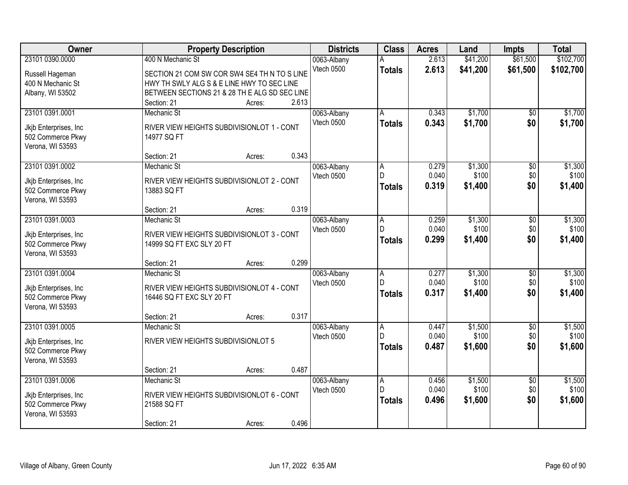| Owner                  | <b>Property Description</b>                   | <b>Districts</b> | <b>Class</b>   | <b>Acres</b> | Land     | <b>Impts</b>    | <b>Total</b> |
|------------------------|-----------------------------------------------|------------------|----------------|--------------|----------|-----------------|--------------|
| 23101 0390,0000        | 400 N Mechanic St                             | 0063-Albany      |                | 2.613        | \$41,200 | \$61,500        | \$102,700    |
| Russell Hageman        | SECTION 21 COM SW COR SW4 SE4 TH N TO S LINE  | Vtech 0500       | <b>Totals</b>  | 2.613        | \$41,200 | \$61,500        | \$102,700    |
| 400 N Mechanic St      | HWY TH SWLY ALG S & E LINE HWY TO SEC LINE    |                  |                |              |          |                 |              |
| Albany, WI 53502       | BETWEEN SECTIONS 21 & 28 TH E ALG SD SEC LINE |                  |                |              |          |                 |              |
|                        | 2.613<br>Section: 21<br>Acres:                |                  |                |              |          |                 |              |
| 23101 0391.0001        | Mechanic St                                   | 0063-Albany      | A              | 0.343        | \$1,700  | \$0             | \$1,700      |
| Jkjb Enterprises, Inc. | RIVER VIEW HEIGHTS SUBDIVISIONLOT 1 - CONT    | Vtech 0500       | <b>Totals</b>  | 0.343        | \$1,700  | \$0             | \$1,700      |
| 502 Commerce Pkwy      | 14977 SQ FT                                   |                  |                |              |          |                 |              |
| Verona, WI 53593       |                                               |                  |                |              |          |                 |              |
|                        | 0.343<br>Section: 21<br>Acres:                |                  |                |              |          |                 |              |
| 23101 0391.0002        | Mechanic St                                   | 0063-Albany      | A              | 0.279        | \$1,300  | \$0             | \$1,300      |
| Jkjb Enterprises, Inc. | RIVER VIEW HEIGHTS SUBDIVISIONLOT 2 - CONT    | Vtech 0500       | D.             | 0.040        | \$100    | \$0             | \$100        |
| 502 Commerce Pkwy      | 13883 SQ FT                                   |                  | <b>Totals</b>  | 0.319        | \$1,400  | \$0             | \$1,400      |
| Verona, WI 53593       |                                               |                  |                |              |          |                 |              |
|                        | 0.319<br>Section: 21<br>Acres:                |                  |                |              |          |                 |              |
| 23101 0391.0003        | Mechanic St                                   | 0063-Albany      | A              | 0.259        | \$1,300  | \$0             | \$1,300      |
| Jkjb Enterprises, Inc. | RIVER VIEW HEIGHTS SUBDIVISIONLOT 3 - CONT    | Vtech 0500       | D.             | 0.040        | \$100    | \$0             | \$100        |
| 502 Commerce Pkwy      | 14999 SQ FT EXC SLY 20 FT                     |                  | <b>Totals</b>  | 0.299        | \$1,400  | \$0             | \$1,400      |
| Verona, WI 53593       |                                               |                  |                |              |          |                 |              |
|                        | 0.299<br>Section: 21<br>Acres:                |                  |                |              |          |                 |              |
| 23101 0391.0004        | <b>Mechanic St</b>                            | 0063-Albany      | A              | 0.277        | \$1,300  | $\overline{50}$ | \$1,300      |
| Jkjb Enterprises, Inc. | RIVER VIEW HEIGHTS SUBDIVISIONLOT 4 - CONT    | Vtech 0500       | D.             | 0.040        | \$100    | \$0             | \$100        |
| 502 Commerce Pkwy      | 16446 SQ FT EXC SLY 20 FT                     |                  | <b>Totals</b>  | 0.317        | \$1,400  | \$0             | \$1,400      |
| Verona, WI 53593       |                                               |                  |                |              |          |                 |              |
|                        | 0.317<br>Section: 21<br>Acres:                |                  |                |              |          |                 |              |
| 23101 0391.0005        | Mechanic St                                   | 0063-Albany      | $\overline{A}$ | 0.447        | \$1,500  | $\overline{50}$ | \$1,500      |
| Jkjb Enterprises, Inc. | RIVER VIEW HEIGHTS SUBDIVISIONLOT 5           | Vtech 0500       | D              | 0.040        | \$100    | \$0             | \$100        |
| 502 Commerce Pkwy      |                                               |                  | <b>Totals</b>  | 0.487        | \$1,600  | \$0             | \$1,600      |
| Verona, WI 53593       |                                               |                  |                |              |          |                 |              |
|                        | 0.487<br>Section: 21<br>Acres:                |                  |                |              |          |                 |              |
| 23101 0391.0006        | Mechanic St                                   | 0063-Albany      | A              | 0.456        | \$1,500  | $\overline{50}$ | \$1,500      |
| Jkjb Enterprises, Inc. | RIVER VIEW HEIGHTS SUBDIVISIONLOT 6 - CONT    | Vtech 0500       | D              | 0.040        | \$100    | \$0             | \$100        |
| 502 Commerce Pkwy      | 21588 SQ FT                                   |                  | <b>Totals</b>  | 0.496        | \$1,600  | \$0             | \$1,600      |
| Verona, WI 53593       |                                               |                  |                |              |          |                 |              |
|                        | 0.496<br>Section: 21<br>Acres:                |                  |                |              |          |                 |              |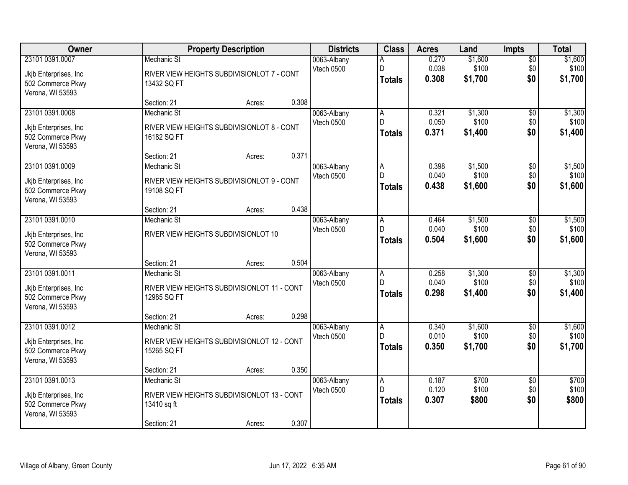| Owner                                      | <b>Property Description</b>                                | <b>Districts</b>          | <b>Class</b>        | <b>Acres</b>   | Land             | <b>Impts</b>    | <b>Total</b>     |
|--------------------------------------------|------------------------------------------------------------|---------------------------|---------------------|----------------|------------------|-----------------|------------------|
| 23101 0391.0007                            | Mechanic St                                                | 0063-Albany               | A                   | 0.270          | \$1,600          | $\overline{50}$ | \$1,600          |
| Jkjb Enterprises, Inc.                     | RIVER VIEW HEIGHTS SUBDIVISIONLOT 7 - CONT                 | Vtech 0500                | D.                  | 0.038          | \$100            | \$0             | \$100            |
| 502 Commerce Pkwy                          | 13432 SQ FT                                                |                           | <b>Totals</b>       | 0.308          | \$1,700          | \$0             | \$1,700          |
| Verona, WI 53593                           |                                                            |                           |                     |                |                  |                 |                  |
|                                            | 0.308<br>Section: 21<br>Acres:                             |                           |                     |                |                  |                 |                  |
| 23101 0391.0008                            | Mechanic St                                                | 0063-Albany               | $\overline{A}$<br>D | 0.321          | \$1,300          | $\overline{50}$ | \$1,300          |
| Jkjb Enterprises, Inc.                     | RIVER VIEW HEIGHTS SUBDIVISIONLOT 8 - CONT                 | <b>Vtech 0500</b>         |                     | 0.050<br>0.371 | \$100<br>\$1,400 | \$0<br>\$0      | \$100<br>\$1,400 |
| 502 Commerce Pkwy                          | 16182 SQ FT                                                |                           | <b>Totals</b>       |                |                  |                 |                  |
| Verona, WI 53593                           |                                                            |                           |                     |                |                  |                 |                  |
|                                            | 0.371<br>Section: 21<br>Acres:                             |                           |                     |                |                  |                 |                  |
| 23101 0391.0009                            | Mechanic St                                                | 0063-Albany<br>Vtech 0500 | A<br>D              | 0.398<br>0.040 | \$1,500<br>\$100 | \$0<br>\$0      | \$1,500<br>\$100 |
| Jkjb Enterprises, Inc.                     | RIVER VIEW HEIGHTS SUBDIVISIONLOT 9 - CONT                 |                           | <b>Totals</b>       | 0.438          | \$1,600          | \$0             | \$1,600          |
| 502 Commerce Pkwy                          | 19108 SQ FT                                                |                           |                     |                |                  |                 |                  |
| Verona, WI 53593                           | 0.438<br>Section: 21<br>Acres:                             |                           |                     |                |                  |                 |                  |
| 23101 0391.0010                            | Mechanic St                                                | 0063-Albany               | A                   | 0.464          | \$1,500          | \$0             | \$1,500          |
|                                            |                                                            | Vtech 0500                | D                   | 0.040          | \$100            | \$0             | \$100            |
| Jkjb Enterprises, Inc.                     | RIVER VIEW HEIGHTS SUBDIVISIONLOT 10                       |                           | <b>Totals</b>       | 0.504          | \$1,600          | \$0             | \$1,600          |
| 502 Commerce Pkwy<br>Verona, WI 53593      |                                                            |                           |                     |                |                  |                 |                  |
|                                            | 0.504<br>Section: 21<br>Acres:                             |                           |                     |                |                  |                 |                  |
| 23101 0391.0011                            | Mechanic St                                                | 0063-Albany               | $\overline{A}$      | 0.258          | \$1,300          | $\overline{30}$ | \$1,300          |
|                                            |                                                            | Vtech 0500                | D                   | 0.040          | \$100            | \$0             | \$100            |
| Jkjb Enterprises, Inc<br>502 Commerce Pkwy | RIVER VIEW HEIGHTS SUBDIVISIONLOT 11 - CONT<br>12985 SQ FT |                           | <b>Totals</b>       | 0.298          | \$1,400          | \$0             | \$1,400          |
| Verona, WI 53593                           |                                                            |                           |                     |                |                  |                 |                  |
|                                            | 0.298<br>Section: 21<br>Acres:                             |                           |                     |                |                  |                 |                  |
| 23101 0391.0012                            | Mechanic St                                                | 0063-Albany               | A                   | 0.340          | \$1,600          | $\sqrt{6}$      | \$1,600          |
| Jkjb Enterprises, Inc.                     | RIVER VIEW HEIGHTS SUBDIVISIONLOT 12 - CONT                | Vtech 0500                | D                   | 0.010          | \$100            | \$0             | \$100            |
| 502 Commerce Pkwy                          | 15265 SQ FT                                                |                           | <b>Totals</b>       | 0.350          | \$1,700          | \$0             | \$1,700          |
| Verona, WI 53593                           |                                                            |                           |                     |                |                  |                 |                  |
|                                            | 0.350<br>Section: 21<br>Acres:                             |                           |                     |                |                  |                 |                  |
| 23101 0391.0013                            | Mechanic St                                                | 0063-Albany               | $\overline{A}$      | 0.187          | \$700            | $\overline{50}$ | \$700            |
| Jkjb Enterprises, Inc.                     | RIVER VIEW HEIGHTS SUBDIVISIONLOT 13 - CONT                | Vtech 0500                | D                   | 0.120          | \$100            | \$0             | \$100            |
| 502 Commerce Pkwy                          | 13410 sq ft                                                |                           | <b>Totals</b>       | 0.307          | \$800            | \$0             | \$800            |
| Verona, WI 53593                           |                                                            |                           |                     |                |                  |                 |                  |
|                                            | 0.307<br>Section: 21<br>Acres:                             |                           |                     |                |                  |                 |                  |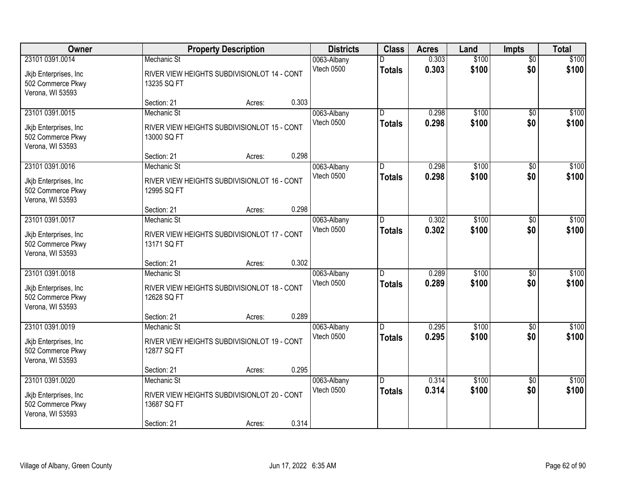|                                                                                    | Owner<br><b>Property Description</b>                                                     |                 | <b>Districts</b>          | <b>Class</b>                    | <b>Acres</b>   | Land           | <b>Impts</b>           | <b>Total</b>   |
|------------------------------------------------------------------------------------|------------------------------------------------------------------------------------------|-----------------|---------------------------|---------------------------------|----------------|----------------|------------------------|----------------|
| 23101 0391.0014<br>Jkjb Enterprises, Inc.<br>502 Commerce Pkwy<br>Verona, WI 53593 | Mechanic St<br>RIVER VIEW HEIGHTS SUBDIVISIONLOT 14 - CONT<br>13235 SQ FT                |                 | 0063-Albany<br>Vtech 0500 | <b>Totals</b>                   | 0.303<br>0.303 | \$100<br>\$100 | $\overline{50}$<br>\$0 | \$100<br>\$100 |
|                                                                                    | Section: 21                                                                              | 0.303<br>Acres: |                           |                                 |                |                |                        |                |
| 23101 0391.0015<br>Jkjb Enterprises, Inc.<br>502 Commerce Pkwy<br>Verona, WI 53593 | Mechanic St<br>RIVER VIEW HEIGHTS SUBDIVISIONLOT 15 - CONT<br>13000 SQ FT                |                 | 0063-Albany<br>Vtech 0500 | $\overline{D}$<br><b>Totals</b> | 0.298<br>0.298 | \$100<br>\$100 | $\overline{30}$<br>\$0 | \$100<br>\$100 |
| 23101 0391.0016                                                                    | Section: 21<br>Mechanic St                                                               | 0.298<br>Acres: |                           | D.                              | 0.298          | \$100          | \$0                    | \$100          |
| Jkjb Enterprises, Inc.<br>502 Commerce Pkwy<br>Verona, WI 53593                    | RIVER VIEW HEIGHTS SUBDIVISIONLOT 16 - CONT<br>12995 SQ FT                               |                 | 0063-Albany<br>Vtech 0500 | <b>Totals</b>                   | 0.298          | \$100          | \$0                    | \$100          |
|                                                                                    | Section: 21                                                                              | 0.298<br>Acres: |                           |                                 |                |                |                        |                |
| 23101 0391.0017<br>Jkjb Enterprises, Inc.<br>502 Commerce Pkwy<br>Verona, WI 53593 | Mechanic St<br>RIVER VIEW HEIGHTS SUBDIVISIONLOT 17 - CONT<br>13171 SQ FT                |                 | 0063-Albany<br>Vtech 0500 | D.<br><b>Totals</b>             | 0.302<br>0.302 | \$100<br>\$100 | \$0<br>\$0             | \$100<br>\$100 |
|                                                                                    | Section: 21                                                                              | 0.302<br>Acres: |                           |                                 |                |                |                        |                |
| 23101 0391.0018<br>Jkjb Enterprises, Inc.<br>502 Commerce Pkwy<br>Verona, WI 53593 | Mechanic St<br>RIVER VIEW HEIGHTS SUBDIVISIONLOT 18 - CONT<br>12628 SQ FT                |                 | 0063-Albany<br>Vtech 0500 | n<br><b>Totals</b>              | 0.289<br>0.289 | \$100<br>\$100 | $\overline{30}$<br>\$0 | \$100<br>\$100 |
|                                                                                    | Section: 21                                                                              | 0.289<br>Acres: |                           |                                 |                |                |                        |                |
| 23101 0391.0019<br>Jkjb Enterprises, Inc<br>502 Commerce Pkwy<br>Verona, WI 53593  | Mechanic St<br>RIVER VIEW HEIGHTS SUBDIVISIONLOT 19 - CONT<br>12877 SQ FT                |                 | 0063-Albany<br>Vtech 0500 | D.<br><b>Totals</b>             | 0.295<br>0.295 | \$100<br>\$100 | $\overline{50}$<br>\$0 | \$100<br>\$100 |
|                                                                                    | Section: 21                                                                              | 0.295<br>Acres: |                           |                                 |                |                |                        |                |
| 23101 0391.0020<br>Jkjb Enterprises, Inc.<br>502 Commerce Pkwy<br>Verona, WI 53593 | Mechanic St<br>RIVER VIEW HEIGHTS SUBDIVISIONLOT 20 - CONT<br>13687 SQ FT<br>Section: 21 | 0.314<br>Acres: | 0063-Albany<br>Vtech 0500 | D.<br><b>Totals</b>             | 0.314<br>0.314 | \$100<br>\$100 | $\overline{50}$<br>\$0 | \$100<br>\$100 |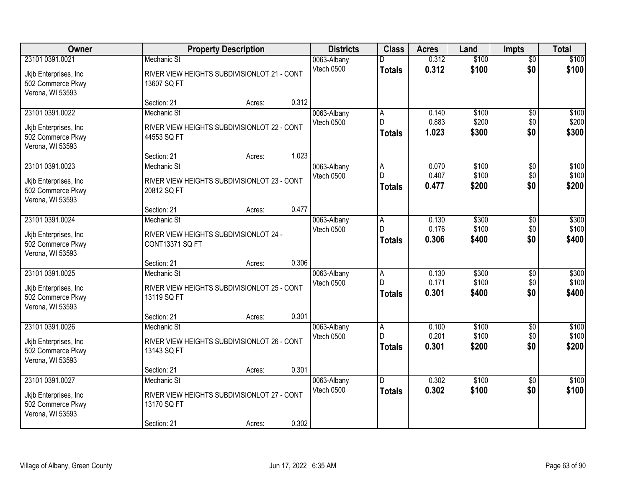| Owner                                                                              | <b>Property Description</b>                                                                                 | <b>Districts</b>          | <b>Class</b>                         | <b>Acres</b>            | Land                    | <b>Impts</b>                  | <b>Total</b>            |
|------------------------------------------------------------------------------------|-------------------------------------------------------------------------------------------------------------|---------------------------|--------------------------------------|-------------------------|-------------------------|-------------------------------|-------------------------|
| 23101 0391.0021                                                                    | Mechanic St                                                                                                 | 0063-Albany               | D                                    | 0.312                   | \$100                   | $\overline{50}$               | \$100                   |
| Jkjb Enterprises, Inc.<br>502 Commerce Pkwy<br>Verona, WI 53593                    | RIVER VIEW HEIGHTS SUBDIVISIONLOT 21 - CONT<br>13607 SQ FT                                                  | Vtech 0500                | <b>Totals</b>                        | 0.312                   | \$100                   | \$0                           | \$100                   |
|                                                                                    | 0.312<br>Section: 21<br>Acres:                                                                              |                           |                                      |                         |                         |                               |                         |
| 23101 0391.0022                                                                    | Mechanic St                                                                                                 | 0063-Albany               | A                                    | 0.140                   | \$100                   | \$0                           | \$100                   |
| Jkjb Enterprises, Inc.<br>502 Commerce Pkwy<br>Verona, WI 53593                    | RIVER VIEW HEIGHTS SUBDIVISIONLOT 22 - CONT<br>44553 SQ FT                                                  | Vtech 0500                | D<br>Totals                          | 0.883<br>1.023          | \$200<br>\$300          | \$0<br>\$0                    | \$200<br>\$300          |
|                                                                                    | 1.023<br>Section: 21<br>Acres:                                                                              |                           |                                      |                         |                         |                               |                         |
| 23101 0391.0023<br>Jkjb Enterprises, Inc.<br>502 Commerce Pkwy<br>Verona, WI 53593 | Mechanic St<br>RIVER VIEW HEIGHTS SUBDIVISIONLOT 23 - CONT<br>20812 SQ FT                                   | 0063-Albany<br>Vtech 0500 | A<br>D<br><b>Totals</b>              | 0.070<br>0.407<br>0.477 | \$100<br>\$100<br>\$200 | \$0<br>\$0<br>\$0             | \$100<br>\$100<br>\$200 |
|                                                                                    | 0.477<br>Section: 21<br>Acres:                                                                              |                           |                                      |                         |                         |                               |                         |
| 23101 0391.0024<br>Jkjb Enterprises, Inc.<br>502 Commerce Pkwy<br>Verona, WI 53593 | Mechanic St<br>RIVER VIEW HEIGHTS SUBDIVISIONLOT 24 -<br><b>CONT13371 SQ FT</b>                             | 0063-Albany<br>Vtech 0500 | A<br>D<br><b>Totals</b>              | 0.130<br>0.176<br>0.306 | \$300<br>\$100<br>\$400 | $\sqrt[6]{3}$<br>\$0<br>\$0   | \$300<br>\$100<br>\$400 |
|                                                                                    | 0.306<br>Section: 21<br>Acres:                                                                              |                           |                                      |                         |                         |                               |                         |
| 23101 0391.0025<br>Jkjb Enterprises, Inc.<br>502 Commerce Pkwy<br>Verona, WI 53593 | Mechanic St<br>RIVER VIEW HEIGHTS SUBDIVISIONLOT 25 - CONT<br>13119 SQ FT<br>0.301                          | 0063-Albany<br>Vtech 0500 | $\overline{A}$<br>D<br><b>Totals</b> | 0.130<br>0.171<br>0.301 | \$300<br>\$100<br>\$400 | $\overline{50}$<br>\$0<br>\$0 | \$300<br>\$100<br>\$400 |
| 23101 0391.0026                                                                    | Section: 21<br>Acres:<br>Mechanic St                                                                        | 0063-Albany               | A                                    | 0.100                   | \$100                   | $\sqrt{$0}$                   | \$100                   |
| Jkjb Enterprises, Inc.<br>502 Commerce Pkwy<br>Verona, WI 53593                    | RIVER VIEW HEIGHTS SUBDIVISIONLOT 26 - CONT<br>13143 SQ FT                                                  | Vtech 0500                | D<br><b>Totals</b>                   | 0.201<br>0.301          | \$100<br>\$200          | \$0<br>\$0                    | \$100<br>\$200          |
|                                                                                    | 0.301<br>Section: 21<br>Acres:                                                                              |                           |                                      |                         |                         |                               |                         |
| 23101 0391.0027<br>Jkjb Enterprises, Inc.<br>502 Commerce Pkwy<br>Verona, WI 53593 | Mechanic St<br>RIVER VIEW HEIGHTS SUBDIVISIONLOT 27 - CONT<br>13170 SQ FT<br>0.302<br>Section: 21<br>Acres: | 0063-Albany<br>Vtech 0500 | D.<br><b>Totals</b>                  | 0.302<br>0.302          | \$100<br>\$100          | $\overline{50}$<br>\$0        | \$100<br>\$100          |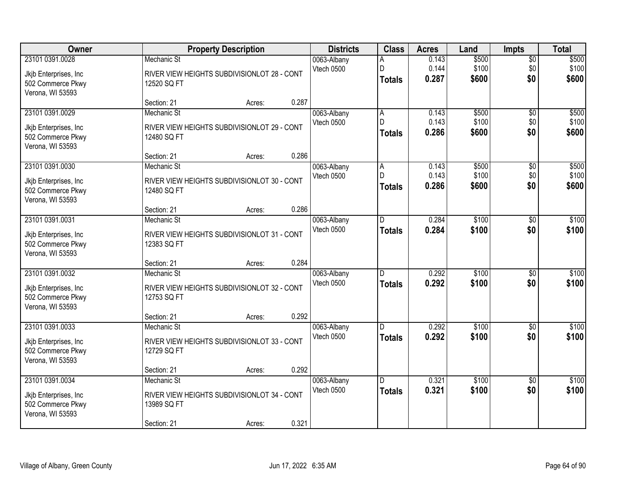| Owner                                      | <b>Property Description</b>                 |       | <b>Districts</b>          | <b>Class</b>                   | <b>Acres</b>   | Land           | <b>Impts</b>           | <b>Total</b>   |
|--------------------------------------------|---------------------------------------------|-------|---------------------------|--------------------------------|----------------|----------------|------------------------|----------------|
| 23101 0391.0028                            | <b>Mechanic St</b>                          |       | 0063-Albany               | A                              | 0.143          | \$500          | $\overline{$0}$        | \$500          |
| Jkjb Enterprises, Inc.                     | RIVER VIEW HEIGHTS SUBDIVISIONLOT 28 - CONT |       | Vtech 0500                | D                              | 0.144          | \$100          | \$0                    | \$100          |
| 502 Commerce Pkwy                          | 12520 SQ FT                                 |       |                           | <b>Totals</b>                  | 0.287          | \$600          | \$0                    | \$600          |
| Verona, WI 53593                           |                                             |       |                           |                                |                |                |                        |                |
|                                            | Section: 21<br>Acres:                       | 0.287 |                           |                                |                |                |                        |                |
| 23101 0391.0029                            | Mechanic St                                 |       | 0063-Albany               | $\overline{A}$<br>$\mathsf{D}$ | 0.143<br>0.143 | \$500<br>\$100 | $\overline{50}$<br>\$0 | \$500<br>\$100 |
| Jkjb Enterprises, Inc.                     | RIVER VIEW HEIGHTS SUBDIVISIONLOT 29 - CONT |       | Vtech 0500                | <b>Totals</b>                  | 0.286          | \$600          | \$0                    | \$600          |
| 502 Commerce Pkwy                          | 12480 SQ FT                                 |       |                           |                                |                |                |                        |                |
| Verona, WI 53593                           |                                             | 0.286 |                           |                                |                |                |                        |                |
| 23101 0391.0030                            | Section: 21<br>Acres:<br>Mechanic St        |       |                           |                                | 0.143          | \$500          |                        | \$500          |
|                                            |                                             |       | 0063-Albany<br>Vtech 0500 | A<br>D                         | 0.143          | \$100          | \$0<br>\$0             | \$100          |
| Jkjb Enterprises, Inc.                     | RIVER VIEW HEIGHTS SUBDIVISIONLOT 30 - CONT |       |                           | <b>Totals</b>                  | 0.286          | \$600          | \$0                    | \$600          |
| 502 Commerce Pkwy                          | 12480 SQ FT                                 |       |                           |                                |                |                |                        |                |
| Verona, WI 53593                           | Section: 21<br>Acres:                       | 0.286 |                           |                                |                |                |                        |                |
| 23101 0391.0031                            | Mechanic St                                 |       | 0063-Albany               | ID.                            | 0.284          | \$100          | $\sqrt[6]{3}$          | \$100          |
|                                            |                                             |       | Vtech 0500                | <b>Totals</b>                  | 0.284          | \$100          | \$0                    | \$100          |
| Jkjb Enterprises, Inc.                     | RIVER VIEW HEIGHTS SUBDIVISIONLOT 31 - CONT |       |                           |                                |                |                |                        |                |
| 502 Commerce Pkwy<br>Verona, WI 53593      | 12383 SQ FT                                 |       |                           |                                |                |                |                        |                |
|                                            | Section: 21<br>Acres:                       | 0.284 |                           |                                |                |                |                        |                |
| 23101 0391.0032                            | Mechanic St                                 |       | 0063-Albany               | $\overline{D}$                 | 0.292          | \$100          | $\overline{50}$        | \$100          |
|                                            | RIVER VIEW HEIGHTS SUBDIVISIONLOT 32 - CONT |       | Vtech 0500                | <b>Totals</b>                  | 0.292          | \$100          | \$0                    | \$100          |
| Jkjb Enterprises, Inc<br>502 Commerce Pkwy | 12753 SQ FT                                 |       |                           |                                |                |                |                        |                |
| Verona, WI 53593                           |                                             |       |                           |                                |                |                |                        |                |
|                                            | Section: 21<br>Acres:                       | 0.292 |                           |                                |                |                |                        |                |
| 23101 0391.0033                            | Mechanic St                                 |       | 0063-Albany               | D.                             | 0.292          | \$100          | $\overline{30}$        | \$100          |
| Jkjb Enterprises, Inc.                     | RIVER VIEW HEIGHTS SUBDIVISIONLOT 33 - CONT |       | Vtech 0500                | <b>Totals</b>                  | 0.292          | \$100          | \$0                    | \$100          |
| 502 Commerce Pkwy                          | 12729 SQ FT                                 |       |                           |                                |                |                |                        |                |
| Verona, WI 53593                           |                                             |       |                           |                                |                |                |                        |                |
|                                            | Section: 21<br>Acres:                       | 0.292 |                           |                                |                |                |                        |                |
| 23101 0391.0034                            | Mechanic St                                 |       | 0063-Albany               | ID.                            | 0.321          | \$100          | $\overline{50}$        | \$100          |
| Jkjb Enterprises, Inc.                     | RIVER VIEW HEIGHTS SUBDIVISIONLOT 34 - CONT |       | Vtech 0500                | <b>Totals</b>                  | 0.321          | \$100          | \$0                    | \$100          |
| 502 Commerce Pkwy                          | 13989 SQ FT                                 |       |                           |                                |                |                |                        |                |
| Verona, WI 53593                           |                                             |       |                           |                                |                |                |                        |                |
|                                            | Section: 21<br>Acres:                       | 0.321 |                           |                                |                |                |                        |                |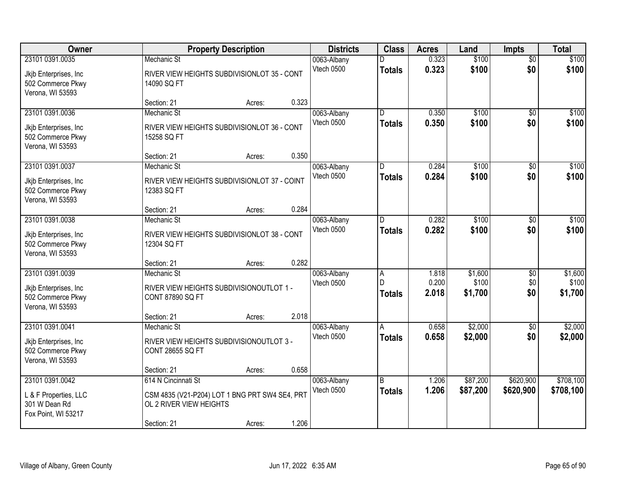| Owner                                                           |                                                                           | <b>Property Description</b> |       | <b>Districts</b> | <b>Class</b>   | <b>Acres</b> | Land     | <b>Impts</b>    | <b>Total</b> |
|-----------------------------------------------------------------|---------------------------------------------------------------------------|-----------------------------|-------|------------------|----------------|--------------|----------|-----------------|--------------|
| 23101 0391.0035                                                 | Mechanic St                                                               |                             |       | 0063-Albany      | D              | 0.323        | \$100    | $\overline{50}$ | \$100        |
| Jkjb Enterprises, Inc.<br>502 Commerce Pkwy<br>Verona, WI 53593 | RIVER VIEW HEIGHTS SUBDIVISIONLOT 35 - CONT<br>14090 SQ FT                |                             |       | Vtech 0500       | <b>Totals</b>  | 0.323        | \$100    | \$0             | \$100        |
|                                                                 | Section: 21                                                               | Acres:                      | 0.323 |                  |                |              |          |                 |              |
| 23101 0391.0036                                                 | Mechanic St                                                               |                             |       | 0063-Albany      | D.             | 0.350        | \$100    | $\overline{50}$ | \$100        |
| Jkjb Enterprises, Inc.<br>502 Commerce Pkwy<br>Verona, WI 53593 | RIVER VIEW HEIGHTS SUBDIVISIONLOT 36 - CONT<br>15258 SQ FT                |                             |       | Vtech 0500       | <b>Totals</b>  | 0.350        | \$100    | \$0             | \$100        |
|                                                                 | Section: 21                                                               | Acres:                      | 0.350 |                  |                |              |          |                 |              |
| 23101 0391.0037                                                 | Mechanic St                                                               |                             |       | 0063-Albany      | D              | 0.284        | \$100    | \$0             | \$100        |
| Jkjb Enterprises, Inc.<br>502 Commerce Pkwy<br>Verona, WI 53593 | RIVER VIEW HEIGHTS SUBDIVISIONLOT 37 - COINT<br>12383 SQ FT               |                             |       | Vtech 0500       | <b>Totals</b>  | 0.284        | \$100    | \$0             | \$100        |
|                                                                 | Section: 21                                                               | Acres:                      | 0.284 |                  |                |              |          |                 |              |
| 23101 0391.0038                                                 | Mechanic St                                                               |                             |       | 0063-Albany      | ID.            | 0.282        | \$100    | \$0             | \$100        |
| Jkjb Enterprises, Inc.<br>502 Commerce Pkwy<br>Verona, WI 53593 | RIVER VIEW HEIGHTS SUBDIVISIONLOT 38 - CONT<br>12304 SQ FT                |                             |       | Vtech 0500       | <b>Totals</b>  | 0.282        | \$100    | \$0             | \$100        |
|                                                                 | Section: 21                                                               | Acres:                      | 0.282 |                  |                |              |          |                 |              |
| 23101 0391.0039                                                 | Mechanic St                                                               |                             |       | 0063-Albany      | $\overline{A}$ | 1.818        | \$1,600  | \$0             | \$1,600      |
| Jkjb Enterprises, Inc.                                          | RIVER VIEW HEIGHTS SUBDIVISIONOUTLOT 1 -                                  |                             |       | Vtech 0500       | $\mathsf{D}$   | 0.200        | \$100    | \$0             | \$100        |
| 502 Commerce Pkwy<br>Verona, WI 53593                           | CONT 87890 SQ FT                                                          |                             |       |                  | Totals         | 2.018        | \$1,700  | \$0             | \$1,700      |
|                                                                 | Section: 21                                                               | Acres:                      | 2.018 |                  |                |              |          |                 |              |
| 23101 0391.0041                                                 | Mechanic St                                                               |                             |       | 0063-Albany      | A              | 0.658        | \$2,000  | \$0             | \$2,000      |
| Jkjb Enterprises, Inc.<br>502 Commerce Pkwy<br>Verona, WI 53593 | RIVER VIEW HEIGHTS SUBDIVISIONOUTLOT 3 -<br><b>CONT 28655 SQ FT</b>       |                             |       | Vtech 0500       | <b>Totals</b>  | 0.658        | \$2,000  | \$0             | \$2,000      |
|                                                                 | Section: 21                                                               | Acres:                      | 0.658 |                  |                |              |          |                 |              |
| 23101 0391.0042                                                 | 614 N Cincinnati St                                                       |                             |       | 0063-Albany      | B              | 1.206        | \$87,200 | \$620,900       | \$708,100    |
| L & F Properties, LLC<br>301 W Dean Rd<br>Fox Point, WI 53217   | CSM 4835 (V21-P204) LOT 1 BNG PRT SW4 SE4, PRT<br>OL 2 RIVER VIEW HEIGHTS |                             |       | Vtech 0500       | <b>Totals</b>  | 1.206        | \$87,200 | \$620,900       | \$708,100    |
|                                                                 | Section: 21                                                               | Acres:                      | 1.206 |                  |                |              |          |                 |              |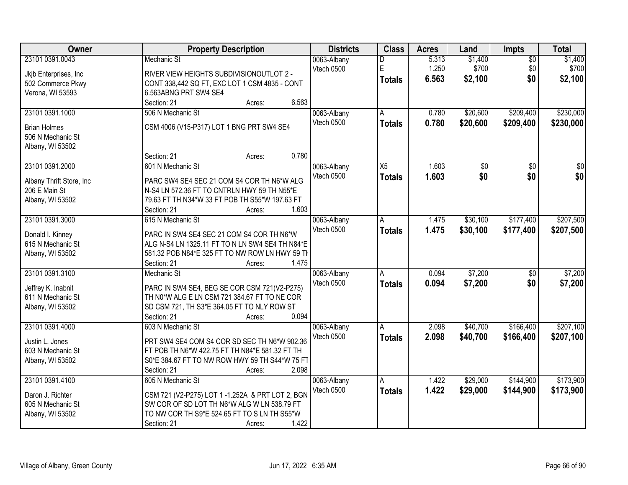| Owner                    | <b>Property Description</b>                      | <b>Districts</b> | <b>Class</b>    | <b>Acres</b> | Land            | <b>Impts</b>    | <b>Total</b>    |
|--------------------------|--------------------------------------------------|------------------|-----------------|--------------|-----------------|-----------------|-----------------|
| 23101 0391.0043          | Mechanic St                                      | 0063-Albany      | D               | 5.313        | \$1,400         | $\overline{50}$ | \$1,400         |
| Jkjb Enterprises, Inc    | RIVER VIEW HEIGHTS SUBDIVISIONOUTLOT 2 -         | Vtech 0500       | E               | 1.250        | \$700           | \$0             | \$700           |
| 502 Commerce Pkwy        | CONT 338,442 SQ FT, EXC LOT 1 CSM 4835 - CONT    |                  | <b>Totals</b>   | 6.563        | \$2,100         | \$0             | \$2,100         |
| Verona, WI 53593         | 6.563ABNG PRT SW4 SE4                            |                  |                 |              |                 |                 |                 |
|                          | 6.563<br>Section: 21<br>Acres:                   |                  |                 |              |                 |                 |                 |
| 23101 0391.1000          | 506 N Mechanic St                                | 0063-Albany      | A               | 0.780        | \$20,600        | \$209,400       | \$230,000       |
|                          |                                                  | Vtech 0500       | Totals          | 0.780        | \$20,600        | \$209,400       | \$230,000       |
| <b>Brian Holmes</b>      | CSM 4006 (V15-P317) LOT 1 BNG PRT SW4 SE4        |                  |                 |              |                 |                 |                 |
| 506 N Mechanic St        |                                                  |                  |                 |              |                 |                 |                 |
| Albany, WI 53502         |                                                  |                  |                 |              |                 |                 |                 |
|                          | 0.780<br>Section: 21<br>Acres:                   |                  |                 |              |                 |                 |                 |
| 23101 0391.2000          | 601 N Mechanic St                                | 0063-Albany      | $\overline{X5}$ | 1.603        | $\overline{50}$ | $\overline{50}$ | $\overline{50}$ |
| Albany Thrift Store, Inc | PARC SW4 SE4 SEC 21 COM S4 COR TH N6*W ALG       | Vtech 0500       | <b>Totals</b>   | 1.603        | \$0             | \$0             | \$0             |
| 206 E Main St            | N-S4 LN 572.36 FT TO CNTRLN HWY 59 TH N55*E      |                  |                 |              |                 |                 |                 |
| Albany, WI 53502         | 79.63 FT TH N34*W 33 FT POB TH S55*W 197.63 FT   |                  |                 |              |                 |                 |                 |
|                          | 1.603<br>Section: 21<br>Acres:                   |                  |                 |              |                 |                 |                 |
| 23101 0391.3000          | 615 N Mechanic St                                | 0063-Albany      | A               | 1.475        | \$30,100        | \$177,400       | \$207,500       |
|                          |                                                  | Vtech 0500       | <b>Totals</b>   | 1.475        | \$30,100        | \$177,400       | \$207,500       |
| Donald I. Kinney         | PARC IN SW4 SE4 SEC 21 COM S4 COR TH N6*W        |                  |                 |              |                 |                 |                 |
| 615 N Mechanic St        | ALG N-S4 LN 1325.11 FT TO N LN SW4 SE4 TH N84*E  |                  |                 |              |                 |                 |                 |
| Albany, WI 53502         | 581.32 POB N84*E 325 FT TO NW ROW LN HWY 59 TH   |                  |                 |              |                 |                 |                 |
|                          | 1.475<br>Section: 21<br>Acres:                   |                  |                 |              |                 |                 |                 |
| 23101 0391.3100          | <b>Mechanic St</b>                               | 0063-Albany      | A               | 0.094        | \$7,200         | $\overline{50}$ | \$7,200         |
| Jeffrey K. Inabnit       | PARC IN SW4 SE4, BEG SE COR CSM 721(V2-P275)     | Vtech 0500       | <b>Totals</b>   | 0.094        | \$7,200         | \$0             | \$7,200         |
| 611 N Mechanic St        | TH N0*W ALG E LN CSM 721 384.67 FT TO NE COR     |                  |                 |              |                 |                 |                 |
| Albany, WI 53502         | SD CSM 721, TH S3*E 364.05 FT TO NLY ROW ST      |                  |                 |              |                 |                 |                 |
|                          | 0.094<br>Section: 21<br>Acres:                   |                  |                 |              |                 |                 |                 |
| 23101 0391.4000          | 603 N Mechanic St                                | 0063-Albany      | A               | 2.098        | \$40,700        | \$166,400       | \$207,100       |
| Justin L. Jones          | PRT SW4 SE4 COM S4 COR SD SEC TH N6*W 902.36     | Vtech 0500       | <b>Totals</b>   | 2.098        | \$40,700        | \$166,400       | \$207,100       |
| 603 N Mechanic St        | FT POB TH N6*W 422.75 FT TH N84*E 581.32 FT TH   |                  |                 |              |                 |                 |                 |
| Albany, WI 53502         | S0*E 384.67 FT TO NW ROW HWY 59 TH S44*W 75 FT   |                  |                 |              |                 |                 |                 |
|                          | 2.098<br>Section: 21<br>Acres:                   |                  |                 |              |                 |                 |                 |
| 23101 0391.4100          | 605 N Mechanic St                                | 0063-Albany      | A               | 1.422        | \$29,000        | \$144,900       | \$173,900       |
|                          |                                                  | Vtech 0500       | <b>Totals</b>   | 1.422        | \$29,000        | \$144,900       | \$173,900       |
| Daron J. Richter         | CSM 721 (V2-P275) LOT 1 -1.252A & PRT LOT 2, BGN |                  |                 |              |                 |                 |                 |
| 605 N Mechanic St        | SW COR OF SD LOT TH N6*W ALG W LN 538.79 FT      |                  |                 |              |                 |                 |                 |
| Albany, WI 53502         | TO NW COR TH S9*E 524.65 FT TO S LN TH S55*W     |                  |                 |              |                 |                 |                 |
|                          | 1.422<br>Section: 21<br>Acres:                   |                  |                 |              |                 |                 |                 |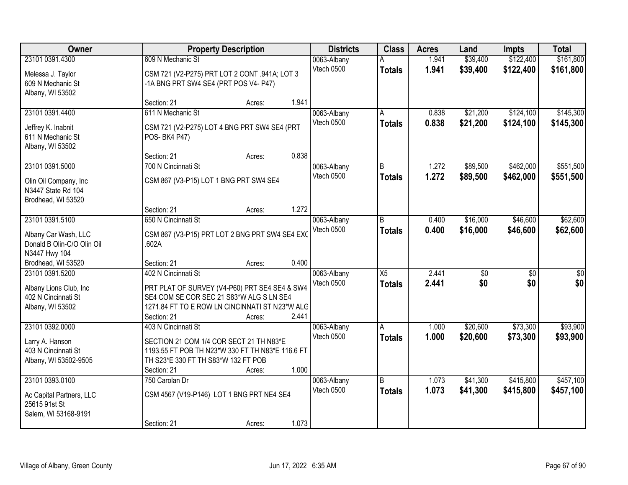| Owner                                                                                  | <b>Property Description</b>                                                                                                                                                       |        | <b>Districts</b> | <b>Class</b>              | <b>Acres</b>                     | Land           | <b>Impts</b>         | <b>Total</b>           |                        |
|----------------------------------------------------------------------------------------|-----------------------------------------------------------------------------------------------------------------------------------------------------------------------------------|--------|------------------|---------------------------|----------------------------------|----------------|----------------------|------------------------|------------------------|
| 23101 0391.4300                                                                        | 609 N Mechanic St                                                                                                                                                                 |        |                  | 0063-Albany               |                                  | 1.941          | \$39,400             | \$122,400              | \$161,800              |
| Melessa J. Taylor<br>609 N Mechanic St<br>Albany, WI 53502                             | CSM 721 (V2-P275) PRT LOT 2 CONT .941A; LOT 3<br>-1A BNG PRT SW4 SE4 (PRT POS V4- P47)                                                                                            |        |                  | Vtech 0500                | <b>Totals</b>                    | 1.941          | \$39,400             | \$122,400              | \$161,800              |
|                                                                                        | Section: 21                                                                                                                                                                       | Acres: | 1.941            |                           |                                  |                |                      |                        |                        |
| 23101 0391.4400<br>Jeffrey K. Inabnit<br>611 N Mechanic St<br>Albany, WI 53502         | 611 N Mechanic St<br>CSM 721 (V2-P275) LOT 4 BNG PRT SW4 SE4 (PRT<br>POS-BK4 P47)                                                                                                 |        |                  | 0063-Albany<br>Vtech 0500 | A<br><b>Totals</b>               | 0.838<br>0.838 | \$21,200<br>\$21,200 | \$124,100<br>\$124,100 | \$145,300<br>\$145,300 |
|                                                                                        | Section: 21                                                                                                                                                                       | Acres: | 0.838            |                           |                                  |                |                      |                        |                        |
| 23101 0391.5000<br>Olin Oil Company, Inc<br>N3447 State Rd 104<br>Brodhead, WI 53520   | 700 N Cincinnati St<br>CSM 867 (V3-P15) LOT 1 BNG PRT SW4 SE4                                                                                                                     |        |                  | 0063-Albany<br>Vtech 0500 | B<br><b>Totals</b>               | 1.272<br>1.272 | \$89,500<br>\$89,500 | \$462,000<br>\$462,000 | \$551,500<br>\$551,500 |
|                                                                                        | Section: 21                                                                                                                                                                       | Acres: | 1.272            |                           |                                  |                |                      |                        |                        |
| 23101 0391.5100<br>Albany Car Wash, LLC<br>Donald B Olin-C/O Olin Oil<br>N3447 Hwy 104 | 650 N Cincinnati St<br>CSM 867 (V3-P15) PRT LOT 2 BNG PRT SW4 SE4 EXC<br>.602A                                                                                                    |        |                  | 0063-Albany<br>Vtech 0500 | B<br><b>Totals</b>               | 0.400<br>0.400 | \$16,000<br>\$16,000 | \$46,600<br>\$46,600   | \$62,600<br>\$62,600   |
| Brodhead, WI 53520                                                                     | Section: 21                                                                                                                                                                       | Acres: | 0.400            |                           |                                  |                |                      |                        |                        |
| 23101 0391.5200<br>Albany Lions Club, Inc<br>402 N Cincinnati St<br>Albany, WI 53502   | 402 N Cincinnati St<br>PRT PLAT OF SURVEY (V4-P60) PRT SE4 SE4 & SW4<br>SE4 COM SE COR SEC 21 S83*W ALG S LN SE4<br>1271.84 FT TO E ROW LN CINCINNATI ST N23*W ALG<br>Section: 21 | Acres: | 2.441            | 0063-Albany<br>Vtech 0500 | $\overline{X5}$<br><b>Totals</b> | 2.441<br>2.441 | \$0<br>\$0           | $\overline{50}$<br>\$0 | $\overline{50}$<br>\$0 |
| 23101 0392.0000<br>Larry A. Hanson<br>403 N Cincinnati St<br>Albany, WI 53502-9505     | 403 N Cincinnati St<br>SECTION 21 COM 1/4 COR SECT 21 TH N83*E<br>1193.55 FT POB TH N23*W 330 FT TH N83*E 116.6 FT<br>TH S23*E 330 FT TH S83*W 132 FT POB<br>Section: 21          | Acres: | 1.000            | 0063-Albany<br>Vtech 0500 | <b>Totals</b>                    | 1.000<br>1.000 | \$20,600<br>\$20,600 | \$73,300<br>\$73,300   | \$93,900<br>\$93,900   |
| 23101 0393.0100<br>Ac Capital Partners, LLC<br>25615 91st St<br>Salem, WI 53168-9191   | 750 Carolan Dr<br>CSM 4567 (V19-P146) LOT 1 BNG PRT NE4 SE4<br>Section: 21                                                                                                        | Acres: | 1.073            | 0063-Albany<br>Vtech 0500 | $\overline{B}$<br><b>Totals</b>  | 1.073<br>1.073 | \$41,300<br>\$41,300 | \$415,800<br>\$415,800 | \$457,100<br>\$457,100 |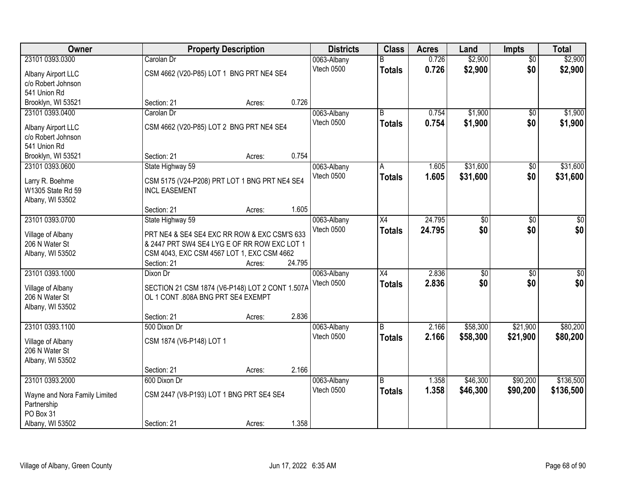| Owner                               |                                                 | <b>Property Description</b> |        | <b>Districts</b> | <b>Class</b>  | <b>Acres</b> | Land     | <b>Impts</b>    | <b>Total</b> |
|-------------------------------------|-------------------------------------------------|-----------------------------|--------|------------------|---------------|--------------|----------|-----------------|--------------|
| 23101 0393.0300                     | Carolan Dr                                      |                             |        | 0063-Albany      | B             | 0.726        | \$2,900  | $\overline{50}$ | \$2,900      |
| Albany Airport LLC                  | CSM 4662 (V20-P85) LOT 1 BNG PRT NE4 SE4        |                             |        | Vtech 0500       | <b>Totals</b> | 0.726        | \$2,900  | \$0             | \$2,900      |
| c/o Robert Johnson                  |                                                 |                             |        |                  |               |              |          |                 |              |
| 541 Union Rd                        |                                                 |                             |        |                  |               |              |          |                 |              |
| Brooklyn, WI 53521                  | Section: 21                                     | Acres:                      | 0.726  |                  |               |              |          |                 |              |
| 23101 0393.0400                     | Carolan Dr                                      |                             |        | 0063-Albany      | B             | 0.754        | \$1,900  | $\overline{50}$ | \$1,900      |
|                                     |                                                 |                             |        | Vtech 0500       | <b>Totals</b> | 0.754        | \$1,900  | \$0             | \$1,900      |
| Albany Airport LLC                  | CSM 4662 (V20-P85) LOT 2 BNG PRT NE4 SE4        |                             |        |                  |               |              |          |                 |              |
| c/o Robert Johnson                  |                                                 |                             |        |                  |               |              |          |                 |              |
| 541 Union Rd                        |                                                 |                             | 0.754  |                  |               |              |          |                 |              |
| Brooklyn, WI 53521                  | Section: 21                                     | Acres:                      |        |                  |               |              |          |                 |              |
| 23101 0393.0600                     | State Highway 59                                |                             |        | 0063-Albany      | Α             | 1.605        | \$31,600 | \$0             | \$31,600     |
| Larry R. Boehme                     | CSM 5175 (V24-P208) PRT LOT 1 BNG PRT NE4 SE4   |                             |        | Vtech 0500       | <b>Totals</b> | 1.605        | \$31,600 | \$0             | \$31,600     |
| W1305 State Rd 59                   | <b>INCL EASEMENT</b>                            |                             |        |                  |               |              |          |                 |              |
| Albany, WI 53502                    |                                                 |                             |        |                  |               |              |          |                 |              |
|                                     | Section: 21                                     | Acres:                      | 1.605  |                  |               |              |          |                 |              |
| 23101 0393.0700                     | State Highway 59                                |                             |        | 0063-Albany      | X4            | 24.795       | \$0      | \$0             | $\sqrt{50}$  |
|                                     | PRT NE4 & SE4 SE4 EXC RR ROW & EXC CSM'S 633    |                             |        | Vtech 0500       | <b>Totals</b> | 24.795       | \$0      | \$0             | \$0          |
| Village of Albany<br>206 N Water St | & 2447 PRT SW4 SE4 LYG E OF RR ROW EXC LOT 1    |                             |        |                  |               |              |          |                 |              |
| Albany, WI 53502                    | CSM 4043, EXC CSM 4567 LOT 1, EXC CSM 4662      |                             |        |                  |               |              |          |                 |              |
|                                     | Section: 21                                     | Acres:                      | 24.795 |                  |               |              |          |                 |              |
| 23101 0393.1000                     | Dixon Dr                                        |                             |        | 0063-Albany      | X4            | 2.836        | \$0      | $\overline{50}$ | $\sqrt{50}$  |
|                                     |                                                 |                             |        | Vtech 0500       | <b>Totals</b> | 2.836        | \$0      | \$0             | \$0          |
| Village of Albany                   | SECTION 21 CSM 1874 (V6-P148) LOT 2 CONT 1.507A |                             |        |                  |               |              |          |                 |              |
| 206 N Water St                      | OL 1 CONT .808A BNG PRT SE4 EXEMPT              |                             |        |                  |               |              |          |                 |              |
| Albany, WI 53502                    |                                                 |                             |        |                  |               |              |          |                 |              |
|                                     | Section: 21                                     | Acres:                      | 2.836  |                  |               |              |          |                 |              |
| 23101 0393.1100                     | 500 Dixon Dr                                    |                             |        | 0063-Albany      | B             | 2.166        | \$58,300 | \$21,900        | \$80,200     |
| Village of Albany                   | CSM 1874 (V6-P148) LOT 1                        |                             |        | Vtech 0500       | <b>Totals</b> | 2.166        | \$58,300 | \$21,900        | \$80,200     |
| 206 N Water St                      |                                                 |                             |        |                  |               |              |          |                 |              |
| Albany, WI 53502                    |                                                 |                             |        |                  |               |              |          |                 |              |
|                                     | Section: 21                                     | Acres:                      | 2.166  |                  |               |              |          |                 |              |
| 23101 0393.2000                     | 600 Dixon Dr                                    |                             |        | 0063-Albany      | l B           | 1.358        | \$46,300 | \$90,200        | \$136,500    |
|                                     |                                                 |                             |        | Vtech 0500       | <b>Totals</b> | 1.358        | \$46,300 | \$90,200        | \$136,500    |
| Wayne and Nora Family Limited       | CSM 2447 (V8-P193) LOT 1 BNG PRT SE4 SE4        |                             |        |                  |               |              |          |                 |              |
| Partnership                         |                                                 |                             |        |                  |               |              |          |                 |              |
| PO Box 31                           |                                                 |                             |        |                  |               |              |          |                 |              |
| Albany, WI 53502                    | Section: 21                                     | Acres:                      | 1.358  |                  |               |              |          |                 |              |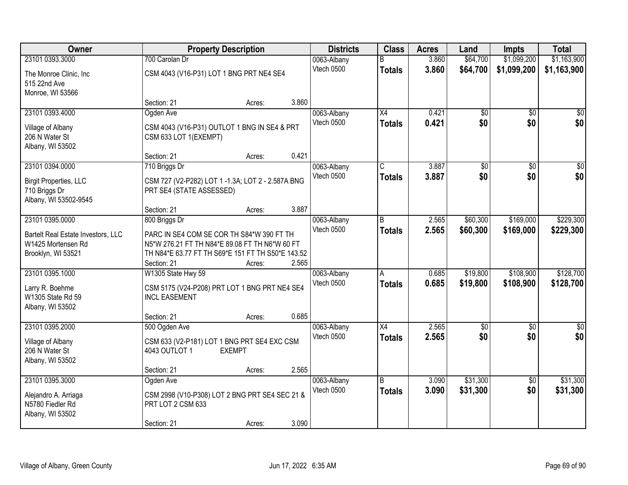| Owner                              | <b>Property Description</b>                       |               | <b>Districts</b> | <b>Class</b> | <b>Acres</b>    | Land  | <b>Impts</b> | <b>Total</b>    |                 |
|------------------------------------|---------------------------------------------------|---------------|------------------|--------------|-----------------|-------|--------------|-----------------|-----------------|
| 23101 0393.3000                    | 700 Carolan Dr                                    |               |                  | 0063-Albany  |                 | 3.860 | \$64,700     | \$1,099,200     | \$1,163,900     |
| The Monroe Clinic, Inc             | CSM 4043 (V16-P31) LOT 1 BNG PRT NE4 SE4          |               |                  | Vtech 0500   | <b>Totals</b>   | 3.860 | \$64,700     | \$1,099,200     | \$1,163,900     |
| 515 22nd Ave                       |                                                   |               |                  |              |                 |       |              |                 |                 |
| Monroe, WI 53566                   |                                                   |               |                  |              |                 |       |              |                 |                 |
|                                    | Section: 21                                       | Acres:        | 3.860            |              |                 |       |              |                 |                 |
| 23101 0393.4000                    | Ogden Ave                                         |               |                  | 0063-Albany  | $\overline{X4}$ | 0.421 | \$0          | $\overline{50}$ | \$0             |
| Village of Albany                  | CSM 4043 (V16-P31) OUTLOT 1 BNG IN SE4 & PRT      |               |                  | Vtech 0500   | <b>Totals</b>   | 0.421 | \$0          | \$0             | \$0             |
| 206 N Water St                     | CSM 633 LOT 1(EXEMPT)                             |               |                  |              |                 |       |              |                 |                 |
| Albany, WI 53502                   |                                                   |               |                  |              |                 |       |              |                 |                 |
|                                    | Section: 21                                       | Acres:        | 0.421            |              |                 |       |              |                 |                 |
| 23101 0394.0000                    | 710 Briggs Dr                                     |               |                  | 0063-Albany  | C.              | 3.887 | \$0          | $\overline{50}$ | $\overline{50}$ |
| <b>Birgit Properties, LLC</b>      | CSM 727 (V2-P282) LOT 1 -1.3A; LOT 2 - 2.587A BNG |               |                  | Vtech 0500   | <b>Totals</b>   | 3.887 | \$0          | \$0             | \$0             |
| 710 Briggs Dr                      | PRT SE4 (STATE ASSESSED)                          |               |                  |              |                 |       |              |                 |                 |
| Albany, WI 53502-9545              |                                                   |               |                  |              |                 |       |              |                 |                 |
|                                    | Section: 21                                       | Acres:        | 3.887            |              |                 |       |              |                 |                 |
| 23101 0395.0000                    | 800 Briggs Dr                                     |               |                  | 0063-Albany  | B               | 2.565 | \$60,300     | \$169,000       | \$229,300       |
| Bartelt Real Estate Investors, LLC | PARC IN SE4 COM SE COR TH S84*W 390 FT TH         |               |                  | Vtech 0500   | <b>Totals</b>   | 2.565 | \$60,300     | \$169,000       | \$229,300       |
| W1425 Mortensen Rd                 | N5*W 276.21 FT TH N84*E 89.08 FT TH N6*W 60 FT    |               |                  |              |                 |       |              |                 |                 |
| Brooklyn, WI 53521                 | TH N84*E 63.77 FT TH S69*E 151 FT TH S50*E 143.52 |               |                  |              |                 |       |              |                 |                 |
|                                    | Section: 21                                       | Acres:        | 2.565            |              |                 |       |              |                 |                 |
| 23101 0395.1000                    | W1305 State Hwy 59                                |               |                  | 0063-Albany  | A               | 0.685 | \$19,800     | \$108,900       | \$128,700       |
| Larry R. Boehme                    | CSM 5175 (V24-P208) PRT LOT 1 BNG PRT NE4 SE4     |               |                  | Vtech 0500   | <b>Totals</b>   | 0.685 | \$19,800     | \$108,900       | \$128,700       |
| W1305 State Rd 59                  | <b>INCL EASEMENT</b>                              |               |                  |              |                 |       |              |                 |                 |
| Albany, WI 53502                   |                                                   |               |                  |              |                 |       |              |                 |                 |
|                                    | Section: 21                                       | Acres:        | 0.685            |              |                 |       |              |                 |                 |
| 23101 0395.2000                    | 500 Ogden Ave                                     |               |                  | 0063-Albany  | $\overline{X4}$ | 2.565 | $\sqrt{50}$  | $\sqrt{6}$      | $\frac{6}{3}$   |
| Village of Albany                  | CSM 633 (V2-P181) LOT 1 BNG PRT SE4 EXC CSM       |               |                  | Vtech 0500   | <b>Totals</b>   | 2.565 | \$0          | \$0             | \$0             |
| 206 N Water St                     | 4043 OUTLOT 1                                     | <b>EXEMPT</b> |                  |              |                 |       |              |                 |                 |
| Albany, WI 53502                   |                                                   |               |                  |              |                 |       |              |                 |                 |
|                                    | Section: 21                                       | Acres:        | 2.565            |              |                 |       |              |                 |                 |
| 23101 0395.3000                    | Ogden Ave                                         |               |                  | 0063-Albany  | B               | 3.090 | \$31,300     | $\overline{30}$ | \$31,300        |
| Alejandro A. Arriaga               | CSM 2998 (V10-P308) LOT 2 BNG PRT SE4 SEC 21 &    |               |                  | Vtech 0500   | <b>Totals</b>   | 3.090 | \$31,300     | \$0             | \$31,300        |
| N5780 Fiedler Rd                   | PRT LOT 2 CSM 633                                 |               |                  |              |                 |       |              |                 |                 |
| Albany, WI 53502                   |                                                   |               |                  |              |                 |       |              |                 |                 |
|                                    | Section: 21                                       | Acres:        | 3.090            |              |                 |       |              |                 |                 |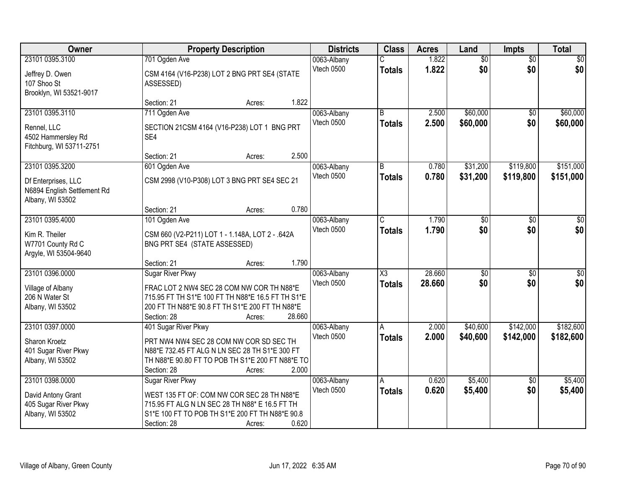| Owner                                                                             |                                                                                                                                                                                             | <b>Property Description</b> |        | <b>Districts</b>          | <b>Class</b>                            | <b>Acres</b>     | Land                   | <b>Impts</b>           | <b>Total</b>            |
|-----------------------------------------------------------------------------------|---------------------------------------------------------------------------------------------------------------------------------------------------------------------------------------------|-----------------------------|--------|---------------------------|-----------------------------------------|------------------|------------------------|------------------------|-------------------------|
| 23101 0395.3100<br>Jeffrey D. Owen<br>107 Shoo St<br>Brooklyn, WI 53521-9017      | 701 Ogden Ave<br>CSM 4164 (V16-P238) LOT 2 BNG PRT SE4 (STATE<br>ASSESSED)                                                                                                                  |                             |        | 0063-Albany<br>Vtech 0500 | <b>Totals</b>                           | 1.822<br>1.822   | $\overline{60}$<br>\$0 | $\overline{50}$<br>\$0 | \$0<br>\$0              |
|                                                                                   | Section: 21                                                                                                                                                                                 | Acres:                      | 1.822  |                           |                                         |                  |                        |                        |                         |
| 23101 0395.3110<br>Rennel, LLC<br>4502 Hammersley Rd<br>Fitchburg, WI 53711-2751  | 711 Ogden Ave<br>SECTION 21CSM 4164 (V16-P238) LOT 1 BNG PRT<br>SE4<br>Section: 21                                                                                                          | Acres:                      | 2.500  | 0063-Albany<br>Vtech 0500 | $\overline{R}$<br><b>Totals</b>         | 2.500<br>2.500   | \$60,000<br>\$60,000   | \$0<br>\$0             | \$60,000<br>\$60,000    |
| 23101 0395.3200                                                                   | 601 Ogden Ave                                                                                                                                                                               |                             |        | 0063-Albany               | B                                       | 0.780            | \$31,200               | \$119,800              | \$151,000               |
| Df Enterprises, LLC<br>N6894 English Settlement Rd<br>Albany, WI 53502            | CSM 2998 (V10-P308) LOT 3 BNG PRT SE4 SEC 21                                                                                                                                                |                             |        | Vtech 0500                | <b>Totals</b>                           | 0.780            | \$31,200               | \$119,800              | \$151,000               |
|                                                                                   | Section: 21                                                                                                                                                                                 | Acres:                      | 0.780  |                           |                                         |                  |                        |                        |                         |
| 23101 0395.4000<br>Kim R. Theiler<br>W7701 County Rd C<br>Argyle, WI 53504-9640   | 101 Ogden Ave<br>CSM 660 (V2-P211) LOT 1 - 1.148A, LOT 2 - .642A<br>BNG PRT SE4 (STATE ASSESSED)                                                                                            |                             |        | 0063-Albany<br>Vtech 0500 | C<br><b>Totals</b>                      | 1.790<br>1.790   | \$0<br>\$0             | \$0<br>\$0             | \$0<br>\$0              |
|                                                                                   | Section: 21                                                                                                                                                                                 | Acres:                      | 1.790  |                           |                                         |                  |                        |                        |                         |
| 23101 0396.0000<br>Village of Albany<br>206 N Water St<br>Albany, WI 53502        | <b>Sugar River Pkwy</b><br>FRAC LOT 2 NW4 SEC 28 COM NW COR TH N88*E<br>715.95 FT TH S1*E 100 FT TH N88*E 16.5 FT TH S1*E<br>200 FT TH N88*E 90.8 FT TH S1*E 200 FT TH N88*E<br>Section: 28 | Acres:                      | 28.660 | 0063-Albany<br>Vtech 0500 | $\overline{\text{X3}}$<br><b>Totals</b> | 28.660<br>28.660 | $\overline{50}$<br>\$0 | $\overline{50}$<br>\$0 | $\overline{\$0}$<br>\$0 |
| 23101 0397.0000                                                                   | 401 Sugar River Pkwy                                                                                                                                                                        |                             |        | 0063-Albany               | A                                       | 2.000            | \$40,600               | \$142,000              | \$182,600               |
| Sharon Kroetz<br>401 Sugar River Pkwy<br>Albany, WI 53502                         | PRT NW4 NW4 SEC 28 COM NW COR SD SEC TH<br>N88*E 732.45 FT ALG N LN SEC 28 TH S1*E 300 FT<br>TH N88*E 90.80 FT TO POB TH S1*E 200 FT N88*E TO<br>Section: 28                                | Acres:                      | 2.000  | Vtech 0500                | <b>Totals</b>                           | 2.000            | \$40,600               | \$142,000              | \$182,600               |
| 23101 0398.0000<br>David Antony Grant<br>405 Sugar River Pkwy<br>Albany, WI 53502 | <b>Sugar River Pkwy</b><br>WEST 135 FT OF: COM NW COR SEC 28 TH N88*E<br>715.95 FT ALG N LN SEC 28 TH N88* E 16.5 FT TH<br>S1*E 100 FT TO POB TH S1*E 200 FT TH N88*E 90.8<br>Section: 28   | Acres:                      | 0.620  | 0063-Albany<br>Vtech 0500 | A<br><b>Totals</b>                      | 0.620<br>0.620   | \$5,400<br>\$5,400     | $\overline{30}$<br>\$0 | \$5,400<br>\$5,400      |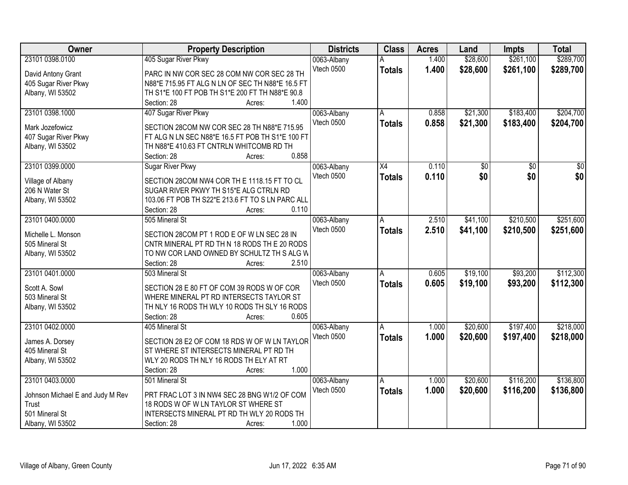| Owner                            | <b>Property Description</b>                      | <b>Districts</b> | <b>Class</b>  | <b>Acres</b> | Land     | <b>Impts</b> | <b>Total</b>    |
|----------------------------------|--------------------------------------------------|------------------|---------------|--------------|----------|--------------|-----------------|
| 23101 0398.0100                  | 405 Sugar River Pkwy                             | 0063-Albany      |               | 1.400        | \$28,600 | \$261,100    | \$289,700       |
| David Antony Grant               | PARC IN NW COR SEC 28 COM NW COR SEC 28 TH       | Vtech 0500       | <b>Totals</b> | 1.400        | \$28,600 | \$261,100    | \$289,700       |
| 405 Sugar River Pkwy             | N88*E 715.95 FT ALG N LN OF SEC TH N88*E 16.5 FT |                  |               |              |          |              |                 |
| Albany, WI 53502                 | TH S1*E 100 FT POB TH S1*E 200 FT TH N88*E 90.8  |                  |               |              |          |              |                 |
|                                  | 1.400<br>Section: 28<br>Acres:                   |                  |               |              |          |              |                 |
| 23101 0398.1000                  | 407 Sugar River Pkwy                             | 0063-Albany      | Α             | 0.858        | \$21,300 | \$183,400    | \$204,700       |
| Mark Jozefowicz                  | SECTION 28COM NW COR SEC 28 TH N88*E 715.95      | Vtech 0500       | <b>Totals</b> | 0.858        | \$21,300 | \$183,400    | \$204,700       |
| 407 Sugar River Pkwy             | FT ALG N LN SEC N88*E 16.5 FT POB TH S1*E 100 FT |                  |               |              |          |              |                 |
| Albany, WI 53502                 | TH N88*E 410.63 FT CNTRLN WHITCOMB RD TH         |                  |               |              |          |              |                 |
|                                  | 0.858<br>Section: 28<br>Acres:                   |                  |               |              |          |              |                 |
| 23101 0399.0000                  | <b>Sugar River Pkwy</b>                          | 0063-Albany      | X4            | 0.110        | \$0      | \$0          | $\overline{50}$ |
|                                  |                                                  | Vtech 0500       |               | 0.110        | \$0      | \$0          | \$0             |
| Village of Albany                | SECTION 28COM NW4 COR THE 1118.15 FT TO CL       |                  | <b>Totals</b> |              |          |              |                 |
| 206 N Water St                   | SUGAR RIVER PKWY TH S15*E ALG CTRLN RD           |                  |               |              |          |              |                 |
| Albany, WI 53502                 | 103.06 FT POB TH S22*E 213.6 FT TO S LN PARC ALL |                  |               |              |          |              |                 |
|                                  | Section: 28<br>0.110<br>Acres:                   |                  |               |              |          |              |                 |
| 23101 0400.0000                  | 505 Mineral St                                   | 0063-Albany      | Α             | 2.510        | \$41,100 | \$210,500    | \$251,600       |
| Michelle L. Monson               | SECTION 28COM PT 1 ROD E OF W LN SEC 28 IN       | Vtech 0500       | <b>Totals</b> | 2.510        | \$41,100 | \$210,500    | \$251,600       |
| 505 Mineral St                   | CNTR MINERAL PT RD TH N 18 RODS TH E 20 RODS     |                  |               |              |          |              |                 |
| Albany, WI 53502                 | TO NW COR LAND OWNED BY SCHULTZ THIS ALG W       |                  |               |              |          |              |                 |
|                                  | 2.510<br>Section: 28<br>Acres:                   |                  |               |              |          |              |                 |
| 23101 0401.0000                  | 503 Mineral St                                   | 0063-Albany      | A             | 0.605        | \$19,100 | \$93,200     | \$112,300       |
|                                  |                                                  | Vtech 0500       | <b>Totals</b> | 0.605        | \$19,100 | \$93,200     | \$112,300       |
| Scott A. Sowl                    | SECTION 28 E 80 FT OF COM 39 RODS W OF COR       |                  |               |              |          |              |                 |
| 503 Mineral St                   | WHERE MINERAL PT RD INTERSECTS TAYLOR ST         |                  |               |              |          |              |                 |
| Albany, WI 53502                 | TH NLY 16 RODS TH WLY 10 RODS TH SLY 16 RODS     |                  |               |              |          |              |                 |
|                                  | 0.605<br>Section: 28<br>Acres:                   |                  |               |              |          |              |                 |
| 23101 0402.0000                  | 405 Mineral St                                   | 0063-Albany      | A             | 1.000        | \$20,600 | \$197,400    | \$218,000       |
| James A. Dorsey                  | SECTION 28 E2 OF COM 18 RDS W OF W LN TAYLOR     | Vtech 0500       | <b>Totals</b> | 1.000        | \$20,600 | \$197,400    | \$218,000       |
| 405 Mineral St                   | ST WHERE ST INTERSECTS MINERAL PT RD TH          |                  |               |              |          |              |                 |
| Albany, WI 53502                 | WLY 20 RODS TH NLY 16 RODS TH ELY AT RT          |                  |               |              |          |              |                 |
|                                  | 1.000<br>Section: 28<br>Acres:                   |                  |               |              |          |              |                 |
| 23101 0403.0000                  | 501 Mineral St                                   | 0063-Albany      | A             | 1.000        | \$20,600 | \$116,200    | \$136,800       |
|                                  |                                                  | Vtech 0500       | <b>Totals</b> | 1.000        | \$20,600 | \$116,200    | \$136,800       |
| Johnson Michael E and Judy M Rev | PRT FRAC LOT 3 IN NW4 SEC 28 BNG W1/2 OF COM     |                  |               |              |          |              |                 |
| Trust                            | 18 RODS W OF W LN TAYLOR ST WHERE ST             |                  |               |              |          |              |                 |
| 501 Mineral St                   | INTERSECTS MINERAL PT RD TH WLY 20 RODS TH       |                  |               |              |          |              |                 |
| Albany, WI 53502                 | 1.000<br>Section: 28<br>Acres:                   |                  |               |              |          |              |                 |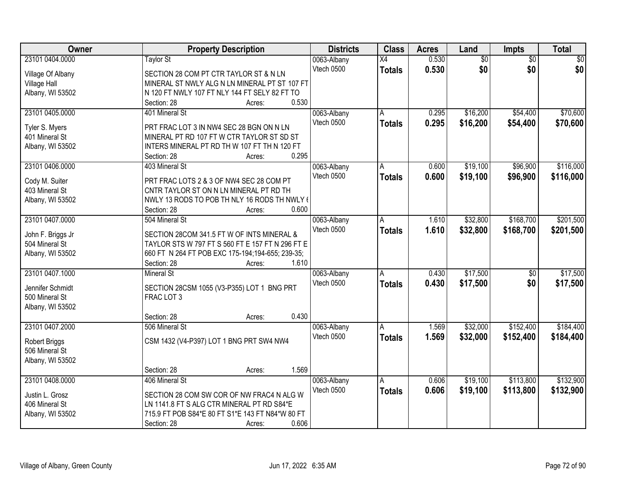| Owner               | <b>Property Description</b>                      | <b>Districts</b> | <b>Class</b>    | <b>Acres</b> | Land            | <b>Impts</b>    | <b>Total</b> |
|---------------------|--------------------------------------------------|------------------|-----------------|--------------|-----------------|-----------------|--------------|
| 23101 0404.0000     | Taylor St                                        | 0063-Albany      | $\overline{X4}$ | 0.530        | $\overline{60}$ | $\overline{50}$ | \$0          |
| Village Of Albany   | SECTION 28 COM PT CTR TAYLOR ST & N LN           | Vtech 0500       | <b>Totals</b>   | 0.530        | \$0             | \$0             | \$0          |
| <b>Village Hall</b> | MINERAL ST NWLY ALG N LN MINERAL PT ST 107 FT    |                  |                 |              |                 |                 |              |
| Albany, WI 53502    | N 120 FT NWLY 107 FT NLY 144 FT SELY 82 FT TO    |                  |                 |              |                 |                 |              |
|                     | 0.530<br>Section: 28<br>Acres:                   |                  |                 |              |                 |                 |              |
| 23101 0405.0000     | 401 Mineral St                                   | 0063-Albany      | A               | 0.295        | \$16,200        | \$54,400        | \$70,600     |
|                     |                                                  | Vtech 0500       | <b>Totals</b>   | 0.295        | \$16,200        | \$54,400        | \$70,600     |
| Tyler S. Myers      | PRT FRAC LOT 3 IN NW4 SEC 28 BGN ON N LN         |                  |                 |              |                 |                 |              |
| 401 Mineral St      | MINERAL PT RD 107 FT W CTR TAYLOR ST SD ST       |                  |                 |              |                 |                 |              |
| Albany, WI 53502    | INTERS MINERAL PT RD TH W 107 FT TH N 120 FT     |                  |                 |              |                 |                 |              |
|                     | 0.295<br>Section: 28<br>Acres:                   |                  |                 |              |                 |                 |              |
| 23101 0406.0000     | 403 Mineral St                                   | 0063-Albany      | A               | 0.600        | \$19,100        | \$96,900        | \$116,000    |
| Cody M. Suiter      | PRT FRAC LOTS 2 & 3 OF NW4 SEC 28 COM PT         | Vtech 0500       | <b>Totals</b>   | 0.600        | \$19,100        | \$96,900        | \$116,000    |
| 403 Mineral St      | CNTR TAYLOR ST ON N LN MINERAL PT RD TH          |                  |                 |              |                 |                 |              |
| Albany, WI 53502    | NWLY 13 RODS TO POB TH NLY 16 RODS TH NWLY (     |                  |                 |              |                 |                 |              |
|                     | 0.600<br>Section: 28<br>Acres:                   |                  |                 |              |                 |                 |              |
| 23101 0407.0000     | 504 Mineral St                                   | 0063-Albany      | Α               | 1.610        | \$32,800        | \$168,700       | \$201,500    |
|                     |                                                  | Vtech 0500       | <b>Totals</b>   | 1.610        | \$32,800        | \$168,700       | \$201,500    |
| John F. Briggs Jr   | SECTION 28COM 341.5 FT W OF INTS MINERAL &       |                  |                 |              |                 |                 |              |
| 504 Mineral St      | TAYLOR STS W 797 FT S 560 FT E 157 FT N 296 FT E |                  |                 |              |                 |                 |              |
| Albany, WI 53502    | 660 FT N 264 FT POB EXC 175-194;194-655; 239-35; |                  |                 |              |                 |                 |              |
|                     | 1.610<br>Section: 28<br>Acres:                   |                  |                 |              |                 |                 |              |
| 23101 0407.1000     | <b>Mineral St</b>                                | 0063-Albany      | A               | 0.430        | \$17,500        | $\overline{50}$ | \$17,500     |
| Jennifer Schmidt    | SECTION 28CSM 1055 (V3-P355) LOT 1 BNG PRT       | Vtech 0500       | <b>Totals</b>   | 0.430        | \$17,500        | \$0             | \$17,500     |
| 500 Mineral St      | FRAC LOT 3                                       |                  |                 |              |                 |                 |              |
| Albany, WI 53502    |                                                  |                  |                 |              |                 |                 |              |
|                     | 0.430<br>Section: 28<br>Acres:                   |                  |                 |              |                 |                 |              |
| 23101 0407.2000     | 506 Mineral St                                   | 0063-Albany      |                 | 1.569        | \$32,000        | \$152,400       | \$184,400    |
|                     |                                                  | Vtech 0500       | <b>Totals</b>   | 1.569        | \$32,000        | \$152,400       | \$184,400    |
| Robert Briggs       | CSM 1432 (V4-P397) LOT 1 BNG PRT SW4 NW4         |                  |                 |              |                 |                 |              |
| 506 Mineral St      |                                                  |                  |                 |              |                 |                 |              |
| Albany, WI 53502    |                                                  |                  |                 |              |                 |                 |              |
|                     | 1.569<br>Section: 28<br>Acres:                   |                  |                 |              |                 |                 |              |
| 23101 0408.0000     | 406 Mineral St                                   | 0063-Albany      | A               | 0.606        | \$19,100        | \$113,800       | \$132,900    |
| Justin L. Grosz     | SECTION 28 COM SW COR OF NW FRAC4 N ALG W        | Vtech 0500       | <b>Totals</b>   | 0.606        | \$19,100        | \$113,800       | \$132,900    |
| 406 Mineral St      | LN 1141.8 FT S ALG CTR MINERAL PT RD S84*E       |                  |                 |              |                 |                 |              |
| Albany, WI 53502    | 715.9 FT POB S84*E 80 FT S1*E 143 FT N84*W 80 FT |                  |                 |              |                 |                 |              |
|                     | 0.606<br>Section: 28<br>Acres:                   |                  |                 |              |                 |                 |              |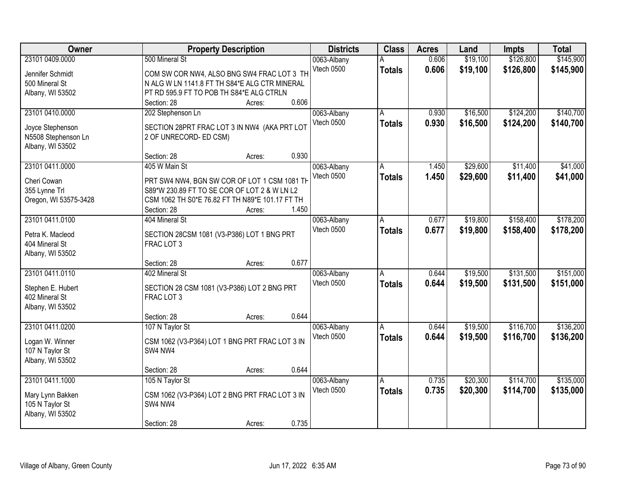| Owner                               | <b>Property Description</b>                               | <b>Districts</b> | <b>Class</b>  | <b>Acres</b> | Land     | <b>Impts</b> | <b>Total</b> |
|-------------------------------------|-----------------------------------------------------------|------------------|---------------|--------------|----------|--------------|--------------|
| 23101 0409.0000                     | 500 Mineral St                                            | 0063-Albany      |               | 0.606        | \$19,100 | \$126,800    | \$145,900    |
| Jennifer Schmidt                    | COM SW COR NW4, ALSO BNG SW4 FRAC LOT 3 TH                | Vtech 0500       | <b>Totals</b> | 0.606        | \$19,100 | \$126,800    | \$145,900    |
| 500 Mineral St                      | N ALG W LN 1141.8 FT TH S84*E ALG CTR MINERAL             |                  |               |              |          |              |              |
| Albany, WI 53502                    | PT RD 595.9 FT TO POB TH S84*E ALG CTRLN                  |                  |               |              |          |              |              |
|                                     | 0.606<br>Section: 28<br>Acres:                            |                  |               |              |          |              |              |
| 23101 0410.0000                     | 202 Stephenson Ln                                         | 0063-Albany      | A             | 0.930        | \$16,500 | \$124,200    | \$140,700    |
|                                     |                                                           | Vtech 0500       | <b>Totals</b> | 0.930        | \$16,500 | \$124,200    | \$140,700    |
| Joyce Stephenson                    | SECTION 28PRT FRAC LOT 3 IN NW4 (AKA PRT LOT              |                  |               |              |          |              |              |
| N5508 Stephenson Ln                 | 2 OF UNRECORD- ED CSM)                                    |                  |               |              |          |              |              |
| Albany, WI 53502                    | 0.930<br>Section: 28                                      |                  |               |              |          |              |              |
| 23101 0411.0000                     | Acres:<br>405 W Main St                                   | 0063-Albany      |               | 1.450        | \$29,600 | \$11,400     | \$41,000     |
|                                     |                                                           | Vtech 0500       | A             |              |          |              |              |
| Cheri Cowan                         | PRT SW4 NW4, BGN SW COR OF LOT 1 CSM 1081 TH              |                  | <b>Totals</b> | 1.450        | \$29,600 | \$11,400     | \$41,000     |
| 355 Lynne Trl                       | S89*W 230.89 FT TO SE COR OF LOT 2 & W LN L2              |                  |               |              |          |              |              |
| Oregon, WI 53575-3428               | CSM 1062 TH S0*E 76.82 FT TH N89*E 101.17 FT TH           |                  |               |              |          |              |              |
|                                     | 1.450<br>Section: 28<br>Acres:                            |                  |               |              |          |              |              |
| 23101 0411.0100                     | 404 Mineral St                                            | 0063-Albany      | A             | 0.677        | \$19,800 | \$158,400    | \$178,200    |
| Petra K. Macleod                    | SECTION 28CSM 1081 (V3-P386) LOT 1 BNG PRT                | Vtech 0500       | <b>Totals</b> | 0.677        | \$19,800 | \$158,400    | \$178,200    |
| 404 Mineral St                      | FRAC LOT 3                                                |                  |               |              |          |              |              |
| Albany, WI 53502                    |                                                           |                  |               |              |          |              |              |
|                                     | 0.677<br>Section: 28<br>Acres:                            |                  |               |              |          |              |              |
| 23101 0411.0110                     | 402 Mineral St                                            | 0063-Albany      | A             | 0.644        | \$19,500 | \$131,500    | \$151,000    |
|                                     |                                                           | Vtech 0500       | <b>Totals</b> | 0.644        | \$19,500 | \$131,500    | \$151,000    |
| Stephen E. Hubert                   | SECTION 28 CSM 1081 (V3-P386) LOT 2 BNG PRT               |                  |               |              |          |              |              |
| 402 Mineral St                      | FRAC LOT 3                                                |                  |               |              |          |              |              |
| Albany, WI 53502                    |                                                           |                  |               |              |          |              |              |
|                                     | 0.644<br>Section: 28<br>Acres:                            |                  |               |              |          |              |              |
| 23101 0411.0200                     | 107 N Taylor St                                           | 0063-Albany      | A             | 0.644        | \$19,500 | \$116,700    | \$136,200    |
| Logan W. Winner                     | CSM 1062 (V3-P364) LOT 1 BNG PRT FRAC LOT 3 IN            | Vtech 0500       | <b>Totals</b> | 0.644        | \$19,500 | \$116,700    | \$136,200    |
| 107 N Taylor St                     | SW4 NW4                                                   |                  |               |              |          |              |              |
| Albany, WI 53502                    |                                                           |                  |               |              |          |              |              |
|                                     | 0.644<br>Section: 28<br>Acres:                            |                  |               |              |          |              |              |
| 23101 0411.1000                     | 105 N Taylor St                                           | 0063-Albany      | A             | 0.735        | \$20,300 | \$114,700    | \$135,000    |
|                                     |                                                           | Vtech 0500       | <b>Totals</b> | 0.735        | \$20,300 | \$114,700    | \$135,000    |
| Mary Lynn Bakken                    | CSM 1062 (V3-P364) LOT 2 BNG PRT FRAC LOT 3 IN<br>SW4 NW4 |                  |               |              |          |              |              |
| 105 N Taylor St<br>Albany, WI 53502 |                                                           |                  |               |              |          |              |              |
|                                     | 0.735<br>Section: 28<br>Acres:                            |                  |               |              |          |              |              |
|                                     |                                                           |                  |               |              |          |              |              |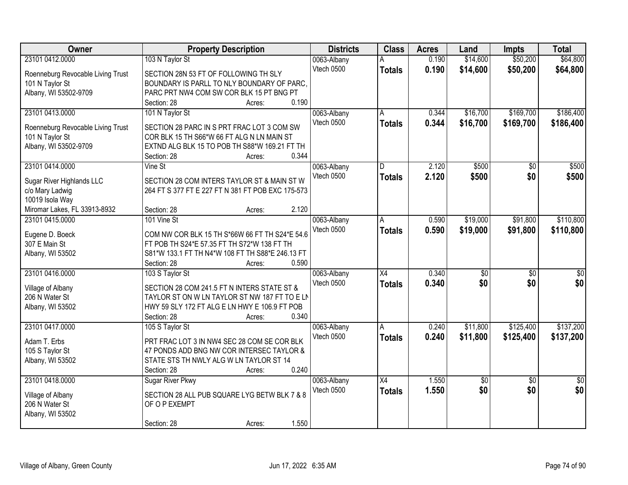| Owner                             | <b>Property Description</b>                               | <b>Districts</b> | <b>Class</b>    | <b>Acres</b> | Land            | <b>Impts</b>    | <b>Total</b>    |
|-----------------------------------|-----------------------------------------------------------|------------------|-----------------|--------------|-----------------|-----------------|-----------------|
| 23101 0412.0000                   | 103 N Taylor St                                           | 0063-Albany      |                 | 0.190        | \$14,600        | \$50,200        | \$64,800        |
| Roenneburg Revocable Living Trust | SECTION 28N 53 FT OF FOLLOWING TH SLY                     | Vtech 0500       | <b>Totals</b>   | 0.190        | \$14,600        | \$50,200        | \$64,800        |
| 101 N Taylor St                   | BOUNDARY IS PARLL TO NLY BOUNDARY OF PARC.                |                  |                 |              |                 |                 |                 |
| Albany, WI 53502-9709             | PARC PRT NW4 COM SW COR BLK 15 PT BNG PT                  |                  |                 |              |                 |                 |                 |
|                                   | 0.190<br>Section: 28<br>Acres:                            |                  |                 |              |                 |                 |                 |
| 23101 0413.0000                   | 101 N Taylor St                                           | 0063-Albany      | Α               | 0.344        | \$16,700        | \$169,700       | \$186,400       |
|                                   |                                                           | Vtech 0500       | <b>Totals</b>   | 0.344        | \$16,700        | \$169,700       | \$186,400       |
| Roenneburg Revocable Living Trust | SECTION 28 PARC IN S PRT FRAC LOT 3 COM SW                |                  |                 |              |                 |                 |                 |
| 101 N Taylor St                   | COR BLK 15 TH S66*W 66 FT ALG N LN MAIN ST                |                  |                 |              |                 |                 |                 |
| Albany, WI 53502-9709             | EXTND ALG BLK 15 TO POB TH S88*W 169.21 FT TH             |                  |                 |              |                 |                 |                 |
|                                   | 0.344<br>Section: 28<br>Acres:                            |                  |                 |              |                 |                 |                 |
| 23101 0414.0000                   | Vine St                                                   | 0063-Albany      | D               | 2.120        | \$500           | \$0             | \$500           |
| Sugar River Highlands LLC         | SECTION 28 COM INTERS TAYLOR ST & MAIN ST W               | Vtech 0500       | <b>Totals</b>   | 2.120        | \$500           | \$0             | \$500           |
| c/o Mary Ladwig                   | 264 FT S 377 FT E 227 FT N 381 FT POB EXC 175-573         |                  |                 |              |                 |                 |                 |
| 10019 Isola Way                   |                                                           |                  |                 |              |                 |                 |                 |
| Miromar Lakes, FL 33913-8932      | 2.120<br>Section: 28<br>Acres:                            |                  |                 |              |                 |                 |                 |
| 23101 0415.0000                   | 101 Vine St                                               | 0063-Albany      | А               | 0.590        | \$19,000        | \$91,800        | \$110,800       |
|                                   |                                                           | Vtech 0500       | <b>Totals</b>   | 0.590        | \$19,000        | \$91,800        | \$110,800       |
| Eugene D. Boeck                   | COM NW COR BLK 15 TH S*66W 66 FT TH S24*E 54.6            |                  |                 |              |                 |                 |                 |
| 307 E Main St                     | FT POB TH S24*E 57.35 FT TH S72*W 138 FT TH               |                  |                 |              |                 |                 |                 |
| Albany, WI 53502                  | S81*W 133.1 FT TH N4*W 108 FT TH S88*E 246.13 FT<br>0.590 |                  |                 |              |                 |                 |                 |
|                                   | Section: 28<br>Acres:                                     |                  |                 |              |                 |                 |                 |
| 23101 0416.0000                   | 103 S Taylor St                                           | 0063-Albany      | $\overline{X4}$ | 0.340        | $\overline{50}$ | $\overline{50}$ | $\overline{50}$ |
| Village of Albany                 | SECTION 28 COM 241.5 FT N INTERS STATE ST &               | Vtech 0500       | <b>Totals</b>   | 0.340        | \$0             | \$0             | \$0             |
| 206 N Water St                    | TAYLOR ST ON W LN TAYLOR ST NW 187 FT TO E LN             |                  |                 |              |                 |                 |                 |
| Albany, WI 53502                  | HWY 59 SLY 172 FT ALG E LN HWY E 106.9 FT POB             |                  |                 |              |                 |                 |                 |
|                                   | 0.340<br>Section: 28<br>Acres:                            |                  |                 |              |                 |                 |                 |
| 23101 0417.0000                   | 105 S Taylor St                                           | 0063-Albany      | A               | 0.240        | \$11,800        | \$125,400       | \$137,200       |
|                                   |                                                           | Vtech 0500       | <b>Totals</b>   | 0.240        | \$11,800        | \$125,400       | \$137,200       |
| Adam T. Erbs                      | PRT FRAC LOT 3 IN NW4 SEC 28 COM SE COR BLK               |                  |                 |              |                 |                 |                 |
| 105 S Taylor St                   | 47 PONDS ADD BNG NW COR INTERSEC TAYLOR &                 |                  |                 |              |                 |                 |                 |
| Albany, WI 53502                  | STATE STS TH NWLY ALG W LN TAYLOR ST 14                   |                  |                 |              |                 |                 |                 |
|                                   | 0.240<br>Section: 28<br>Acres:                            |                  |                 |              |                 |                 |                 |
| 23101 0418,0000                   | <b>Sugar River Pkwy</b>                                   | 0063-Albany      | $\overline{X4}$ | 1.550        | $\overline{50}$ | $\overline{50}$ | $\overline{50}$ |
| Village of Albany                 | SECTION 28 ALL PUB SQUARE LYG BETW BLK 7 & 8              | Vtech 0500       | <b>Totals</b>   | 1.550        | \$0             | \$0             | \$0             |
| 206 N Water St                    | OF O P EXEMPT                                             |                  |                 |              |                 |                 |                 |
| Albany, WI 53502                  |                                                           |                  |                 |              |                 |                 |                 |
|                                   | 1.550<br>Section: 28<br>Acres:                            |                  |                 |              |                 |                 |                 |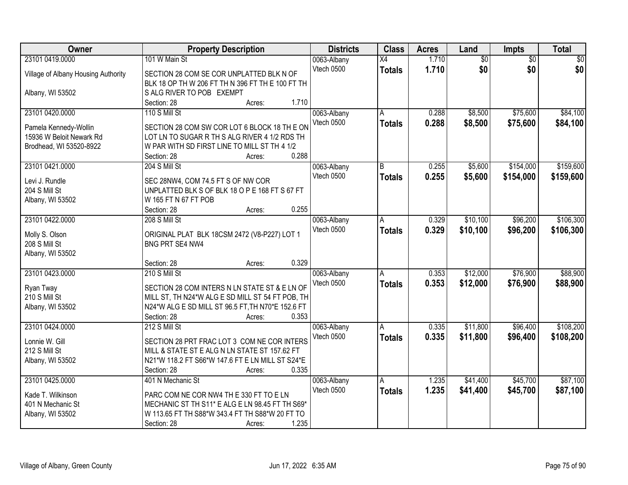| <b>Class</b><br>Owner<br><b>Property Description</b><br><b>Districts</b><br><b>Acres</b><br>Land<br>Impts                             | <b>Total</b> |
|---------------------------------------------------------------------------------------------------------------------------------------|--------------|
| $\overline{60}$<br>23101 0419.0000<br>101 W Main St<br>1.710<br>$\overline{50}$<br>0063-Albany<br>$\overline{X4}$                     | \$0          |
| 1.710<br>\$0<br>\$0<br>Vtech 0500<br><b>Totals</b><br>Village of Albany Housing Authority<br>SECTION 28 COM SE COR UNPLATTED BLK N OF | \$0          |
| BLK 18 OP TH W 206 FT TH N 396 FT TH E 100 FT TH                                                                                      |              |
| Albany, WI 53502<br>S ALG RIVER TO POB EXEMPT                                                                                         |              |
| 1.710<br>Section: 28<br>Acres:                                                                                                        |              |
| \$8,500<br>23101 0420.0000<br>110 S Mill St<br>0.288<br>\$75,600<br>0063-Albany<br>A                                                  | \$84,100     |
| 0.288<br>\$75,600<br>Vtech 0500<br>\$8,500<br><b>Totals</b><br>SECTION 28 COM SW COR LOT 6 BLOCK 18 TH E ON<br>Pamela Kennedy-Wollin  | \$84,100     |
| 15936 W Beloit Newark Rd<br>LOT LN TO SUGAR R TH S ALG RIVER 4 1/2 RDS TH                                                             |              |
| W PAR WITH SD FIRST LINE TO MILL ST TH 4 1/2<br>Brodhead, WI 53520-8922                                                               |              |
| 0.288<br>Section: 28<br>Acres:                                                                                                        |              |
| \$154,000<br>23101 0421.0000<br>204 S Mill St<br>0.255<br>\$5,600<br>0063-Albany<br>B                                                 | \$159,600    |
| Vtech 0500<br>0.255<br>\$5,600<br>\$154,000<br><b>Totals</b>                                                                          | \$159,600    |
| Levi J. Rundle<br>SEC 28NW4, COM 74.5 FT S OF NW COR<br>204 S Mill St                                                                 |              |
| UNPLATTED BLK S OF BLK 18 O P E 168 FT S 67 FT<br>W 165 FT N 67 FT POB<br>Albany, WI 53502                                            |              |
| 0.255<br>Section: 28<br>Acres:                                                                                                        |              |
| 23101 0422.0000<br>208 S Mill St<br>\$10,100<br>\$96,200<br>0063-Albany<br>0.329<br>A                                                 | \$106,300    |
| 0.329<br>Vtech 0500<br>\$96,200<br>\$10,100<br><b>Totals</b>                                                                          | \$106,300    |
| ORIGINAL PLAT BLK 18CSM 2472 (V8-P227) LOT 1<br>Molly S. Olson                                                                        |              |
| 208 S Mill St<br>BNG PRT SE4 NW4                                                                                                      |              |
| Albany, WI 53502                                                                                                                      |              |
| 0.329<br>Section: 28<br>Acres:                                                                                                        |              |
| 23101 0423.0000<br>\$12,000<br>\$76,900<br>210 S Mill St<br>0.353<br>0063-Albany<br>A                                                 | \$88,900     |
| Vtech 0500<br>0.353<br>\$12,000<br>\$76,900<br><b>Totals</b><br>Ryan Tway<br>SECTION 28 COM INTERS N LN STATE ST & E LN OF            | \$88,900     |
| MILL ST, TH N24*W ALG E SD MILL ST 54 FT POB, TH<br>210 S Mill St                                                                     |              |
| Albany, WI 53502<br>N24*W ALG E SD MILL ST 96.5 FT, TH N70*E 152.6 FT                                                                 |              |
| 0.353<br>Section: 28<br>Acres:                                                                                                        |              |
| \$11,800<br>\$96,400<br>23101 0424.0000<br>212 S Mill St<br>0.335<br>0063-Albany<br>A                                                 | \$108,200    |
| \$11,800<br>Vtech 0500<br>0.335<br>\$96,400<br><b>Totals</b><br>Lonnie W. Gill<br>SECTION 28 PRT FRAC LOT 3 COM NE COR INTERS         | \$108,200    |
| 212 S Mill St<br>MILL & STATE ST E ALG N LN STATE ST 157.62 FT                                                                        |              |
| Albany, WI 53502<br>N21*W 118.2 FT S66*W 147.6 FT E LN MILL ST S24*E                                                                  |              |
| 0.335<br>Section: 28<br>Acres:                                                                                                        |              |
| \$45,700<br>23101 0425.0000<br>\$41,400<br>401 N Mechanic St<br>0063-Albany<br>1.235<br>A                                             | \$87,100     |
| 1.235<br>Vtech 0500<br>\$41,400<br>\$45,700<br><b>Totals</b><br>Kade T. Wilkinson<br>PARC COM NE COR NW4 TH E 330 FT TO E LN          | \$87,100     |
| 401 N Mechanic St<br>MECHANIC ST TH S11* E ALG E LN 98.45 FT TH S69*                                                                  |              |
| W 113.65 FT TH S88*W 343.4 FT TH S88*W 20 FT TO<br>Albany, WI 53502                                                                   |              |
| 1.235<br>Section: 28<br>Acres:                                                                                                        |              |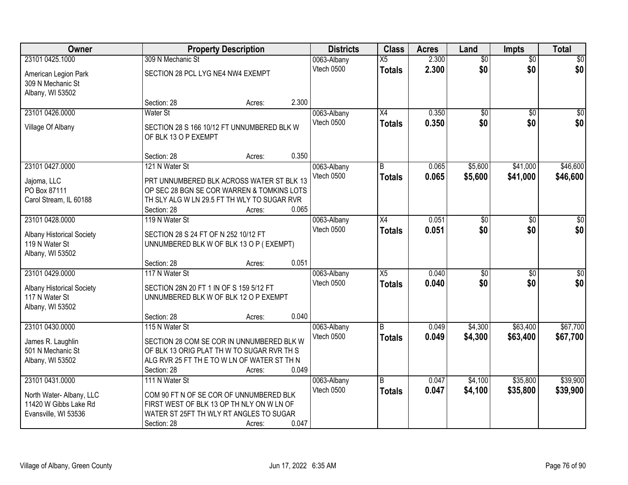| Owner                            |                                             | <b>Property Description</b> |       | <b>Districts</b> | <b>Class</b>    | <b>Acres</b> | Land            | <b>Impts</b>    | <b>Total</b>    |
|----------------------------------|---------------------------------------------|-----------------------------|-------|------------------|-----------------|--------------|-----------------|-----------------|-----------------|
| 23101 0425.1000                  | 309 N Mechanic St                           |                             |       | 0063-Albany      | $\overline{X5}$ | 2.300        | $\overline{50}$ | $\overline{50}$ | $\overline{30}$ |
| American Legion Park             | SECTION 28 PCL LYG NE4 NW4 EXEMPT           |                             |       | Vtech 0500       | <b>Totals</b>   | 2.300        | \$0             | \$0             | \$0             |
| 309 N Mechanic St                |                                             |                             |       |                  |                 |              |                 |                 |                 |
| Albany, WI 53502                 |                                             |                             |       |                  |                 |              |                 |                 |                 |
|                                  | Section: 28                                 | Acres:                      | 2.300 |                  |                 |              |                 |                 |                 |
| 23101 0426.0000                  | Water St                                    |                             |       | 0063-Albany      | X4              | 0.350        | $\overline{50}$ | $\overline{50}$ | $\overline{50}$ |
| Village Of Albany                | SECTION 28 S 166 10/12 FT UNNUMBERED BLK W  |                             |       | Vtech 0500       | <b>Totals</b>   | 0.350        | \$0             | \$0             | \$0             |
|                                  | OF BLK 13 O P EXEMPT                        |                             |       |                  |                 |              |                 |                 |                 |
|                                  | Section: 28                                 | Acres:                      | 0.350 |                  |                 |              |                 |                 |                 |
| 23101 0427.0000                  | 121 N Water St                              |                             |       | 0063-Albany      | B               | 0.065        | \$5,600         | \$41,000        | \$46,600        |
| Jajoma, LLC                      | PRT UNNUMBERED BLK ACROSS WATER ST BLK 13   |                             |       | Vtech 0500       | <b>Totals</b>   | 0.065        | \$5,600         | \$41,000        | \$46,600        |
| PO Box 87111                     | OP SEC 28 BGN SE COR WARREN & TOMKINS LOTS  |                             |       |                  |                 |              |                 |                 |                 |
| Carol Stream, IL 60188           | TH SLY ALG W LN 29.5 FT TH WLY TO SUGAR RVR |                             |       |                  |                 |              |                 |                 |                 |
|                                  | Section: 28                                 | Acres:                      | 0.065 |                  |                 |              |                 |                 |                 |
| 23101 0428.0000                  | 119 N Water St                              |                             |       | 0063-Albany      | $\overline{X4}$ | 0.051        | $\overline{30}$ | \$0             | \$0             |
| <b>Albany Historical Society</b> | SECTION 28 S 24 FT OF N 252 10/12 FT        |                             |       | Vtech 0500       | <b>Totals</b>   | 0.051        | \$0             | \$0             | \$0             |
| 119 N Water St                   | UNNUMBERED BLK W OF BLK 13 O P (EXEMPT)     |                             |       |                  |                 |              |                 |                 |                 |
| Albany, WI 53502                 |                                             |                             |       |                  |                 |              |                 |                 |                 |
|                                  | Section: 28                                 | Acres:                      | 0.051 |                  |                 |              |                 |                 |                 |
| 23101 0429.0000                  | 117 N Water St                              |                             |       | 0063-Albany      | $\overline{X5}$ | 0.040        | \$0             | $\overline{50}$ | \$0             |
| <b>Albany Historical Society</b> | SECTION 28N 20 FT 1 IN OF S 159 5/12 FT     |                             |       | Vtech 0500       | <b>Totals</b>   | 0.040        | \$0             | \$0             | \$0             |
| 117 N Water St                   | UNNUMBERED BLK W OF BLK 12 O P EXEMPT       |                             |       |                  |                 |              |                 |                 |                 |
| Albany, WI 53502                 |                                             |                             |       |                  |                 |              |                 |                 |                 |
|                                  | Section: 28                                 | Acres:                      | 0.040 |                  |                 |              |                 |                 |                 |
| 23101 0430.0000                  | 115 N Water St                              |                             |       | 0063-Albany      | B               | 0.049        | \$4,300         | \$63,400        | \$67,700        |
| James R. Laughlin                | SECTION 28 COM SE COR IN UNNUMBERED BLK W   |                             |       | Vtech 0500       | <b>Totals</b>   | 0.049        | \$4,300         | \$63,400        | \$67,700        |
| 501 N Mechanic St                | OF BLK 13 ORIG PLAT TH W TO SUGAR RVR TH S  |                             |       |                  |                 |              |                 |                 |                 |
| Albany, WI 53502                 | ALG RVR 25 FT TH E TO W LN OF WATER ST TH N |                             |       |                  |                 |              |                 |                 |                 |
|                                  | Section: 28                                 | Acres:                      | 0.049 |                  |                 |              |                 |                 |                 |
| 23101 0431.0000                  | 111 N Water St                              |                             |       | 0063-Albany      | B               | 0.047        | \$4,100         | \$35,800        | \$39,900        |
| North Water- Albany, LLC         | COM 90 FT N OF SE COR OF UNNUMBERED BLK     |                             |       | Vtech 0500       | <b>Totals</b>   | 0.047        | \$4,100         | \$35,800        | \$39,900        |
| 11420 W Gibbs Lake Rd            | FIRST WEST OF BLK 13 OP TH NLY ON W LN OF   |                             |       |                  |                 |              |                 |                 |                 |
| Evansville, WI 53536             | WATER ST 25FT TH WLY RT ANGLES TO SUGAR     |                             |       |                  |                 |              |                 |                 |                 |
|                                  | Section: 28                                 | Acres:                      | 0.047 |                  |                 |              |                 |                 |                 |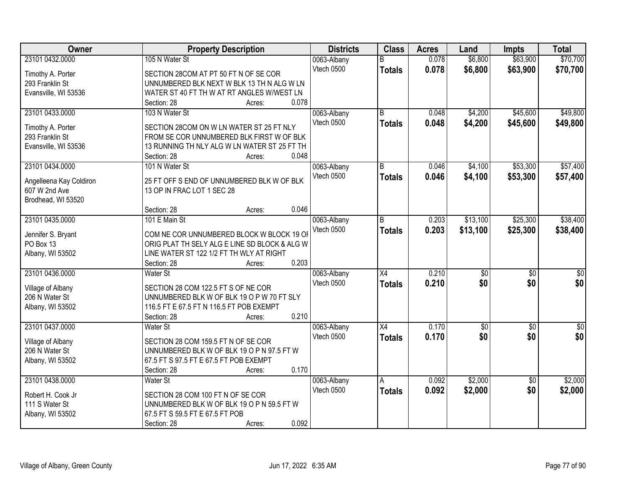| <b>Owner</b>            | <b>Property Description</b>                   | <b>Districts</b> | <b>Class</b>    | <b>Acres</b> | Land            | <b>Impts</b>    | <b>Total</b>  |
|-------------------------|-----------------------------------------------|------------------|-----------------|--------------|-----------------|-----------------|---------------|
| 23101 0432.0000         | 105 N Water St                                | 0063-Albany      |                 | 0.078        | \$6,800         | \$63,900        | \$70,700      |
| Timothy A. Porter       | SECTION 28COM AT PT 50 FT N OF SE COR         | Vtech 0500       | <b>Totals</b>   | 0.078        | \$6,800         | \$63,900        | \$70,700      |
| 293 Franklin St         | UNNUMBERED BLK NEXT W BLK 13 TH N ALG W LN    |                  |                 |              |                 |                 |               |
| Evansville, WI 53536    | WATER ST 40 FT TH W AT RT ANGLES W/WEST LN    |                  |                 |              |                 |                 |               |
|                         | 0.078<br>Section: 28<br>Acres:                |                  |                 |              |                 |                 |               |
| 23101 0433.0000         | 103 N Water St                                | 0063-Albany      | $\overline{B}$  | 0.048        | \$4,200         | \$45,600        | \$49,800      |
|                         |                                               | Vtech 0500       | <b>Totals</b>   | 0.048        | \$4,200         | \$45,600        | \$49,800      |
| Timothy A. Porter       | SECTION 28COM ON W LN WATER ST 25 FT NLY      |                  |                 |              |                 |                 |               |
| 293 Franklin St         | FROM SE COR UNNUMBERED BLK FIRST W OF BLK     |                  |                 |              |                 |                 |               |
| Evansville, WI 53536    | 13 RUNNING TH NLY ALG W LN WATER ST 25 FT TH  |                  |                 |              |                 |                 |               |
|                         | 0.048<br>Section: 28<br>Acres:                |                  |                 |              |                 |                 |               |
| 23101 0434.0000         | 101 N Water St                                | 0063-Albany      | B               | 0.046        | \$4,100         | \$53,300        | \$57,400      |
| Angelleena Kay Coldiron | 25 FT OFF S END OF UNNUMBERED BLK W OF BLK    | Vtech 0500       | <b>Totals</b>   | 0.046        | \$4,100         | \$53,300        | \$57,400      |
| 607 W 2nd Ave           | 13 OP IN FRAC LOT 1 SEC 28                    |                  |                 |              |                 |                 |               |
| Brodhead, WI 53520      |                                               |                  |                 |              |                 |                 |               |
|                         | 0.046<br>Section: 28<br>Acres:                |                  |                 |              |                 |                 |               |
| 23101 0435.0000         | 101 E Main St                                 | 0063-Albany      | B               | 0.203        | \$13,100        | \$25,300        | \$38,400      |
|                         |                                               | Vtech 0500       | <b>Totals</b>   | 0.203        | \$13,100        | \$25,300        | \$38,400      |
| Jennifer S. Bryant      | COM NE COR UNNUMBERED BLOCK W BLOCK 19 OF     |                  |                 |              |                 |                 |               |
| PO Box 13               | ORIG PLAT TH SELY ALG E LINE SD BLOCK & ALG W |                  |                 |              |                 |                 |               |
| Albany, WI 53502        | LINE WATER ST 122 1/2 FT TH WLY AT RIGHT      |                  |                 |              |                 |                 |               |
|                         | 0.203<br>Section: 28<br>Acres:                |                  |                 |              |                 |                 |               |
| 23101 0436.0000         | <b>Water St</b>                               | 0063-Albany      | $\overline{X4}$ | 0.210        | $\overline{50}$ | $\overline{50}$ | \$0           |
| Village of Albany       | SECTION 28 COM 122.5 FT S OF NE COR           | Vtech 0500       | <b>Totals</b>   | 0.210        | \$0             | \$0             | \$0           |
| 206 N Water St          | UNNUMBERED BLK W OF BLK 19 O P W 70 FT SLY    |                  |                 |              |                 |                 |               |
| Albany, WI 53502        | 116.5 FT E 67.5 FT N 116.5 FT POB EXEMPT      |                  |                 |              |                 |                 |               |
|                         | 0.210<br>Section: 28<br>Acres:                |                  |                 |              |                 |                 |               |
| 23101 0437.0000         | <b>Water St</b>                               | 0063-Albany      | X4              | 0.170        | $\sqrt{$0}$     | $\sqrt{6}$      | $\frac{1}{6}$ |
|                         |                                               | Vtech 0500       | <b>Totals</b>   | 0.170        | \$0             | \$0             | \$0           |
| Village of Albany       | SECTION 28 COM 159.5 FT N OF SE COR           |                  |                 |              |                 |                 |               |
| 206 N Water St          | UNNUMBERED BLK W OF BLK 19 O P N 97.5 FT W    |                  |                 |              |                 |                 |               |
| Albany, WI 53502        | 67.5 FT S 97.5 FT E 67.5 FT POB EXEMPT        |                  |                 |              |                 |                 |               |
|                         | 0.170<br>Section: 28<br>Acres:                |                  |                 |              |                 |                 |               |
| 23101 0438.0000         | Water St                                      | 0063-Albany      | A               | 0.092        | \$2,000         | $\overline{30}$ | \$2,000       |
| Robert H. Cook Jr       | SECTION 28 COM 100 FT N OF SE COR             | Vtech 0500       | <b>Totals</b>   | 0.092        | \$2,000         | \$0             | \$2,000       |
| 111 S Water St          | UNNUMBERED BLK W OF BLK 19 O P N 59.5 FT W    |                  |                 |              |                 |                 |               |
| Albany, WI 53502        | 67.5 FT S 59.5 FT E 67.5 FT POB               |                  |                 |              |                 |                 |               |
|                         | 0.092<br>Section: 28                          |                  |                 |              |                 |                 |               |
|                         | Acres:                                        |                  |                 |              |                 |                 |               |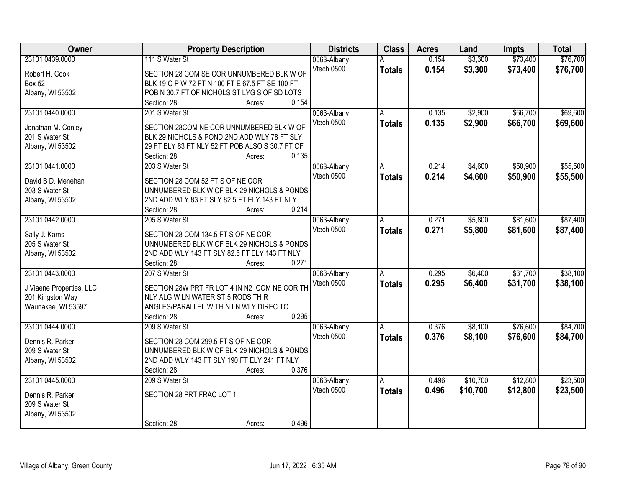| <b>Owner</b>             | <b>Property Description</b>                     | <b>Districts</b> | <b>Class</b>  | <b>Acres</b> | Land     | <b>Impts</b> | <b>Total</b> |
|--------------------------|-------------------------------------------------|------------------|---------------|--------------|----------|--------------|--------------|
| 23101 0439.0000          | 111 S Water St                                  | 0063-Albany      |               | 0.154        | \$3,300  | \$73,400     | \$76,700     |
| Robert H. Cook           | SECTION 28 COM SE COR UNNUMBERED BLK W OF       | Vtech 0500       | <b>Totals</b> | 0.154        | \$3,300  | \$73,400     | \$76,700     |
| <b>Box 52</b>            | BLK 19 O P W 72 FT N 100 FT E 67.5 FT SE 100 FT |                  |               |              |          |              |              |
| Albany, WI 53502         | POB N 30.7 FT OF NICHOLS ST LYG S OF SD LOTS    |                  |               |              |          |              |              |
|                          | 0.154<br>Section: 28<br>Acres:                  |                  |               |              |          |              |              |
| 23101 0440.0000          | 201 S Water St                                  | 0063-Albany      | A             | 0.135        | \$2,900  | \$66,700     | \$69,600     |
|                          |                                                 | Vtech 0500       | <b>Totals</b> | 0.135        | \$2,900  | \$66,700     | \$69,600     |
| Jonathan M. Conley       | SECTION 28COM NE COR UNNUMBERED BLK W OF        |                  |               |              |          |              |              |
| 201 S Water St           | BLK 29 NICHOLS & POND 2ND ADD WLY 78 FT SLY     |                  |               |              |          |              |              |
| Albany, WI 53502         | 29 FT ELY 83 FT NLY 52 FT POB ALSO S 30.7 FT OF |                  |               |              |          |              |              |
|                          | 0.135<br>Section: 28<br>Acres:                  |                  |               |              |          |              |              |
| 23101 0441.0000          | 203 S Water St                                  | 0063-Albany      |               | 0.214        | \$4,600  | \$50,900     | \$55,500     |
| David B D. Menehan       | SECTION 28 COM 52 FT S OF NE COR                | Vtech 0500       | <b>Totals</b> | 0.214        | \$4,600  | \$50,900     | \$55,500     |
| 203 S Water St           | UNNUMBERED BLK W OF BLK 29 NICHOLS & PONDS      |                  |               |              |          |              |              |
| Albany, WI 53502         | 2ND ADD WLY 83 FT SLY 82.5 FT ELY 143 FT NLY    |                  |               |              |          |              |              |
|                          | 0.214<br>Section: 28<br>Acres:                  |                  |               |              |          |              |              |
| 23101 0442.0000          | 205 S Water St                                  | 0063-Albany      | A             | 0.271        | \$5,800  | \$81,600     | \$87,400     |
|                          |                                                 | Vtech 0500       | <b>Totals</b> | 0.271        | \$5,800  | \$81,600     | \$87,400     |
| Sally J. Karns           | SECTION 28 COM 134.5 FT S OF NE COR             |                  |               |              |          |              |              |
| 205 S Water St           | UNNUMBERED BLK W OF BLK 29 NICHOLS & PONDS      |                  |               |              |          |              |              |
| Albany, WI 53502         | 2ND ADD WLY 143 FT SLY 82.5 FT ELY 143 FT NLY   |                  |               |              |          |              |              |
|                          | 0.271<br>Section: 28<br>Acres:                  |                  |               |              |          |              |              |
| 23101 0443.0000          | 207 S Water St                                  | 0063-Albany      | A             | 0.295        | \$6,400  | \$31,700     | \$38,100     |
| J Viaene Properties, LLC | SECTION 28W PRT FR LOT 4 IN N2 COM NE COR TH    | Vtech 0500       | <b>Totals</b> | 0.295        | \$6,400  | \$31,700     | \$38,100     |
| 201 Kingston Way         | NLY ALG W LN WATER ST 5 RODS TH R               |                  |               |              |          |              |              |
| Waunakee, WI 53597       | ANGLES/PARALLEL WITH N LN WLY DIREC TO          |                  |               |              |          |              |              |
|                          | 0.295<br>Section: 28<br>Acres:                  |                  |               |              |          |              |              |
| 23101 0444.0000          | 209 S Water St                                  | 0063-Albany      |               | 0.376        | \$8,100  | \$76,600     | \$84,700     |
|                          |                                                 | Vtech 0500       | <b>Totals</b> | 0.376        | \$8,100  | \$76,600     | \$84,700     |
| Dennis R. Parker         | SECTION 28 COM 299.5 FT S OF NE COR             |                  |               |              |          |              |              |
| 209 S Water St           | UNNUMBERED BLK W OF BLK 29 NICHOLS & PONDS      |                  |               |              |          |              |              |
| Albany, WI 53502         | 2ND ADD WLY 143 FT SLY 190 FT ELY 241 FT NLY    |                  |               |              |          |              |              |
|                          | 0.376<br>Section: 28<br>Acres:                  |                  |               |              |          |              |              |
| 23101 0445.0000          | 209 S Water St                                  | 0063-Albany      | A             | 0.496        | \$10,700 | \$12,800     | \$23,500     |
| Dennis R. Parker         | SECTION 28 PRT FRAC LOT 1                       | Vtech 0500       | <b>Totals</b> | 0.496        | \$10,700 | \$12,800     | \$23,500     |
| 209 S Water St           |                                                 |                  |               |              |          |              |              |
| Albany, WI 53502         |                                                 |                  |               |              |          |              |              |
|                          | 0.496<br>Section: 28<br>Acres:                  |                  |               |              |          |              |              |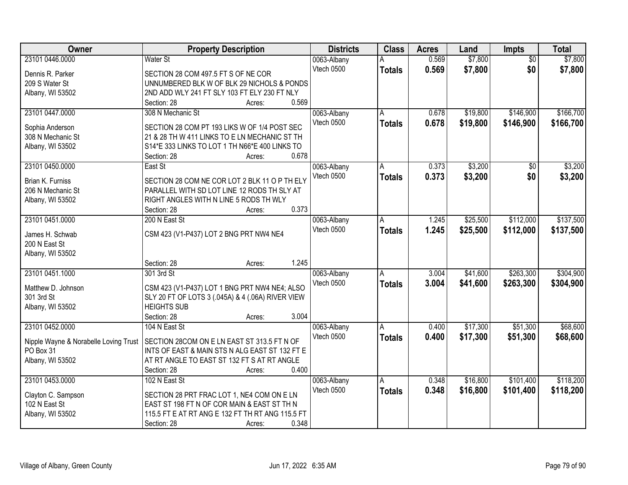| Owner                                 | <b>Property Description</b>                       | <b>Districts</b>  | <b>Class</b>  | <b>Acres</b> | Land     | Impts           | <b>Total</b> |
|---------------------------------------|---------------------------------------------------|-------------------|---------------|--------------|----------|-----------------|--------------|
| 23101 0446.0000                       | Water St                                          | 0063-Albany       |               | 0.569        | \$7,800  | $\overline{50}$ | \$7,800      |
| Dennis R. Parker                      | SECTION 28 COM 497.5 FT S OF NE COR               | Vtech 0500        | <b>Totals</b> | 0.569        | \$7,800  | \$0             | \$7,800      |
| 209 S Water St                        | UNNUMBERED BLK W OF BLK 29 NICHOLS & PONDS        |                   |               |              |          |                 |              |
| Albany, WI 53502                      | 2ND ADD WLY 241 FT SLY 103 FT ELY 230 FT NLY      |                   |               |              |          |                 |              |
|                                       | 0.569<br>Section: 28<br>Acres:                    |                   |               |              |          |                 |              |
| 23101 0447.0000                       | 308 N Mechanic St                                 | 0063-Albany       | A             | 0.678        | \$19,800 | \$146,900       | \$166,700    |
|                                       |                                                   | Vtech 0500        | <b>Totals</b> | 0.678        | \$19,800 | \$146,900       | \$166,700    |
| Sophia Anderson                       | SECTION 28 COM PT 193 LIKS W OF 1/4 POST SEC      |                   |               |              |          |                 |              |
| 308 N Mechanic St                     | 21 & 28 TH W 411 LINKS TO E LN MECHANIC ST TH     |                   |               |              |          |                 |              |
| Albany, WI 53502                      | S14*E 333 LINKS TO LOT 1 TH N66*E 400 LINKS TO    |                   |               |              |          |                 |              |
|                                       | 0.678<br>Section: 28<br>Acres:                    |                   |               |              |          |                 |              |
| 23101 0450.0000                       | East St                                           | 0063-Albany       | A             | 0.373        | \$3,200  | \$0             | \$3,200      |
| Brian K. Furniss                      | SECTION 28 COM NE COR LOT 2 BLK 11 O P TH ELY     | <b>Vtech 0500</b> | <b>Totals</b> | 0.373        | \$3,200  | \$0             | \$3,200      |
| 206 N Mechanic St                     | PARALLEL WITH SD LOT LINE 12 RODS TH SLY AT       |                   |               |              |          |                 |              |
| Albany, WI 53502                      | RIGHT ANGLES WITH N LINE 5 RODS TH WLY            |                   |               |              |          |                 |              |
|                                       | 0.373<br>Section: 28<br>Acres:                    |                   |               |              |          |                 |              |
| 23101 0451.0000                       | 200 N East St                                     | 0063-Albany       | Α             | 1.245        | \$25,500 | \$112,000       | \$137,500    |
|                                       |                                                   | Vtech 0500        | <b>Totals</b> | 1.245        | \$25,500 | \$112,000       | \$137,500    |
| James H. Schwab                       | CSM 423 (V1-P437) LOT 2 BNG PRT NW4 NE4           |                   |               |              |          |                 |              |
| 200 N East St                         |                                                   |                   |               |              |          |                 |              |
| Albany, WI 53502                      |                                                   |                   |               |              |          |                 |              |
|                                       | 1.245<br>Section: 28<br>Acres:                    |                   |               |              |          |                 |              |
| 23101 0451.1000                       | 301 3rd St                                        | 0063-Albany       | A             | 3.004        | \$41,600 | \$263,300       | \$304,900    |
| Matthew D. Johnson                    | CSM 423 (V1-P437) LOT 1 BNG PRT NW4 NE4; ALSO     | Vtech 0500        | <b>Totals</b> | 3.004        | \$41,600 | \$263,300       | \$304,900    |
| 301 3rd St                            | SLY 20 FT OF LOTS 3 (.045A) & 4 (.06A) RIVER VIEW |                   |               |              |          |                 |              |
| Albany, WI 53502                      | <b>HEIGHTS SUB</b>                                |                   |               |              |          |                 |              |
|                                       | 3.004<br>Section: 28<br>Acres:                    |                   |               |              |          |                 |              |
|                                       |                                                   |                   |               |              |          |                 |              |
| 23101 0452.0000                       | 104 N East St                                     | 0063-Albany       | A             | 0.400        | \$17,300 | \$51,300        | \$68,600     |
| Nipple Wayne & Norabelle Loving Trust | SECTION 28COM ON E LN EAST ST 313.5 FT N OF       | Vtech 0500        | <b>Totals</b> | 0.400        | \$17,300 | \$51,300        | \$68,600     |
| PO Box 31                             | INTS OF EAST & MAIN STS N ALG EAST ST 132 FT E    |                   |               |              |          |                 |              |
| Albany, WI 53502                      | AT RT ANGLE TO EAST ST 132 FT S AT RT ANGLE       |                   |               |              |          |                 |              |
|                                       | 0.400<br>Section: 28<br>Acres:                    |                   |               |              |          |                 |              |
| 23101 0453.0000                       | 102 N East St                                     | 0063-Albany       | A             | 0.348        | \$16,800 | \$101,400       | \$118,200    |
|                                       |                                                   | Vtech 0500        | <b>Totals</b> | 0.348        | \$16,800 | \$101,400       | \$118,200    |
| Clayton C. Sampson                    | SECTION 28 PRT FRAC LOT 1, NE4 COM ON E LN        |                   |               |              |          |                 |              |
| 102 N East St                         | EAST ST 198 FT N OF COR MAIN & EAST ST TH N       |                   |               |              |          |                 |              |
| Albany, WI 53502                      | 115.5 FT E AT RT ANG E 132 FT TH RT ANG 115.5 FT  |                   |               |              |          |                 |              |
|                                       | 0.348<br>Section: 28<br>Acres:                    |                   |               |              |          |                 |              |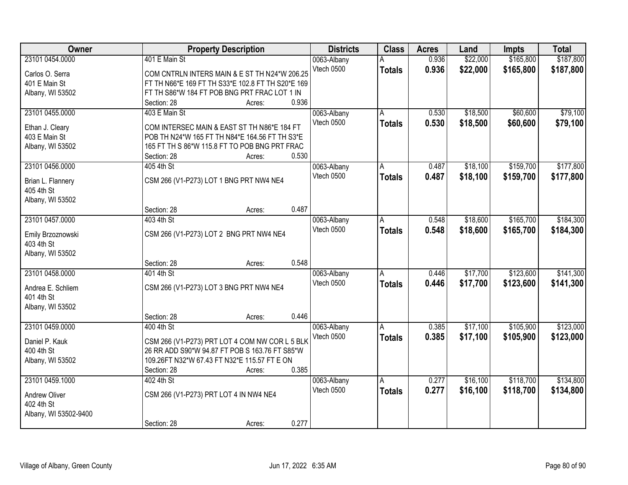| Owner                 | <b>Property Description</b>                           | <b>Districts</b> | <b>Class</b>  | <b>Acres</b> | Land     | <b>Impts</b> | <b>Total</b> |
|-----------------------|-------------------------------------------------------|------------------|---------------|--------------|----------|--------------|--------------|
| 23101 0454.0000       | 401 E Main St                                         | 0063-Albany      |               | 0.936        | \$22,000 | \$165,800    | \$187,800    |
| Carlos O. Serra       | COM CNTRLN INTERS MAIN & E ST TH N24*W 206.25         | Vtech 0500       | <b>Totals</b> | 0.936        | \$22,000 | \$165,800    | \$187,800    |
| 401 E Main St         | FT TH N66*E 169 FT TH S33*E 102.8 FT TH S20*E 169     |                  |               |              |          |              |              |
| Albany, WI 53502      | FT TH S86*W 184 FT POB BNG PRT FRAC LOT 1 IN          |                  |               |              |          |              |              |
|                       | 0.936<br>Section: 28<br>Acres:                        |                  |               |              |          |              |              |
| 23101 0455.0000       | 403 E Main St                                         | 0063-Albany      | Α             | 0.530        | \$18,500 | \$60,600     | \$79,100     |
|                       |                                                       | Vtech 0500       | <b>Totals</b> | 0.530        | \$18,500 | \$60,600     | \$79,100     |
| Ethan J. Cleary       | COM INTERSEC MAIN & EAST ST TH N86*E 184 FT           |                  |               |              |          |              |              |
| 403 E Main St         | POB TH N24*W 165 FT TH N84*E 164.56 FT TH S3*E        |                  |               |              |          |              |              |
| Albany, WI 53502      | 165 FT TH S 86*W 115.8 FT TO POB BNG PRT FRAC         |                  |               |              |          |              |              |
|                       | 0.530<br>Section: 28<br>Acres:                        |                  |               |              |          |              |              |
| 23101 0456.0000       | 405 4th St                                            | 0063-Albany      |               | 0.487        | \$18,100 | \$159,700    | \$177,800    |
| Brian L. Flannery     | CSM 266 (V1-P273) LOT 1 BNG PRT NW4 NE4               | Vtech 0500       | <b>Totals</b> | 0.487        | \$18,100 | \$159,700    | \$177,800    |
| 405 4th St            |                                                       |                  |               |              |          |              |              |
| Albany, WI 53502      |                                                       |                  |               |              |          |              |              |
|                       | 0.487<br>Section: 28<br>Acres:                        |                  |               |              |          |              |              |
| 23101 0457.0000       | 403 4th St                                            | 0063-Albany      | A             | 0.548        | \$18,600 | \$165,700    | \$184,300    |
|                       |                                                       | Vtech 0500       | <b>Totals</b> | 0.548        | \$18,600 | \$165,700    | \$184,300    |
| Emily Brzoznowski     | CSM 266 (V1-P273) LOT 2 BNG PRT NW4 NE4               |                  |               |              |          |              |              |
| 403 4th St            |                                                       |                  |               |              |          |              |              |
| Albany, WI 53502      | 0.548                                                 |                  |               |              |          |              |              |
|                       | Section: 28<br>Acres:                                 |                  |               |              |          |              |              |
| 23101 0458.0000       | 401 4th St                                            | 0063-Albany      | A             | 0.446        | \$17,700 | \$123,600    | \$141,300    |
| Andrea E. Schliem     | CSM 266 (V1-P273) LOT 3 BNG PRT NW4 NE4               | Vtech 0500       | <b>Totals</b> | 0.446        | \$17,700 | \$123,600    | \$141,300    |
| 401 4th St            |                                                       |                  |               |              |          |              |              |
| Albany, WI 53502      |                                                       |                  |               |              |          |              |              |
|                       | 0.446<br>Section: 28<br>Acres:                        |                  |               |              |          |              |              |
| 23101 0459.0000       | 400 4th St                                            | 0063-Albany      | А             | 0.385        | \$17,100 | \$105,900    | \$123,000    |
|                       |                                                       | Vtech 0500       | <b>Totals</b> | 0.385        | \$17,100 | \$105,900    | \$123,000    |
| Daniel P. Kauk        | CSM 266 (V1-P273) PRT LOT 4 COM NW COR L 5 BLK        |                  |               |              |          |              |              |
| 400 4th St            | 26 RR ADD S90*W 94.87 FT POB S 163.76 FT S85*W        |                  |               |              |          |              |              |
| Albany, WI 53502      | 109.26FT N32*W 67.43 FT N32*E 115.57 FT E ON<br>0.385 |                  |               |              |          |              |              |
|                       | Section: 28<br>Acres:                                 |                  |               |              |          |              |              |
| 23101 0459.1000       | 402 4th St                                            | 0063-Albany      | A             | 0.277        | \$16,100 | \$118,700    | \$134,800    |
| Andrew Oliver         | CSM 266 (V1-P273) PRT LOT 4 IN NW4 NE4                | Vtech 0500       | <b>Totals</b> | 0.277        | \$16,100 | \$118,700    | \$134,800    |
| 402 4th St            |                                                       |                  |               |              |          |              |              |
| Albany, WI 53502-9400 |                                                       |                  |               |              |          |              |              |
|                       | 0.277<br>Section: 28<br>Acres:                        |                  |               |              |          |              |              |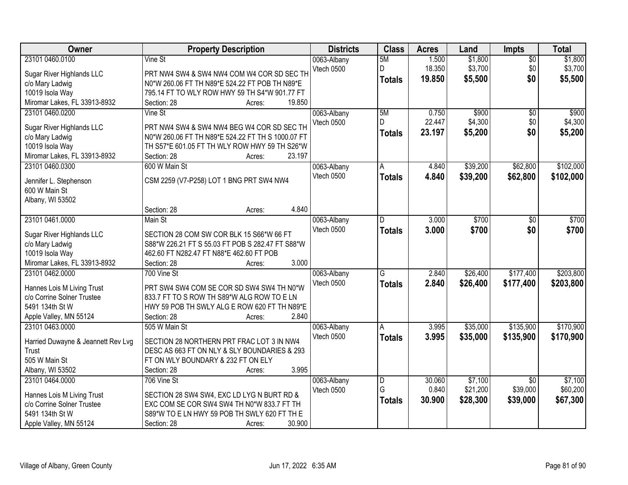| Owner                              | <b>Property Description</b>                       | <b>Districts</b>  | <b>Class</b>  | <b>Acres</b> | Land     | <b>Impts</b>    | <b>Total</b> |
|------------------------------------|---------------------------------------------------|-------------------|---------------|--------------|----------|-----------------|--------------|
| 23101 0460.0100                    | Vine St                                           | 0063-Albany       | 5M            | 1.500        | \$1,800  | $\overline{50}$ | \$1,800      |
| Sugar River Highlands LLC          | PRT NW4 SW4 & SW4 NW4 COM W4 COR SD SEC TH        | Vtech 0500        | D             | 18.350       | \$3,700  | \$0             | \$3,700      |
| c/o Mary Ladwig                    | N0*W 260.06 FT TH N89*E 524.22 FT POB TH N89*E    |                   | <b>Totals</b> | 19.850       | \$5,500  | \$0             | \$5,500      |
| 10019 Isola Way                    | 795.14 FT TO WLY ROW HWY 59 TH S4*W 901.77 FT     |                   |               |              |          |                 |              |
| Miromar Lakes, FL 33913-8932       | 19.850<br>Section: 28<br>Acres:                   |                   |               |              |          |                 |              |
| 23101 0460.0200                    | Vine St                                           | 0063-Albany       | 5M            | 0.750        | \$900    | $\overline{30}$ | \$900        |
|                                    |                                                   | Vtech 0500        | D             | 22.447       | \$4,300  | \$0             | \$4,300      |
| Sugar River Highlands LLC          | PRT NW4 SW4 & SW4 NW4 BEG W4 COR SD SEC TH        |                   | <b>Totals</b> | 23.197       | \$5,200  | \$0             | \$5,200      |
| c/o Mary Ladwig                    | N0*W 260.06 FT TH N89*E 524.22 FT TH S 1000.07 FT |                   |               |              |          |                 |              |
| 10019 Isola Way                    | TH S57*E 601.05 FT TH WLY ROW HWY 59 TH S26*W     |                   |               |              |          |                 |              |
| Miromar Lakes, FL 33913-8932       | 23.197<br>Section: 28<br>Acres:                   |                   |               |              |          |                 |              |
| 23101 0460.0300                    | 600 W Main St                                     | 0063-Albany       | A             | 4.840        | \$39,200 | \$62,800        | \$102,000    |
| Jennifer L. Stephenson             | CSM 2259 (V7-P258) LOT 1 BNG PRT SW4 NW4          | <b>Vtech 0500</b> | <b>Totals</b> | 4.840        | \$39,200 | \$62,800        | \$102,000    |
| 600 W Main St                      |                                                   |                   |               |              |          |                 |              |
| Albany, WI 53502                   |                                                   |                   |               |              |          |                 |              |
|                                    | 4.840<br>Section: 28<br>Acres:                    |                   |               |              |          |                 |              |
| 23101 0461.0000                    | Main St                                           | 0063-Albany       | D             | 3.000        | \$700    | \$0             | \$700        |
|                                    |                                                   | Vtech 0500        | <b>Totals</b> | 3.000        | \$700    | \$0             | \$700        |
| Sugar River Highlands LLC          | SECTION 28 COM SW COR BLK 15 S66*W 66 FT          |                   |               |              |          |                 |              |
| c/o Mary Ladwig                    | S88*W 226.21 FT S 55.03 FT POB S 282.47 FT S88*W  |                   |               |              |          |                 |              |
| 10019 Isola Way                    | 462.60 FT N282.47 FT N88*E 462.60 FT POB          |                   |               |              |          |                 |              |
| Miromar Lakes, FL 33913-8932       | 3.000<br>Section: 28<br>Acres:                    |                   |               |              |          |                 |              |
| 23101 0462.0000                    | 700 Vine St                                       | 0063-Albany       | G             | 2.840        | \$26,400 | \$177,400       | \$203,800    |
| Hannes Lois M Living Trust         | PRT SW4 SW4 COM SE COR SD SW4 SW4 TH N0*W         | Vtech 0500        | <b>Totals</b> | 2.840        | \$26,400 | \$177,400       | \$203,800    |
| c/o Corrine Solner Trustee         | 833.7 FT TO S ROW TH S89*W ALG ROW TO E LN        |                   |               |              |          |                 |              |
| 5491 134th St W                    | HWY 59 POB TH SWLY ALG E ROW 620 FT TH N89*E      |                   |               |              |          |                 |              |
| Apple Valley, MN 55124             | 2.840<br>Section: 28<br>Acres:                    |                   |               |              |          |                 |              |
| 23101 0463.0000                    | 505 W Main St                                     | 0063-Albany       | A             | 3.995        | \$35,000 | \$135,900       | \$170,900    |
|                                    |                                                   | Vtech 0500        | <b>Totals</b> | 3.995        | \$35,000 | \$135,900       | \$170,900    |
| Harried Duwayne & Jeannett Rev Lvg | SECTION 28 NORTHERN PRT FRAC LOT 3 IN NW4         |                   |               |              |          |                 |              |
| Trust                              | DESC AS 663 FT ON NLY & SLY BOUNDARIES & 293      |                   |               |              |          |                 |              |
| 505 W Main St                      | FT ON WLY BOUNDARY & 232 FT ON ELY                |                   |               |              |          |                 |              |
| Albany, WI 53502                   | 3.995<br>Section: 28<br>Acres:                    |                   |               |              |          |                 |              |
| 23101 0464.0000                    | 706 Vine St                                       | 0063-Albany       | D             | 30.060       | \$7,100  | $\overline{30}$ | \$7,100      |
| Hannes Lois M Living Trust         | SECTION 28 SW4 SW4, EXC LD LYG N BURT RD &        | Vtech 0500        | G             | 0.840        | \$21,200 | \$39,000        | \$60,200     |
| c/o Corrine Solner Trustee         | EXC COM SE COR SW4 SW4 TH N0*W 833.7 FT TH        |                   | <b>Totals</b> | 30.900       | \$28,300 | \$39,000        | \$67,300     |
| 5491 134th St W                    | S89*W TO E LN HWY 59 POB TH SWLY 620 FT TH E      |                   |               |              |          |                 |              |
| Apple Valley, MN 55124             | 30.900<br>Section: 28<br>Acres:                   |                   |               |              |          |                 |              |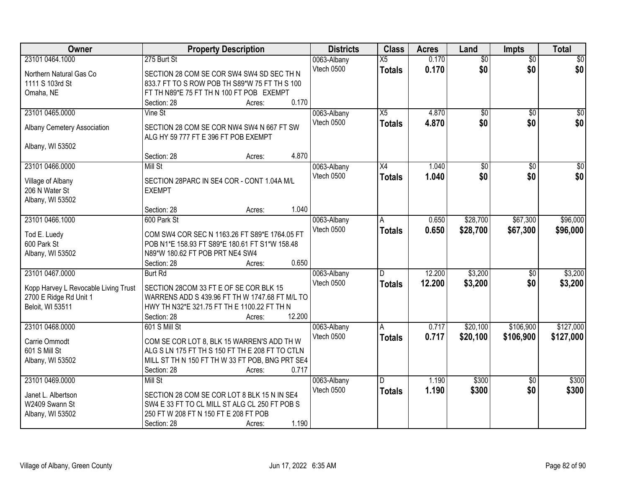| Owner                                | <b>Property Description</b>                     | <b>Districts</b> | <b>Class</b>             | <b>Acres</b> | Land            | <b>Impts</b>    | <b>Total</b>    |
|--------------------------------------|-------------------------------------------------|------------------|--------------------------|--------------|-----------------|-----------------|-----------------|
| 23101 0464.1000                      | 275 Burt St                                     | 0063-Albany      | $\overline{X5}$          | 0.170        | $\overline{50}$ | $\overline{50}$ | \$0             |
| Northern Natural Gas Co              | SECTION 28 COM SE COR SW4 SW4 SD SEC TH N       | Vtech 0500       | <b>Totals</b>            | 0.170        | \$0             | \$0             | \$0             |
| 1111 S 103rd St                      | 833.7 FT TO S ROW POB TH S89*W 75 FT TH S 100   |                  |                          |              |                 |                 |                 |
| Omaha, NE                            | FT TH N89*E 75 FT TH N 100 FT POB EXEMPT        |                  |                          |              |                 |                 |                 |
|                                      | 0.170<br>Section: 28<br>Acres:                  |                  |                          |              |                 |                 |                 |
| 23101 0465.0000                      | Vine St                                         | 0063-Albany      | X5                       | 4.870        | $\overline{50}$ | $\overline{50}$ | \$0             |
| Albany Cemetery Association          | SECTION 28 COM SE COR NW4 SW4 N 667 FT SW       | Vtech 0500       | <b>Totals</b>            | 4.870        | \$0             | \$0             | \$0             |
|                                      | ALG HY 59 777 FT E 396 FT POB EXEMPT            |                  |                          |              |                 |                 |                 |
| Albany, WI 53502                     |                                                 |                  |                          |              |                 |                 |                 |
|                                      | 4.870<br>Section: 28<br>Acres:                  |                  |                          |              |                 |                 |                 |
| 23101 0466.0000                      | Mill St                                         | 0063-Albany      | $\overline{\mathsf{X}4}$ | 1.040        | $\overline{50}$ | $\sqrt[6]{}$    | $\overline{30}$ |
|                                      | SECTION 28PARC IN SE4 COR - CONT 1.04A M/L      | Vtech 0500       | <b>Totals</b>            | 1.040        | \$0             | \$0             | \$0             |
| Village of Albany<br>206 N Water St  | <b>EXEMPT</b>                                   |                  |                          |              |                 |                 |                 |
| Albany, WI 53502                     |                                                 |                  |                          |              |                 |                 |                 |
|                                      | 1.040<br>Section: 28<br>Acres:                  |                  |                          |              |                 |                 |                 |
| 23101 0466.1000                      | 600 Park St                                     | 0063-Albany      | A                        | 0.650        | \$28,700        | \$67,300        | \$96,000        |
|                                      |                                                 | Vtech 0500       | <b>Totals</b>            | 0.650        | \$28,700        | \$67,300        | \$96,000        |
| Tod E. Luedy                         | COM SW4 COR SEC N 1163.26 FT S89*E 1764.05 FT   |                  |                          |              |                 |                 |                 |
| 600 Park St                          | POB N1*E 158.93 FT S89*E 180.61 FT S1*W 158.48  |                  |                          |              |                 |                 |                 |
| Albany, WI 53502                     | N89*W 180.62 FT POB PRT NE4 SW4                 |                  |                          |              |                 |                 |                 |
|                                      | Section: 28<br>0.650<br>Acres:                  |                  |                          |              |                 |                 |                 |
| 23101 0467,0000                      | <b>Burt Rd</b>                                  | 0063-Albany      | $\overline{D}$           | 12.200       | \$3,200         | \$0             | \$3,200         |
| Kopp Harvey L Revocable Living Trust | SECTION 28COM 33 FT E OF SE COR BLK 15          | Vtech 0500       | Totals                   | 12.200       | \$3,200         | \$0             | \$3,200         |
| 2700 E Ridge Rd Unit 1               | WARRENS ADD S 439.96 FT TH W 1747.68 FT M/L TO  |                  |                          |              |                 |                 |                 |
| Beloit, WI 53511                     | HWY TH N32*E 321.75 FT TH E 1100.22 FT TH N     |                  |                          |              |                 |                 |                 |
|                                      | 12.200<br>Section: 28<br>Acres:                 |                  |                          |              |                 |                 |                 |
| 23101 0468.0000                      | 601 S Mill St                                   | 0063-Albany      | A                        | 0.717        | \$20,100        | \$106,900       | \$127,000       |
| Carrie Ommodt                        | COM SE COR LOT 8, BLK 15 WARREN'S ADD TH W      | Vtech 0500       | <b>Totals</b>            | 0.717        | \$20,100        | \$106,900       | \$127,000       |
| 601 S Mill St                        | ALG S LN 175 FT TH S 150 FT TH E 208 FT TO CTLN |                  |                          |              |                 |                 |                 |
| Albany, WI 53502                     | MILL ST TH N 150 FT TH W 33 FT POB, BNG PRT SE4 |                  |                          |              |                 |                 |                 |
|                                      | Section: 28<br>0.717<br>Acres:                  |                  |                          |              |                 |                 |                 |
| 23101 0469.0000                      | Mill St                                         | 0063-Albany      | D                        | 1.190        | \$300           | $\overline{30}$ | \$300           |
|                                      |                                                 | Vtech 0500       | <b>Totals</b>            | 1.190        | \$300           | \$0             | \$300           |
| Janet L. Albertson                   | SECTION 28 COM SE COR LOT 8 BLK 15 N IN SE4     |                  |                          |              |                 |                 |                 |
| W2409 Swann St                       | SW4 E 33 FT TO CL MILL ST ALG CL 250 FT POB S   |                  |                          |              |                 |                 |                 |
| Albany, WI 53502                     | 250 FT W 208 FT N 150 FT E 208 FT POB           |                  |                          |              |                 |                 |                 |
|                                      | 1.190<br>Section: 28<br>Acres:                  |                  |                          |              |                 |                 |                 |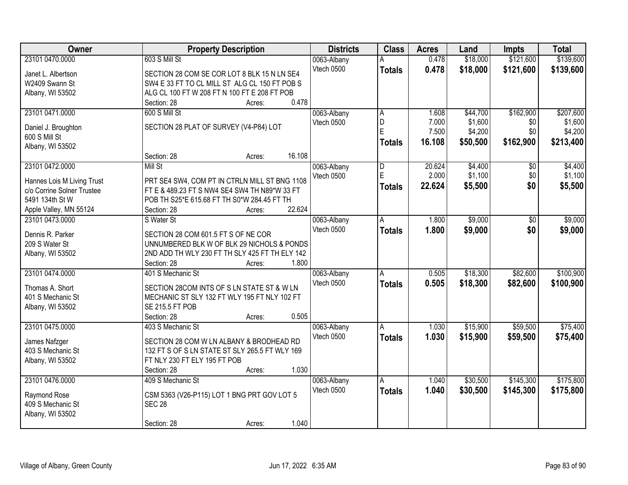| Owner                      | <b>Property Description</b>                    | <b>Districts</b> | <b>Class</b>  | <b>Acres</b> | Land     | Impts     | <b>Total</b> |
|----------------------------|------------------------------------------------|------------------|---------------|--------------|----------|-----------|--------------|
| 23101 0470.0000            | 603 S Mill St                                  | 0063-Albany      |               | 0.478        | \$18,000 | \$121,600 | \$139,600    |
| Janet L. Albertson         | SECTION 28 COM SE COR LOT 8 BLK 15 N LN SE4    | Vtech 0500       | <b>Totals</b> | 0.478        | \$18,000 | \$121,600 | \$139,600    |
| W2409 Swann St             | SW4 E 33 FT TO CL MILL ST ALG CL 150 FT POB S  |                  |               |              |          |           |              |
| Albany, WI 53502           | ALG CL 100 FT W 208 FT N 100 FT E 208 FT POB   |                  |               |              |          |           |              |
|                            | 0.478<br>Section: 28<br>Acres:                 |                  |               |              |          |           |              |
| 23101 0471.0000            | 600 S Mill St                                  | 0063-Albany      | Α             | 1.608        | \$44,700 | \$162,900 | \$207,600    |
|                            |                                                | Vtech 0500       | D             | 7.000        | \$1,600  | \$0       | \$1,600      |
| Daniel J. Broughton        | SECTION 28 PLAT OF SURVEY (V4-P84) LOT         |                  | E             | 7.500        | \$4,200  | \$0       | \$4,200      |
| 600 S Mill St              |                                                |                  | <b>Totals</b> | 16.108       | \$50,500 | \$162,900 | \$213,400    |
| Albany, WI 53502           |                                                |                  |               |              |          |           |              |
|                            | 16.108<br>Section: 28<br>Acres:                |                  |               |              |          |           |              |
| 23101 0472.0000            | Mill St                                        | 0063-Albany      | D             | 20.624       | \$4,400  | \$0       | \$4,400      |
| Hannes Lois M Living Trust | PRT SE4 SW4, COM PT IN CTRLN MILL ST BNG 1108  | Vtech 0500       | E             | 2.000        | \$1,100  | \$0       | \$1,100      |
| c/o Corrine Solner Trustee | FT E & 489.23 FT S NW4 SE4 SW4 TH N89*W 33 FT  |                  | <b>Totals</b> | 22.624       | \$5,500  | \$0       | \$5,500      |
| 5491 134th St W            | POB TH S25*E 615.68 FT TH S0*W 284.45 FT TH    |                  |               |              |          |           |              |
| Apple Valley, MN 55124     | 22.624<br>Section: 28<br>Acres:                |                  |               |              |          |           |              |
| 23101 0473.0000            | S Water St                                     | 0063-Albany      | A             | 1.800        | \$9,000  | \$0       | \$9,000      |
|                            |                                                | Vtech 0500       | <b>Totals</b> | 1.800        | \$9,000  | \$0       | \$9,000      |
| Dennis R. Parker           | SECTION 28 COM 601.5 FT S OF NE COR            |                  |               |              |          |           |              |
| 209 S Water St             | UNNUMBERED BLK W OF BLK 29 NICHOLS & PONDS     |                  |               |              |          |           |              |
| Albany, WI 53502           | 2ND ADD TH WLY 230 FT TH SLY 425 FT TH ELY 142 |                  |               |              |          |           |              |
|                            | 1.800<br>Section: 28<br>Acres:                 |                  |               |              |          |           |              |
| 23101 0474.0000            | 401 S Mechanic St                              | 0063-Albany      | A             | 0.505        | \$18,300 | \$82,600  | \$100,900    |
| Thomas A. Short            | SECTION 28COM INTS OF S LN STATE ST & W LN     | Vtech 0500       | <b>Totals</b> | 0.505        | \$18,300 | \$82,600  | \$100,900    |
| 401 S Mechanic St          | MECHANIC ST SLY 132 FT WLY 195 FT NLY 102 FT   |                  |               |              |          |           |              |
| Albany, WI 53502           | SE 215.5 FT POB                                |                  |               |              |          |           |              |
|                            | Section: 28<br>0.505<br>Acres:                 |                  |               |              |          |           |              |
| 23101 0475.0000            | 403 S Mechanic St                              | 0063-Albany      | A             | 1.030        | \$15,900 | \$59,500  | \$75,400     |
|                            |                                                | Vtech 0500       | <b>Totals</b> | 1.030        | \$15,900 | \$59,500  | \$75,400     |
| James Nafzger              | SECTION 28 COM W LN ALBANY & BRODHEAD RD       |                  |               |              |          |           |              |
| 403 S Mechanic St          | 132 FT S OF S LN STATE ST SLY 265.5 FT WLY 169 |                  |               |              |          |           |              |
| Albany, WI 53502           | FT NLY 230 FT ELY 195 FT POB                   |                  |               |              |          |           |              |
|                            | 1.030<br>Section: 28<br>Acres:                 |                  |               |              |          |           |              |
| 23101 0476,0000            | 409 S Mechanic St                              | 0063-Albany      | A             | 1.040        | \$30,500 | \$145,300 | \$175,800    |
| Raymond Rose               | CSM 5363 (V26-P115) LOT 1 BNG PRT GOV LOT 5    | Vtech 0500       | <b>Totals</b> | 1.040        | \$30,500 | \$145,300 | \$175,800    |
| 409 S Mechanic St          | <b>SEC 28</b>                                  |                  |               |              |          |           |              |
| Albany, WI 53502           |                                                |                  |               |              |          |           |              |
|                            | 1.040<br>Section: 28<br>Acres:                 |                  |               |              |          |           |              |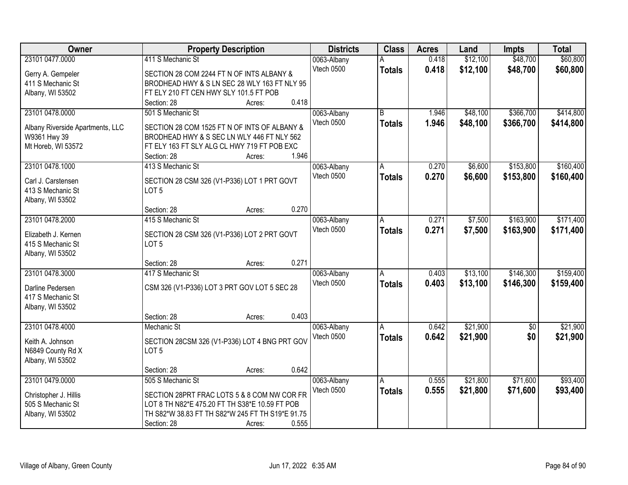| Owner                                    | <b>Property Description</b>                                     |        |       | <b>Districts</b> | <b>Class</b>   | <b>Acres</b> | Land     | <b>Impts</b>    | <b>Total</b> |
|------------------------------------------|-----------------------------------------------------------------|--------|-------|------------------|----------------|--------------|----------|-----------------|--------------|
| 23101 0477.0000                          | 411 S Mechanic St                                               |        |       | 0063-Albany      |                | 0.418        | \$12,100 | \$48,700        | \$60,800     |
| Gerry A. Gempeler                        | SECTION 28 COM 2244 FT N OF INTS ALBANY &                       |        |       | Vtech 0500       | <b>Totals</b>  | 0.418        | \$12,100 | \$48,700        | \$60,800     |
| 411 S Mechanic St                        | BRODHEAD HWY & S LN SEC 28 WLY 163 FT NLY 95                    |        |       |                  |                |              |          |                 |              |
| Albany, WI 53502                         | FT ELY 210 FT CEN HWY SLY 101.5 FT POB                          |        |       |                  |                |              |          |                 |              |
|                                          | Section: 28                                                     | Acres: | 0.418 |                  |                |              |          |                 |              |
| 23101 0478.0000                          | 501 S Mechanic St                                               |        |       | 0063-Albany      | $\overline{B}$ | 1.946        | \$48,100 | \$366,700       | \$414,800    |
|                                          |                                                                 |        |       | Vtech 0500       | <b>Totals</b>  | 1.946        | \$48,100 | \$366,700       | \$414,800    |
| Albany Riverside Apartments, LLC         | SECTION 28 COM 1525 FT N OF INTS OF ALBANY &                    |        |       |                  |                |              |          |                 |              |
| W9361 Hwy 39                             | BRODHEAD HWY & S SEC LN WLY 446 FT NLY 562                      |        |       |                  |                |              |          |                 |              |
| Mt Horeb, WI 53572                       | FT ELY 163 FT SLY ALG CL HWY 719 FT POB EXC                     |        | 1.946 |                  |                |              |          |                 |              |
|                                          | Section: 28                                                     | Acres: |       |                  |                |              |          |                 |              |
| 23101 0478.1000                          | 413 S Mechanic St                                               |        |       | 0063-Albany      | А              | 0.270        | \$6,600  | \$153,800       | \$160,400    |
| Carl J. Carstensen                       | SECTION 28 CSM 326 (V1-P336) LOT 1 PRT GOVT                     |        |       | Vtech 0500       | <b>Totals</b>  | 0.270        | \$6,600  | \$153,800       | \$160,400    |
| 413 S Mechanic St                        | LOT <sub>5</sub>                                                |        |       |                  |                |              |          |                 |              |
| Albany, WI 53502                         |                                                                 |        |       |                  |                |              |          |                 |              |
|                                          | Section: 28                                                     | Acres: | 0.270 |                  |                |              |          |                 |              |
| 23101 0478.2000                          | 415 S Mechanic St                                               |        |       | 0063-Albany      | A              | 0.271        | \$7,500  | \$163,900       | \$171,400    |
|                                          |                                                                 |        |       | Vtech 0500       | <b>Totals</b>  | 0.271        | \$7,500  | \$163,900       | \$171,400    |
| Elizabeth J. Kernen<br>415 S Mechanic St | SECTION 28 CSM 326 (V1-P336) LOT 2 PRT GOVT<br>LOT <sub>5</sub> |        |       |                  |                |              |          |                 |              |
|                                          |                                                                 |        |       |                  |                |              |          |                 |              |
| Albany, WI 53502                         | Section: 28                                                     | Acres: | 0.271 |                  |                |              |          |                 |              |
| 23101 0478.3000                          | 417 S Mechanic St                                               |        |       | 0063-Albany      | A              | 0.403        | \$13,100 | \$146,300       | \$159,400    |
|                                          |                                                                 |        |       | Vtech 0500       |                |              |          |                 |              |
| Darline Pedersen                         | CSM 326 (V1-P336) LOT 3 PRT GOV LOT 5 SEC 28                    |        |       |                  | <b>Totals</b>  | 0.403        | \$13,100 | \$146,300       | \$159,400    |
| 417 S Mechanic St                        |                                                                 |        |       |                  |                |              |          |                 |              |
| Albany, WI 53502                         |                                                                 |        |       |                  |                |              |          |                 |              |
|                                          | Section: 28                                                     | Acres: | 0.403 |                  |                |              |          |                 |              |
| 23101 0478.4000                          | Mechanic St                                                     |        |       | 0063-Albany      | A              | 0.642        | \$21,900 | $\overline{50}$ | \$21,900     |
| Keith A. Johnson                         | SECTION 28CSM 326 (V1-P336) LOT 4 BNG PRT GOV                   |        |       | Vtech 0500       | <b>Totals</b>  | 0.642        | \$21,900 | \$0             | \$21,900     |
| N6849 County Rd X                        | LOT <sub>5</sub>                                                |        |       |                  |                |              |          |                 |              |
| Albany, WI 53502                         |                                                                 |        |       |                  |                |              |          |                 |              |
|                                          | Section: 28                                                     | Acres: | 0.642 |                  |                |              |          |                 |              |
| 23101 0479.0000                          | 505 S Mechanic St                                               |        |       | 0063-Albany      | A              | 0.555        | \$21,800 | \$71,600        | \$93,400     |
|                                          |                                                                 |        |       | Vtech 0500       | <b>Totals</b>  | 0.555        | \$21,800 | \$71,600        | \$93,400     |
| Christopher J. Hillis                    | SECTION 28PRT FRAC LOTS 5 & 8 COM NW COR FR                     |        |       |                  |                |              |          |                 |              |
| 505 S Mechanic St                        | LOT 8 TH N82*E 475.20 FT TH S38*E 10.59 FT POB                  |        |       |                  |                |              |          |                 |              |
| Albany, WI 53502                         | TH S82*W 38.83 FT TH S82*W 245 FT TH S19*E 91.75                |        |       |                  |                |              |          |                 |              |
|                                          | Section: 28                                                     | Acres: | 0.555 |                  |                |              |          |                 |              |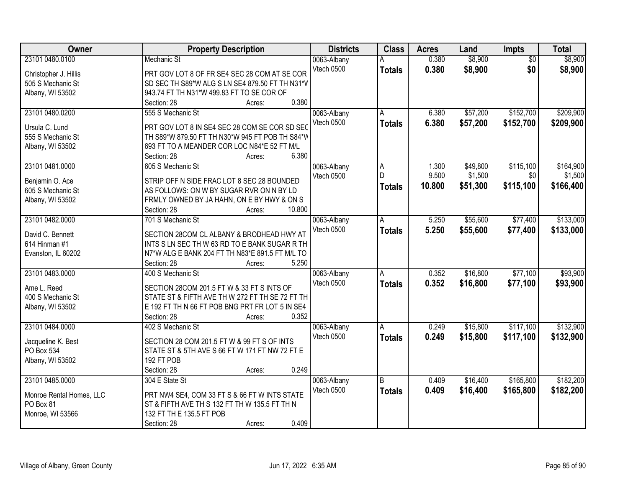| Owner                    | <b>Property Description</b>                     | <b>Districts</b>  | <b>Class</b>  | <b>Acres</b> | Land     | Impts           | <b>Total</b> |
|--------------------------|-------------------------------------------------|-------------------|---------------|--------------|----------|-----------------|--------------|
| 23101 0480.0100          | <b>Mechanic St</b>                              | 0063-Albany       |               | 0.380        | \$8,900  | $\overline{50}$ | \$8,900      |
| Christopher J. Hillis    | PRT GOV LOT 8 OF FR SE4 SEC 28 COM AT SE COR    | Vtech 0500        | <b>Totals</b> | 0.380        | \$8,900  | \$0             | \$8,900      |
| 505 S Mechanic St        | SD SEC TH S89*W ALG S LN SE4 879.50 FT TH N31*W |                   |               |              |          |                 |              |
| Albany, WI 53502         | 943.74 FT TH N31*W 499.83 FT TO SE COR OF       |                   |               |              |          |                 |              |
|                          | 0.380<br>Section: 28<br>Acres:                  |                   |               |              |          |                 |              |
| 23101 0480.0200          | 555 S Mechanic St                               | 0063-Albany       | A             | 6.380        | \$57,200 | \$152,700       | \$209,900    |
|                          |                                                 | Vtech 0500        | <b>Totals</b> | 6.380        | \$57,200 | \$152,700       | \$209,900    |
| Ursula C. Lund           | PRT GOV LOT 8 IN SE4 SEC 28 COM SE COR SD SEC   |                   |               |              |          |                 |              |
| 555 S Mechanic St        | TH S89*W 879.50 FT TH N30*W 945 FT POB TH S84*W |                   |               |              |          |                 |              |
| Albany, WI 53502         | 693 FT TO A MEANDER COR LOC N84*E 52 FT M/L     |                   |               |              |          |                 |              |
|                          | 6.380<br>Section: 28<br>Acres:                  |                   |               |              |          |                 |              |
| 23101 0481.0000          | 605 S Mechanic St                               | 0063-Albany       | A             | 1.300        | \$49,800 | \$115,100       | \$164,900    |
| Benjamin O. Ace          | STRIP OFF N SIDE FRAC LOT 8 SEC 28 BOUNDED      | <b>Vtech 0500</b> | D             | 9.500        | \$1,500  | \$0             | \$1,500      |
| 605 S Mechanic St        | AS FOLLOWS: ON W BY SUGAR RVR ON N BY LD        |                   | <b>Totals</b> | 10.800       | \$51,300 | \$115,100       | \$166,400    |
| Albany, WI 53502         | FRMLY OWNED BY JA HAHN, ON E BY HWY & ON S      |                   |               |              |          |                 |              |
|                          | Section: 28<br>10.800<br>Acres:                 |                   |               |              |          |                 |              |
| 23101 0482.0000          | 701 S Mechanic St                               | 0063-Albany       | Α             | 5.250        | \$55,600 | \$77,400        | \$133,000    |
|                          |                                                 | Vtech 0500        | <b>Totals</b> | 5.250        | \$55,600 | \$77,400        | \$133,000    |
| David C. Bennett         | SECTION 28COM CL ALBANY & BRODHEAD HWY AT       |                   |               |              |          |                 |              |
| 614 Hinman #1            | INTS S LN SEC TH W 63 RD TO E BANK SUGAR R TH   |                   |               |              |          |                 |              |
| Evanston, IL 60202       | N7*W ALG E BANK 204 FT TH N83*E 891.5 FT M/L TO |                   |               |              |          |                 |              |
|                          | 5.250<br>Section: 28<br>Acres:                  |                   |               |              |          |                 |              |
| 23101 0483.0000          | 400 S Mechanic St                               | 0063-Albany       | A             | 0.352        | \$16,800 | \$77,100        | \$93,900     |
| Ame L. Reed              | SECTION 28COM 201.5 FT W & 33 FT S INTS OF      | Vtech 0500        | <b>Totals</b> | 0.352        | \$16,800 | \$77,100        | \$93,900     |
| 400 S Mechanic St        | STATE ST & FIFTH AVE TH W 272 FT TH SE 72 FT TH |                   |               |              |          |                 |              |
| Albany, WI 53502         | E 192 FT TH N 66 FT POB BNG PRT FR LOT 5 IN SE4 |                   |               |              |          |                 |              |
|                          | 0.352<br>Section: 28<br>Acres:                  |                   |               |              |          |                 |              |
| 23101 0484.0000          | 402 S Mechanic St                               | 0063-Albany       | A             | 0.249        | \$15,800 | \$117,100       | \$132,900    |
|                          |                                                 | Vtech 0500        |               | 0.249        | \$15,800 | \$117,100       |              |
| Jacqueline K. Best       | SECTION 28 COM 201.5 FT W & 99 FT S OF INTS     |                   | <b>Totals</b> |              |          |                 | \$132,900    |
| PO Box 534               | STATE ST & 5TH AVE S 66 FT W 171 FT NW 72 FT E  |                   |               |              |          |                 |              |
| Albany, WI 53502         | 192 FT POB                                      |                   |               |              |          |                 |              |
|                          | 0.249<br>Section: 28<br>Acres:                  |                   |               |              |          |                 |              |
| 23101 0485.0000          | 304 E State St                                  | 0063-Albany       | <sub>R</sub>  | 0.409        | \$16,400 | \$165,800       | \$182,200    |
| Monroe Rental Homes, LLC | PRT NW4 SE4, COM 33 FT S & 66 FT W INTS STATE   | Vtech 0500        | <b>Totals</b> | 0.409        | \$16,400 | \$165,800       | \$182,200    |
| PO Box 81                | ST & FIFTH AVE TH S 132 FT TH W 135.5 FT TH N   |                   |               |              |          |                 |              |
| Monroe, WI 53566         | 132 FT TH E 135.5 FT POB                        |                   |               |              |          |                 |              |
|                          | 0.409                                           |                   |               |              |          |                 |              |
|                          | Section: 28<br>Acres:                           |                   |               |              |          |                 |              |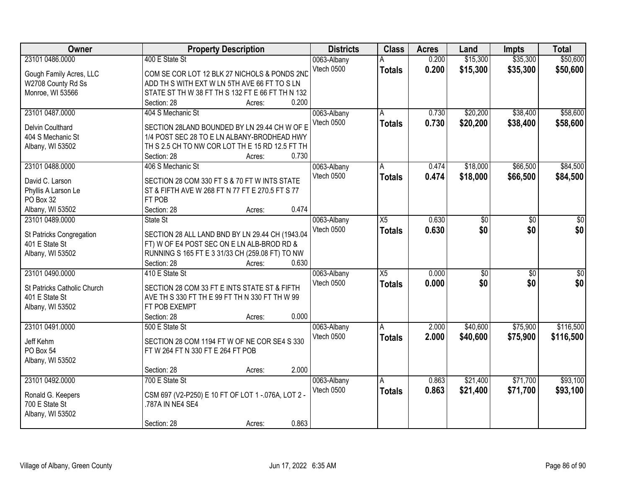| Owner                       | <b>Property Description</b>                        | <b>Districts</b> | <b>Class</b>    | <b>Acres</b> | Land            | <b>Impts</b>    | <b>Total</b> |
|-----------------------------|----------------------------------------------------|------------------|-----------------|--------------|-----------------|-----------------|--------------|
| 23101 0486.0000             | 400 E State St                                     | 0063-Albany      | Α               | 0.200        | \$15,300        | \$35,300        | \$50,600     |
| Gough Family Acres, LLC     | COM SE COR LOT 12 BLK 27 NICHOLS & PONDS 2ND       | Vtech 0500       | <b>Totals</b>   | 0.200        | \$15,300        | \$35,300        | \$50,600     |
| W2708 County Rd Ss          | ADD TH S WITH EXT W LN 5TH AVE 66 FT TO S LN       |                  |                 |              |                 |                 |              |
| Monroe, WI 53566            | STATE ST TH W 38 FT TH S 132 FT E 66 FT TH N 132   |                  |                 |              |                 |                 |              |
|                             | 0.200<br>Section: 28<br>Acres:                     |                  |                 |              |                 |                 |              |
| 23101 0487.0000             | 404 S Mechanic St                                  | 0063-Albany      | A               | 0.730        | \$20,200        | \$38,400        | \$58,600     |
|                             |                                                    | Vtech 0500       | <b>Totals</b>   | 0.730        | \$20,200        | \$38,400        | \$58,600     |
| <b>Delvin Coulthard</b>     | SECTION 28LAND BOUNDED BY LN 29.44 CH W OF E       |                  |                 |              |                 |                 |              |
| 404 S Mechanic St           | 1/4 POST SEC 28 TO E LN ALBANY-BRODHEAD HWY        |                  |                 |              |                 |                 |              |
| Albany, WI 53502            | TH S 2.5 CH TO NW COR LOT TH E 15 RD 12.5 FT TH    |                  |                 |              |                 |                 |              |
|                             | 0.730<br>Section: 28<br>Acres:                     |                  |                 |              |                 |                 |              |
| 23101 0488.0000             | 406 S Mechanic St                                  | 0063-Albany      | A               | 0.474        | \$18,000        | \$66,500        | \$84,500     |
| David C. Larson             | SECTION 28 COM 330 FT S & 70 FT W INTS STATE       | Vtech 0500       | <b>Totals</b>   | 0.474        | \$18,000        | \$66,500        | \$84,500     |
| Phyllis A Larson Le         | ST & FIFTH AVE W 268 FT N 77 FT E 270.5 FT S 77    |                  |                 |              |                 |                 |              |
| PO Box 32                   | FT POB                                             |                  |                 |              |                 |                 |              |
| Albany, WI 53502            | 0.474<br>Section: 28<br>Acres:                     |                  |                 |              |                 |                 |              |
| 23101 0489.0000             | State St                                           | 0063-Albany      | $\overline{X5}$ | 0.630        | $\overline{50}$ | $\sqrt[6]{3}$   | $\sqrt{50}$  |
|                             |                                                    | Vtech 0500       | <b>Totals</b>   | 0.630        | \$0             | \$0             | \$0          |
| St Patricks Congregation    | SECTION 28 ALL LAND BND BY LN 29.44 CH (1943.04    |                  |                 |              |                 |                 |              |
| 401 E State St              | FT) W OF E4 POST SEC ON E LN ALB-BROD RD &         |                  |                 |              |                 |                 |              |
| Albany, WI 53502            | RUNNING S 165 FT E 3 31/33 CH (259.08 FT) TO NW    |                  |                 |              |                 |                 |              |
|                             | 0.630<br>Section: 28<br>Acres:                     |                  |                 |              |                 |                 |              |
| 23101 0490.0000             | 410 E State St                                     | 0063-Albany      | $\overline{X5}$ | 0.000        | $\overline{50}$ | $\overline{30}$ | $\sqrt{50}$  |
| St Patricks Catholic Church | SECTION 28 COM 33 FT E INTS STATE ST & FIFTH       | Vtech 0500       | Totals          | 0.000        | \$0             | \$0             | \$0          |
| 401 E State St              | AVE TH S 330 FT TH E 99 FT TH N 330 FT TH W 99     |                  |                 |              |                 |                 |              |
| Albany, WI 53502            | FT POB EXEMPT                                      |                  |                 |              |                 |                 |              |
|                             | 0.000<br>Section: 28<br>Acres:                     |                  |                 |              |                 |                 |              |
| 23101 0491.0000             | 500 E State St                                     | 0063-Albany      | A               | 2.000        | \$40,600        | \$75,900        | \$116,500    |
|                             |                                                    | Vtech 0500       | <b>Totals</b>   | 2.000        | \$40,600        | \$75,900        | \$116,500    |
| Jeff Kehm                   | SECTION 28 COM 1194 FT W OF NE COR SE4 S 330       |                  |                 |              |                 |                 |              |
| PO Box 54                   | FT W 264 FT N 330 FT E 264 FT POB                  |                  |                 |              |                 |                 |              |
| Albany, WI 53502            |                                                    |                  |                 |              |                 |                 |              |
|                             | 2.000<br>Section: 28<br>Acres:                     |                  |                 |              |                 |                 |              |
| 23101 0492.0000             | 700 E State St                                     | 0063-Albany      | A               | 0.863        | \$21,400        | \$71,700        | \$93,100     |
| Ronald G. Keepers           | CSM 697 (V2-P250) E 10 FT OF LOT 1 - 076A, LOT 2 - | Vtech 0500       | Totals          | 0.863        | \$21,400        | \$71,700        | \$93,100     |
| 700 E State St              | .787A IN NE4 SE4                                   |                  |                 |              |                 |                 |              |
| Albany, WI 53502            |                                                    |                  |                 |              |                 |                 |              |
|                             | 0.863<br>Section: 28<br>Acres:                     |                  |                 |              |                 |                 |              |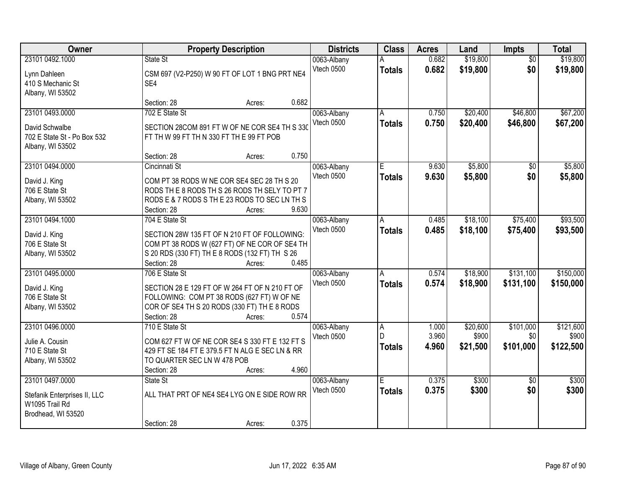| Owner                                                                                   | <b>Property Description</b>                                                                                                                                                   | <b>Districts</b> | <b>Class</b>                       | <b>Acres</b>             | Land                    | <b>Impts</b>                  | <b>Total</b>                  |                                 |
|-----------------------------------------------------------------------------------------|-------------------------------------------------------------------------------------------------------------------------------------------------------------------------------|------------------|------------------------------------|--------------------------|-------------------------|-------------------------------|-------------------------------|---------------------------------|
| 23101 0492.1000<br>Lynn Dahleen<br>410 S Mechanic St<br>Albany, WI 53502                | State St<br>CSM 697 (V2-P250) W 90 FT OF LOT 1 BNG PRT NE4<br>SE4                                                                                                             |                  | 0063-Albany<br>Vtech 0500          | <b>Totals</b>            | 0.682<br>0.682          | \$19,800<br>\$19,800          | $\overline{50}$<br>\$0        | \$19,800<br>\$19,800            |
|                                                                                         | Section: 28                                                                                                                                                                   | Acres:           | 0.682                              |                          |                         |                               |                               |                                 |
| 23101 0493.0000<br>David Schwalbe<br>702 E State St - Po Box 532<br>Albany, WI 53502    | 702 E State St<br>SECTION 28COM 891 FT W OF NE COR SE4 TH S 330<br>FT TH W 99 FT TH N 330 FT TH E 99 FT POB<br>Section: 28                                                    |                  | 0063-Albany<br>Vtech 0500<br>0.750 | A<br><b>Totals</b>       | 0.750<br>0.750          | \$20,400<br>\$20,400          | \$46,800<br>\$46,800          | \$67,200<br>\$67,200            |
| 23101 0494.0000                                                                         | Cincinnati St                                                                                                                                                                 | Acres:           | 0063-Albany                        | E                        | 9.630                   | \$5,800                       | \$0                           | \$5,800                         |
| David J. King<br>706 E State St<br>Albany, WI 53502                                     | COM PT 38 RODS W NE COR SE4 SEC 28 TH S 20<br>RODS THE 8 RODS TH S 26 RODS TH SELY TO PT 7<br>RODS E & 7 RODS S TH E 23 RODS TO SEC LN TH S<br>Section: 28                    | Acres:           | Vtech 0500<br>9.630                | <b>Totals</b>            | 9.630                   | \$5,800                       | \$0                           | \$5,800                         |
| 23101 0494.1000                                                                         | 704 E State St                                                                                                                                                                |                  | 0063-Albany                        | A                        | 0.485                   | \$18,100                      | \$75,400                      | \$93,500                        |
| David J. King<br>706 E State St<br>Albany, WI 53502                                     | SECTION 28W 135 FT OF N 210 FT OF FOLLOWING:<br>COM PT 38 RODS W (627 FT) OF NE COR OF SE4 TH<br>S 20 RDS (330 FT) TH E 8 RODS (132 FT) TH S 26<br>Section: 28                | Acres:           | Vtech 0500<br>0.485                | <b>Totals</b>            | 0.485                   | \$18,100                      | \$75,400                      | \$93,500                        |
| 23101 0495.0000<br>David J. King<br>706 E State St<br>Albany, WI 53502                  | 706 E State St<br>SECTION 28 E 129 FT OF W 264 FT OF N 210 FT OF<br>FOLLOWING: COM PT 38 RODS (627 FT) W OF NE<br>COR OF SE4 TH S 20 RODS (330 FT) TH E 8 RODS<br>Section: 28 | Acres:           | 0063-Albany<br>Vtech 0500<br>0.574 | A<br><b>Totals</b>       | 0.574<br>0.574          | \$18,900<br>\$18,900          | \$131,100<br>\$131,100        | \$150,000<br>\$150,000          |
| 23101 0496.0000<br>Julie A. Cousin<br>710 E State St<br>Albany, WI 53502                | 710 E State St<br>COM 627 FT W OF NE COR SE4 S 330 FT E 132 FT S<br>429 FT SE 184 FT E 379.5 FT N ALG E SEC LN & RR<br>TO QUARTER SEC LN W 478 POB<br>Section: 28             | Acres:           | 0063-Albany<br>Vtech 0500<br>4.960 | А<br>D.<br><b>Totals</b> | 1.000<br>3.960<br>4.960 | \$20,600<br>\$900<br>\$21,500 | \$101,000<br>\$0<br>\$101,000 | \$121,600<br>\$900<br>\$122,500 |
| 23101 0497.0000<br>Stefanik Enterprises II, LLC<br>W1095 Trail Rd<br>Brodhead, WI 53520 | State St<br>ALL THAT PRT OF NE4 SE4 LYG ON E SIDE ROW RR<br>Section: 28                                                                                                       | Acres:           | 0063-Albany<br>Vtech 0500<br>0.375 | Ē<br><b>Totals</b>       | 0.375<br>0.375          | \$300<br>\$300                | $\overline{50}$<br>\$0        | \$300<br>\$300                  |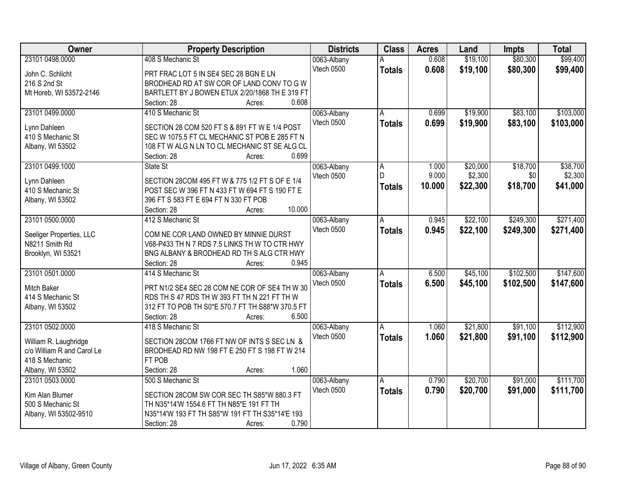| Owner                      | <b>Property Description</b>                      | <b>Districts</b> | <b>Class</b>   | <b>Acres</b> | Land     | <b>Impts</b> | <b>Total</b> |
|----------------------------|--------------------------------------------------|------------------|----------------|--------------|----------|--------------|--------------|
| 23101 0498.0000            | 408 S Mechanic St                                | 0063-Albany      |                | 0.608        | \$19,100 | \$80,300     | \$99,400     |
| John C. Schlicht           | PRT FRAC LOT 5 IN SE4 SEC 28 BGN E LN            | Vtech 0500       | <b>Totals</b>  | 0.608        | \$19,100 | \$80,300     | \$99,400     |
| 216 S 2nd St               | BRODHEAD RD AT SW COR OF LAND CONV TO G W        |                  |                |              |          |              |              |
| Mt Horeb, WI 53572-2146    | BARTLETT BY J BOWEN ETUX 2/20/1868 TH E 319 FT   |                  |                |              |          |              |              |
|                            | 0.608<br>Section: 28<br>Acres:                   |                  |                |              |          |              |              |
| 23101 0499.0000            | 410 S Mechanic St                                | 0063-Albany      | A              | 0.699        | \$19,900 | \$83,100     | \$103,000    |
|                            |                                                  | Vtech 0500       | <b>Totals</b>  | 0.699        | \$19,900 | \$83,100     | \$103,000    |
| Lynn Dahleen               | SECTION 28 COM 520 FT S & 891 FT W E 1/4 POST    |                  |                |              |          |              |              |
| 410 S Mechanic St          | SEC W 1075.5 FT CL MECHANIC ST POB E 285 FT N    |                  |                |              |          |              |              |
| Albany, WI 53502           | 108 FT W ALG N LN TO CL MECHANIC ST SE ALG CL    |                  |                |              |          |              |              |
|                            | 0.699<br>Section: 28<br>Acres:                   |                  |                |              |          |              |              |
| 23101 0499.1000            | State St                                         | 0063-Albany      | A              | 1.000        | \$20,000 | \$18,700     | \$38,700     |
| Lynn Dahleen               | SECTION 28COM 495 FT W & 775 1/2 FT S OF E 1/4   | Vtech 0500       | D              | 9.000        | \$2,300  | \$0          | \$2,300      |
| 410 S Mechanic St          | POST SEC W 396 FT N 433 FT W 694 FT S 190 FT E   |                  | <b>Totals</b>  | 10.000       | \$22,300 | \$18,700     | \$41,000     |
| Albany, WI 53502           | 396 FT S 583 FT E 694 FT N 330 FT POB            |                  |                |              |          |              |              |
|                            | 10.000<br>Section: 28<br>Acres:                  |                  |                |              |          |              |              |
| 23101 0500.0000            | 412 S Mechanic St                                | 0063-Albany      | $\overline{A}$ | 0.945        | \$22,100 | \$249,300    | \$271,400    |
|                            |                                                  | Vtech 0500       | <b>Totals</b>  | 0.945        | \$22,100 | \$249,300    | \$271,400    |
| Seeliger Properties, LLC   | COM NE COR LAND OWNED BY MINNIE DURST            |                  |                |              |          |              |              |
| N8211 Smith Rd             | V68-P433 TH N 7 RDS 7.5 LINKS TH W TO CTR HWY    |                  |                |              |          |              |              |
| Brooklyn, WI 53521         | BNG ALBANY & BRODHEAD RD TH S ALG CTR HWY        |                  |                |              |          |              |              |
|                            | 0.945<br>Section: 28<br>Acres:                   |                  |                |              |          |              |              |
| 23101 0501.0000            | 414 S Mechanic St                                | 0063-Albany      | $\overline{A}$ | 6.500        | \$45,100 | \$102,500    | \$147,600    |
| <b>Mitch Baker</b>         | PRT N1/2 SE4 SEC 28 COM NE COR OF SE4 TH W 30    | Vtech 0500       | <b>Totals</b>  | 6.500        | \$45,100 | \$102,500    | \$147,600    |
| 414 S Mechanic St          | RDS TH S 47 RDS TH W 393 FT TH N 221 FT TH W     |                  |                |              |          |              |              |
| Albany, WI 53502           | 312 FT TO POB TH S0*E 570.7 FT TH S88*W 370.5 FT |                  |                |              |          |              |              |
|                            | 6.500<br>Section: 28<br>Acres:                   |                  |                |              |          |              |              |
| 23101 0502.0000            | 418 S Mechanic St                                | 0063-Albany      | $\overline{A}$ | 1.060        | \$21,800 | \$91,100     | \$112,900    |
|                            |                                                  | Vtech 0500       | <b>Totals</b>  | 1.060        | \$21,800 | \$91,100     | \$112,900    |
| William R. Laughridge      | SECTION 28COM 1766 FT NW OF INTS S SEC LN &      |                  |                |              |          |              |              |
| c/o William R and Carol Le | BRODHEAD RD NW 198 FT E 250 FT S 198 FT W 214    |                  |                |              |          |              |              |
| 418 S Mechanic             | FT POB                                           |                  |                |              |          |              |              |
| Albany, WI 53502           | 1.060<br>Section: 28<br>Acres:                   |                  |                |              |          |              |              |
| 23101 0503.0000            | 500 S Mechanic St                                | 0063-Albany      | A              | 0.790        | \$20,700 | \$91,000     | \$111,700    |
| Kim Alan Blumer            | SECTION 28COM SW COR SEC TH S85*W 880.3 FT       | Vtech 0500       | <b>Totals</b>  | 0.790        | \$20,700 | \$91,000     | \$111,700    |
| 500 S Mechanic St          | TH N35*14'W 1554.6 FT TH N85*E 191 FT TH         |                  |                |              |          |              |              |
| Albany, WI 53502-9510      | N35*14'W 193 FT TH S85*W 191 FT TH S35*14'E 193  |                  |                |              |          |              |              |
|                            | 0.790<br>Section: 28<br>Acres:                   |                  |                |              |          |              |              |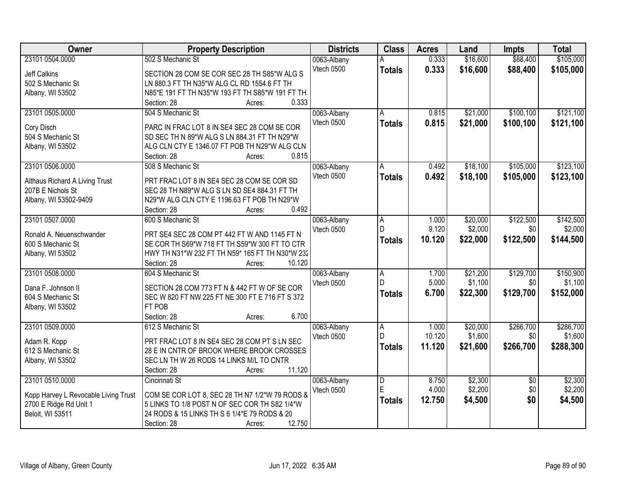| Owner                                | <b>Property Description</b>                                                               | <b>Districts</b>          | <b>Class</b>   | <b>Acres</b>   | Land     | <b>Impts</b>    | <b>Total</b> |
|--------------------------------------|-------------------------------------------------------------------------------------------|---------------------------|----------------|----------------|----------|-----------------|--------------|
| 23101 0504.0000                      | 502 S Mechanic St                                                                         | 0063-Albany               |                | 0.333          | \$16,600 | \$88,400        | \$105,000    |
| <b>Jeff Calkins</b>                  | SECTION 28 COM SE COR SEC 28 TH S85*W ALG S                                               | Vtech 0500                | <b>Totals</b>  | 0.333          | \$16,600 | \$88,400        | \$105,000    |
| 502 S Mechanic St                    | LN 880.3 FT TH N35*W ALG CL RD 1554.6 FT TH                                               |                           |                |                |          |                 |              |
| Albany, WI 53502                     | N85*E 191 FT TH N35*W 193 FT TH S85*W 191 FT TH                                           |                           |                |                |          |                 |              |
|                                      | 0.333<br>Section: 28<br>Acres:                                                            |                           |                |                |          |                 |              |
| 23101 0505.0000                      | 504 S Mechanic St                                                                         | 0063-Albany               | A              | 0.815          | \$21,000 | \$100,100       | \$121,100    |
|                                      |                                                                                           | Vtech 0500                | <b>Totals</b>  | 0.815          | \$21,000 | \$100,100       | \$121,100    |
| Cory Disch                           | PARC IN FRAC LOT 8 IN SE4 SEC 28 COM SE COR                                               |                           |                |                |          |                 |              |
| 504 S Mechanic St                    | SD SEC TH N 89*W ALG S LN 884.31 FT TH N29*W                                              |                           |                |                |          |                 |              |
| Albany, WI 53502                     | ALG CLN CTY E 1346.07 FT POB TH N29*W ALG CLN<br>0.815                                    |                           |                |                |          |                 |              |
|                                      | Section: 28<br>Acres:                                                                     |                           |                |                |          |                 |              |
| 23101 0506.0000                      | 508 S Mechanic St                                                                         | 0063-Albany               | A              | 0.492          | \$18,100 | \$105,000       | \$123,100    |
| Althaus Richard A Living Trust       | PRT FRAC LOT 8 IN SE4 SEC 28 COM SE COR SD                                                | <b>Vtech 0500</b>         | <b>Totals</b>  | 0.492          | \$18,100 | \$105,000       | \$123,100    |
| 207B E Nichols St                    | SEC 28 TH N89*W ALG S LN SD SE4 884.31 FT TH                                              |                           |                |                |          |                 |              |
| Albany, WI 53502-9409                | N29*W ALG CLN CTY E 1196.63 FT POB TH N29*W                                               |                           |                |                |          |                 |              |
|                                      | 0.492<br>Section: 28<br>Acres:                                                            |                           |                |                |          |                 |              |
| 23101 0507.0000                      | 600 S Mechanic St                                                                         | 0063-Albany               | $\overline{A}$ | 1.000          | \$20,000 | \$122,500       | \$142,500    |
|                                      |                                                                                           | Vtech 0500                | D              | 9.120          | \$2,000  | \$0             | \$2,000      |
| Ronald A. Neuenschwander             | PRT SE4 SEC 28 COM PT 442 FT W AND 1145 FT N                                              |                           | <b>Totals</b>  | 10.120         | \$22,000 | \$122,500       | \$144,500    |
| 600 S Mechanic St                    | SE COR TH S69*W 718 FT TH S59*W 300 FT TO CTR                                             |                           |                |                |          |                 |              |
| Albany, WI 53502                     | HWY TH N31*W 232 FT TH N59* 165 FT TH N30*W 232                                           |                           |                |                |          |                 |              |
|                                      | 10.120<br>Section: 28<br>Acres:                                                           |                           |                |                |          |                 |              |
| 23101 0508.0000                      | 604 S Mechanic St                                                                         | 0063-Albany               | A<br>D.        | 1.700<br>5.000 | \$21,200 | \$129,700       | \$150,900    |
| Dana F. Johnson II                   | SECTION 28 COM 773 FT N & 442 FT W OF SE COR                                              | Vtech 0500                |                |                | \$1,100  | \$0             | \$1,100      |
| 604 S Mechanic St                    | SEC W 820 FT NW 225 FT NE 300 FT E 716 FT S 372                                           |                           | <b>Totals</b>  | 6.700          | \$22,300 | \$129,700       | \$152,000    |
| Albany, WI 53502                     | FT POB                                                                                    |                           |                |                |          |                 |              |
|                                      | 6.700<br>Section: 28<br>Acres:                                                            |                           |                |                |          |                 |              |
| 23101 0509.0000                      | 612 S Mechanic St                                                                         | 0063-Albany               | A              | 1.000          | \$20,000 | \$266,700       | \$286,700    |
|                                      |                                                                                           | Vtech 0500                | D              | 10.120         | \$1,600  | \$0             | \$1,600      |
| Adam R. Kopp<br>612 S Mechanic St    | PRT FRAC LOT 8 IN SE4 SEC 28 COM PT S LN SEC<br>28 E IN CNTR OF BROOK WHERE BROOK CROSSES |                           | <b>Totals</b>  | 11.120         | \$21,600 | \$266,700       | \$288,300    |
|                                      | SEC LN TH W 26 RODS 14 LINKS M/L TO CNTR                                                  |                           |                |                |          |                 |              |
| Albany, WI 53502                     | 11.120<br>Section: 28                                                                     |                           |                |                |          |                 |              |
| 23101 0510.0000                      | Acres:<br>Cincinnati St                                                                   |                           | D              | 8.750          | \$2,300  | $\overline{50}$ | \$2,300      |
|                                      |                                                                                           | 0063-Albany<br>Vtech 0500 | F              | 4.000          | \$2,200  | \$0             | \$2,200      |
| Kopp Harvey L Revocable Living Trust | COM SE COR LOT 8, SEC 28 TH N7 1/2*W 79 RODS &                                            |                           |                |                |          | \$0             |              |
| 2700 E Ridge Rd Unit 1               | 5 LINKS TO 1/8 POST N OF SEC COR TH S82 1/4*W                                             |                           | <b>Totals</b>  | 12.750         | \$4,500  |                 | \$4,500      |
| Beloit, WI 53511                     | 24 RODS & 15 LINKS TH S 6 1/4*E 79 RODS & 20                                              |                           |                |                |          |                 |              |
|                                      | 12.750<br>Section: 28<br>Acres:                                                           |                           |                |                |          |                 |              |